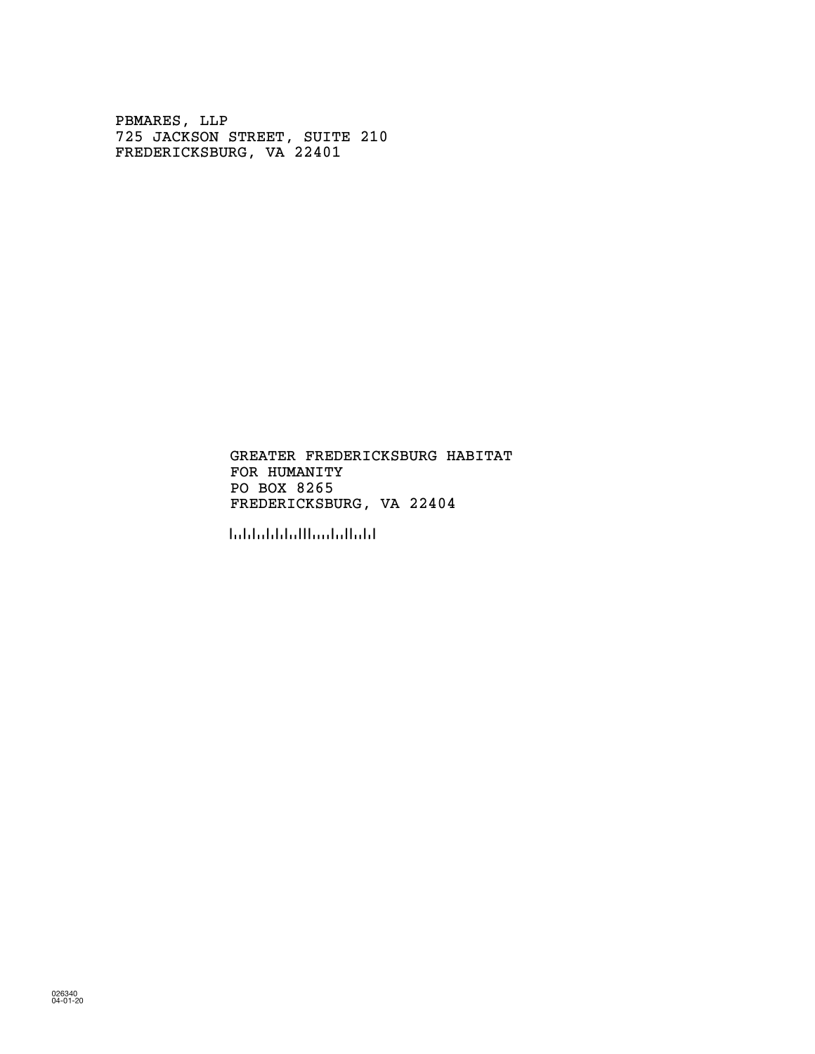PBMARES, LLP 725 JACKSON STREET, SUITE 210 FREDERICKSBURG, VA 22401

> FOR HUMANITY PO BOX 8265 GREATER FREDERICKSBURG HABITAT FREDERICKSBURG, VA 22404

!224048!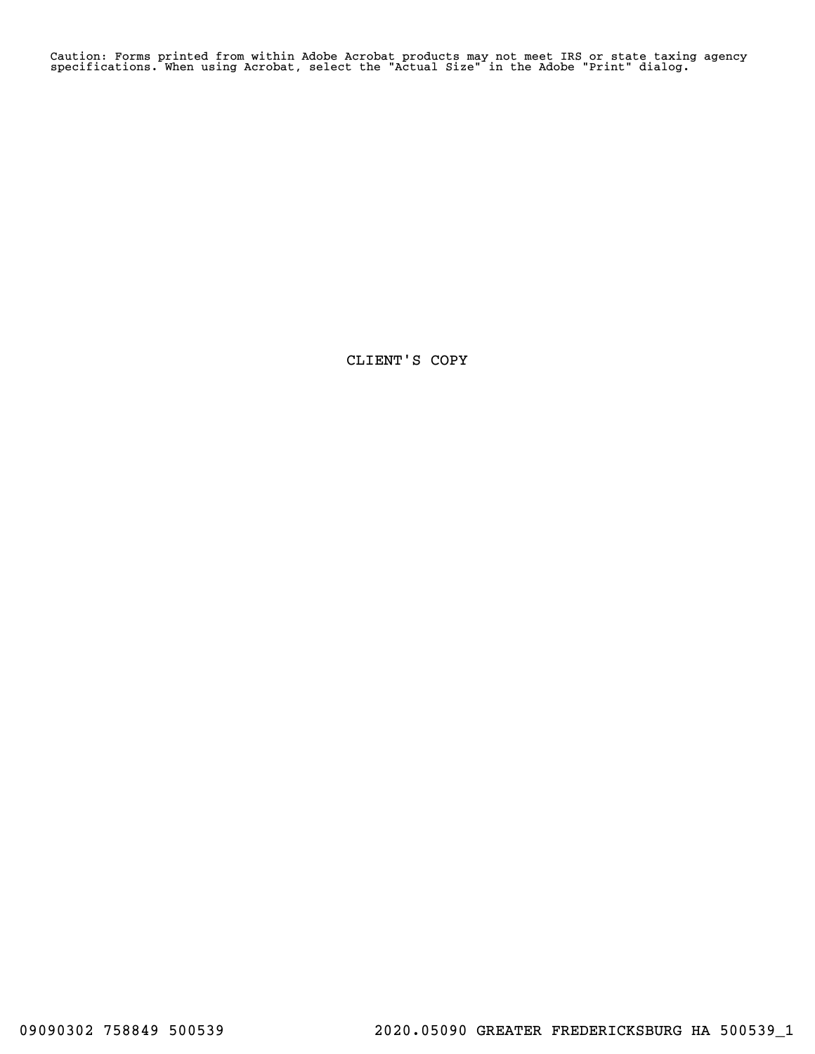Caution: Forms printed from within Adobe Acrobat products may not meet IRS or state taxing agency specifications. When using Acrobat, select the "Actual Size" in the Adobe "Print" dialog.

CLIENT'S COPY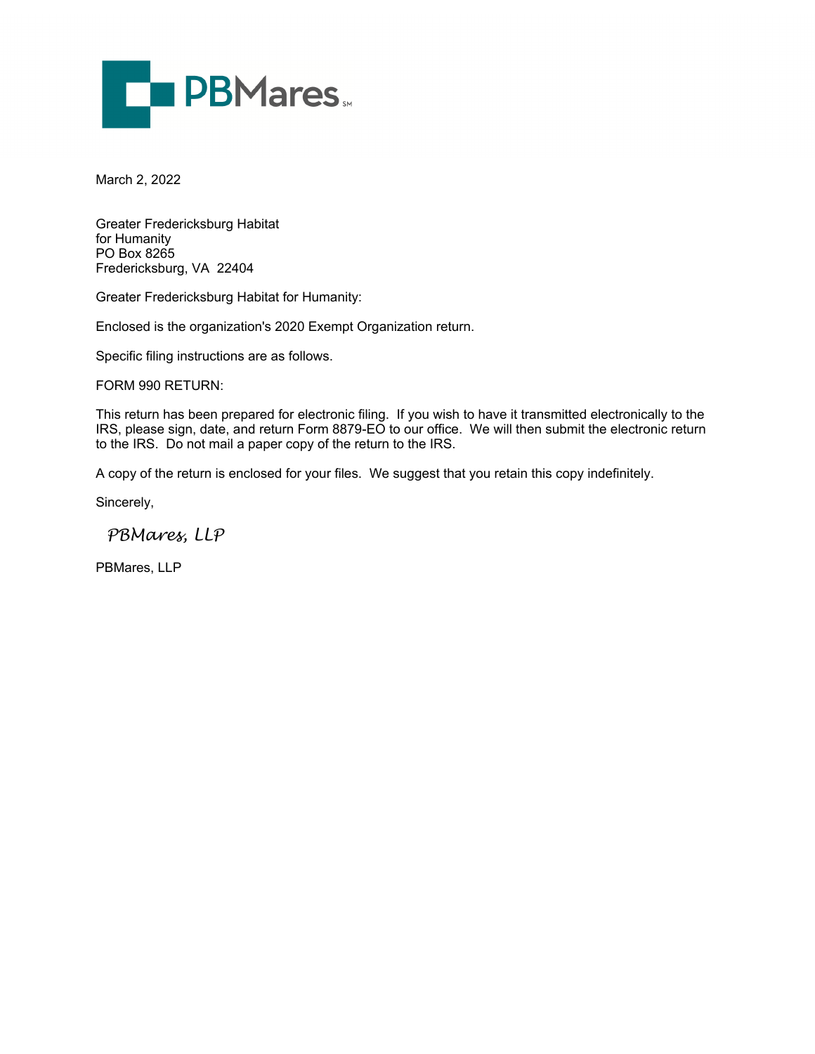

March 2, 2022

Greater Fredericksburg Habitat for Humanity PO Box 8265 Fredericksburg, VA 22404

Greater Fredericksburg Habitat for Humanity:

Enclosed is the organization's 2020 Exempt Organization return.

Specific filing instructions are as follows.

FORM 990 RETURN:

This return has been prepared for electronic filing. If you wish to have it transmitted electronically to the IRS, please sign, date, and return Form 8879-EO to our office. We will then submit the electronic return to the IRS. Do not mail a paper copy of the return to the IRS.

A copy of the return is enclosed for your files. We suggest that you retain this copy indefinitely.

Sincerely,

 *PBMares, LLP*

PBMares, LLP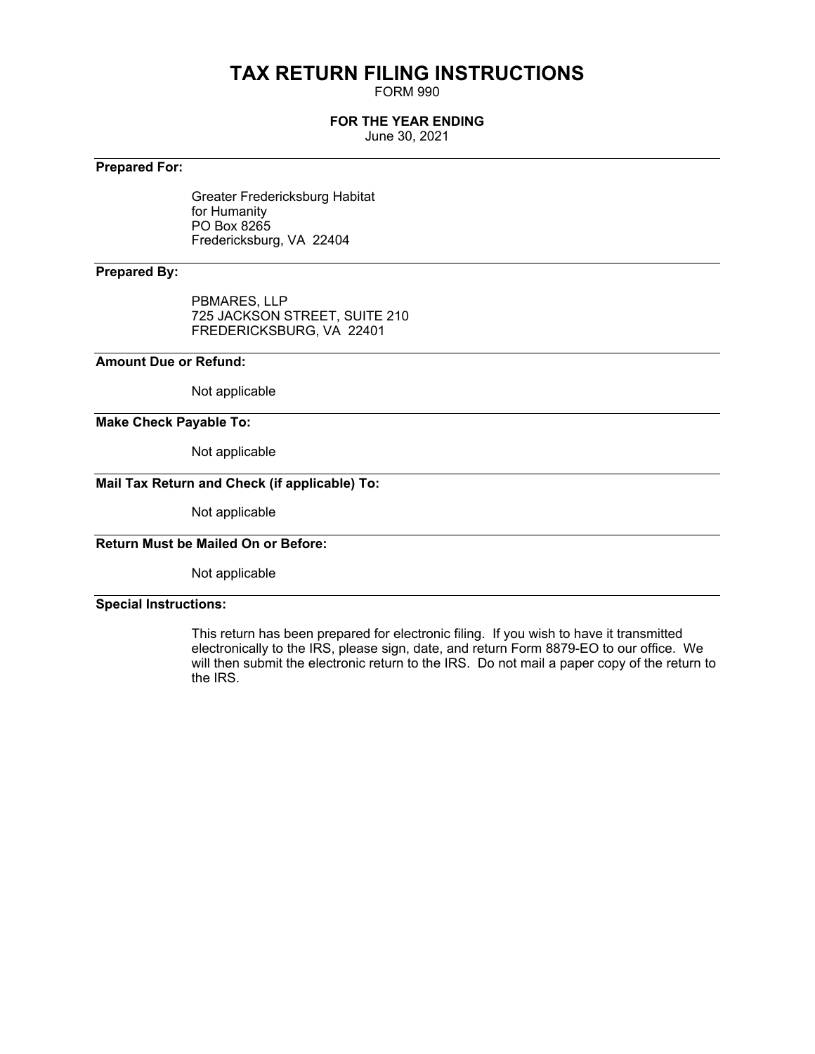# **TAX RETURN FILING INSTRUCTIONS**

FORM 990

## **FOR THE YEAR ENDING**

June 30, 2021

## **Prepared For:**

Greater Fredericksburg Habitat for Humanity PO Box 8265 Fredericksburg, VA 22404

## **Prepared By:**

PBMARES, LLP 725 JACKSON STREET, SUITE 210 FREDERICKSBURG, VA 22401

## **Amount Due or Refund:**

Not applicable

## **Make Check Payable To:**

Not applicable

## **Mail Tax Return and Check (if applicable) To:**

Not applicable

## **Return Must be Mailed On or Before:**

Not applicable

## **Special Instructions:**

This return has been prepared for electronic filing. If you wish to have it transmitted electronically to the IRS, please sign, date, and return Form 8879-EO to our office. We will then submit the electronic return to the IRS. Do not mail a paper copy of the return to the IRS.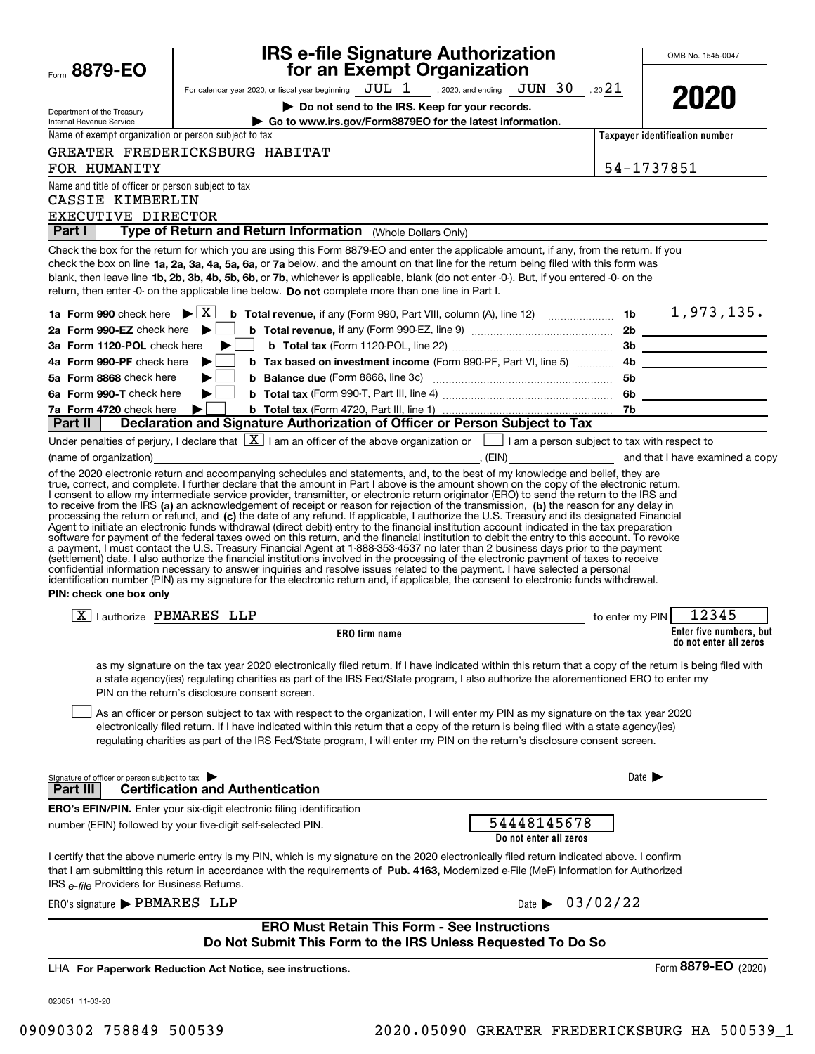| Form $8879$ -EO                                           | <b>IRS e-file Signature Authorization<br/>for an Exempt Organization</b>                                                                                                                                                                                                                                                                                                                                                                                                                                                                                                                                                                                                                                                                                  | OMB No. 1545-0047                                 |
|-----------------------------------------------------------|-----------------------------------------------------------------------------------------------------------------------------------------------------------------------------------------------------------------------------------------------------------------------------------------------------------------------------------------------------------------------------------------------------------------------------------------------------------------------------------------------------------------------------------------------------------------------------------------------------------------------------------------------------------------------------------------------------------------------------------------------------------|---------------------------------------------------|
|                                                           | For calendar year 2020, or fiscal year beginning $JUL$ $1$ , 2020, and ending $JUN$ $30$ , 20 $21$                                                                                                                                                                                                                                                                                                                                                                                                                                                                                                                                                                                                                                                        |                                                   |
|                                                           | Do not send to the IRS. Keep for your records.                                                                                                                                                                                                                                                                                                                                                                                                                                                                                                                                                                                                                                                                                                            | 2020                                              |
| Department of the Treasury<br>Internal Revenue Service    | Go to www.irs.gov/Form8879EO for the latest information.                                                                                                                                                                                                                                                                                                                                                                                                                                                                                                                                                                                                                                                                                                  |                                                   |
| Name of exempt organization or person subject to tax      |                                                                                                                                                                                                                                                                                                                                                                                                                                                                                                                                                                                                                                                                                                                                                           | Taxpayer identification number                    |
|                                                           | GREATER FREDERICKSBURG HABITAT                                                                                                                                                                                                                                                                                                                                                                                                                                                                                                                                                                                                                                                                                                                            |                                                   |
| FOR HUMANITY                                              |                                                                                                                                                                                                                                                                                                                                                                                                                                                                                                                                                                                                                                                                                                                                                           | 54-1737851                                        |
| Name and title of officer or person subject to tax        |                                                                                                                                                                                                                                                                                                                                                                                                                                                                                                                                                                                                                                                                                                                                                           |                                                   |
| CASSIE KIMBERLIN                                          |                                                                                                                                                                                                                                                                                                                                                                                                                                                                                                                                                                                                                                                                                                                                                           |                                                   |
| EXECUTIVE DIRECTOR                                        |                                                                                                                                                                                                                                                                                                                                                                                                                                                                                                                                                                                                                                                                                                                                                           |                                                   |
| <b>Part I</b>                                             | Type of Return and Return Information (Whole Dollars Only)                                                                                                                                                                                                                                                                                                                                                                                                                                                                                                                                                                                                                                                                                                |                                                   |
|                                                           | Check the box for the return for which you are using this Form 8879-EO and enter the applicable amount, if any, from the return. If you<br>check the box on line 1a, 2a, 3a, 4a, 5a, 6a, or 7a below, and the amount on that line for the return being filed with this form was<br>blank, then leave line 1b, 2b, 3b, 4b, 5b, 6b, or 7b, whichever is applicable, blank (do not enter -0-). But, if you entered -0- on the<br>return, then enter -0- on the applicable line below. Do not complete more than one line in Part I.                                                                                                                                                                                                                          |                                                   |
|                                                           |                                                                                                                                                                                                                                                                                                                                                                                                                                                                                                                                                                                                                                                                                                                                                           |                                                   |
| 2a Form 990-EZ check here $\blacktriangleright$           |                                                                                                                                                                                                                                                                                                                                                                                                                                                                                                                                                                                                                                                                                                                                                           |                                                   |
| 3a Form 1120-POL check here                               | ▶<br><b>Contract Contract</b>                                                                                                                                                                                                                                                                                                                                                                                                                                                                                                                                                                                                                                                                                                                             |                                                   |
| 4a Form 990-PF check here $\blacktriangleright$           |                                                                                                                                                                                                                                                                                                                                                                                                                                                                                                                                                                                                                                                                                                                                                           |                                                   |
| 5a Form 8868 check here                                   |                                                                                                                                                                                                                                                                                                                                                                                                                                                                                                                                                                                                                                                                                                                                                           | 5b _____________________                          |
| 6a Form 990-T check here                                  | ▶                                                                                                                                                                                                                                                                                                                                                                                                                                                                                                                                                                                                                                                                                                                                                         |                                                   |
| 7a Form 4720 check here                                   |                                                                                                                                                                                                                                                                                                                                                                                                                                                                                                                                                                                                                                                                                                                                                           |                                                   |
| Part II                                                   | Declaration and Signature Authorization of Officer or Person Subject to Tax                                                                                                                                                                                                                                                                                                                                                                                                                                                                                                                                                                                                                                                                               |                                                   |
|                                                           | Under penalties of perjury, I declare that $ \overline{\mathbf{X}} $ I am an officer of the above organization or $\Box$ I am a person subject to tax with respect to                                                                                                                                                                                                                                                                                                                                                                                                                                                                                                                                                                                     |                                                   |
|                                                           | of the 2020 electronic return and accompanying schedules and statements, and, to the best of my knowledge and belief, they are                                                                                                                                                                                                                                                                                                                                                                                                                                                                                                                                                                                                                            |                                                   |
| PIN: check one box only                                   | a payment, I must contact the U.S. Treasury Financial Agent at 1-888-353-4537 no later than 2 business days prior to the payment<br>(settlement) date. I also authorize the financial institutions involved in the processing of the electronic payment of taxes to receive<br>confidential information necessary to answer inquiries and resolve issues related to the payment. I have selected a personal<br>identification number (PIN) as my signature for the electronic return and, if applicable, the consent to electronic funds withdrawal.                                                                                                                                                                                                      |                                                   |
| $\boxed{\text{X}}$   authorize PBMARES LLP                | to enter my PIN                                                                                                                                                                                                                                                                                                                                                                                                                                                                                                                                                                                                                                                                                                                                           | 12345                                             |
|                                                           | <b>ERO</b> firm name                                                                                                                                                                                                                                                                                                                                                                                                                                                                                                                                                                                                                                                                                                                                      | Enter five numbers, but<br>do not enter all zeros |
|                                                           | as my signature on the tax year 2020 electronically filed return. If I have indicated within this return that a copy of the return is being filed with<br>a state agency(ies) regulating charities as part of the IRS Fed/State program, I also authorize the aforementioned ERO to enter my<br>PIN on the return's disclosure consent screen.<br>As an officer or person subject to tax with respect to the organization, I will enter my PIN as my signature on the tax year 2020<br>electronically filed return. If I have indicated within this return that a copy of the return is being filed with a state agency(ies)<br>regulating charities as part of the IRS Fed/State program, I will enter my PIN on the return's disclosure consent screen. |                                                   |
| Signature of officer or person subject to tax<br>Part III | <b>Certification and Authentication</b>                                                                                                                                                                                                                                                                                                                                                                                                                                                                                                                                                                                                                                                                                                                   | Date $\blacktriangleright$                        |
|                                                           | <b>ERO's EFIN/PIN.</b> Enter your six-digit electronic filing identification                                                                                                                                                                                                                                                                                                                                                                                                                                                                                                                                                                                                                                                                              |                                                   |
|                                                           | 54448145678<br>number (EFIN) followed by your five-digit self-selected PIN.<br>Do not enter all zeros                                                                                                                                                                                                                                                                                                                                                                                                                                                                                                                                                                                                                                                     |                                                   |
| IRS e-file Providers for Business Returns.                | I certify that the above numeric entry is my PIN, which is my signature on the 2020 electronically filed return indicated above. I confirm<br>that I am submitting this return in accordance with the requirements of Pub. 4163, Modernized e-File (MeF) Information for Authorized                                                                                                                                                                                                                                                                                                                                                                                                                                                                       |                                                   |
| ERO's signature $\blacktriangleright$ PBMARES LLP         | Date $\triangleright$ 03/02/22                                                                                                                                                                                                                                                                                                                                                                                                                                                                                                                                                                                                                                                                                                                            |                                                   |
|                                                           | <b>ERO Must Retain This Form - See Instructions</b><br>Do Not Submit This Form to the IRS Unless Requested To Do So                                                                                                                                                                                                                                                                                                                                                                                                                                                                                                                                                                                                                                       |                                                   |
|                                                           | LHA For Paperwork Reduction Act Notice, see instructions.                                                                                                                                                                                                                                                                                                                                                                                                                                                                                                                                                                                                                                                                                                 | Form 8879-EO (2020)                               |
| 023051 11-03-20                                           |                                                                                                                                                                                                                                                                                                                                                                                                                                                                                                                                                                                                                                                                                                                                                           |                                                   |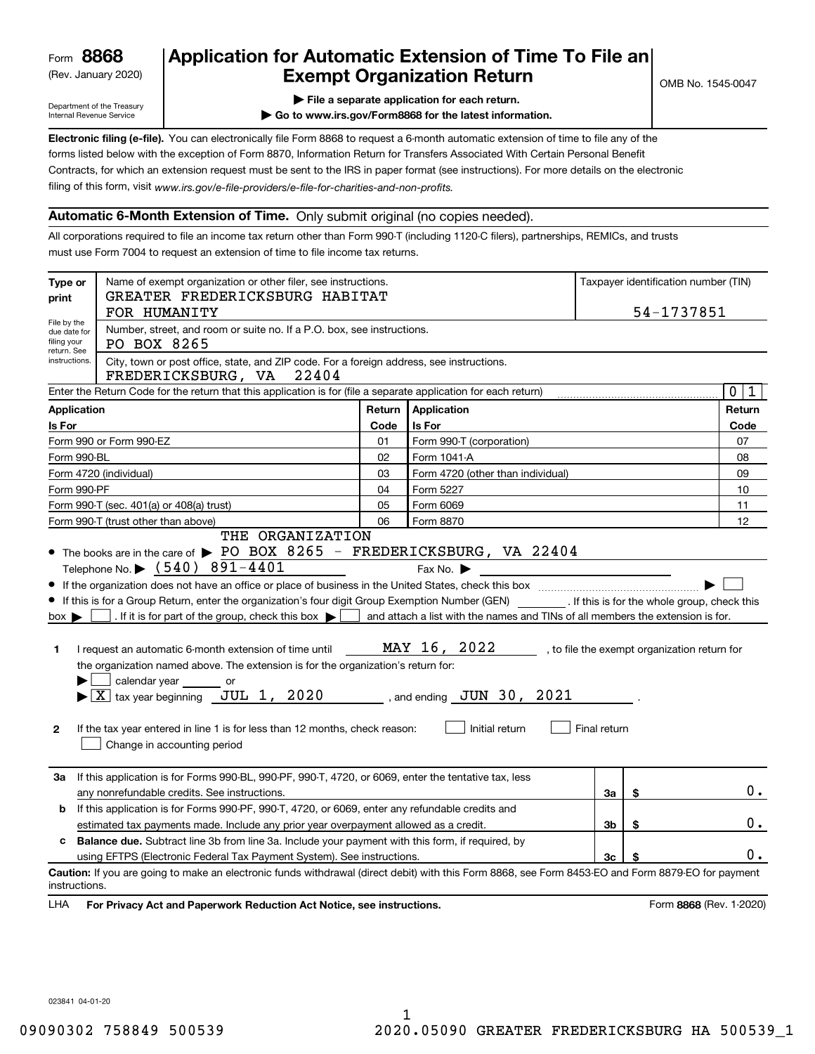(Rev. January 2020)

## **Application for Automatic Extension of Time To File an Exempt Organization Return**

Department of the Treasury Internal Revenue Service

**| File a separate application for each return.**

**| Go to www.irs.gov/Form8868 for the latest information.**

**Electronic filing (e-file).**  You can electronically file Form 8868 to request a 6-month automatic extension of time to file any of the filing of this form, visit www.irs.gov/e-file-providers/e-file-for-charities-and-non-profits. forms listed below with the exception of Form 8870, Information Return for Transfers Associated With Certain Personal Benefit Contracts, for which an extension request must be sent to the IRS in paper format (see instructions). For more details on the electronic

## **Automatic 6-Month Extension of Time.** Only submit original (no copies needed).

All corporations required to file an income tax return other than Form 990-T (including 1120-C filers), partnerships, REMICs, and trusts must use Form 7004 to request an extension of time to file income tax returns.

| Type or<br>print                                                                                                                                        | Name of exempt organization or other filer, see instructions.<br>GREATER FREDERICKSBURG HABITAT                                                                                                                                                                                                                                                                                                                                                                                                                                                                                                                                                                                                                                                                                                                                                                                                                                                                                                                                                                                                                                      | Taxpayer identification number (TIN)<br>54-1737851 |                                   |    |    |                         |  |  |  |  |
|---------------------------------------------------------------------------------------------------------------------------------------------------------|--------------------------------------------------------------------------------------------------------------------------------------------------------------------------------------------------------------------------------------------------------------------------------------------------------------------------------------------------------------------------------------------------------------------------------------------------------------------------------------------------------------------------------------------------------------------------------------------------------------------------------------------------------------------------------------------------------------------------------------------------------------------------------------------------------------------------------------------------------------------------------------------------------------------------------------------------------------------------------------------------------------------------------------------------------------------------------------------------------------------------------------|----------------------------------------------------|-----------------------------------|----|----|-------------------------|--|--|--|--|
| File by the<br>due date for<br>filing your                                                                                                              | FOR HUMANITY<br>Number, street, and room or suite no. If a P.O. box, see instructions.<br>PO BOX 8265                                                                                                                                                                                                                                                                                                                                                                                                                                                                                                                                                                                                                                                                                                                                                                                                                                                                                                                                                                                                                                |                                                    |                                   |    |    |                         |  |  |  |  |
| return. See<br>City, town or post office, state, and ZIP code. For a foreign address, see instructions.<br>instructions.<br>FREDERICKSBURG, VA<br>22404 |                                                                                                                                                                                                                                                                                                                                                                                                                                                                                                                                                                                                                                                                                                                                                                                                                                                                                                                                                                                                                                                                                                                                      |                                                    |                                   |    |    |                         |  |  |  |  |
|                                                                                                                                                         | Enter the Return Code for the return that this application is for (file a separate application for each return)                                                                                                                                                                                                                                                                                                                                                                                                                                                                                                                                                                                                                                                                                                                                                                                                                                                                                                                                                                                                                      |                                                    |                                   |    |    | $\mathbf 0$<br>1        |  |  |  |  |
| <b>Application</b>                                                                                                                                      |                                                                                                                                                                                                                                                                                                                                                                                                                                                                                                                                                                                                                                                                                                                                                                                                                                                                                                                                                                                                                                                                                                                                      | Return                                             | Application                       |    |    | Return                  |  |  |  |  |
| Is For                                                                                                                                                  |                                                                                                                                                                                                                                                                                                                                                                                                                                                                                                                                                                                                                                                                                                                                                                                                                                                                                                                                                                                                                                                                                                                                      | Code                                               | Is For                            |    |    | Code                    |  |  |  |  |
|                                                                                                                                                         | Form 990 or Form 990-EZ                                                                                                                                                                                                                                                                                                                                                                                                                                                                                                                                                                                                                                                                                                                                                                                                                                                                                                                                                                                                                                                                                                              | 01                                                 | Form 990-T (corporation)          |    |    | 07                      |  |  |  |  |
| Form 990-BL                                                                                                                                             |                                                                                                                                                                                                                                                                                                                                                                                                                                                                                                                                                                                                                                                                                                                                                                                                                                                                                                                                                                                                                                                                                                                                      | 02                                                 | Form 1041-A                       |    |    | 08                      |  |  |  |  |
|                                                                                                                                                         | Form 4720 (individual)                                                                                                                                                                                                                                                                                                                                                                                                                                                                                                                                                                                                                                                                                                                                                                                                                                                                                                                                                                                                                                                                                                               | 03                                                 | Form 4720 (other than individual) |    |    | 09                      |  |  |  |  |
| Form 990-PF                                                                                                                                             |                                                                                                                                                                                                                                                                                                                                                                                                                                                                                                                                                                                                                                                                                                                                                                                                                                                                                                                                                                                                                                                                                                                                      | 04                                                 | Form 5227                         |    |    | 10                      |  |  |  |  |
|                                                                                                                                                         | Form 990-T (sec. 401(a) or 408(a) trust)                                                                                                                                                                                                                                                                                                                                                                                                                                                                                                                                                                                                                                                                                                                                                                                                                                                                                                                                                                                                                                                                                             | 05                                                 | Form 6069                         |    |    | 11                      |  |  |  |  |
|                                                                                                                                                         | Form 990-T (trust other than above)                                                                                                                                                                                                                                                                                                                                                                                                                                                                                                                                                                                                                                                                                                                                                                                                                                                                                                                                                                                                                                                                                                  | 06                                                 | Form 8870                         |    |    | 12                      |  |  |  |  |
| 1.<br>$\mathbf{2}$<br>За                                                                                                                                | THE ORGANIZATION<br>• The books are in the care of $\triangleright$ PO BOX 8265 - FREDERICKSBURG, VA 22404<br>Telephone No. $\triangleright$ (540) 891-4401<br>Fax No. $\blacktriangleright$<br>If this is for a Group Return, enter the organization's four digit Group Exemption Number (GEN) [f this is for the whole group, check this<br>. If it is for part of the group, check this box $\blacktriangleright$   and attach a list with the names and TINs of all members the extension is for.<br>$box \blacktriangleright$  <br>MAY 16, 2022<br>I request an automatic 6-month extension of time until<br>, to file the exempt organization return for<br>the organization named above. The extension is for the organization's return for:<br>calendar year ________ or<br>$\blacktriangleright$ $\lfloor \underline{X} \rfloor$ tax year beginning $\lfloor \underline{J} \underline{U} \underline{L} \rfloor$ 1, 2020<br>$\_$ , and ending $\_$ $\rm JUN$ $~30$ , $~2021$<br>Initial return<br>Final return<br>If the tax year entered in line 1 is for less than 12 months, check reason:<br>Change in accounting period |                                                    |                                   |    |    |                         |  |  |  |  |
|                                                                                                                                                         | If this application is for Forms 990-BL, 990-PF, 990-T, 4720, or 6069, enter the tentative tax, less<br>any nonrefundable credits. See instructions.                                                                                                                                                                                                                                                                                                                                                                                                                                                                                                                                                                                                                                                                                                                                                                                                                                                                                                                                                                                 |                                                    |                                   | За | \$ | 0.                      |  |  |  |  |
| b                                                                                                                                                       | If this application is for Forms 990-PF, 990-T, 4720, or 6069, enter any refundable credits and                                                                                                                                                                                                                                                                                                                                                                                                                                                                                                                                                                                                                                                                                                                                                                                                                                                                                                                                                                                                                                      |                                                    |                                   |    |    |                         |  |  |  |  |
|                                                                                                                                                         | estimated tax payments made. Include any prior year overpayment allowed as a credit.<br>Зb<br>\$                                                                                                                                                                                                                                                                                                                                                                                                                                                                                                                                                                                                                                                                                                                                                                                                                                                                                                                                                                                                                                     |                                                    |                                   |    |    |                         |  |  |  |  |
| <b>Balance due.</b> Subtract line 3b from line 3a. Include your payment with this form, if required, by<br>c                                            |                                                                                                                                                                                                                                                                                                                                                                                                                                                                                                                                                                                                                                                                                                                                                                                                                                                                                                                                                                                                                                                                                                                                      |                                                    |                                   |    |    |                         |  |  |  |  |
|                                                                                                                                                         | using EFTPS (Electronic Federal Tax Payment System). See instructions.                                                                                                                                                                                                                                                                                                                                                                                                                                                                                                                                                                                                                                                                                                                                                                                                                                                                                                                                                                                                                                                               |                                                    |                                   | 3c | S  | 0.                      |  |  |  |  |
| instructions.<br>LHA                                                                                                                                    | Caution: If you are going to make an electronic funds withdrawal (direct debit) with this Form 8868, see Form 8453-EO and Form 8879-EO for payment<br>For Privacy Act and Paperwork Reduction Act Notice, see instructions.                                                                                                                                                                                                                                                                                                                                                                                                                                                                                                                                                                                                                                                                                                                                                                                                                                                                                                          |                                                    |                                   |    |    | Form 8868 (Rev. 1-2020) |  |  |  |  |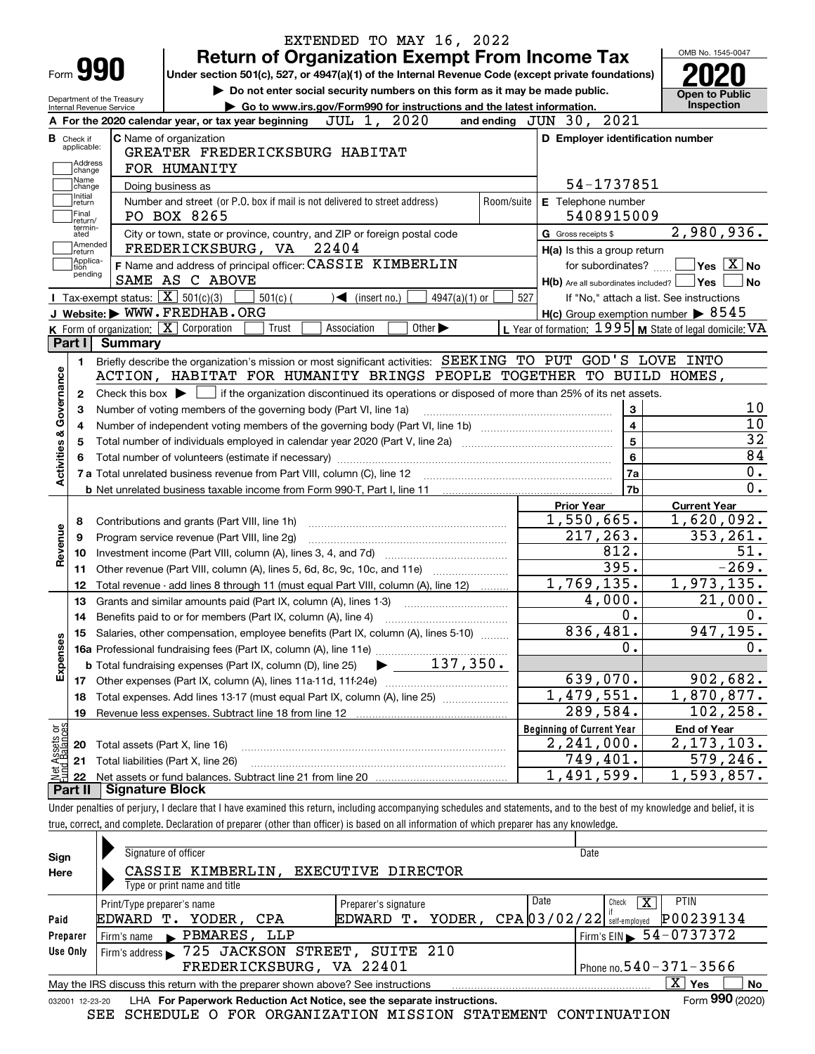| Form <b>990</b>                                                   |                                                          | <b>Return of Organization Exempt From Income Tax</b><br>Under section 501(c), 527, or 4947(a)(1) of the Internal Revenue Code (except private foundations) |                                                                             |                                |            |                                  |                                           | OMB No. 1545-0047                                                                                                                                                |
|-------------------------------------------------------------------|----------------------------------------------------------|------------------------------------------------------------------------------------------------------------------------------------------------------------|-----------------------------------------------------------------------------|--------------------------------|------------|----------------------------------|-------------------------------------------|------------------------------------------------------------------------------------------------------------------------------------------------------------------|
|                                                                   |                                                          |                                                                                                                                                            | Do not enter social security numbers on this form as it may be made public. |                                |            |                                  |                                           | <b>Open to Public</b>                                                                                                                                            |
| Internal Revenue Service                                          | Department of the Treasury                               |                                                                                                                                                            | Go to www.irs.gov/Form990 for instructions and the latest information.      |                                |            |                                  |                                           | <b>Inspection</b>                                                                                                                                                |
|                                                                   |                                                          | A For the 2020 calendar year, or tax year beginning                                                                                                        | JUL 1, 2020                                                                 |                                |            | and ending JUN 30, 2021          |                                           |                                                                                                                                                                  |
| <b>B</b> Check if<br>applicable:                                  |                                                          | <b>C</b> Name of organization                                                                                                                              |                                                                             |                                |            |                                  | D Employer identification number          |                                                                                                                                                                  |
| Address                                                           |                                                          | GREATER FREDERICKSBURG HABITAT                                                                                                                             |                                                                             |                                |            |                                  |                                           |                                                                                                                                                                  |
| change<br>Name                                                    |                                                          | FOR HUMANITY                                                                                                                                               |                                                                             |                                |            |                                  |                                           |                                                                                                                                                                  |
| change<br>Initial                                                 | Doing business as                                        |                                                                                                                                                            |                                                                             |                                |            |                                  | 54-1737851                                |                                                                                                                                                                  |
| return<br>Final                                                   |                                                          | Number and street (or P.O. box if mail is not delivered to street address)                                                                                 |                                                                             |                                | Room/suite |                                  | E Telephone number                        |                                                                                                                                                                  |
| return/<br>termin-                                                |                                                          | PO BOX 8265                                                                                                                                                |                                                                             |                                |            |                                  | 5408915009                                |                                                                                                                                                                  |
| ated<br> Amended                                                  |                                                          | City or town, state or province, country, and ZIP or foreign postal code                                                                                   |                                                                             |                                |            | G Gross receipts \$              |                                           | 2,980,936.                                                                                                                                                       |
| ∣return<br>Applica-                                               |                                                          | FREDERICKSBURG, VA 22404                                                                                                                                   |                                                                             |                                |            |                                  | H(a) Is this a group return               |                                                                                                                                                                  |
| tion<br>pending                                                   |                                                          | F Name and address of principal officer: CASSIE KIMBERLIN                                                                                                  |                                                                             |                                |            |                                  | for subordinates?                         | $\sqrt{}$ Yes $\sqrt{}$ X $\sqrt{}$ No                                                                                                                           |
|                                                                   | Tax-exempt status: $\boxed{\mathbf{X}}$ 501(c)(3)        | SAME AS C ABOVE                                                                                                                                            |                                                                             |                                |            |                                  | H(b) Are all subordinates included?   Yes |                                                                                                                                                                  |
|                                                                   |                                                          | $501(c)$ (<br>J Website: WWW.FREDHAB.ORG                                                                                                                   | $\blacktriangleleft$ (insert no.)                                           | $4947(a)(1)$ or                |            | 527                              |                                           | If "No," attach a list. See instructions                                                                                                                         |
|                                                                   | K Form of organization: $\boxed{\mathbf{X}}$ Corporation | Trust                                                                                                                                                      | Association                                                                 | Other $\blacktriangleright$    |            |                                  |                                           | $H(c)$ Group exemption number $\triangleright$ 8545<br>L Year of formation: $1995$ M State of legal domicile: VA                                                 |
|                                                                   | Part I Summary                                           |                                                                                                                                                            |                                                                             |                                |            |                                  |                                           |                                                                                                                                                                  |
|                                                                   |                                                          | Briefly describe the organization's mission or most significant activities: SEEKING TO PUT GOD'S LOVE INTO                                                 |                                                                             |                                |            |                                  |                                           |                                                                                                                                                                  |
| 1.                                                                |                                                          | ACTION, HABITAT FOR HUMANITY BRINGS PEOPLE TOGETHER TO BUILD HOMES,                                                                                        |                                                                             |                                |            |                                  |                                           |                                                                                                                                                                  |
|                                                                   |                                                          |                                                                                                                                                            |                                                                             |                                |            |                                  |                                           |                                                                                                                                                                  |
| 2                                                                 |                                                          | Check this box $\blacktriangleright \Box$ if the organization discontinued its operations or disposed of more than 25% of its net assets.                  |                                                                             |                                |            |                                  |                                           |                                                                                                                                                                  |
| З                                                                 |                                                          | Number of voting members of the governing body (Part VI, line 1a)                                                                                          |                                                                             |                                |            |                                  | 3<br>$\overline{\mathbf{4}}$              |                                                                                                                                                                  |
| 4                                                                 |                                                          |                                                                                                                                                            |                                                                             |                                |            |                                  |                                           |                                                                                                                                                                  |
|                                                                   | $5\phantom{a}$<br>5                                      |                                                                                                                                                            |                                                                             |                                |            |                                  |                                           |                                                                                                                                                                  |
| Activities & Governance                                           |                                                          |                                                                                                                                                            |                                                                             |                                |            |                                  | 6                                         |                                                                                                                                                                  |
|                                                                   |                                                          |                                                                                                                                                            |                                                                             |                                |            |                                  | 7a                                        |                                                                                                                                                                  |
|                                                                   |                                                          |                                                                                                                                                            |                                                                             |                                |            |                                  |                                           |                                                                                                                                                                  |
|                                                                   |                                                          |                                                                                                                                                            |                                                                             |                                |            |                                  | 7b                                        |                                                                                                                                                                  |
|                                                                   |                                                          |                                                                                                                                                            |                                                                             |                                |            | <b>Prior Year</b>                |                                           | <b>Current Year</b>                                                                                                                                              |
| 8                                                                 |                                                          | Contributions and grants (Part VIII, line 1h)                                                                                                              |                                                                             |                                |            |                                  | 1,550,665.                                |                                                                                                                                                                  |
| 9                                                                 |                                                          | Program service revenue (Part VIII, line 2g)                                                                                                               |                                                                             |                                |            |                                  | 217,263.                                  |                                                                                                                                                                  |
| 10                                                                |                                                          |                                                                                                                                                            |                                                                             |                                |            |                                  | 812.                                      |                                                                                                                                                                  |
| 11                                                                |                                                          | Other revenue (Part VIII, column (A), lines 5, 6d, 8c, 9c, 10c, and 11e)                                                                                   |                                                                             |                                |            |                                  | 395.                                      |                                                                                                                                                                  |
| 12                                                                |                                                          | Total revenue - add lines 8 through 11 (must equal Part VIII, column (A), line 12)                                                                         |                                                                             |                                |            |                                  | 1,769,135.                                |                                                                                                                                                                  |
| 13                                                                |                                                          | Grants and similar amounts paid (Part IX, column (A), lines 1-3)                                                                                           |                                                                             |                                |            |                                  | 4,000.                                    |                                                                                                                                                                  |
| 14                                                                |                                                          |                                                                                                                                                            |                                                                             |                                |            |                                  | 0.                                        |                                                                                                                                                                  |
|                                                                   |                                                          | 15 Salaries, other compensation, employee benefits (Part IX, column (A), lines 5-10)                                                                       |                                                                             |                                |            |                                  | 836,481.                                  |                                                                                                                                                                  |
|                                                                   |                                                          |                                                                                                                                                            |                                                                             |                                |            |                                  | 0.                                        |                                                                                                                                                                  |
|                                                                   |                                                          | <b>b</b> Total fundraising expenses (Part IX, column (D), line 25)                                                                                         |                                                                             | $\blacktriangleright$ 137,350. |            |                                  |                                           |                                                                                                                                                                  |
| 17                                                                |                                                          |                                                                                                                                                            |                                                                             |                                |            |                                  | 639,070.                                  |                                                                                                                                                                  |
| 18                                                                |                                                          | Total expenses. Add lines 13-17 (must equal Part IX, column (A), line 25)                                                                                  |                                                                             |                                |            |                                  | 1,479,551.                                |                                                                                                                                                                  |
| 19                                                                |                                                          |                                                                                                                                                            |                                                                             |                                |            |                                  | $\overline{289}$ , 584.                   |                                                                                                                                                                  |
|                                                                   |                                                          |                                                                                                                                                            |                                                                             |                                |            | <b>Beginning of Current Year</b> |                                           | <b>End of Year</b>                                                                                                                                               |
| 20                                                                | Total assets (Part X, line 16)                           |                                                                                                                                                            |                                                                             |                                |            |                                  | 2, 241, 000.                              |                                                                                                                                                                  |
| Revenue<br>Expenses<br>t Assets or<br>d Balances<br>21<br>鲳<br>22 |                                                          | Total liabilities (Part X, line 26)                                                                                                                        |                                                                             |                                |            |                                  | 749,401.<br>1,491,599.                    | 1,620,092.<br>353, 261.<br>51.<br>$-269.$<br>1,973,135.<br>21,000.<br>947, 195.<br>902,682.<br>1,870,877.<br>102, 258.<br>2, 173, 103.<br>579,246.<br>1,593,857. |

| Sign            | Signature of officer                                                            |                      | Date                                              |  |  |  |  |  |  |  |
|-----------------|---------------------------------------------------------------------------------|----------------------|---------------------------------------------------|--|--|--|--|--|--|--|
| Here            | CASSIE KIMBERLIN,<br>Type or print name and title                               | EXECUTIVE DIRECTOR   |                                                   |  |  |  |  |  |  |  |
|                 | Print/Type preparer's name                                                      | Preparer's signature | Date<br><b>PTIN</b><br>х<br>Check                 |  |  |  |  |  |  |  |
| Paid            | EDWARD T.<br>YODER, CPA                                                         | EDWARD<br>т.         | P00239134<br>YODER, $CPA[03/02/22]$ self-employed |  |  |  |  |  |  |  |
| Preparer        | Firm's name PBMARES, LLP                                                        |                      | $1$ Firm's EIN $\triangleright$ 54 - 0737372      |  |  |  |  |  |  |  |
| Use Only        | Firm's address > 725 JACKSON STREET, SUITE 210                                  |                      |                                                   |  |  |  |  |  |  |  |
|                 | Phone no. $540 - 371 - 3566$<br>FREDERICKSBURG, VA 22401                        |                      |                                                   |  |  |  |  |  |  |  |
|                 | May the IRS discuss this return with the preparer shown above? See instructions |                      | $X \mid$<br>Yes<br><b>No</b>                      |  |  |  |  |  |  |  |
| 032001 12-23-20 | LHA For Paperwork Reduction Act Notice, see the separate instructions.          |                      | Form 990 (2020)                                   |  |  |  |  |  |  |  |

SEE SCHEDULE O FOR ORGANIZATION MISSION STATEMENT CONTINUATION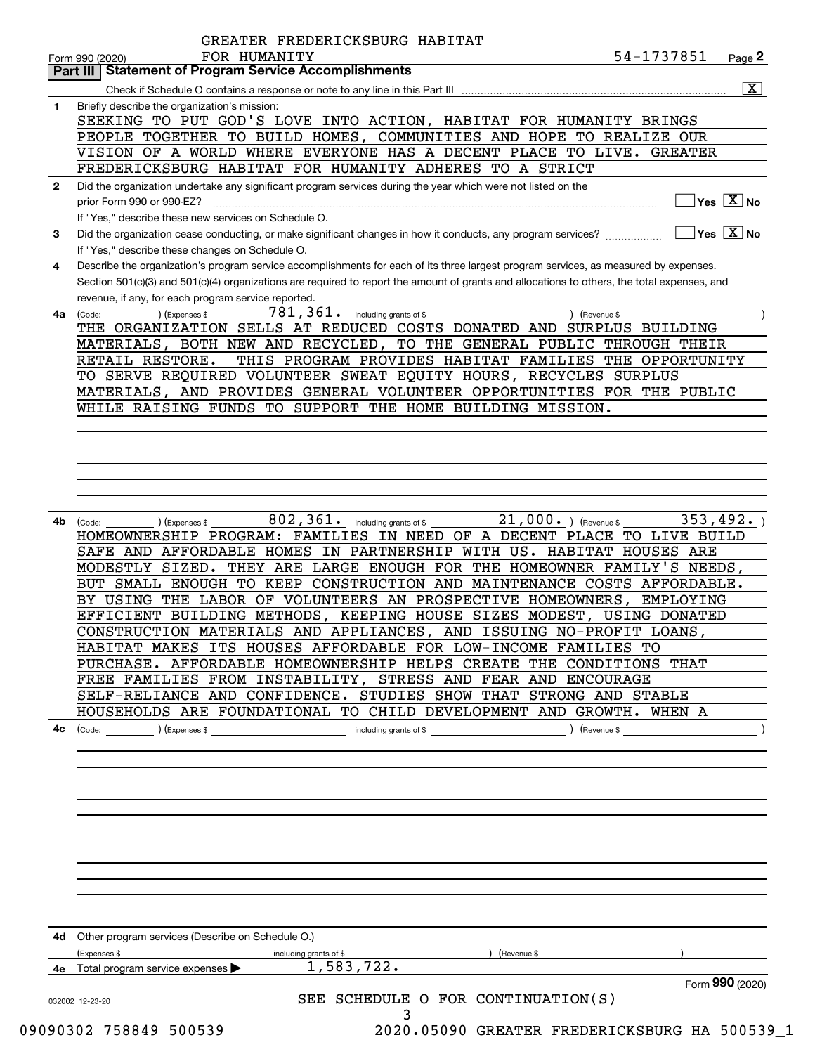|              | 54-1737851<br>FOR HUMANITY<br>Page 2<br>Form 990 (2020)                                                                                                                                                                                                                              |
|--------------|--------------------------------------------------------------------------------------------------------------------------------------------------------------------------------------------------------------------------------------------------------------------------------------|
|              | <b>Part III Statement of Program Service Accomplishments</b>                                                                                                                                                                                                                         |
|              | $\overline{\mathbf{x}}$                                                                                                                                                                                                                                                              |
| 1            | Briefly describe the organization's mission:                                                                                                                                                                                                                                         |
|              | SEEKING TO PUT GOD'S LOVE INTO ACTION, HABITAT FOR HUMANITY BRINGS                                                                                                                                                                                                                   |
|              | PEOPLE TOGETHER TO BUILD HOMES, COMMUNITIES AND HOPE TO REALIZE OUR                                                                                                                                                                                                                  |
|              | VISION OF A WORLD WHERE EVERYONE HAS A DECENT PLACE TO LIVE. GREATER                                                                                                                                                                                                                 |
|              | FREDERICKSBURG HABITAT FOR HUMANITY ADHERES TO A STRICT                                                                                                                                                                                                                              |
| $\mathbf{2}$ | Did the organization undertake any significant program services during the year which were not listed on the                                                                                                                                                                         |
|              | $Yes \quad X$ No<br>prior Form 990 or 990-EZ?                                                                                                                                                                                                                                        |
|              | If "Yes," describe these new services on Schedule O.                                                                                                                                                                                                                                 |
| 3            | $\sqrt{\ }$ Yes $\sqrt{\ \text{X}}$ No<br>Did the organization cease conducting, or make significant changes in how it conducts, any program services?                                                                                                                               |
|              | If "Yes," describe these changes on Schedule O.                                                                                                                                                                                                                                      |
| 4            | Describe the organization's program service accomplishments for each of its three largest program services, as measured by expenses.<br>Section 501(c)(3) and 501(c)(4) organizations are required to report the amount of grants and allocations to others, the total expenses, and |
|              |                                                                                                                                                                                                                                                                                      |
|              | revenue, if any, for each program service reported.<br>$781, 361$ $\cdot$ including grants of \$                                                                                                                                                                                     |
| 4a           | ) (Expenses \$<br>) (Revenue \$<br>(Code:<br>THE ORGANIZATION SELLS AT REDUCED COSTS DONATED AND SURPLUS BUILDING                                                                                                                                                                    |
|              | MATERIALS, BOTH NEW AND RECYCLED, TO THE GENERAL PUBLIC THROUGH THEIR                                                                                                                                                                                                                |
|              | THIS PROGRAM PROVIDES HABITAT FAMILIES THE OPPORTUNITY<br>RETAIL RESTORE.                                                                                                                                                                                                            |
|              | TO SERVE REQUIRED VOLUNTEER SWEAT EQUITY HOURS, RECYCLES SURPLUS                                                                                                                                                                                                                     |
|              | MATERIALS, AND PROVIDES GENERAL VOLUNTEER OPPORTUNITIES FOR THE PUBLIC                                                                                                                                                                                                               |
|              | WHILE RAISING FUNDS TO SUPPORT THE HOME BUILDING MISSION.                                                                                                                                                                                                                            |
|              |                                                                                                                                                                                                                                                                                      |
|              |                                                                                                                                                                                                                                                                                      |
|              |                                                                                                                                                                                                                                                                                      |
|              |                                                                                                                                                                                                                                                                                      |
|              |                                                                                                                                                                                                                                                                                      |
|              |                                                                                                                                                                                                                                                                                      |
| 4b           | $802$ , $361$ . including grants of \$<br>21,000. ) (Revenue \$<br>353,492.<br>) (Expenses \$<br>(Code:                                                                                                                                                                              |
|              | HOMEOWNERSHIP PROGRAM: FAMILIES IN NEED OF A DECENT PLACE TO LIVE BUILD                                                                                                                                                                                                              |
|              |                                                                                                                                                                                                                                                                                      |
|              |                                                                                                                                                                                                                                                                                      |
|              | SAFE AND AFFORDABLE HOMES IN PARTNERSHIP WITH US. HABITAT HOUSES ARE<br>MODESTLY SIZED. THEY ARE LARGE ENOUGH FOR THE HOMEOWNER FAMILY'S NEEDS,                                                                                                                                      |
|              | BUT SMALL ENOUGH TO KEEP CONSTRUCTION AND MAINTENANCE COSTS AFFORDABLE.                                                                                                                                                                                                              |
|              | BY USING THE LABOR OF VOLUNTEERS AN PROSPECTIVE HOMEOWNERS,<br>EMPLOYING                                                                                                                                                                                                             |
|              | EFFICIENT BUILDING METHODS, KEEPING HOUSE SIZES MODEST, USING DONATED                                                                                                                                                                                                                |
|              | CONSTRUCTION MATERIALS AND APPLIANCES, AND ISSUING NO-PROFIT LOANS,                                                                                                                                                                                                                  |
|              | HABITAT MAKES ITS HOUSES AFFORDABLE FOR LOW-INCOME FAMILIES TO                                                                                                                                                                                                                       |
|              | PURCHASE. AFFORDABLE HOMEOWNERSHIP HELPS CREATE THE CONDITIONS THAT                                                                                                                                                                                                                  |
|              | FREE FAMILIES FROM INSTABILITY, STRESS AND FEAR AND ENCOURAGE                                                                                                                                                                                                                        |
|              | SELF-RELIANCE AND CONFIDENCE. STUDIES SHOW THAT STRONG AND STABLE                                                                                                                                                                                                                    |
|              | HOUSEHOLDS ARE FOUNDATIONAL TO CHILD DEVELOPMENT AND GROWTH. WHEN A                                                                                                                                                                                                                  |
| 4c           | including grants of \$<br>$\text{(Code:}$ $\qquad \qquad$ $\text{(Expenses $}$                                                                                                                                                                                                       |
|              |                                                                                                                                                                                                                                                                                      |
|              |                                                                                                                                                                                                                                                                                      |
|              |                                                                                                                                                                                                                                                                                      |
|              |                                                                                                                                                                                                                                                                                      |
|              |                                                                                                                                                                                                                                                                                      |
|              |                                                                                                                                                                                                                                                                                      |
|              |                                                                                                                                                                                                                                                                                      |
|              |                                                                                                                                                                                                                                                                                      |
|              |                                                                                                                                                                                                                                                                                      |
|              |                                                                                                                                                                                                                                                                                      |
|              |                                                                                                                                                                                                                                                                                      |
|              |                                                                                                                                                                                                                                                                                      |
|              | 4d Other program services (Describe on Schedule O.)                                                                                                                                                                                                                                  |
|              | (Expenses \$<br>including grants of \$<br>(Revenue \$                                                                                                                                                                                                                                |
|              | 1,583,722.<br>4e Total program service expenses                                                                                                                                                                                                                                      |
|              | Form 990 (2020)<br>SEE SCHEDULE O FOR CONTINUATION(S)<br>032002 12-23-20                                                                                                                                                                                                             |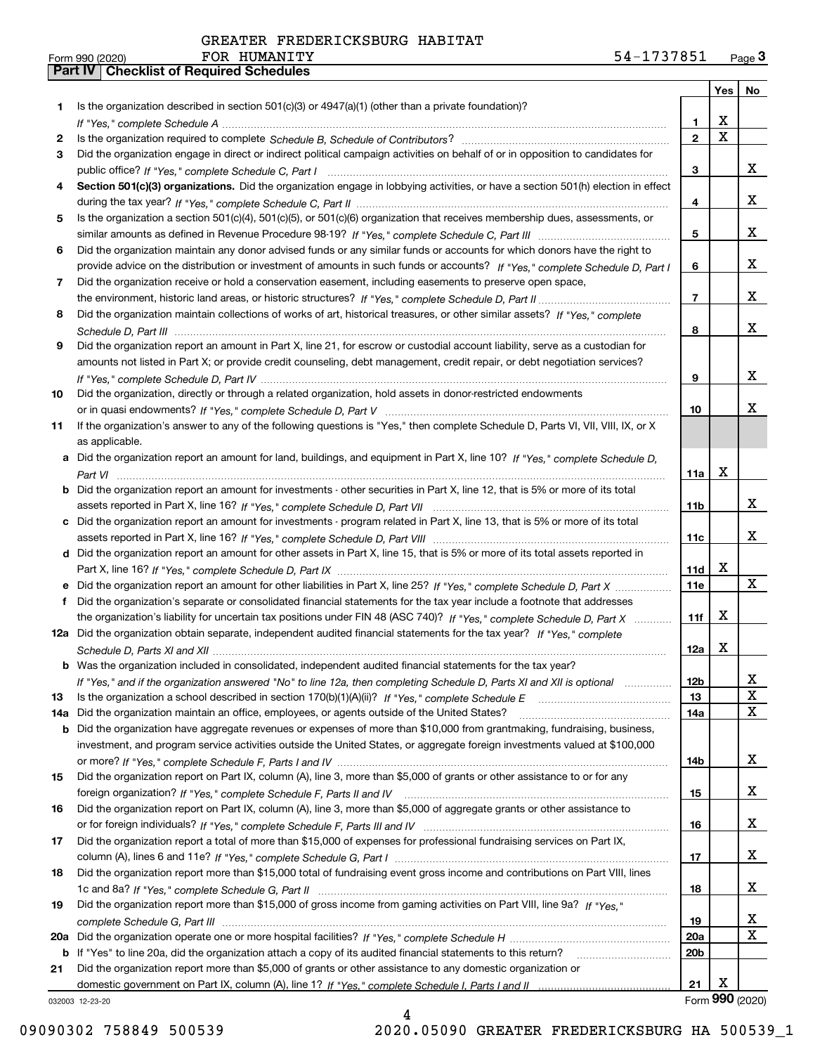|     |                                                                                                                                  |                | Yes                     | No              |
|-----|----------------------------------------------------------------------------------------------------------------------------------|----------------|-------------------------|-----------------|
| 1.  | Is the organization described in section $501(c)(3)$ or $4947(a)(1)$ (other than a private foundation)?                          |                |                         |                 |
|     |                                                                                                                                  | 1              | X                       |                 |
| 2   |                                                                                                                                  | $\overline{2}$ | $\overline{\mathbf{x}}$ |                 |
| 3   | Did the organization engage in direct or indirect political campaign activities on behalf of or in opposition to candidates for  |                |                         |                 |
|     |                                                                                                                                  | 3              |                         | x               |
| 4   | Section 501(c)(3) organizations. Did the organization engage in lobbying activities, or have a section 501(h) election in effect |                |                         |                 |
|     |                                                                                                                                  | 4              |                         | x               |
| 5   | Is the organization a section 501(c)(4), 501(c)(5), or 501(c)(6) organization that receives membership dues, assessments, or     |                |                         |                 |
|     |                                                                                                                                  | 5              |                         | x               |
| 6   | Did the organization maintain any donor advised funds or any similar funds or accounts for which donors have the right to        |                |                         |                 |
|     | provide advice on the distribution or investment of amounts in such funds or accounts? If "Yes," complete Schedule D, Part I     | 6              |                         | x               |
| 7   | Did the organization receive or hold a conservation easement, including easements to preserve open space,                        |                |                         |                 |
|     |                                                                                                                                  | $\overline{7}$ |                         | x               |
| 8   | Did the organization maintain collections of works of art, historical treasures, or other similar assets? If "Yes," complete     |                |                         | x               |
|     |                                                                                                                                  | 8              |                         |                 |
| 9   | Did the organization report an amount in Part X, line 21, for escrow or custodial account liability, serve as a custodian for    |                |                         |                 |
|     | amounts not listed in Part X; or provide credit counseling, debt management, credit repair, or debt negotiation services?        | 9              |                         | x               |
|     | Did the organization, directly or through a related organization, hold assets in donor-restricted endowments                     |                |                         |                 |
| 10  |                                                                                                                                  | 10             |                         | x               |
| 11  | If the organization's answer to any of the following questions is "Yes," then complete Schedule D, Parts VI, VII, VIII, IX, or X |                |                         |                 |
|     | as applicable.                                                                                                                   |                |                         |                 |
| а   | Did the organization report an amount for land, buildings, and equipment in Part X, line 10? If "Yes," complete Schedule D,      |                |                         |                 |
|     |                                                                                                                                  | 11a            | X                       |                 |
| b   | Did the organization report an amount for investments - other securities in Part X, line 12, that is 5% or more of its total     |                |                         |                 |
|     |                                                                                                                                  | 11b            |                         | x               |
| c   | Did the organization report an amount for investments - program related in Part X, line 13, that is 5% or more of its total      |                |                         |                 |
|     |                                                                                                                                  | 11c            |                         | x               |
|     | d Did the organization report an amount for other assets in Part X, line 15, that is 5% or more of its total assets reported in  |                |                         |                 |
|     |                                                                                                                                  | 11d            | Х                       |                 |
|     | Did the organization report an amount for other liabilities in Part X, line 25? If "Yes," complete Schedule D, Part X            | <b>11e</b>     |                         | X               |
| f   | Did the organization's separate or consolidated financial statements for the tax year include a footnote that addresses          |                |                         |                 |
|     | the organization's liability for uncertain tax positions under FIN 48 (ASC 740)? If "Yes," complete Schedule D, Part X           | 11f            | х                       |                 |
|     | 12a Did the organization obtain separate, independent audited financial statements for the tax year? If "Yes," complete          |                |                         |                 |
|     |                                                                                                                                  | 12a            | Х                       |                 |
|     | <b>b</b> Was the organization included in consolidated, independent audited financial statements for the tax year?               |                |                         |                 |
|     | If "Yes," and if the organization answered "No" to line 12a, then completing Schedule D, Parts XI and XII is optional            | 12b            |                         | Δ.              |
| 13  |                                                                                                                                  | 13             |                         | X               |
| 14a | Did the organization maintain an office, employees, or agents outside of the United States?                                      | 14a            |                         | $\mathbf x$     |
| b   | Did the organization have aggregate revenues or expenses of more than \$10,000 from grantmaking, fundraising, business,          |                |                         |                 |
|     | investment, and program service activities outside the United States, or aggregate foreign investments valued at \$100,000       |                |                         |                 |
|     |                                                                                                                                  | 14b            |                         | x               |
| 15  | Did the organization report on Part IX, column (A), line 3, more than \$5,000 of grants or other assistance to or for any        |                |                         |                 |
|     |                                                                                                                                  | 15             |                         | x               |
| 16  | Did the organization report on Part IX, column (A), line 3, more than \$5,000 of aggregate grants or other assistance to         |                |                         |                 |
|     |                                                                                                                                  | 16             |                         | X               |
| 17  | Did the organization report a total of more than \$15,000 of expenses for professional fundraising services on Part IX,          |                |                         |                 |
|     |                                                                                                                                  | 17             |                         | X               |
| 18  | Did the organization report more than \$15,000 total of fundraising event gross income and contributions on Part VIII, lines     |                |                         |                 |
|     |                                                                                                                                  | 18             |                         | X               |
| 19  | Did the organization report more than \$15,000 of gross income from gaming activities on Part VIII, line 9a? If "Yes."           |                |                         |                 |
|     |                                                                                                                                  | 19             |                         | x               |
| 20a |                                                                                                                                  | 20a            |                         | $\mathbf X$     |
|     | b If "Yes" to line 20a, did the organization attach a copy of its audited financial statements to this return?                   | 20b            |                         |                 |
| 21  | Did the organization report more than \$5,000 of grants or other assistance to any domestic organization or                      |                |                         |                 |
|     |                                                                                                                                  | 21             | х                       |                 |
|     | 032003 12-23-20                                                                                                                  |                |                         | Form 990 (2020) |

032003 12-23-20

4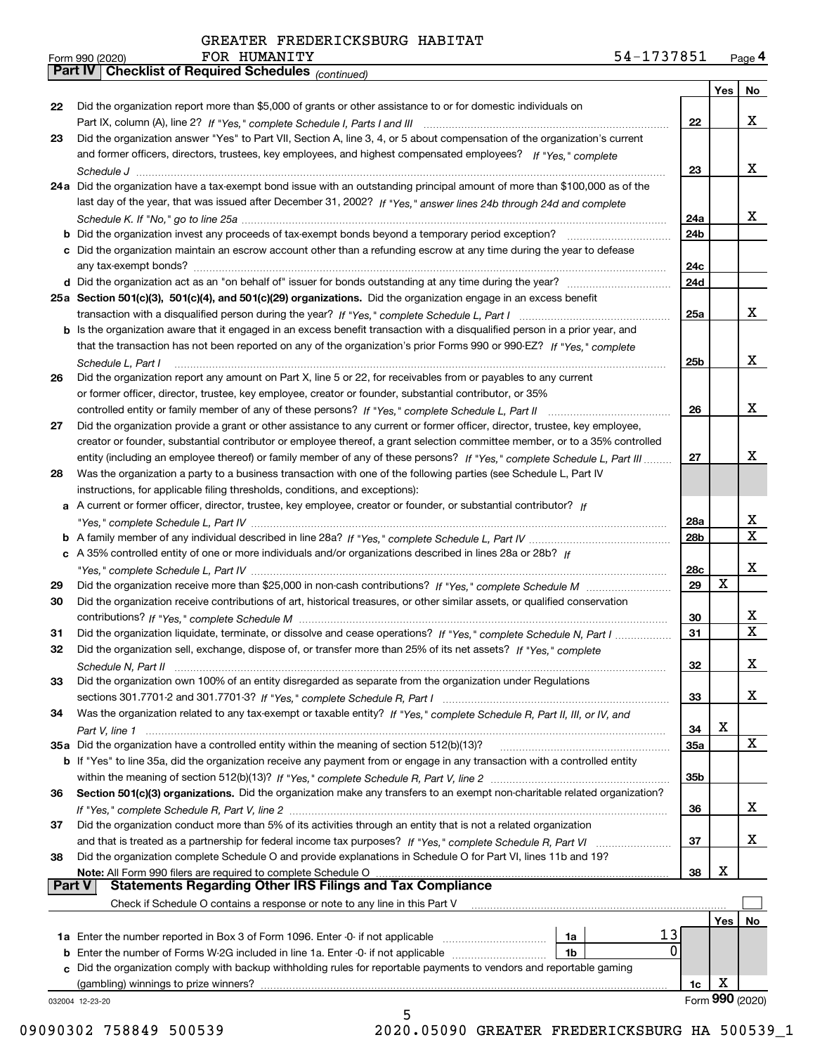*(continued)*

|    |                                                                                                                                       |                 | Yes | No              |  |  |  |  |
|----|---------------------------------------------------------------------------------------------------------------------------------------|-----------------|-----|-----------------|--|--|--|--|
| 22 | Did the organization report more than \$5,000 of grants or other assistance to or for domestic individuals on                         |                 |     |                 |  |  |  |  |
|    |                                                                                                                                       | 22              |     | x               |  |  |  |  |
| 23 | Did the organization answer "Yes" to Part VII, Section A, line 3, 4, or 5 about compensation of the organization's current            |                 |     |                 |  |  |  |  |
|    | and former officers, directors, trustees, key employees, and highest compensated employees? If "Yes," complete                        |                 |     |                 |  |  |  |  |
|    |                                                                                                                                       | 23              |     | x               |  |  |  |  |
|    | 24a Did the organization have a tax-exempt bond issue with an outstanding principal amount of more than \$100,000 as of the           |                 |     |                 |  |  |  |  |
|    | last day of the year, that was issued after December 31, 2002? If "Yes," answer lines 24b through 24d and complete                    |                 |     |                 |  |  |  |  |
|    |                                                                                                                                       | 24a             |     | x               |  |  |  |  |
|    | b Did the organization invest any proceeds of tax-exempt bonds beyond a temporary period exception?                                   | 24b             |     |                 |  |  |  |  |
|    | c Did the organization maintain an escrow account other than a refunding escrow at any time during the year to defease                |                 |     |                 |  |  |  |  |
|    | any tax-exempt bonds?                                                                                                                 | 24c             |     |                 |  |  |  |  |
|    | d Did the organization act as an "on behalf of" issuer for bonds outstanding at any time during the year?                             | 24d             |     |                 |  |  |  |  |
|    | 25a Section 501(c)(3), 501(c)(4), and 501(c)(29) organizations. Did the organization engage in an excess benefit                      |                 |     |                 |  |  |  |  |
|    |                                                                                                                                       | 25a             |     | x               |  |  |  |  |
|    | b Is the organization aware that it engaged in an excess benefit transaction with a disqualified person in a prior year, and          |                 |     |                 |  |  |  |  |
|    | that the transaction has not been reported on any of the organization's prior Forms 990 or 990-EZ? If "Yes," complete                 |                 |     |                 |  |  |  |  |
|    |                                                                                                                                       | 25b             |     | x               |  |  |  |  |
|    | Schedule L, Part I<br>Did the organization report any amount on Part X, line 5 or 22, for receivables from or payables to any current |                 |     |                 |  |  |  |  |
| 26 |                                                                                                                                       |                 |     |                 |  |  |  |  |
|    | or former officer, director, trustee, key employee, creator or founder, substantial contributor, or 35%                               |                 |     | x               |  |  |  |  |
|    |                                                                                                                                       | 26              |     |                 |  |  |  |  |
| 27 | Did the organization provide a grant or other assistance to any current or former officer, director, trustee, key employee,           |                 |     |                 |  |  |  |  |
|    | creator or founder, substantial contributor or employee thereof, a grant selection committee member, or to a 35% controlled           |                 |     | х               |  |  |  |  |
|    | entity (including an employee thereof) or family member of any of these persons? If "Yes," complete Schedule L, Part III              | 27              |     |                 |  |  |  |  |
| 28 | Was the organization a party to a business transaction with one of the following parties (see Schedule L, Part IV                     |                 |     |                 |  |  |  |  |
|    | instructions, for applicable filing thresholds, conditions, and exceptions):                                                          |                 |     |                 |  |  |  |  |
|    | a A current or former officer, director, trustee, key employee, creator or founder, or substantial contributor? If                    |                 |     |                 |  |  |  |  |
|    |                                                                                                                                       | 28a             |     | x               |  |  |  |  |
|    |                                                                                                                                       | 28 <sub>b</sub> |     | $\mathbf{x}$    |  |  |  |  |
|    | c A 35% controlled entity of one or more individuals and/or organizations described in lines 28a or 28b? If                           |                 |     |                 |  |  |  |  |
|    |                                                                                                                                       | 28c             |     | х               |  |  |  |  |
| 29 |                                                                                                                                       | 29              | х   |                 |  |  |  |  |
| 30 | Did the organization receive contributions of art, historical treasures, or other similar assets, or qualified conservation           |                 |     |                 |  |  |  |  |
|    |                                                                                                                                       | 30              |     | x               |  |  |  |  |
| 31 | Did the organization liquidate, terminate, or dissolve and cease operations? If "Yes," complete Schedule N, Part I                    | 31              |     | $\mathbf x$     |  |  |  |  |
| 32 | Did the organization sell, exchange, dispose of, or transfer more than 25% of its net assets? If "Yes," complete                      |                 |     |                 |  |  |  |  |
|    | Schedule N, Part II                                                                                                                   | 32              |     | х               |  |  |  |  |
| 33 | Did the organization own 100% of an entity disregarded as separate from the organization under Regulations                            |                 |     |                 |  |  |  |  |
|    |                                                                                                                                       | 33              |     | х               |  |  |  |  |
| 34 | Was the organization related to any tax-exempt or taxable entity? If "Yes," complete Schedule R, Part II, III, or IV, and             |                 |     |                 |  |  |  |  |
|    |                                                                                                                                       | 34              | X   |                 |  |  |  |  |
|    | 35a Did the organization have a controlled entity within the meaning of section 512(b)(13)?                                           | <b>35a</b>      |     | X               |  |  |  |  |
|    | b If "Yes" to line 35a, did the organization receive any payment from or engage in any transaction with a controlled entity           |                 |     |                 |  |  |  |  |
|    |                                                                                                                                       | 35b             |     |                 |  |  |  |  |
| 36 | Section 501(c)(3) organizations. Did the organization make any transfers to an exempt non-charitable related organization?            |                 |     |                 |  |  |  |  |
|    |                                                                                                                                       | 36              |     | x               |  |  |  |  |
| 37 | Did the organization conduct more than 5% of its activities through an entity that is not a related organization                      |                 |     |                 |  |  |  |  |
|    | and that is treated as a partnership for federal income tax purposes? If "Yes," complete Schedule R, Part VI                          | 37              |     | x               |  |  |  |  |
| 38 | Did the organization complete Schedule O and provide explanations in Schedule O for Part VI, lines 11b and 19?                        |                 |     |                 |  |  |  |  |
|    | Note: All Form 990 filers are required to complete Schedule O                                                                         | 38              | X   |                 |  |  |  |  |
|    | <b>Statements Regarding Other IRS Filings and Tax Compliance</b><br><b>Part V</b>                                                     |                 |     |                 |  |  |  |  |
|    | Check if Schedule O contains a response or note to any line in this Part V                                                            |                 |     |                 |  |  |  |  |
|    |                                                                                                                                       |                 | Yes | No              |  |  |  |  |
|    | 13<br><b>1a</b> Enter the number reported in Box 3 of Form 1096. Enter -0- if not applicable <i>manumumumum</i><br>1a                 |                 |     |                 |  |  |  |  |
|    | 0<br><b>b</b> Enter the number of Forms W-2G included in line 1a. Enter -0- if not applicable <i>manumumumum</i><br>1b                |                 |     |                 |  |  |  |  |
|    | c Did the organization comply with backup withholding rules for reportable payments to vendors and reportable gaming                  |                 |     |                 |  |  |  |  |
|    | (gambling) winnings to prize winners?                                                                                                 | 1c              | X   |                 |  |  |  |  |
|    | 032004 12-23-20                                                                                                                       |                 |     | Form 990 (2020) |  |  |  |  |
|    | 5                                                                                                                                     |                 |     |                 |  |  |  |  |

09090302 758849 500539 2020.05090 GREATER FREDERICKSBURG HA 500539\_1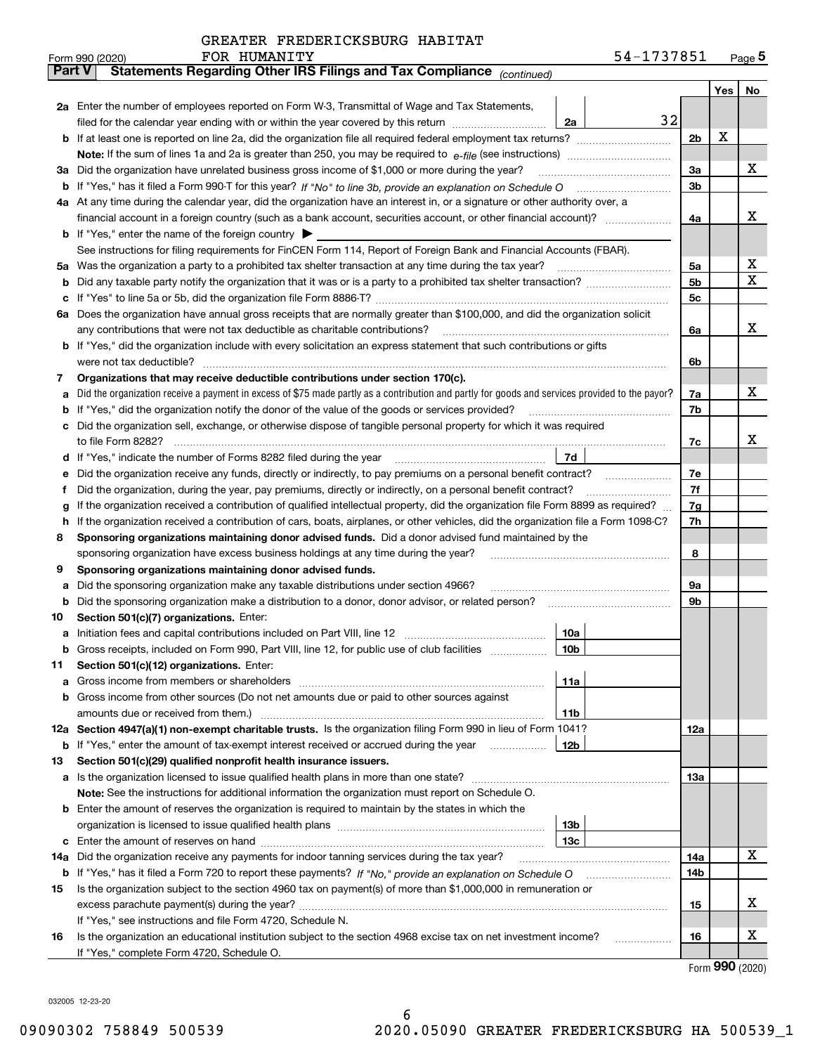|               | 54-1737851<br>FOR HUMANITY<br>Form 990 (2020)                                                                                                   |                |     | $Page$ <sup>5</sup> |  |  |  |  |  |  |
|---------------|-------------------------------------------------------------------------------------------------------------------------------------------------|----------------|-----|---------------------|--|--|--|--|--|--|
| <b>Part V</b> | Statements Regarding Other IRS Filings and Tax Compliance (continued)                                                                           |                |     |                     |  |  |  |  |  |  |
|               |                                                                                                                                                 |                | Yes | No                  |  |  |  |  |  |  |
|               | 2a Enter the number of employees reported on Form W-3, Transmittal of Wage and Tax Statements,                                                  |                |     |                     |  |  |  |  |  |  |
|               | 32<br>filed for the calendar year ending with or within the year covered by this return <i>manumumumum</i><br>2a                                |                |     |                     |  |  |  |  |  |  |
|               |                                                                                                                                                 | 2 <sub>b</sub> | Х   |                     |  |  |  |  |  |  |
|               |                                                                                                                                                 |                |     |                     |  |  |  |  |  |  |
| За            | Did the organization have unrelated business gross income of \$1,000 or more during the year?                                                   |                |     |                     |  |  |  |  |  |  |
|               |                                                                                                                                                 | 3a<br>3b       |     |                     |  |  |  |  |  |  |
|               | 4a At any time during the calendar year, did the organization have an interest in, or a signature or other authority over, a                    |                |     |                     |  |  |  |  |  |  |
|               |                                                                                                                                                 | 4a             |     | x                   |  |  |  |  |  |  |
|               | <b>b</b> If "Yes," enter the name of the foreign country $\blacktriangleright$                                                                  |                |     |                     |  |  |  |  |  |  |
|               | See instructions for filing requirements for FinCEN Form 114, Report of Foreign Bank and Financial Accounts (FBAR).                             |                |     |                     |  |  |  |  |  |  |
|               |                                                                                                                                                 | 5a             |     | х                   |  |  |  |  |  |  |
|               |                                                                                                                                                 | 5b             |     | х                   |  |  |  |  |  |  |
|               |                                                                                                                                                 | 5c             |     |                     |  |  |  |  |  |  |
|               | 6a Does the organization have annual gross receipts that are normally greater than \$100,000, and did the organization solicit                  |                |     |                     |  |  |  |  |  |  |
|               |                                                                                                                                                 |                |     | х                   |  |  |  |  |  |  |
|               | <b>b</b> If "Yes," did the organization include with every solicitation an express statement that such contributions or gifts                   | 6a             |     |                     |  |  |  |  |  |  |
|               |                                                                                                                                                 |                |     |                     |  |  |  |  |  |  |
|               |                                                                                                                                                 | 6b             |     |                     |  |  |  |  |  |  |
| 7             | Organizations that may receive deductible contributions under section 170(c).                                                                   |                |     | х                   |  |  |  |  |  |  |
| а             | Did the organization receive a payment in excess of \$75 made partly as a contribution and partly for goods and services provided to the payor? | 7a             |     |                     |  |  |  |  |  |  |
|               | <b>b</b> If "Yes," did the organization notify the donor of the value of the goods or services provided?                                        | 7b             |     |                     |  |  |  |  |  |  |
|               | c Did the organization sell, exchange, or otherwise dispose of tangible personal property for which it was required                             |                |     |                     |  |  |  |  |  |  |
|               |                                                                                                                                                 | 7c             |     | x                   |  |  |  |  |  |  |
|               | 7d                                                                                                                                              |                |     |                     |  |  |  |  |  |  |
| е             | Did the organization receive any funds, directly or indirectly, to pay premiums on a personal benefit contract?                                 | 7e             |     |                     |  |  |  |  |  |  |
| f             | Did the organization, during the year, pay premiums, directly or indirectly, on a personal benefit contract?                                    | 7f             |     |                     |  |  |  |  |  |  |
| g             | If the organization received a contribution of qualified intellectual property, did the organization file Form 8899 as required?                | 7g             |     |                     |  |  |  |  |  |  |
| h.            | If the organization received a contribution of cars, boats, airplanes, or other vehicles, did the organization file a Form 1098-C?              | 7h             |     |                     |  |  |  |  |  |  |
| 8             | Sponsoring organizations maintaining donor advised funds. Did a donor advised fund maintained by the                                            |                |     |                     |  |  |  |  |  |  |
|               | sponsoring organization have excess business holdings at any time during the year?                                                              | 8              |     |                     |  |  |  |  |  |  |
| 9             | Sponsoring organizations maintaining donor advised funds.                                                                                       |                |     |                     |  |  |  |  |  |  |
| а             | Did the sponsoring organization make any taxable distributions under section 4966?                                                              | 9а             |     |                     |  |  |  |  |  |  |
|               | <b>b</b> Did the sponsoring organization make a distribution to a donor, donor advisor, or related person?                                      | 9b             |     |                     |  |  |  |  |  |  |
| 10            | Section 501(c)(7) organizations. Enter:                                                                                                         |                |     |                     |  |  |  |  |  |  |
|               | 10a                                                                                                                                             |                |     |                     |  |  |  |  |  |  |
|               | 10 <sub>b</sub><br>Gross receipts, included on Form 990, Part VIII, line 12, for public use of club facilities                                  |                |     |                     |  |  |  |  |  |  |
| 11            | Section 501(c)(12) organizations. Enter:                                                                                                        |                |     |                     |  |  |  |  |  |  |
|               | 11a                                                                                                                                             |                |     |                     |  |  |  |  |  |  |
|               | b Gross income from other sources (Do not net amounts due or paid to other sources against                                                      |                |     |                     |  |  |  |  |  |  |
|               | 11b                                                                                                                                             |                |     |                     |  |  |  |  |  |  |
|               | 12a Section 4947(a)(1) non-exempt charitable trusts. Is the organization filing Form 990 in lieu of Form 1041?                                  | 12a            |     |                     |  |  |  |  |  |  |
|               | 12b<br><b>b</b> If "Yes," enter the amount of tax-exempt interest received or accrued during the year <i>manument</i>                           |                |     |                     |  |  |  |  |  |  |
| 13            | Section 501(c)(29) qualified nonprofit health insurance issuers.                                                                                |                |     |                     |  |  |  |  |  |  |
|               | <b>a</b> Is the organization licensed to issue qualified health plans in more than one state?                                                   | 13а            |     |                     |  |  |  |  |  |  |
|               | Note: See the instructions for additional information the organization must report on Schedule O.                                               |                |     |                     |  |  |  |  |  |  |
|               | <b>b</b> Enter the amount of reserves the organization is required to maintain by the states in which the                                       |                |     |                     |  |  |  |  |  |  |
|               | 13b                                                                                                                                             |                |     |                     |  |  |  |  |  |  |
|               | 13с                                                                                                                                             |                |     |                     |  |  |  |  |  |  |
| 14a           | Did the organization receive any payments for indoor tanning services during the tax year?                                                      | 14a            |     | х                   |  |  |  |  |  |  |
|               | <b>b</b> If "Yes," has it filed a Form 720 to report these payments? If "No," provide an explanation on Schedule O                              | 14b            |     |                     |  |  |  |  |  |  |
| 15            | Is the organization subject to the section 4960 tax on payment(s) of more than \$1,000,000 in remuneration or                                   |                |     |                     |  |  |  |  |  |  |
|               |                                                                                                                                                 | 15             |     | X                   |  |  |  |  |  |  |
|               | If "Yes," see instructions and file Form 4720, Schedule N.                                                                                      |                |     |                     |  |  |  |  |  |  |
| 16            | Is the organization an educational institution subject to the section 4968 excise tax on net investment income?                                 | 16             |     | X                   |  |  |  |  |  |  |
|               | If "Yes," complete Form 4720, Schedule O.                                                                                                       |                |     |                     |  |  |  |  |  |  |

Form (2020) **990**

032005 12-23-20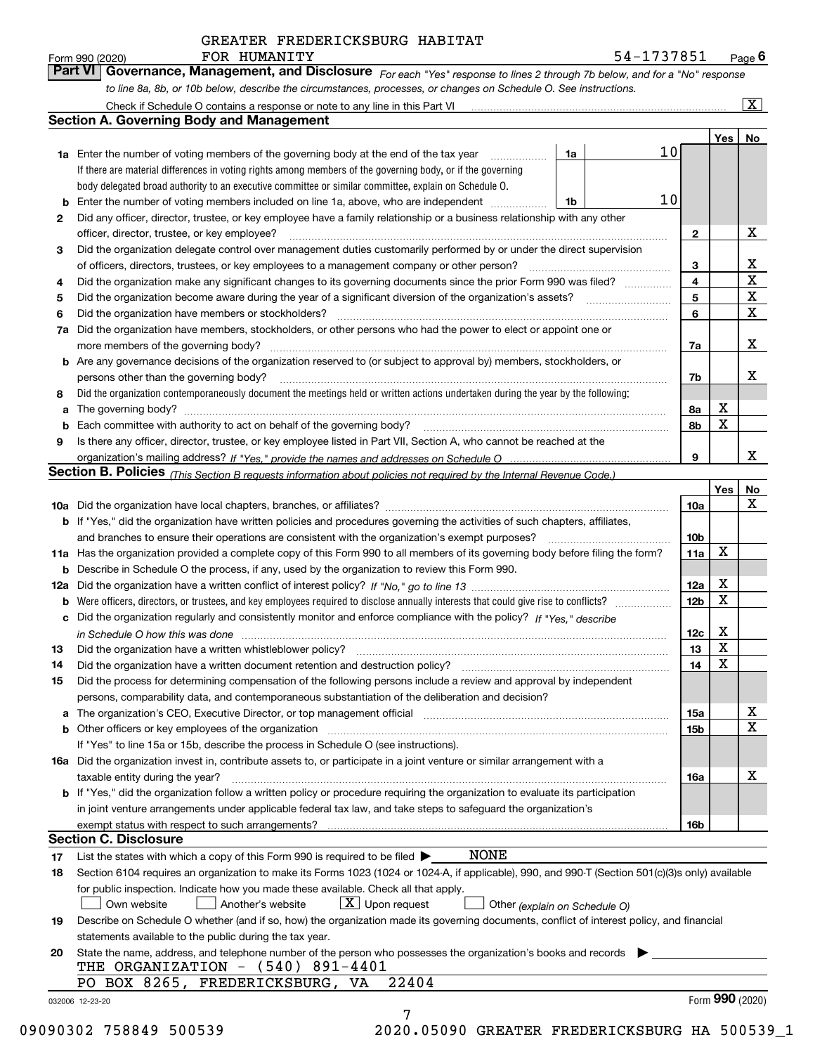*For each "Yes" response to lines 2 through 7b below, and for a "No" response to line 8a, 8b, or 10b below, describe the circumstances, processes, or changes on Schedule O. See instructions.* Form 990 (2020) **FOR HUMANITY**<br>**Part VI Governance, Management, and Disclosure** For each "Yes" response to lines 2 through 7b below, and for a "No" response

|     |                                                                                                                                                                            |                               |                 | Yes <sub>1</sub> | No                      |
|-----|----------------------------------------------------------------------------------------------------------------------------------------------------------------------------|-------------------------------|-----------------|------------------|-------------------------|
|     | <b>1a</b> Enter the number of voting members of the governing body at the end of the tax year<br>.                                                                         | 1a                            | 10              |                  |                         |
|     | If there are material differences in voting rights among members of the governing body, or if the governing                                                                |                               |                 |                  |                         |
|     | body delegated broad authority to an executive committee or similar committee, explain on Schedule O.                                                                      |                               |                 |                  |                         |
|     | <b>b</b> Enter the number of voting members included on line 1a, above, who are independent <i>manumum</i>                                                                 | 1b                            | 10              |                  |                         |
| 2   | Did any officer, director, trustee, or key employee have a family relationship or a business relationship with any other                                                   |                               |                 |                  |                         |
|     | officer, director, trustee, or key employee?                                                                                                                               |                               | $\mathbf{2}$    |                  | X                       |
| 3   | Did the organization delegate control over management duties customarily performed by or under the direct supervision                                                      |                               |                 |                  |                         |
|     |                                                                                                                                                                            |                               | 3               |                  | х                       |
| 4   | Did the organization make any significant changes to its governing documents since the prior Form 990 was filed?                                                           |                               | 4               |                  | $\overline{\texttt{x}}$ |
| 5   |                                                                                                                                                                            |                               | 5               |                  | $\overline{\mathbf{x}}$ |
| 6   | Did the organization have members or stockholders?                                                                                                                         |                               | 6               |                  | $\overline{\mathbf{x}}$ |
| 7a  | Did the organization have members, stockholders, or other persons who had the power to elect or appoint one or                                                             |                               |                 |                  |                         |
|     |                                                                                                                                                                            |                               | 7a              |                  | X                       |
|     | <b>b</b> Are any governance decisions of the organization reserved to (or subject to approval by) members, stockholders, or                                                |                               |                 |                  |                         |
|     | persons other than the governing body?                                                                                                                                     |                               | 7b              |                  | х                       |
|     | Did the organization contemporaneously document the meetings held or written actions undertaken during the year by the following:                                          |                               |                 |                  |                         |
| 8   |                                                                                                                                                                            |                               | 8a              | х                |                         |
| a   |                                                                                                                                                                            |                               | 8b              | X                |                         |
| 9   |                                                                                                                                                                            |                               |                 |                  |                         |
|     | Is there any officer, director, trustee, or key employee listed in Part VII, Section A, who cannot be reached at the                                                       |                               | 9               |                  | x                       |
|     |                                                                                                                                                                            |                               |                 |                  |                         |
|     | Section B. Policies (This Section B requests information about policies not required by the Internal Revenue Code.)                                                        |                               |                 | Yes              | No                      |
|     |                                                                                                                                                                            |                               | 10a             |                  | $\mathbf X$             |
|     |                                                                                                                                                                            |                               |                 |                  |                         |
|     | b If "Yes," did the organization have written policies and procedures governing the activities of such chapters, affiliates,                                               |                               |                 |                  |                         |
|     |                                                                                                                                                                            |                               | 10 <sub>b</sub> | X                |                         |
|     | 11a Has the organization provided a complete copy of this Form 990 to all members of its governing body before filing the form?                                            |                               | 11a             |                  |                         |
|     | <b>b</b> Describe in Schedule O the process, if any, used by the organization to review this Form 990.                                                                     |                               |                 |                  |                         |
| 12a |                                                                                                                                                                            |                               | 12a             | х<br>$\mathbf X$ |                         |
| b   |                                                                                                                                                                            |                               | 12 <sub>b</sub> |                  |                         |
|     | c Did the organization regularly and consistently monitor and enforce compliance with the policy? If "Yes," describe                                                       |                               |                 |                  |                         |
|     | in Schedule O how this was done www.communication.com/www.communications.com/www.communications.com/                                                                       |                               | 12c             | х                |                         |
| 13  |                                                                                                                                                                            |                               | 13              | X                |                         |
| 14  | Did the organization have a written document retention and destruction policy? manufactured and the organization have a written document retention and destruction policy? |                               | 14              | $\mathbf X$      |                         |
| 15  | Did the process for determining compensation of the following persons include a review and approval by independent                                                         |                               |                 |                  |                         |
|     | persons, comparability data, and contemporaneous substantiation of the deliberation and decision?                                                                          |                               |                 |                  |                         |
|     |                                                                                                                                                                            |                               | 15a             |                  | х                       |
|     | <b>b</b> Other officers or key employees of the organization                                                                                                               |                               | 15b             |                  | $\overline{\mathbf{x}}$ |
|     | If "Yes" to line 15a or 15b, describe the process in Schedule O (see instructions).                                                                                        |                               |                 |                  |                         |
|     | 16a Did the organization invest in, contribute assets to, or participate in a joint venture or similar arrangement with a                                                  |                               |                 |                  |                         |
|     | taxable entity during the year?                                                                                                                                            |                               | 16a             |                  | х                       |
|     | <b>b</b> If "Yes," did the organization follow a written policy or procedure requiring the organization to evaluate its participation                                      |                               |                 |                  |                         |
|     | in joint venture arrangements under applicable federal tax law, and take steps to safeguard the organization's                                                             |                               |                 |                  |                         |
|     |                                                                                                                                                                            |                               | 16b             |                  |                         |
|     | <b>Section C. Disclosure</b>                                                                                                                                               |                               |                 |                  |                         |
| 17  | NONE<br>List the states with which a copy of this Form 990 is required to be filed $\blacktriangleright$                                                                   |                               |                 |                  |                         |
| 18  | Section 6104 requires an organization to make its Forms 1023 (1024 or 1024-A, if applicable), 990, and 990-T (Section 501(c)(3)s only) available                           |                               |                 |                  |                         |
|     | for public inspection. Indicate how you made these available. Check all that apply.                                                                                        |                               |                 |                  |                         |
|     | $X$ Upon request<br>Own website<br>Another's website                                                                                                                       | Other (explain on Schedule O) |                 |                  |                         |
| 19  | Describe on Schedule O whether (and if so, how) the organization made its governing documents, conflict of interest policy, and financial                                  |                               |                 |                  |                         |
|     | statements available to the public during the tax year.                                                                                                                    |                               |                 |                  |                         |
| 20  | State the name, address, and telephone number of the person who possesses the organization's books and records                                                             |                               |                 |                  |                         |
|     | THE ORGANIZATION - (540) 891-4401                                                                                                                                          |                               |                 |                  |                         |
|     | PO BOX 8265, FREDERICKSBURG, VA<br>22404                                                                                                                                   |                               |                 |                  |                         |
|     | 032006 12-23-20                                                                                                                                                            |                               |                 | Form 990 (2020)  |                         |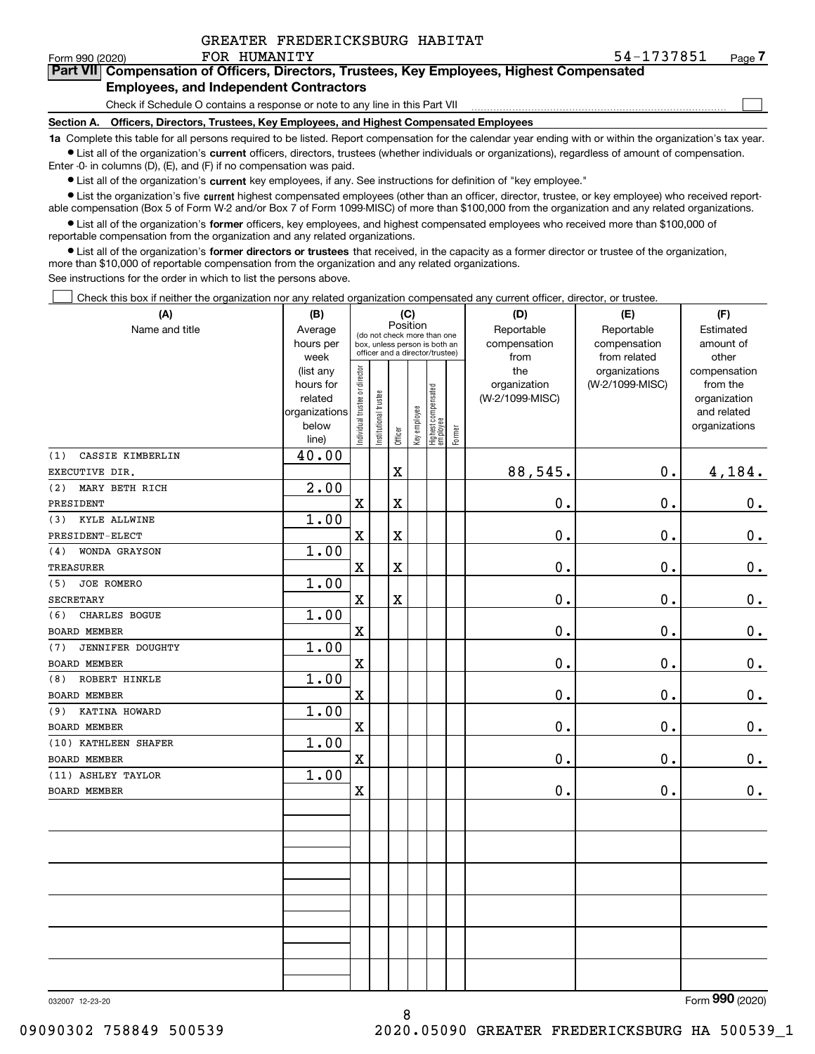$\mathcal{L}^{\text{max}}$ 

## **7Part VII Compensation of Officers, Directors, Trustees, Key Employees, Highest Compensated Employees, and Independent Contractors**

## Check if Schedule O contains a response or note to any line in this Part VII

**Section A. Officers, Directors, Trustees, Key Employees, and Highest Compensated Employees**

**1a**  Complete this table for all persons required to be listed. Report compensation for the calendar year ending with or within the organization's tax year. **•** List all of the organization's current officers, directors, trustees (whether individuals or organizations), regardless of amount of compensation. Enter -0- in columns (D), (E), and (F) if no compensation was paid.

 $\bullet$  List all of the organization's  $\,$ current key employees, if any. See instructions for definition of "key employee."

**•** List the organization's five current highest compensated employees (other than an officer, director, trustee, or key employee) who received reportable compensation (Box 5 of Form W-2 and/or Box 7 of Form 1099-MISC) of more than \$100,000 from the organization and any related organizations.

**•** List all of the organization's former officers, key employees, and highest compensated employees who received more than \$100,000 of reportable compensation from the organization and any related organizations.

**former directors or trustees**  ¥ List all of the organization's that received, in the capacity as a former director or trustee of the organization, more than \$10,000 of reportable compensation from the organization and any related organizations.

See instructions for the order in which to list the persons above.

Check this box if neither the organization nor any related organization compensated any current officer, director, or trustee.  $\mathcal{L}^{\text{max}}$ 

| (A)                            | (B)                      | (C)                           |                                                                                                 |                         |              |                                   |        | (D)             | (E)             | (F)                         |
|--------------------------------|--------------------------|-------------------------------|-------------------------------------------------------------------------------------------------|-------------------------|--------------|-----------------------------------|--------|-----------------|-----------------|-----------------------------|
| Name and title                 | Average                  |                               |                                                                                                 | Position                |              |                                   |        | Reportable      | Reportable      | Estimated                   |
|                                | hours per                |                               | (do not check more than one<br>box, unless person is both an<br>officer and a director/trustee) |                         |              |                                   |        | compensation    | compensation    | amount of                   |
|                                | week                     |                               |                                                                                                 |                         |              |                                   |        | from            | from related    | other                       |
|                                | (list any                |                               |                                                                                                 |                         |              |                                   |        | the             | organizations   | compensation                |
|                                | hours for                |                               |                                                                                                 |                         |              |                                   |        | organization    | (W-2/1099-MISC) | from the                    |
|                                | related<br>organizations |                               |                                                                                                 |                         |              |                                   |        | (W-2/1099-MISC) |                 | organization<br>and related |
|                                | below                    |                               |                                                                                                 |                         |              |                                   |        |                 |                 | organizations               |
|                                | line)                    | ndividual trustee or director | Institutional trustee                                                                           | Officer                 | Key employee | Highest compensated<br>  employee | Former |                 |                 |                             |
| (1)<br>CASSIE KIMBERLIN        | 40.00                    |                               |                                                                                                 |                         |              |                                   |        |                 |                 |                             |
| EXECUTIVE DIR.                 |                          |                               |                                                                                                 | $\mathbf X$             |              |                                   |        | 88,545.         | $\mathbf 0$ .   | 4,184.                      |
| MARY BETH RICH<br>(2)          | 2.00                     |                               |                                                                                                 |                         |              |                                   |        |                 |                 |                             |
| PRESIDENT                      |                          | $\mathbf X$                   |                                                                                                 | $\overline{\mathbf{X}}$ |              |                                   |        | $0$ .           | $\mathbf 0$ .   | $\mathbf 0$ .               |
| KYLE ALLWINE<br>(3)            | 1.00                     |                               |                                                                                                 |                         |              |                                   |        |                 |                 |                             |
| PRESIDENT-ELECT                |                          | $\mathbf X$                   |                                                                                                 | $\mathbf X$             |              |                                   |        | 0.              | 0.              | $0_{.}$                     |
| WONDA GRAYSON<br>(4)           | 1.00                     |                               |                                                                                                 |                         |              |                                   |        |                 |                 |                             |
| <b>TREASURER</b>               |                          | $\mathbf X$                   |                                                                                                 | $\overline{\textbf{X}}$ |              |                                   |        | 0.              | 0.              | $0_{.}$                     |
| JOE ROMERO<br>(5)              | 1.00                     |                               |                                                                                                 |                         |              |                                   |        |                 |                 |                             |
| <b>SECRETARY</b>               |                          | $\mathbf X$                   |                                                                                                 | X                       |              |                                   |        | $\mathbf 0$ .   | $\mathbf 0$ .   | $0_{.}$                     |
| CHARLES BOGUE<br>(6)           | 1.00                     |                               |                                                                                                 |                         |              |                                   |        |                 |                 |                             |
| <b>BOARD MEMBER</b>            |                          | $\mathbf X$                   |                                                                                                 |                         |              |                                   |        | 0.              | $\mathbf 0$ .   | 0.                          |
| <b>JENNIFER DOUGHTY</b><br>(7) | 1.00                     |                               |                                                                                                 |                         |              |                                   |        |                 |                 |                             |
| BOARD MEMBER                   |                          | $\mathbf x$                   |                                                                                                 |                         |              |                                   |        | 0.              | $\mathbf 0$ .   | $0$ .                       |
| ROBERT HINKLE<br>(8)           | 1.00                     |                               |                                                                                                 |                         |              |                                   |        |                 |                 |                             |
| BOARD MEMBER                   |                          | $\mathbf X$                   |                                                                                                 |                         |              |                                   |        | $\mathbf 0$ .   | 0.              | $\mathbf 0$ .               |
| KATINA HOWARD<br>(9)           | 1.00                     |                               |                                                                                                 |                         |              |                                   |        |                 |                 |                             |
| BOARD MEMBER                   |                          | $\mathbf x$                   |                                                                                                 |                         |              |                                   |        | $0$ .           | 0.              | $0_{.}$                     |
| (10) KATHLEEN SHAFER           | 1.00                     |                               |                                                                                                 |                         |              |                                   |        |                 |                 |                             |
| BOARD MEMBER                   |                          | $\mathbf X$                   |                                                                                                 |                         |              |                                   |        | 0.              | 0.              | 0.                          |
| (11) ASHLEY TAYLOR             | 1.00                     |                               |                                                                                                 |                         |              |                                   |        |                 |                 |                             |
| <b>BOARD MEMBER</b>            |                          | $\mathbf X$                   |                                                                                                 |                         |              |                                   |        | 0.              | $\mathbf 0$ .   | 0.                          |
|                                |                          |                               |                                                                                                 |                         |              |                                   |        |                 |                 |                             |
|                                |                          |                               |                                                                                                 |                         |              |                                   |        |                 |                 |                             |
|                                |                          |                               |                                                                                                 |                         |              |                                   |        |                 |                 |                             |
|                                |                          |                               |                                                                                                 |                         |              |                                   |        |                 |                 |                             |
|                                |                          |                               |                                                                                                 |                         |              |                                   |        |                 |                 |                             |
|                                |                          |                               |                                                                                                 |                         |              |                                   |        |                 |                 |                             |
|                                |                          |                               |                                                                                                 |                         |              |                                   |        |                 |                 |                             |
|                                |                          |                               |                                                                                                 |                         |              |                                   |        |                 |                 |                             |
|                                |                          |                               |                                                                                                 |                         |              |                                   |        |                 |                 |                             |
|                                |                          |                               |                                                                                                 |                         |              |                                   |        |                 |                 |                             |
|                                |                          |                               |                                                                                                 |                         |              |                                   |        |                 |                 |                             |

032007 12-23-20

Form (2020) **990**

09090302 758849 500539 2020.05090 GREATER FREDERICKSBURG HA 500539\_1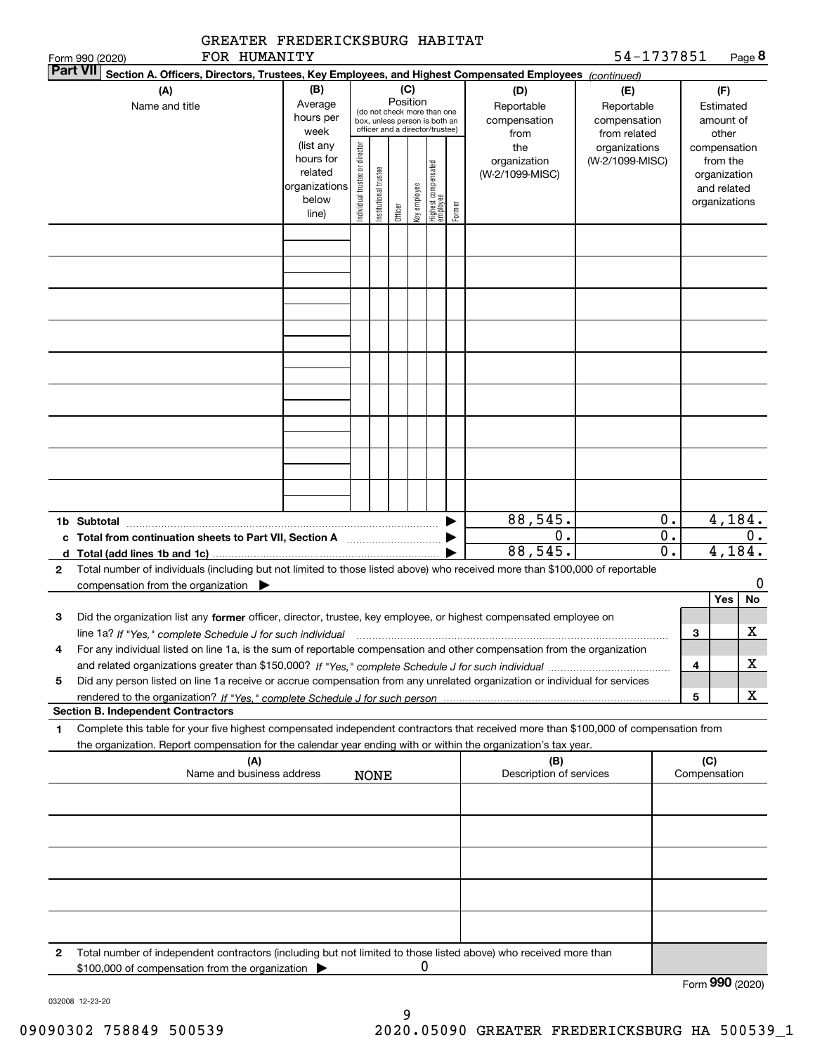|                 | GREATER FREDERICKSBURG HABITAT                                                                                                                                                                                                                                            |                                                                      |                                |                        |          |              |                                                                                                 |        |                                           |                                                   |                                      |                     |                                                          |             |
|-----------------|---------------------------------------------------------------------------------------------------------------------------------------------------------------------------------------------------------------------------------------------------------------------------|----------------------------------------------------------------------|--------------------------------|------------------------|----------|--------------|-------------------------------------------------------------------------------------------------|--------|-------------------------------------------|---------------------------------------------------|--------------------------------------|---------------------|----------------------------------------------------------|-------------|
| <b>Part VII</b> | FOR HUMANITY<br>Form 990 (2020)<br>Section A. Officers, Directors, Trustees, Key Employees, and Highest Compensated Employees (continued)                                                                                                                                 |                                                                      |                                |                        |          |              |                                                                                                 |        |                                           | 54-1737851                                        |                                      |                     |                                                          | Page 8      |
|                 | (A)<br>Name and title                                                                                                                                                                                                                                                     | (B)<br>Average<br>hours per<br>week                                  |                                |                        | Position | (C)          | (do not check more than one<br>box, unless person is both an<br>officer and a director/trustee) |        | (D)<br>Reportable<br>compensation<br>from | (E)<br>Reportable<br>compensation<br>from related |                                      |                     | (F)<br>Estimated<br>amount of<br>other                   |             |
|                 |                                                                                                                                                                                                                                                                           | (list any<br>hours for<br>related<br>organizations<br>below<br>line) | Individual trustee or director | In stitutional trustee | Officer  | Key employee | Highest compensated<br>  employee                                                               | Former | the<br>organization<br>(W-2/1099-MISC)    | organizations<br>(W-2/1099-MISC)                  |                                      | compensation        | from the<br>organization<br>and related<br>organizations |             |
|                 |                                                                                                                                                                                                                                                                           |                                                                      |                                |                        |          |              |                                                                                                 |        |                                           |                                                   |                                      |                     |                                                          |             |
|                 |                                                                                                                                                                                                                                                                           |                                                                      |                                |                        |          |              |                                                                                                 |        |                                           |                                                   |                                      |                     |                                                          |             |
|                 |                                                                                                                                                                                                                                                                           |                                                                      |                                |                        |          |              |                                                                                                 |        |                                           |                                                   |                                      |                     |                                                          |             |
|                 |                                                                                                                                                                                                                                                                           |                                                                      |                                |                        |          |              |                                                                                                 |        |                                           |                                                   |                                      |                     |                                                          |             |
|                 | 1b Subtotal                                                                                                                                                                                                                                                               |                                                                      |                                |                        |          |              |                                                                                                 |        | 88,545.                                   |                                                   | 0.                                   |                     | 4,184.                                                   |             |
|                 |                                                                                                                                                                                                                                                                           |                                                                      |                                |                        |          |              |                                                                                                 |        | $\overline{0}$ .<br>88,545.               |                                                   | $\overline{0}$ .<br>$\overline{0}$ . |                     | 4,184.                                                   | 0.          |
| 2               | Total number of individuals (including but not limited to those listed above) who received more than \$100,000 of reportable                                                                                                                                              |                                                                      |                                |                        |          |              |                                                                                                 |        |                                           |                                                   |                                      |                     |                                                          |             |
|                 | compensation from the organization                                                                                                                                                                                                                                        |                                                                      |                                |                        |          |              |                                                                                                 |        |                                           |                                                   |                                      |                     | Yes                                                      | 0<br>No     |
| З               | Did the organization list any former officer, director, trustee, key employee, or highest compensated employee on<br>line 1a? If "Yes," complete Schedule J for such individual manufactured contained and the line 1a? If "Yes," complete Schedule J for such individual |                                                                      |                                |                        |          |              |                                                                                                 |        |                                           |                                                   |                                      | з                   |                                                          | $\mathbf X$ |
| 4               | For any individual listed on line 1a, is the sum of reportable compensation and other compensation from the organization                                                                                                                                                  |                                                                      |                                |                        |          |              |                                                                                                 |        |                                           |                                                   |                                      |                     |                                                          |             |
| 5               | Did any person listed on line 1a receive or accrue compensation from any unrelated organization or individual for services                                                                                                                                                |                                                                      |                                |                        |          |              |                                                                                                 |        |                                           |                                                   |                                      | 4                   |                                                          | x.          |
|                 | <b>Section B. Independent Contractors</b>                                                                                                                                                                                                                                 |                                                                      |                                |                        |          |              |                                                                                                 |        |                                           |                                                   |                                      | 5                   |                                                          | x           |
| 1               | Complete this table for your five highest compensated independent contractors that received more than \$100,000 of compensation from                                                                                                                                      |                                                                      |                                |                        |          |              |                                                                                                 |        |                                           |                                                   |                                      |                     |                                                          |             |
|                 | the organization. Report compensation for the calendar year ending with or within the organization's tax year.<br>(A)<br>Name and business address                                                                                                                        |                                                                      |                                | <b>NONE</b>            |          |              |                                                                                                 |        | (B)<br>Description of services            |                                                   |                                      | (C)<br>Compensation |                                                          |             |
|                 |                                                                                                                                                                                                                                                                           |                                                                      |                                |                        |          |              |                                                                                                 |        |                                           |                                                   |                                      |                     |                                                          |             |
|                 |                                                                                                                                                                                                                                                                           |                                                                      |                                |                        |          |              |                                                                                                 |        |                                           |                                                   |                                      |                     |                                                          |             |
|                 |                                                                                                                                                                                                                                                                           |                                                                      |                                |                        |          |              |                                                                                                 |        |                                           |                                                   |                                      |                     |                                                          |             |
|                 |                                                                                                                                                                                                                                                                           |                                                                      |                                |                        |          |              |                                                                                                 |        |                                           |                                                   |                                      |                     |                                                          |             |
| 2               | Total number of independent contractors (including but not limited to those listed above) who received more than<br>\$100,000 of compensation from the organization                                                                                                       |                                                                      |                                |                        |          | 0            |                                                                                                 |        |                                           |                                                   |                                      |                     |                                                          |             |
|                 |                                                                                                                                                                                                                                                                           |                                                                      |                                |                        |          |              |                                                                                                 |        |                                           |                                                   |                                      | Form 990 (2020)     |                                                          |             |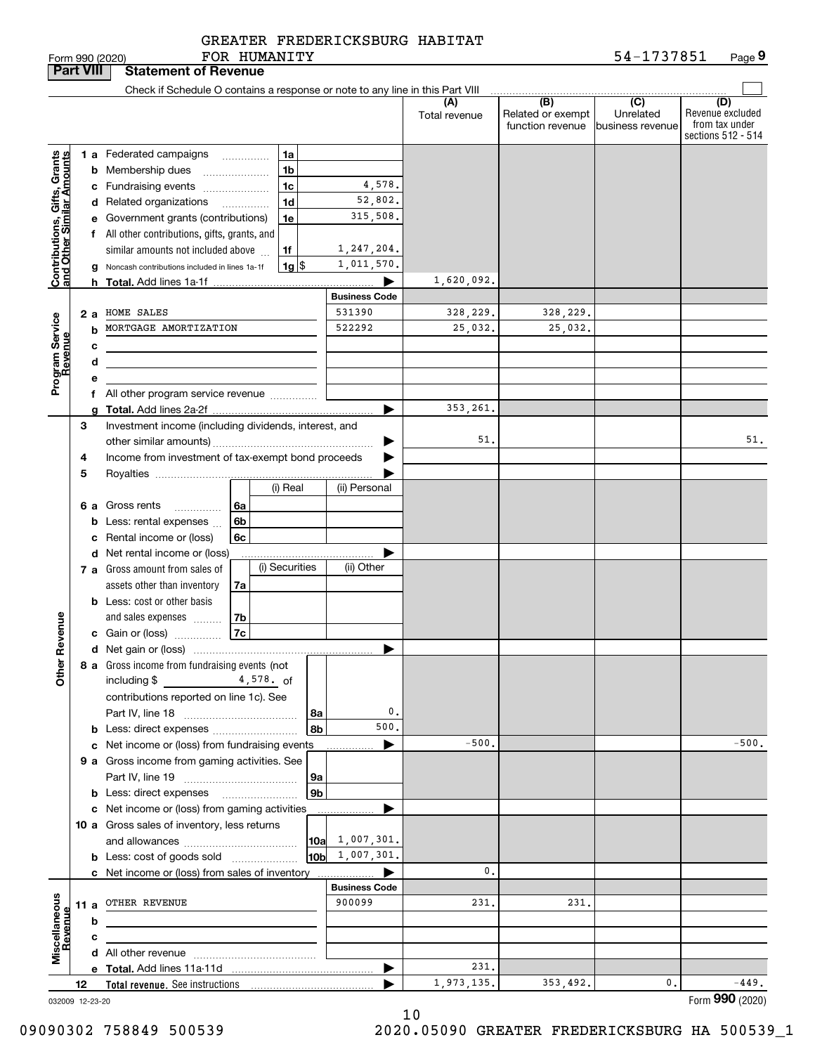|  | GREATER FREDERICKSBURG HABITAT |  |
|--|--------------------------------|--|
|  | FOR HUMANITY                   |  |

|                                                           | <b>Part VIII</b> |   | <b>Statement of Revenue</b>                                                   |           |                    |                        |                      |                                              |                                                 |                                                                 |
|-----------------------------------------------------------|------------------|---|-------------------------------------------------------------------------------|-----------|--------------------|------------------------|----------------------|----------------------------------------------|-------------------------------------------------|-----------------------------------------------------------------|
|                                                           |                  |   | Check if Schedule O contains a response or note to any line in this Part VIII |           |                    |                        |                      |                                              |                                                 |                                                                 |
|                                                           |                  |   |                                                                               |           |                    |                        | (A)<br>Total revenue | (B)<br>Related or exempt<br>function revenue | $\overline{C}$<br>Unrelated<br>business revenue | (D)<br>Revenue excluded<br>from tax under<br>sections 512 - 514 |
|                                                           |                  |   | 1 a Federated campaigns                                                       | .         | 1a                 |                        |                      |                                              |                                                 |                                                                 |
|                                                           |                  |   | <b>b</b> Membership dues                                                      |           | 1 <sub>b</sub>     |                        |                      |                                              |                                                 |                                                                 |
|                                                           |                  |   | c Fundraising events                                                          |           | 1 <sub>c</sub>     | 4,578.                 |                      |                                              |                                                 |                                                                 |
| Contributions, Gifts, Grants<br>and Other Similar Amounts |                  |   | d Related organizations                                                       | .         | 1 <sub>d</sub>     | 52,802.                |                      |                                              |                                                 |                                                                 |
|                                                           |                  |   | e Government grants (contributions)                                           |           | 1e                 | 315,508.               |                      |                                              |                                                 |                                                                 |
|                                                           |                  |   | f All other contributions, gifts, grants, and                                 |           |                    |                        |                      |                                              |                                                 |                                                                 |
|                                                           |                  |   | similar amounts not included above                                            |           | 1f                 | 1,247,204.             |                      |                                              |                                                 |                                                                 |
|                                                           |                  | g | Noncash contributions included in lines 1a-1f                                 |           | $1g$ $\frac{1}{3}$ | 1,011,570.             |                      |                                              |                                                 |                                                                 |
|                                                           |                  | h |                                                                               |           |                    | ▶                      | 1,620,092.           |                                              |                                                 |                                                                 |
|                                                           |                  |   |                                                                               |           |                    | <b>Business Code</b>   |                      |                                              |                                                 |                                                                 |
|                                                           | 2 a              |   | HOME SALES                                                                    |           |                    | 531390                 | 328,229.             | 328,229.                                     |                                                 |                                                                 |
|                                                           |                  | b | MORTGAGE AMORTIZATION                                                         |           |                    | 522292                 | 25,032.              | 25,032.                                      |                                                 |                                                                 |
|                                                           |                  | с | the control of the control of the control of the control of the control of    |           |                    |                        |                      |                                              |                                                 |                                                                 |
|                                                           |                  | d |                                                                               |           |                    |                        |                      |                                              |                                                 |                                                                 |
| Program Service<br>Revenue                                |                  | е |                                                                               |           |                    |                        |                      |                                              |                                                 |                                                                 |
|                                                           |                  |   | f All other program service revenue                                           |           |                    |                        | 353,261.             |                                              |                                                 |                                                                 |
|                                                           | 3                |   |                                                                               |           |                    | ▶                      |                      |                                              |                                                 |                                                                 |
|                                                           |                  |   | Investment income (including dividends, interest, and                         |           |                    |                        | 51.                  |                                              |                                                 | 51.                                                             |
|                                                           | 4                |   | Income from investment of tax-exempt bond proceeds                            |           |                    |                        |                      |                                              |                                                 |                                                                 |
|                                                           | 5                |   |                                                                               |           |                    |                        |                      |                                              |                                                 |                                                                 |
|                                                           |                  |   |                                                                               |           | (i) Real           | (ii) Personal          |                      |                                              |                                                 |                                                                 |
|                                                           |                  |   | 6 a Gross rents<br>.                                                          | 6а        |                    |                        |                      |                                              |                                                 |                                                                 |
|                                                           |                  | b | Less: rental expenses                                                         | 6b        |                    |                        |                      |                                              |                                                 |                                                                 |
|                                                           |                  | с | Rental income or (loss)                                                       | 6c        |                    |                        |                      |                                              |                                                 |                                                                 |
|                                                           |                  |   | d Net rental income or (loss)                                                 |           |                    |                        |                      |                                              |                                                 |                                                                 |
|                                                           |                  |   | 7 a Gross amount from sales of                                                |           | (i) Securities     | (ii) Other             |                      |                                              |                                                 |                                                                 |
|                                                           |                  |   | assets other than inventory                                                   | 7a        |                    |                        |                      |                                              |                                                 |                                                                 |
|                                                           |                  |   | <b>b</b> Less: cost or other basis                                            |           |                    |                        |                      |                                              |                                                 |                                                                 |
|                                                           |                  |   | and sales expenses                                                            | 7b        |                    |                        |                      |                                              |                                                 |                                                                 |
| Revenue                                                   |                  |   | c Gain or (loss)                                                              | 7c        |                    |                        |                      |                                              |                                                 |                                                                 |
|                                                           |                  |   |                                                                               |           |                    | ▶                      |                      |                                              |                                                 |                                                                 |
| Other                                                     |                  |   | 8 a Gross income from fundraising events (not                                 |           |                    |                        |                      |                                              |                                                 |                                                                 |
|                                                           |                  |   | including \$                                                                  | 4,578. of |                    |                        |                      |                                              |                                                 |                                                                 |
|                                                           |                  |   | contributions reported on line 1c). See                                       |           |                    |                        |                      |                                              |                                                 |                                                                 |
|                                                           |                  |   |                                                                               |           | 8a                 | 0.<br>500.             |                      |                                              |                                                 |                                                                 |
|                                                           |                  |   |                                                                               |           | 8b                 |                        | $-500.$              |                                              |                                                 | $-500.$                                                         |
|                                                           |                  |   | c Net income or (loss) from fundraising events                                |           |                    | ▶                      |                      |                                              |                                                 |                                                                 |
|                                                           |                  |   | 9 a Gross income from gaming activities. See                                  |           | 9a                 |                        |                      |                                              |                                                 |                                                                 |
|                                                           |                  |   | <b>b</b> Less: direct expenses                                                |           | 9 <sub>b</sub>     |                        |                      |                                              |                                                 |                                                                 |
|                                                           |                  |   | c Net income or (loss) from gaming activities                                 |           |                    |                        |                      |                                              |                                                 |                                                                 |
|                                                           |                  |   | 10 a Gross sales of inventory, less returns                                   |           |                    |                        |                      |                                              |                                                 |                                                                 |
|                                                           |                  |   |                                                                               |           | 10a                | 1,007,301.             |                      |                                              |                                                 |                                                                 |
|                                                           |                  |   | <b>b</b> Less: cost of goods sold                                             |           |                    | $10b \quad 1,007,301.$ |                      |                                              |                                                 |                                                                 |
|                                                           |                  |   | c Net income or (loss) from sales of inventory                                |           |                    | ▶                      | 0.                   |                                              |                                                 |                                                                 |
|                                                           |                  |   |                                                                               |           |                    | <b>Business Code</b>   |                      |                                              |                                                 |                                                                 |
|                                                           | 11 a             |   | OTHER REVENUE                                                                 |           |                    | 900099                 | 231.                 | 231,                                         |                                                 |                                                                 |
|                                                           |                  | b |                                                                               |           |                    |                        |                      |                                              |                                                 |                                                                 |
|                                                           |                  | c |                                                                               |           |                    |                        |                      |                                              |                                                 |                                                                 |
| Miscellaneous<br>Revenue                                  |                  |   |                                                                               |           |                    |                        |                      |                                              |                                                 |                                                                 |
|                                                           |                  |   |                                                                               |           |                    | ▶                      | 231.                 |                                              |                                                 |                                                                 |
|                                                           | 12               |   |                                                                               |           |                    |                        | 1,973,135.           | 353,492.                                     | 0.                                              | $-449.$                                                         |
| 032009 12-23-20                                           |                  |   |                                                                               |           |                    |                        |                      |                                              |                                                 | Form 990 (2020)                                                 |

032009 12-23-20

09090302 758849 500539 2020.05090 GREATER FREDERICKSBURG HA 500539\_1

10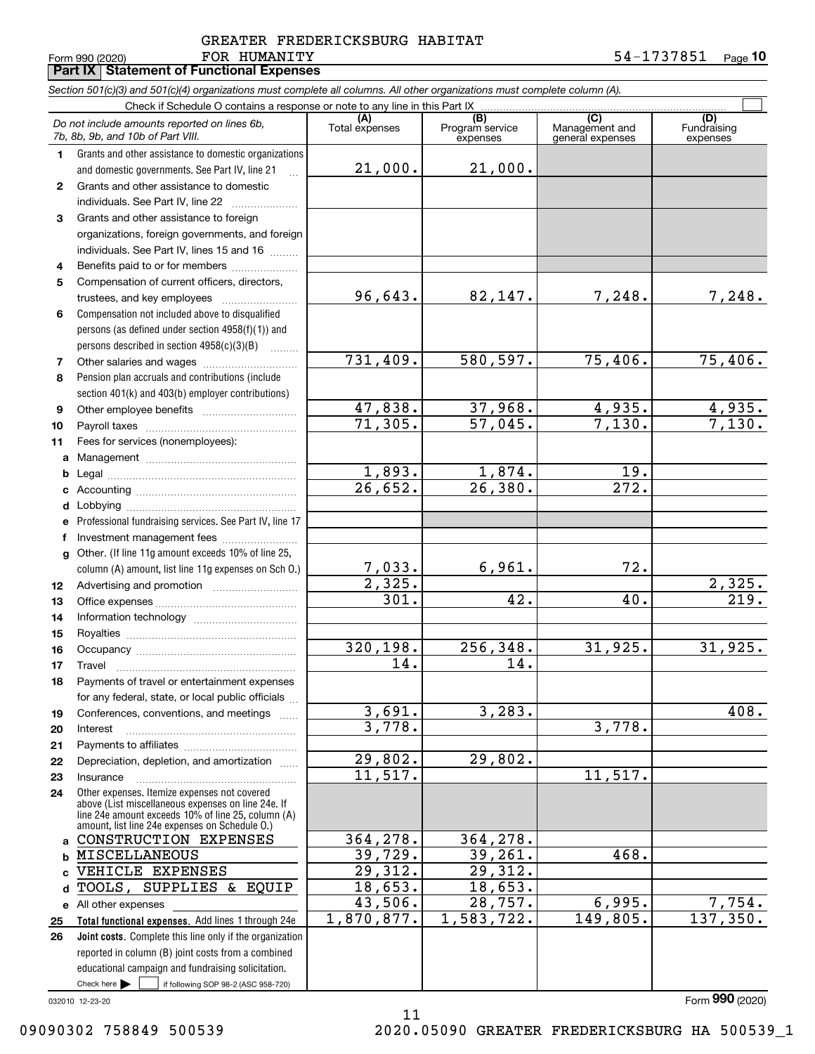## Form 990 (2020) Page FOR HUMANITY 54-1737851 GREATER FREDERICKSBURG HABITAT

**Part IX Statement of Functional Expenses**

**10**

Check here  $\bullet$  if following SOP 98-2 (ASC 958-720) **Total functional expenses.**  Add lines 1 through 24e **Joint costs.** Complete this line only if the organization **(A)**<br>Total expenses **(C)** (C) (C)<br>
penses Program service Management and Fundrai<br>
expenses general expenses expen **1234567891011abcdefg12131415161718192021222324abcd**TOOLS, SUPPLIES & EQUIP **e** All other expenses **2526***Section 501(c)(3) and 501(c)(4) organizations must complete all columns. All other organizations must complete column (A).* Grants and other assistance to domestic organizations and domestic governments. See Part IV, line 21 Compensation not included above to disqualified persons (as defined under section 4958(f)(1)) and persons described in section 4958(c)(3)(B)  $\quad \ldots \ldots \ldots$ Pension plan accruals and contributions (include section 401(k) and 403(b) employer contributions) Professional fundraising services. See Part IV, line 17 Other. (If line 11g amount exceeds 10% of line 25, column (A) amount, list line 11g expenses on Sch O.) Other expenses. Itemize expenses not covered above (List miscellaneous expenses on line 24e. If line 24e amount exceeds 10% of line 25, column (A) amount, list line 24e expenses on Schedule O.) reported in column (B) joint costs from a combined educational campaign and fundraising solicitation. Check if Schedule O contains a response or note to any line in this Part IX (C) (C) (C) (C) (C) (C) Program service expensesFundraising expenses Grants and other assistance to domestic individuals. See Part IV, line 22 Grants and other assistance to foreign organizations, foreign governments, and foreign individuals. See Part IV, lines 15 and 16  $\ldots$ Benefits paid to or for members ..................... Compensation of current officers, directors, trustees, and key employees  $\ldots$   $\ldots$   $\ldots$   $\ldots$   $\ldots$   $\ldots$ Other salaries and wages ~~~~~~~~~~ Other employee benefits ~~~~~~~~~~ Payroll taxes ~~~~~~~~~~~~~~~~ Fees for services (nonemployees): Management ~~~~~~~~~~~~~~~~ Legal ~~~~~~~~~~~~~~~~~~~~Accounting ~~~~~~~~~~~~~~~~~ Lobbying ~~~~~~~~~~~~~~~~~~ lnvestment management fees ....................... Advertising and promotion www.communicul Office expenses ~~~~~~~~~~~~~~~ Information technology ~~~~~~~~~~~ Royalties ~~~~~~~~~~~~~~~~~~ Occupancy ~~~~~~~~~~~~~~~~~ Travel ……………………………………………… Payments of travel or entertainment expenses for any federal, state, or local public officials ... Conferences, conventions, and meetings Interest Payments to affiliates ~~~~~~~~~~~~ Depreciation, depletion, and amortization  $\,\,\ldots\,\,$ Insurance~~~~~~~~~~~~~~~~~Check here  $\blacktriangleright$ *Do not include amounts reported on lines 6b, 7b, 8b, 9b, and 10b of Part VIII.*  $\mathcal{L}^{\text{max}}$ 21,000. 96,643. 731,409. 47,838. 71,305. 1,893. 26,652. 7,033. 2,325. 301. 320,198. 14. 3,691. 3,778. 29,802. 11,517. 364,278. 39,729. 29,312. 18,653. 43,506. 1,870,877. 21,000. 82,147. 7,248. 7,248. 580,597. 75,406. 75,406.  $37,968.$  4,935. 4,935. 57,045. 7,130. 7,130. 1,874. 19. 26,380. 272. 6,961. 72. 2,325.  $42.$   $40.$   $219.$ 256,348. 31,925. 31,925. 14. 3,283. 408. 3,778. 29,802. 11,517. 364,278. 39,261. 468. 29,312. 18,653. 28,757. 6,995. 7,754. 1,583,722. 149,805. 137,350. CONSTRUCTION EXPENSES MISCELLANEOUS VEHICLE EXPENSES

11

032010 12-23-20

Form (2020) **990**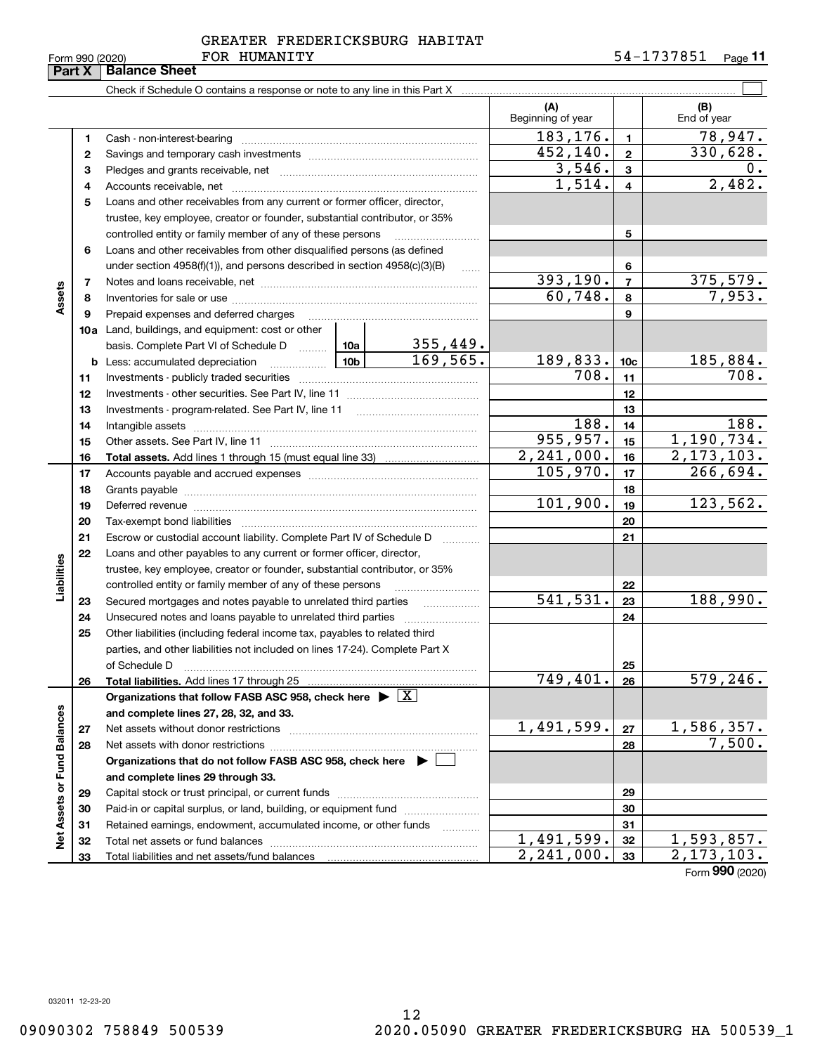|  | Form 990 (2020) |
|--|-----------------|

## FOR HUMANITY GREATER FREDERICKSBURG HABITAT

|                             | Part X | <b>Balance Sheet</b>                                                               |          |                   |                                       |                         |                                   |
|-----------------------------|--------|------------------------------------------------------------------------------------|----------|-------------------|---------------------------------------|-------------------------|-----------------------------------|
|                             |        |                                                                                    |          |                   |                                       |                         |                                   |
|                             |        |                                                                                    |          |                   | (A)<br>Beginning of year              |                         | (B)<br>End of year                |
|                             | 1      | Cash - non-interest-bearing                                                        |          |                   | 183,176.                              | 1.                      | 78,947.                           |
|                             | 2      |                                                                                    |          |                   | 452,140.                              | $\mathbf{2}$            | 330,628.                          |
|                             | 3      |                                                                                    |          |                   | 3,546.                                | 3                       | 0.                                |
|                             | 4      |                                                                                    |          |                   | 1,514.                                | $\overline{\mathbf{4}}$ | 2,482.                            |
|                             | 5      | Loans and other receivables from any current or former officer, director,          |          |                   |                                       |                         |                                   |
|                             |        | trustee, key employee, creator or founder, substantial contributor, or 35%         |          |                   |                                       |                         |                                   |
|                             |        | controlled entity or family member of any of these persons                         |          |                   |                                       | 5                       |                                   |
|                             | 6      | Loans and other receivables from other disqualified persons (as defined            |          |                   |                                       |                         |                                   |
|                             |        | under section $4958(f)(1)$ , and persons described in section $4958(c)(3)(B)$      |          | 1.1.1.1           |                                       | 6                       |                                   |
|                             | 7      |                                                                                    |          |                   | 393, 190.                             | $\overline{7}$          | 375,579.                          |
| Assets                      | 8      |                                                                                    |          |                   | 60,748.                               | 8                       | 7,953.                            |
|                             | 9      | Prepaid expenses and deferred charges                                              |          |                   |                                       | 9                       |                                   |
|                             |        | 10a Land, buildings, and equipment: cost or other                                  |          |                   |                                       |                         |                                   |
|                             |        | basis. Complete Part VI of Schedule D  10a                                         |          | 355,449.          |                                       |                         |                                   |
|                             |        |                                                                                    |          | 169, 565.         | 189,833.                              | 10 <sub>c</sub>         | 185,884.                          |
|                             | 11     |                                                                                    |          |                   | 708.                                  | 11                      | $\overline{708}$ .                |
|                             | 12     |                                                                                    |          |                   |                                       | 12                      |                                   |
|                             | 13     | Investments - program-related. See Part IV, line 11                                |          |                   | 13                                    |                         |                                   |
|                             | 14     |                                                                                    |          |                   | 188.                                  | 14                      | 188.                              |
|                             | 15     |                                                                                    |          |                   | 955,957.                              | 15                      | 1,190,734.                        |
|                             | 16     |                                                                                    |          |                   | $\overline{2,241},000.$               | 16                      | 2, 173, 103.                      |
|                             | 17     |                                                                                    |          |                   | 105,970.                              | 17                      | 266,694.                          |
|                             | 18     |                                                                                    |          | 18                |                                       |                         |                                   |
|                             | 19     |                                                                                    | 101,900. | 19                | 123,562.                              |                         |                                   |
|                             | 20     |                                                                                    |          |                   | 20                                    |                         |                                   |
|                             | 21     | Escrow or custodial account liability. Complete Part IV of Schedule D              |          |                   |                                       | 21                      |                                   |
|                             | 22     | Loans and other payables to any current or former officer, director,               |          |                   |                                       |                         |                                   |
|                             |        | trustee, key employee, creator or founder, substantial contributor, or 35%         |          |                   |                                       |                         |                                   |
| Liabilities                 |        | controlled entity or family member of any of these persons                         |          |                   |                                       | 22                      |                                   |
|                             | 23     | Secured mortgages and notes payable to unrelated third parties                     |          | .                 | 541,531.                              | 23                      | 188,990.                          |
|                             | 24     |                                                                                    |          |                   |                                       | 24                      |                                   |
|                             | 25     | Other liabilities (including federal income tax, payables to related third         |          |                   |                                       |                         |                                   |
|                             |        | parties, and other liabilities not included on lines 17-24). Complete Part X       |          |                   |                                       |                         |                                   |
|                             |        | of Schedule D                                                                      |          |                   |                                       | 25                      |                                   |
|                             | 26     | Total liabilities. Add lines 17 through 25                                         |          |                   | 749,401.                              | 26                      | 579, 246.                         |
|                             |        | Organizations that follow FASB ASC 958, check here $\blacktriangleright \boxed{X}$ |          |                   |                                       |                         |                                   |
|                             |        | and complete lines 27, 28, 32, and 33.                                             |          |                   |                                       |                         |                                   |
|                             | 27     | Net assets without donor restrictions                                              |          |                   | 1,491,599.                            | 27                      | <u>1,586,357.</u><br>7,500.       |
|                             | 28     |                                                                                    |          |                   |                                       | 28                      |                                   |
|                             |        | Organizations that do not follow FASB ASC 958, check here $\blacktriangleright$    |          |                   |                                       |                         |                                   |
|                             |        | and complete lines 29 through 33.                                                  |          |                   |                                       |                         |                                   |
|                             | 29     |                                                                                    |          |                   |                                       | 29                      |                                   |
| Net Assets or Fund Balances | 30     | Paid-in or capital surplus, or land, building, or equipment fund                   |          |                   |                                       | 30                      |                                   |
|                             | 31     | Retained earnings, endowment, accumulated income, or other funds                   |          | 1.1.1.1.1.1.1.1.1 |                                       | 31                      |                                   |
|                             | 32     |                                                                                    |          |                   | 1,491,599.<br>$\overline{2,241},000.$ | 32                      | <u>1,593,857.</u><br>2, 173, 103. |
|                             | 33     |                                                                                    |          |                   |                                       | 33                      |                                   |

Form (2020) **990**

032011 12-23-20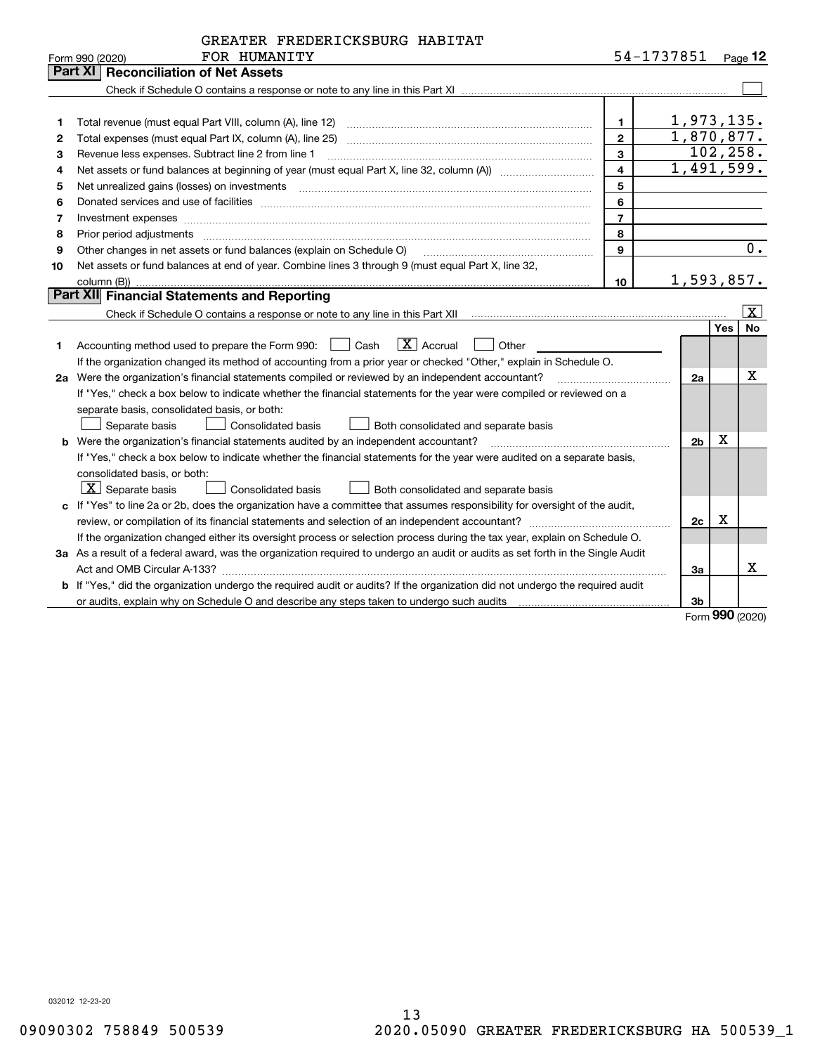|    | GREATER FREDERICKSBURG HABITAT                                                                                                                                                                                                 |                         |                |            |           |
|----|--------------------------------------------------------------------------------------------------------------------------------------------------------------------------------------------------------------------------------|-------------------------|----------------|------------|-----------|
|    | FOR HUMANITY<br>Form 990 (2020)                                                                                                                                                                                                |                         | 54-1737851     |            | Page $12$ |
|    | Part XI<br><b>Reconciliation of Net Assets</b>                                                                                                                                                                                 |                         |                |            |           |
|    |                                                                                                                                                                                                                                |                         |                |            |           |
|    |                                                                                                                                                                                                                                |                         |                |            |           |
| 1  |                                                                                                                                                                                                                                | 1                       | 1,973,135.     |            |           |
| 2  |                                                                                                                                                                                                                                | $\mathbf{2}$            | 1,870,877.     |            |           |
| 3  | Revenue less expenses. Subtract line 2 from line 1                                                                                                                                                                             | 3                       |                |            | 102, 258. |
| 4  |                                                                                                                                                                                                                                | $\overline{\mathbf{4}}$ | 1,491,599.     |            |           |
| 5  | Net unrealized gains (losses) on investments [11] matter contracts and the state of the state of the state of the state of the state of the state of the state of the state of the state of the state of the state of the stat | 5                       |                |            |           |
| 6  | Donated services and use of facilities [111] Donated and the service of facilities [11] Donated services and use of facilities [11] Donated and the service of the service of the service of the service of the service of the | 6                       |                |            |           |
| 7  | Investment expenses www.communication.communication.com/www.communication.com/www.communication.com                                                                                                                            | $\overline{7}$          |                |            |           |
| 8  | Prior period adjustments                                                                                                                                                                                                       | 8                       |                |            |           |
| 9  | Other changes in net assets or fund balances (explain on Schedule O)                                                                                                                                                           | 9                       |                |            | 0.        |
| 10 | Net assets or fund balances at end of year. Combine lines 3 through 9 (must equal Part X, line 32,                                                                                                                             |                         |                |            |           |
|    |                                                                                                                                                                                                                                | 10                      | 1,593,857.     |            |           |
|    | <b>Part XII</b> Financial Statements and Reporting                                                                                                                                                                             |                         |                |            |           |
|    | Check if Schedule O contains a response or note to any line in this Part XII [11] [12] Check if Schedule O contains a response or note to any line in this Part XII                                                            |                         |                |            | X         |
|    |                                                                                                                                                                                                                                |                         |                | Yes        | <b>No</b> |
| 1  | $\boxed{\mathbf{X}}$ Accrual<br>Accounting method used to prepare the Form 990: <u>[</u> Cash<br>Other                                                                                                                         |                         |                |            |           |
|    | If the organization changed its method of accounting from a prior year or checked "Other," explain in Schedule O.                                                                                                              |                         |                |            |           |
|    | 2a Were the organization's financial statements compiled or reviewed by an independent accountant?                                                                                                                             |                         | 2a             |            | х         |
|    | If "Yes," check a box below to indicate whether the financial statements for the year were compiled or reviewed on a                                                                                                           |                         |                |            |           |
|    | separate basis, consolidated basis, or both:                                                                                                                                                                                   |                         |                |            |           |
|    | Separate basis<br>Consolidated basis<br>Both consolidated and separate basis                                                                                                                                                   |                         |                |            |           |
|    | <b>b</b> Were the organization's financial statements audited by an independent accountant?                                                                                                                                    |                         | 2 <sub>b</sub> | х          |           |
|    | If "Yes," check a box below to indicate whether the financial statements for the year were audited on a separate basis,                                                                                                        |                         |                |            |           |
|    | consolidated basis, or both:                                                                                                                                                                                                   |                         |                |            |           |
|    | $ X $ Separate basis<br>Consolidated basis<br>Both consolidated and separate basis                                                                                                                                             |                         |                |            |           |
|    | c If "Yes" to line 2a or 2b, does the organization have a committee that assumes responsibility for oversight of the audit,                                                                                                    |                         |                |            |           |
|    |                                                                                                                                                                                                                                |                         | 2c             | Х          |           |
|    | If the organization changed either its oversight process or selection process during the tax year, explain on Schedule O.                                                                                                      |                         |                |            |           |
|    | 3a As a result of a federal award, was the organization required to undergo an audit or audits as set forth in the Single Audit                                                                                                |                         |                |            |           |
|    |                                                                                                                                                                                                                                |                         | 3a             |            | x         |
|    | b If "Yes," did the organization undergo the required audit or audits? If the organization did not undergo the required audit                                                                                                  |                         |                |            |           |
|    | or audits, explain why on Schedule O and describe any steps taken to undergo such audits matures and the content                                                                                                               |                         | 3b             |            |           |
|    |                                                                                                                                                                                                                                |                         |                | <u>nnn</u> |           |

Form (2020) **990**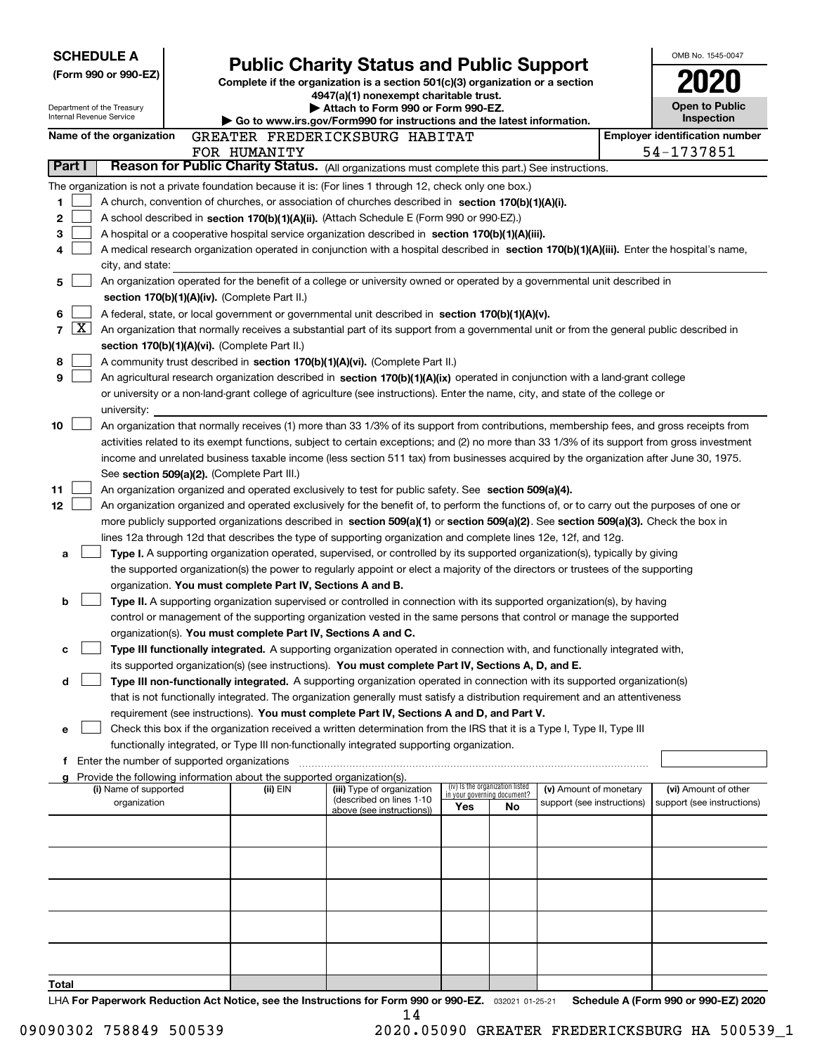|                |   | <b>SCHEDULE A</b>                                    |                                                                                    |                                                                                                                                                                                                                                                                                           |     |                                   |                            | OMB No. 1545-0047                     |
|----------------|---|------------------------------------------------------|------------------------------------------------------------------------------------|-------------------------------------------------------------------------------------------------------------------------------------------------------------------------------------------------------------------------------------------------------------------------------------------|-----|-----------------------------------|----------------------------|---------------------------------------|
|                |   | (Form 990 or 990-EZ)                                 |                                                                                    | <b>Public Charity Status and Public Support</b>                                                                                                                                                                                                                                           |     |                                   |                            |                                       |
|                |   |                                                      |                                                                                    | Complete if the organization is a section 501(c)(3) organization or a section<br>4947(a)(1) nonexempt charitable trust.                                                                                                                                                                   |     |                                   |                            |                                       |
|                |   | Department of the Treasury                           |                                                                                    | Attach to Form 990 or Form 990-EZ.                                                                                                                                                                                                                                                        |     |                                   |                            | <b>Open to Public</b>                 |
|                |   | Internal Revenue Service                             |                                                                                    | Go to www.irs.gov/Form990 for instructions and the latest information.                                                                                                                                                                                                                    |     |                                   |                            | Inspection                            |
|                |   | Name of the organization                             |                                                                                    | GREATER FREDERICKSBURG HABITAT                                                                                                                                                                                                                                                            |     |                                   |                            | <b>Employer identification number</b> |
|                |   |                                                      | FOR HUMANITY                                                                       |                                                                                                                                                                                                                                                                                           |     |                                   |                            | 54-1737851                            |
| Part I         |   |                                                      |                                                                                    | Reason for Public Charity Status. (All organizations must complete this part.) See instructions.                                                                                                                                                                                          |     |                                   |                            |                                       |
|                |   |                                                      |                                                                                    | The organization is not a private foundation because it is: (For lines 1 through 12, check only one box.)                                                                                                                                                                                 |     |                                   |                            |                                       |
| 1              |   |                                                      |                                                                                    | A church, convention of churches, or association of churches described in section 170(b)(1)(A)(i).                                                                                                                                                                                        |     |                                   |                            |                                       |
| 2              |   |                                                      |                                                                                    | A school described in section 170(b)(1)(A)(ii). (Attach Schedule E (Form 990 or 990-EZ).)                                                                                                                                                                                                 |     |                                   |                            |                                       |
| 3              |   |                                                      |                                                                                    | A hospital or a cooperative hospital service organization described in section 170(b)(1)(A)(iii).                                                                                                                                                                                         |     |                                   |                            |                                       |
| 4              |   |                                                      |                                                                                    | A medical research organization operated in conjunction with a hospital described in section 170(b)(1)(A)(iii). Enter the hospital's name,                                                                                                                                                |     |                                   |                            |                                       |
|                |   | city, and state:                                     |                                                                                    |                                                                                                                                                                                                                                                                                           |     |                                   |                            |                                       |
| 5              |   |                                                      |                                                                                    | An organization operated for the benefit of a college or university owned or operated by a governmental unit described in                                                                                                                                                                 |     |                                   |                            |                                       |
|                |   |                                                      | section 170(b)(1)(A)(iv). (Complete Part II.)                                      |                                                                                                                                                                                                                                                                                           |     |                                   |                            |                                       |
| 6              |   |                                                      |                                                                                    | A federal, state, or local government or governmental unit described in section 170(b)(1)(A)(v).                                                                                                                                                                                          |     |                                   |                            |                                       |
| $\overline{7}$ | X |                                                      |                                                                                    | An organization that normally receives a substantial part of its support from a governmental unit or from the general public described in                                                                                                                                                 |     |                                   |                            |                                       |
|                |   |                                                      | section 170(b)(1)(A)(vi). (Complete Part II.)                                      |                                                                                                                                                                                                                                                                                           |     |                                   |                            |                                       |
| 8              |   |                                                      |                                                                                    | A community trust described in section 170(b)(1)(A)(vi). (Complete Part II.)                                                                                                                                                                                                              |     |                                   |                            |                                       |
| 9              |   |                                                      |                                                                                    | An agricultural research organization described in section 170(b)(1)(A)(ix) operated in conjunction with a land-grant college                                                                                                                                                             |     |                                   |                            |                                       |
|                |   |                                                      |                                                                                    | or university or a non-land-grant college of agriculture (see instructions). Enter the name, city, and state of the college or                                                                                                                                                            |     |                                   |                            |                                       |
|                |   | university:                                          |                                                                                    |                                                                                                                                                                                                                                                                                           |     |                                   |                            |                                       |
| 10             |   |                                                      |                                                                                    | An organization that normally receives (1) more than 33 1/3% of its support from contributions, membership fees, and gross receipts from                                                                                                                                                  |     |                                   |                            |                                       |
|                |   |                                                      |                                                                                    | activities related to its exempt functions, subject to certain exceptions; and (2) no more than 33 1/3% of its support from gross investment<br>income and unrelated business taxable income (less section 511 tax) from businesses acquired by the organization after June 30, 1975.     |     |                                   |                            |                                       |
|                |   |                                                      | See section 509(a)(2). (Complete Part III.)                                        |                                                                                                                                                                                                                                                                                           |     |                                   |                            |                                       |
| 11             |   |                                                      |                                                                                    | An organization organized and operated exclusively to test for public safety. See section 509(a)(4).                                                                                                                                                                                      |     |                                   |                            |                                       |
| 12             |   |                                                      |                                                                                    | An organization organized and operated exclusively for the benefit of, to perform the functions of, or to carry out the purposes of one or                                                                                                                                                |     |                                   |                            |                                       |
|                |   |                                                      |                                                                                    | more publicly supported organizations described in section 509(a)(1) or section 509(a)(2). See section 509(a)(3). Check the box in                                                                                                                                                        |     |                                   |                            |                                       |
|                |   |                                                      |                                                                                    | lines 12a through 12d that describes the type of supporting organization and complete lines 12e, 12f, and 12g.                                                                                                                                                                            |     |                                   |                            |                                       |
| a              |   |                                                      |                                                                                    | Type I. A supporting organization operated, supervised, or controlled by its supported organization(s), typically by giving                                                                                                                                                               |     |                                   |                            |                                       |
|                |   |                                                      |                                                                                    | the supported organization(s) the power to regularly appoint or elect a majority of the directors or trustees of the supporting                                                                                                                                                           |     |                                   |                            |                                       |
|                |   |                                                      | organization. You must complete Part IV, Sections A and B.                         |                                                                                                                                                                                                                                                                                           |     |                                   |                            |                                       |
| b              |   |                                                      |                                                                                    | Type II. A supporting organization supervised or controlled in connection with its supported organization(s), by having                                                                                                                                                                   |     |                                   |                            |                                       |
|                |   |                                                      |                                                                                    | control or management of the supporting organization vested in the same persons that control or manage the supported                                                                                                                                                                      |     |                                   |                            |                                       |
|                |   |                                                      | organization(s). You must complete Part IV, Sections A and C.                      |                                                                                                                                                                                                                                                                                           |     |                                   |                            |                                       |
| с              |   |                                                      |                                                                                    | Type III functionally integrated. A supporting organization operated in connection with, and functionally integrated with,                                                                                                                                                                |     |                                   |                            |                                       |
|                |   |                                                      |                                                                                    | its supported organization(s) (see instructions). You must complete Part IV, Sections A, D, and E.                                                                                                                                                                                        |     |                                   |                            |                                       |
| d              |   |                                                      |                                                                                    | Type III non-functionally integrated. A supporting organization operated in connection with its supported organization(s)                                                                                                                                                                 |     |                                   |                            |                                       |
|                |   |                                                      |                                                                                    | that is not functionally integrated. The organization generally must satisfy a distribution requirement and an attentiveness                                                                                                                                                              |     |                                   |                            |                                       |
|                |   |                                                      |                                                                                    | requirement (see instructions). You must complete Part IV, Sections A and D, and Part V.                                                                                                                                                                                                  |     |                                   |                            |                                       |
| е              |   |                                                      |                                                                                    | Check this box if the organization received a written determination from the IRS that it is a Type I, Type II, Type III                                                                                                                                                                   |     |                                   |                            |                                       |
|                |   |                                                      |                                                                                    | functionally integrated, or Type III non-functionally integrated supporting organization.                                                                                                                                                                                                 |     |                                   |                            |                                       |
|                |   | <b>f</b> Enter the number of supported organizations |                                                                                    |                                                                                                                                                                                                                                                                                           |     |                                   |                            |                                       |
|                |   | (i) Name of supported                                | Provide the following information about the supported organization(s).<br>(ii) EIN | (iii) Type of organization                                                                                                                                                                                                                                                                |     | (iv) Is the organization listed   | (v) Amount of monetary     | (vi) Amount of other                  |
|                |   | organization                                         |                                                                                    | (described on lines 1-10                                                                                                                                                                                                                                                                  | Yes | in your governing document?<br>No | support (see instructions) | support (see instructions)            |
|                |   |                                                      |                                                                                    | above (see instructions))                                                                                                                                                                                                                                                                 |     |                                   |                            |                                       |
|                |   |                                                      |                                                                                    |                                                                                                                                                                                                                                                                                           |     |                                   |                            |                                       |
|                |   |                                                      |                                                                                    |                                                                                                                                                                                                                                                                                           |     |                                   |                            |                                       |
|                |   |                                                      |                                                                                    |                                                                                                                                                                                                                                                                                           |     |                                   |                            |                                       |
|                |   |                                                      |                                                                                    |                                                                                                                                                                                                                                                                                           |     |                                   |                            |                                       |
|                |   |                                                      |                                                                                    |                                                                                                                                                                                                                                                                                           |     |                                   |                            |                                       |
|                |   |                                                      |                                                                                    |                                                                                                                                                                                                                                                                                           |     |                                   |                            |                                       |
|                |   |                                                      |                                                                                    |                                                                                                                                                                                                                                                                                           |     |                                   |                            |                                       |
|                |   |                                                      |                                                                                    |                                                                                                                                                                                                                                                                                           |     |                                   |                            |                                       |
|                |   |                                                      |                                                                                    |                                                                                                                                                                                                                                                                                           |     |                                   |                            |                                       |
| Total          |   |                                                      |                                                                                    |                                                                                                                                                                                                                                                                                           |     |                                   |                            |                                       |
|                |   |                                                      |                                                                                    | $1 \mu\Lambda$ For Department Reduction Act Notice, see the Instructions for Form 000 or 000-F7 $\frac{1}{2}$ $\frac{1}{2}$ $\frac{1}{2}$ $\frac{1}{2}$ $\frac{1}{2}$ $\frac{1}{2}$ $\frac{1}{2}$ $\frac{1}{2}$ $\frac{1}{2}$ $\frac{1}{2}$ $\frac{1}{2}$ $\frac{1}{2}$ $\frac{1}{2}$ $\$ |     |                                   |                            |                                       |

LHA For Paperwork Reduction Act Notice, see the Instructions for Form 990 or 990-EZ. <sub>032021</sub> o1-25-21 Schedule A (Form 990 or 990-EZ) 2020 14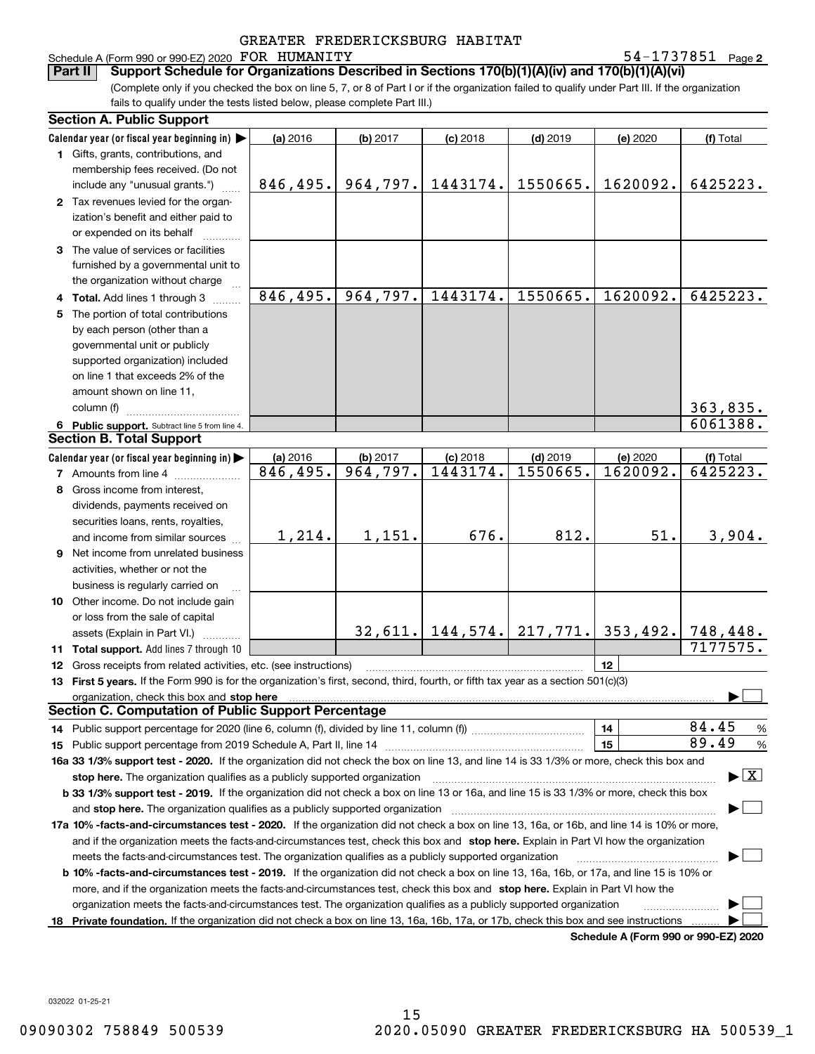## Schedule A (Form 990 or 990-EZ) 2020 Page FOR HUMANITY 54-1737851

54-1737851 Page 2

(Complete only if you checked the box on line 5, 7, or 8 of Part I or if the organization failed to qualify under Part III. If the organization fails to qualify under the tests listed below, please complete Part III.) **Part II Support Schedule for Organizations Described in Sections 170(b)(1)(A)(iv) and 170(b)(1)(A)(vi)**

| Calendar year (or fiscal year beginning in) $\blacktriangleright$<br>(a) 2016<br>(b) 2017<br>$(d)$ 2019<br>(e) 2020<br>(f) Total<br>$(c)$ 2018<br>1 Gifts, grants, contributions, and<br>membership fees received. (Do not<br>964,797.<br>1443174.<br>1550665.<br>1620092.<br>846,495.<br>include any "unusual grants.")<br>2 Tax revenues levied for the organ-<br>ization's benefit and either paid to<br>or expended on its behalf<br>3 The value of services or facilities<br>furnished by a governmental unit to<br>the organization without charge<br>846, 495.<br>964,797.<br>1443174.<br>1550665.<br>1620092.<br>4 Total. Add lines 1 through 3<br>The portion of total contributions<br>5.<br>by each person (other than a<br>governmental unit or publicly<br>supported organization) included<br>on line 1 that exceeds 2% of the<br>amount shown on line 11,<br>363,835.<br>column (f)<br>6061388.<br>6 Public support. Subtract line 5 from line 4.<br><b>Section B. Total Support</b><br>Calendar year (or fiscal year beginning in)<br>(a) 2016<br>(b) 2017<br>$(d)$ 2019<br>(e) 2020<br>$(c)$ 2018<br>(f) Total<br>964,797.<br>1443174.<br>1550665.<br>6425223.<br>846,495.<br>1620092.<br><b>7</b> Amounts from line 4<br>8 Gross income from interest,<br>dividends, payments received on<br>securities loans, rents, royalties,<br>812.<br>51.<br>1,214.<br>1,151.<br>676.<br>3,904.<br>and income from similar sources<br><b>9</b> Net income from unrelated business<br>activities, whether or not the<br>business is regularly carried on<br>10 Other income. Do not include gain<br>or loss from the sale of capital<br>$32,611.$ 144, 574. 217, 771.<br>353,492.<br>748,448.<br>assets (Explain in Part VI.)<br>7177575.<br>11 Total support. Add lines 7 through 10<br>12<br>12 Gross receipts from related activities, etc. (see instructions)<br>13 First 5 years. If the Form 990 is for the organization's first, second, third, fourth, or fifth tax year as a section 501(c)(3) | <b>Section A. Public Support</b> |  |  |                                             |                                 |
|----------------------------------------------------------------------------------------------------------------------------------------------------------------------------------------------------------------------------------------------------------------------------------------------------------------------------------------------------------------------------------------------------------------------------------------------------------------------------------------------------------------------------------------------------------------------------------------------------------------------------------------------------------------------------------------------------------------------------------------------------------------------------------------------------------------------------------------------------------------------------------------------------------------------------------------------------------------------------------------------------------------------------------------------------------------------------------------------------------------------------------------------------------------------------------------------------------------------------------------------------------------------------------------------------------------------------------------------------------------------------------------------------------------------------------------------------------------------------------------------------------------------------------------------------------------------------------------------------------------------------------------------------------------------------------------------------------------------------------------------------------------------------------------------------------------------------------------------------------------------------------------------------------------------------------------------------------------------------------------------------------------|----------------------------------|--|--|---------------------------------------------|---------------------------------|
|                                                                                                                                                                                                                                                                                                                                                                                                                                                                                                                                                                                                                                                                                                                                                                                                                                                                                                                                                                                                                                                                                                                                                                                                                                                                                                                                                                                                                                                                                                                                                                                                                                                                                                                                                                                                                                                                                                                                                                                                                |                                  |  |  |                                             |                                 |
|                                                                                                                                                                                                                                                                                                                                                                                                                                                                                                                                                                                                                                                                                                                                                                                                                                                                                                                                                                                                                                                                                                                                                                                                                                                                                                                                                                                                                                                                                                                                                                                                                                                                                                                                                                                                                                                                                                                                                                                                                |                                  |  |  |                                             |                                 |
|                                                                                                                                                                                                                                                                                                                                                                                                                                                                                                                                                                                                                                                                                                                                                                                                                                                                                                                                                                                                                                                                                                                                                                                                                                                                                                                                                                                                                                                                                                                                                                                                                                                                                                                                                                                                                                                                                                                                                                                                                |                                  |  |  |                                             |                                 |
|                                                                                                                                                                                                                                                                                                                                                                                                                                                                                                                                                                                                                                                                                                                                                                                                                                                                                                                                                                                                                                                                                                                                                                                                                                                                                                                                                                                                                                                                                                                                                                                                                                                                                                                                                                                                                                                                                                                                                                                                                |                                  |  |  |                                             | 6425223.                        |
|                                                                                                                                                                                                                                                                                                                                                                                                                                                                                                                                                                                                                                                                                                                                                                                                                                                                                                                                                                                                                                                                                                                                                                                                                                                                                                                                                                                                                                                                                                                                                                                                                                                                                                                                                                                                                                                                                                                                                                                                                |                                  |  |  |                                             |                                 |
|                                                                                                                                                                                                                                                                                                                                                                                                                                                                                                                                                                                                                                                                                                                                                                                                                                                                                                                                                                                                                                                                                                                                                                                                                                                                                                                                                                                                                                                                                                                                                                                                                                                                                                                                                                                                                                                                                                                                                                                                                |                                  |  |  |                                             |                                 |
|                                                                                                                                                                                                                                                                                                                                                                                                                                                                                                                                                                                                                                                                                                                                                                                                                                                                                                                                                                                                                                                                                                                                                                                                                                                                                                                                                                                                                                                                                                                                                                                                                                                                                                                                                                                                                                                                                                                                                                                                                |                                  |  |  |                                             |                                 |
|                                                                                                                                                                                                                                                                                                                                                                                                                                                                                                                                                                                                                                                                                                                                                                                                                                                                                                                                                                                                                                                                                                                                                                                                                                                                                                                                                                                                                                                                                                                                                                                                                                                                                                                                                                                                                                                                                                                                                                                                                |                                  |  |  |                                             |                                 |
|                                                                                                                                                                                                                                                                                                                                                                                                                                                                                                                                                                                                                                                                                                                                                                                                                                                                                                                                                                                                                                                                                                                                                                                                                                                                                                                                                                                                                                                                                                                                                                                                                                                                                                                                                                                                                                                                                                                                                                                                                |                                  |  |  |                                             |                                 |
|                                                                                                                                                                                                                                                                                                                                                                                                                                                                                                                                                                                                                                                                                                                                                                                                                                                                                                                                                                                                                                                                                                                                                                                                                                                                                                                                                                                                                                                                                                                                                                                                                                                                                                                                                                                                                                                                                                                                                                                                                |                                  |  |  |                                             |                                 |
|                                                                                                                                                                                                                                                                                                                                                                                                                                                                                                                                                                                                                                                                                                                                                                                                                                                                                                                                                                                                                                                                                                                                                                                                                                                                                                                                                                                                                                                                                                                                                                                                                                                                                                                                                                                                                                                                                                                                                                                                                |                                  |  |  |                                             | 6425223.                        |
|                                                                                                                                                                                                                                                                                                                                                                                                                                                                                                                                                                                                                                                                                                                                                                                                                                                                                                                                                                                                                                                                                                                                                                                                                                                                                                                                                                                                                                                                                                                                                                                                                                                                                                                                                                                                                                                                                                                                                                                                                |                                  |  |  |                                             |                                 |
|                                                                                                                                                                                                                                                                                                                                                                                                                                                                                                                                                                                                                                                                                                                                                                                                                                                                                                                                                                                                                                                                                                                                                                                                                                                                                                                                                                                                                                                                                                                                                                                                                                                                                                                                                                                                                                                                                                                                                                                                                |                                  |  |  |                                             |                                 |
|                                                                                                                                                                                                                                                                                                                                                                                                                                                                                                                                                                                                                                                                                                                                                                                                                                                                                                                                                                                                                                                                                                                                                                                                                                                                                                                                                                                                                                                                                                                                                                                                                                                                                                                                                                                                                                                                                                                                                                                                                |                                  |  |  |                                             |                                 |
|                                                                                                                                                                                                                                                                                                                                                                                                                                                                                                                                                                                                                                                                                                                                                                                                                                                                                                                                                                                                                                                                                                                                                                                                                                                                                                                                                                                                                                                                                                                                                                                                                                                                                                                                                                                                                                                                                                                                                                                                                |                                  |  |  |                                             |                                 |
|                                                                                                                                                                                                                                                                                                                                                                                                                                                                                                                                                                                                                                                                                                                                                                                                                                                                                                                                                                                                                                                                                                                                                                                                                                                                                                                                                                                                                                                                                                                                                                                                                                                                                                                                                                                                                                                                                                                                                                                                                |                                  |  |  |                                             |                                 |
|                                                                                                                                                                                                                                                                                                                                                                                                                                                                                                                                                                                                                                                                                                                                                                                                                                                                                                                                                                                                                                                                                                                                                                                                                                                                                                                                                                                                                                                                                                                                                                                                                                                                                                                                                                                                                                                                                                                                                                                                                |                                  |  |  |                                             |                                 |
|                                                                                                                                                                                                                                                                                                                                                                                                                                                                                                                                                                                                                                                                                                                                                                                                                                                                                                                                                                                                                                                                                                                                                                                                                                                                                                                                                                                                                                                                                                                                                                                                                                                                                                                                                                                                                                                                                                                                                                                                                |                                  |  |  |                                             |                                 |
|                                                                                                                                                                                                                                                                                                                                                                                                                                                                                                                                                                                                                                                                                                                                                                                                                                                                                                                                                                                                                                                                                                                                                                                                                                                                                                                                                                                                                                                                                                                                                                                                                                                                                                                                                                                                                                                                                                                                                                                                                |                                  |  |  |                                             |                                 |
|                                                                                                                                                                                                                                                                                                                                                                                                                                                                                                                                                                                                                                                                                                                                                                                                                                                                                                                                                                                                                                                                                                                                                                                                                                                                                                                                                                                                                                                                                                                                                                                                                                                                                                                                                                                                                                                                                                                                                                                                                |                                  |  |  |                                             |                                 |
|                                                                                                                                                                                                                                                                                                                                                                                                                                                                                                                                                                                                                                                                                                                                                                                                                                                                                                                                                                                                                                                                                                                                                                                                                                                                                                                                                                                                                                                                                                                                                                                                                                                                                                                                                                                                                                                                                                                                                                                                                |                                  |  |  |                                             |                                 |
|                                                                                                                                                                                                                                                                                                                                                                                                                                                                                                                                                                                                                                                                                                                                                                                                                                                                                                                                                                                                                                                                                                                                                                                                                                                                                                                                                                                                                                                                                                                                                                                                                                                                                                                                                                                                                                                                                                                                                                                                                |                                  |  |  |                                             |                                 |
|                                                                                                                                                                                                                                                                                                                                                                                                                                                                                                                                                                                                                                                                                                                                                                                                                                                                                                                                                                                                                                                                                                                                                                                                                                                                                                                                                                                                                                                                                                                                                                                                                                                                                                                                                                                                                                                                                                                                                                                                                |                                  |  |  |                                             |                                 |
|                                                                                                                                                                                                                                                                                                                                                                                                                                                                                                                                                                                                                                                                                                                                                                                                                                                                                                                                                                                                                                                                                                                                                                                                                                                                                                                                                                                                                                                                                                                                                                                                                                                                                                                                                                                                                                                                                                                                                                                                                |                                  |  |  |                                             |                                 |
|                                                                                                                                                                                                                                                                                                                                                                                                                                                                                                                                                                                                                                                                                                                                                                                                                                                                                                                                                                                                                                                                                                                                                                                                                                                                                                                                                                                                                                                                                                                                                                                                                                                                                                                                                                                                                                                                                                                                                                                                                |                                  |  |  |                                             |                                 |
|                                                                                                                                                                                                                                                                                                                                                                                                                                                                                                                                                                                                                                                                                                                                                                                                                                                                                                                                                                                                                                                                                                                                                                                                                                                                                                                                                                                                                                                                                                                                                                                                                                                                                                                                                                                                                                                                                                                                                                                                                |                                  |  |  |                                             |                                 |
|                                                                                                                                                                                                                                                                                                                                                                                                                                                                                                                                                                                                                                                                                                                                                                                                                                                                                                                                                                                                                                                                                                                                                                                                                                                                                                                                                                                                                                                                                                                                                                                                                                                                                                                                                                                                                                                                                                                                                                                                                |                                  |  |  |                                             |                                 |
|                                                                                                                                                                                                                                                                                                                                                                                                                                                                                                                                                                                                                                                                                                                                                                                                                                                                                                                                                                                                                                                                                                                                                                                                                                                                                                                                                                                                                                                                                                                                                                                                                                                                                                                                                                                                                                                                                                                                                                                                                |                                  |  |  |                                             |                                 |
|                                                                                                                                                                                                                                                                                                                                                                                                                                                                                                                                                                                                                                                                                                                                                                                                                                                                                                                                                                                                                                                                                                                                                                                                                                                                                                                                                                                                                                                                                                                                                                                                                                                                                                                                                                                                                                                                                                                                                                                                                |                                  |  |  |                                             |                                 |
|                                                                                                                                                                                                                                                                                                                                                                                                                                                                                                                                                                                                                                                                                                                                                                                                                                                                                                                                                                                                                                                                                                                                                                                                                                                                                                                                                                                                                                                                                                                                                                                                                                                                                                                                                                                                                                                                                                                                                                                                                |                                  |  |  |                                             |                                 |
|                                                                                                                                                                                                                                                                                                                                                                                                                                                                                                                                                                                                                                                                                                                                                                                                                                                                                                                                                                                                                                                                                                                                                                                                                                                                                                                                                                                                                                                                                                                                                                                                                                                                                                                                                                                                                                                                                                                                                                                                                |                                  |  |  |                                             |                                 |
|                                                                                                                                                                                                                                                                                                                                                                                                                                                                                                                                                                                                                                                                                                                                                                                                                                                                                                                                                                                                                                                                                                                                                                                                                                                                                                                                                                                                                                                                                                                                                                                                                                                                                                                                                                                                                                                                                                                                                                                                                |                                  |  |  |                                             |                                 |
|                                                                                                                                                                                                                                                                                                                                                                                                                                                                                                                                                                                                                                                                                                                                                                                                                                                                                                                                                                                                                                                                                                                                                                                                                                                                                                                                                                                                                                                                                                                                                                                                                                                                                                                                                                                                                                                                                                                                                                                                                |                                  |  |  |                                             |                                 |
|                                                                                                                                                                                                                                                                                                                                                                                                                                                                                                                                                                                                                                                                                                                                                                                                                                                                                                                                                                                                                                                                                                                                                                                                                                                                                                                                                                                                                                                                                                                                                                                                                                                                                                                                                                                                                                                                                                                                                                                                                |                                  |  |  |                                             |                                 |
|                                                                                                                                                                                                                                                                                                                                                                                                                                                                                                                                                                                                                                                                                                                                                                                                                                                                                                                                                                                                                                                                                                                                                                                                                                                                                                                                                                                                                                                                                                                                                                                                                                                                                                                                                                                                                                                                                                                                                                                                                |                                  |  |  |                                             |                                 |
|                                                                                                                                                                                                                                                                                                                                                                                                                                                                                                                                                                                                                                                                                                                                                                                                                                                                                                                                                                                                                                                                                                                                                                                                                                                                                                                                                                                                                                                                                                                                                                                                                                                                                                                                                                                                                                                                                                                                                                                                                |                                  |  |  |                                             |                                 |
| organization, check this box and stop here                                                                                                                                                                                                                                                                                                                                                                                                                                                                                                                                                                                                                                                                                                                                                                                                                                                                                                                                                                                                                                                                                                                                                                                                                                                                                                                                                                                                                                                                                                                                                                                                                                                                                                                                                                                                                                                                                                                                                                     |                                  |  |  |                                             |                                 |
| <b>Section C. Computation of Public Support Percentage</b>                                                                                                                                                                                                                                                                                                                                                                                                                                                                                                                                                                                                                                                                                                                                                                                                                                                                                                                                                                                                                                                                                                                                                                                                                                                                                                                                                                                                                                                                                                                                                                                                                                                                                                                                                                                                                                                                                                                                                     |                                  |  |  |                                             |                                 |
| 84.45<br>14<br>14 Public support percentage for 2020 (line 6, column (f), divided by line 11, column (f) <i>mummumumum</i>                                                                                                                                                                                                                                                                                                                                                                                                                                                                                                                                                                                                                                                                                                                                                                                                                                                                                                                                                                                                                                                                                                                                                                                                                                                                                                                                                                                                                                                                                                                                                                                                                                                                                                                                                                                                                                                                                     |                                  |  |  |                                             | %                               |
| 89.49<br>15<br>15 Public support percentage from 2019 Schedule A, Part II, line 14                                                                                                                                                                                                                                                                                                                                                                                                                                                                                                                                                                                                                                                                                                                                                                                                                                                                                                                                                                                                                                                                                                                                                                                                                                                                                                                                                                                                                                                                                                                                                                                                                                                                                                                                                                                                                                                                                                                             |                                  |  |  |                                             | %                               |
| 16a 33 1/3% support test - 2020. If the organization did not check the box on line 13, and line 14 is 33 1/3% or more, check this box and                                                                                                                                                                                                                                                                                                                                                                                                                                                                                                                                                                                                                                                                                                                                                                                                                                                                                                                                                                                                                                                                                                                                                                                                                                                                                                                                                                                                                                                                                                                                                                                                                                                                                                                                                                                                                                                                      |                                  |  |  |                                             |                                 |
| stop here. The organization qualifies as a publicly supported organization                                                                                                                                                                                                                                                                                                                                                                                                                                                                                                                                                                                                                                                                                                                                                                                                                                                                                                                                                                                                                                                                                                                                                                                                                                                                                                                                                                                                                                                                                                                                                                                                                                                                                                                                                                                                                                                                                                                                     |                                  |  |  |                                             | $\blacktriangleright$ $\vert$ X |
| b 33 1/3% support test - 2019. If the organization did not check a box on line 13 or 16a, and line 15 is 33 1/3% or more, check this box                                                                                                                                                                                                                                                                                                                                                                                                                                                                                                                                                                                                                                                                                                                                                                                                                                                                                                                                                                                                                                                                                                                                                                                                                                                                                                                                                                                                                                                                                                                                                                                                                                                                                                                                                                                                                                                                       |                                  |  |  |                                             |                                 |
| and stop here. The organization qualifies as a publicly supported organization                                                                                                                                                                                                                                                                                                                                                                                                                                                                                                                                                                                                                                                                                                                                                                                                                                                                                                                                                                                                                                                                                                                                                                                                                                                                                                                                                                                                                                                                                                                                                                                                                                                                                                                                                                                                                                                                                                                                 |                                  |  |  |                                             |                                 |
| 17a 10% -facts-and-circumstances test - 2020. If the organization did not check a box on line 13, 16a, or 16b, and line 14 is 10% or more,                                                                                                                                                                                                                                                                                                                                                                                                                                                                                                                                                                                                                                                                                                                                                                                                                                                                                                                                                                                                                                                                                                                                                                                                                                                                                                                                                                                                                                                                                                                                                                                                                                                                                                                                                                                                                                                                     |                                  |  |  |                                             |                                 |
| and if the organization meets the facts-and-circumstances test, check this box and stop here. Explain in Part VI how the organization                                                                                                                                                                                                                                                                                                                                                                                                                                                                                                                                                                                                                                                                                                                                                                                                                                                                                                                                                                                                                                                                                                                                                                                                                                                                                                                                                                                                                                                                                                                                                                                                                                                                                                                                                                                                                                                                          |                                  |  |  |                                             |                                 |
| meets the facts-and-circumstances test. The organization qualifies as a publicly supported organization                                                                                                                                                                                                                                                                                                                                                                                                                                                                                                                                                                                                                                                                                                                                                                                                                                                                                                                                                                                                                                                                                                                                                                                                                                                                                                                                                                                                                                                                                                                                                                                                                                                                                                                                                                                                                                                                                                        |                                  |  |  |                                             |                                 |
| <b>b 10% -facts-and-circumstances test - 2019.</b> If the organization did not check a box on line 13, 16a, 16b, or 17a, and line 15 is 10% or                                                                                                                                                                                                                                                                                                                                                                                                                                                                                                                                                                                                                                                                                                                                                                                                                                                                                                                                                                                                                                                                                                                                                                                                                                                                                                                                                                                                                                                                                                                                                                                                                                                                                                                                                                                                                                                                 |                                  |  |  |                                             |                                 |
| more, and if the organization meets the facts-and-circumstances test, check this box and stop here. Explain in Part VI how the                                                                                                                                                                                                                                                                                                                                                                                                                                                                                                                                                                                                                                                                                                                                                                                                                                                                                                                                                                                                                                                                                                                                                                                                                                                                                                                                                                                                                                                                                                                                                                                                                                                                                                                                                                                                                                                                                 |                                  |  |  |                                             |                                 |
| organization meets the facts-and-circumstances test. The organization qualifies as a publicly supported organization                                                                                                                                                                                                                                                                                                                                                                                                                                                                                                                                                                                                                                                                                                                                                                                                                                                                                                                                                                                                                                                                                                                                                                                                                                                                                                                                                                                                                                                                                                                                                                                                                                                                                                                                                                                                                                                                                           |                                  |  |  |                                             |                                 |
| Private foundation. If the organization did not check a box on line 13, 16a, 16b, 17a, or 17b, check this box and see instructions<br>18.                                                                                                                                                                                                                                                                                                                                                                                                                                                                                                                                                                                                                                                                                                                                                                                                                                                                                                                                                                                                                                                                                                                                                                                                                                                                                                                                                                                                                                                                                                                                                                                                                                                                                                                                                                                                                                                                      |                                  |  |  | <b>Cabadula A (Faum 000 av 000 EZ) 0000</b> |                                 |

**Schedule A (Form 990 or 990-EZ) 2020**

032022 01-25-21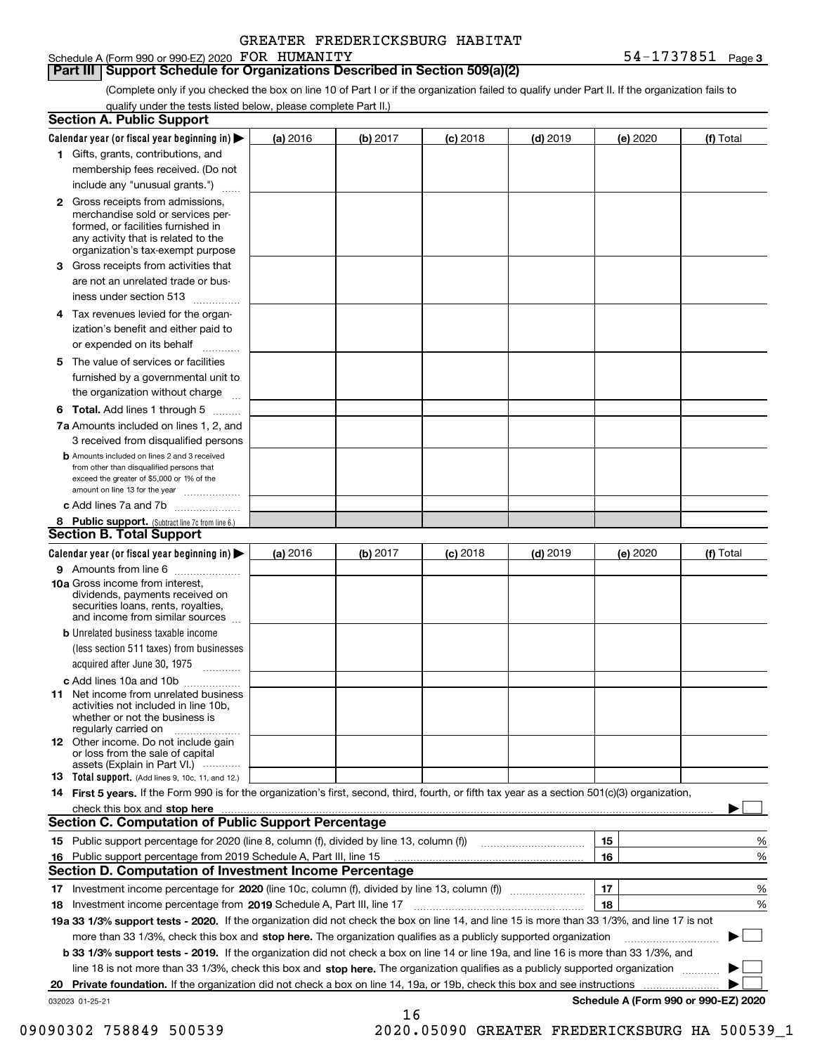### Schedule A (Form 990 or 990-EZ) 2020 Page FOR HUMANITY 54-1737851 **Part III Support Schedule for Organizations Described in Section 509(a)(2)**

(Complete only if you checked the box on line 10 of Part I or if the organization failed to qualify under Part II. If the organization fails to qualify under the tests listed below, please complete Part II.)

|                 | <b>Section A. Public Support</b>                                                                                                                                                                                                              |          |          |                 |            |          |                                      |
|-----------------|-----------------------------------------------------------------------------------------------------------------------------------------------------------------------------------------------------------------------------------------------|----------|----------|-----------------|------------|----------|--------------------------------------|
|                 | Calendar year (or fiscal year beginning in) $\blacktriangleright$                                                                                                                                                                             | (a) 2016 | (b) 2017 | <b>(c)</b> 2018 | $(d)$ 2019 | (e) 2020 | (f) Total                            |
|                 | 1 Gifts, grants, contributions, and                                                                                                                                                                                                           |          |          |                 |            |          |                                      |
|                 | membership fees received. (Do not                                                                                                                                                                                                             |          |          |                 |            |          |                                      |
|                 | include any "unusual grants.")                                                                                                                                                                                                                |          |          |                 |            |          |                                      |
|                 | <b>2</b> Gross receipts from admissions,<br>merchandise sold or services per-<br>formed, or facilities furnished in<br>any activity that is related to the<br>organization's tax-exempt purpose                                               |          |          |                 |            |          |                                      |
|                 | 3 Gross receipts from activities that<br>are not an unrelated trade or bus-                                                                                                                                                                   |          |          |                 |            |          |                                      |
|                 | iness under section 513                                                                                                                                                                                                                       |          |          |                 |            |          |                                      |
|                 | 4 Tax revenues levied for the organ-<br>ization's benefit and either paid to<br>or expended on its behalf                                                                                                                                     |          |          |                 |            |          |                                      |
|                 | .<br>5 The value of services or facilities                                                                                                                                                                                                    |          |          |                 |            |          |                                      |
|                 | furnished by a governmental unit to<br>the organization without charge                                                                                                                                                                        |          |          |                 |            |          |                                      |
|                 | <b>6 Total.</b> Add lines 1 through 5                                                                                                                                                                                                         |          |          |                 |            |          |                                      |
|                 | 7a Amounts included on lines 1, 2, and<br>3 received from disqualified persons                                                                                                                                                                |          |          |                 |            |          |                                      |
|                 | <b>b</b> Amounts included on lines 2 and 3 received<br>from other than disqualified persons that<br>exceed the greater of \$5,000 or 1% of the<br>amount on line 13 for the year                                                              |          |          |                 |            |          |                                      |
|                 | c Add lines 7a and 7b                                                                                                                                                                                                                         |          |          |                 |            |          |                                      |
|                 | 8 Public support. (Subtract line 7c from line 6.)                                                                                                                                                                                             |          |          |                 |            |          |                                      |
|                 | <b>Section B. Total Support</b>                                                                                                                                                                                                               |          |          |                 |            |          |                                      |
|                 | Calendar year (or fiscal year beginning in)                                                                                                                                                                                                   | (a) 2016 | (b) 2017 | <b>(c)</b> 2018 | $(d)$ 2019 | (e) 2020 | (f) Total                            |
|                 | 9 Amounts from line 6<br>.                                                                                                                                                                                                                    |          |          |                 |            |          |                                      |
|                 | 10a Gross income from interest,<br>dividends, payments received on<br>securities loans, rents, royalties,<br>and income from similar sources                                                                                                  |          |          |                 |            |          |                                      |
|                 | <b>b</b> Unrelated business taxable income                                                                                                                                                                                                    |          |          |                 |            |          |                                      |
|                 | (less section 511 taxes) from businesses<br>acquired after June 30, 1975                                                                                                                                                                      |          |          |                 |            |          |                                      |
|                 | c Add lines 10a and 10b                                                                                                                                                                                                                       |          |          |                 |            |          |                                      |
|                 | <b>11</b> Net income from unrelated business<br>activities not included in line 10b,<br>whether or not the business is<br>regularly carried on                                                                                                |          |          |                 |            |          |                                      |
|                 | <b>12</b> Other income. Do not include gain<br>or loss from the sale of capital<br>assets (Explain in Part VI.)                                                                                                                               |          |          |                 |            |          |                                      |
|                 | 13 Total support. (Add lines 9, 10c, 11, and 12.)                                                                                                                                                                                             |          |          |                 |            |          |                                      |
|                 | 14 First 5 years. If the Form 990 is for the organization's first, second, third, fourth, or fifth tax year as a section 501(c)(3) organization,                                                                                              |          |          |                 |            |          |                                      |
|                 | check this box and stop here <b>contractly contractly and stop here</b> contractly and stop here <b>contractly and stop here</b> contractly and stop here <b>contractly and stop here</b> contractly and and stop here contractly and stop he |          |          |                 |            |          |                                      |
|                 | <b>Section C. Computation of Public Support Percentage</b>                                                                                                                                                                                    |          |          |                 |            |          |                                      |
|                 | 15 Public support percentage for 2020 (line 8, column (f), divided by line 13, column (f))                                                                                                                                                    |          |          |                 |            | 15       | %                                    |
|                 | 16 Public support percentage from 2019 Schedule A, Part III, line 15                                                                                                                                                                          |          |          |                 |            | 16       | %                                    |
|                 | Section D. Computation of Investment Income Percentage                                                                                                                                                                                        |          |          |                 |            |          |                                      |
|                 |                                                                                                                                                                                                                                               |          |          |                 |            | 17       | %                                    |
|                 | 18 Investment income percentage from 2019 Schedule A, Part III, line 17                                                                                                                                                                       |          |          |                 |            | 18       | %                                    |
|                 | 19a 33 1/3% support tests - 2020. If the organization did not check the box on line 14, and line 15 is more than 33 1/3%, and line 17 is not                                                                                                  |          |          |                 |            |          |                                      |
|                 | more than 33 1/3%, check this box and stop here. The organization qualifies as a publicly supported organization                                                                                                                              |          |          |                 |            |          |                                      |
|                 | b 33 1/3% support tests - 2019. If the organization did not check a box on line 14 or line 19a, and line 16 is more than 33 1/3%, and                                                                                                         |          |          |                 |            |          |                                      |
|                 | line 18 is not more than 33 1/3%, check this box and stop here. The organization qualifies as a publicly supported organization                                                                                                               |          |          |                 |            |          |                                      |
| 20              |                                                                                                                                                                                                                                               |          |          |                 |            |          |                                      |
| 032023 01-25-21 |                                                                                                                                                                                                                                               |          | 16       |                 |            |          | Schedule A (Form 990 or 990-EZ) 2020 |

09090302 758849 500539 2020.05090 GREATER FREDERICKSBURG HA 500539\_1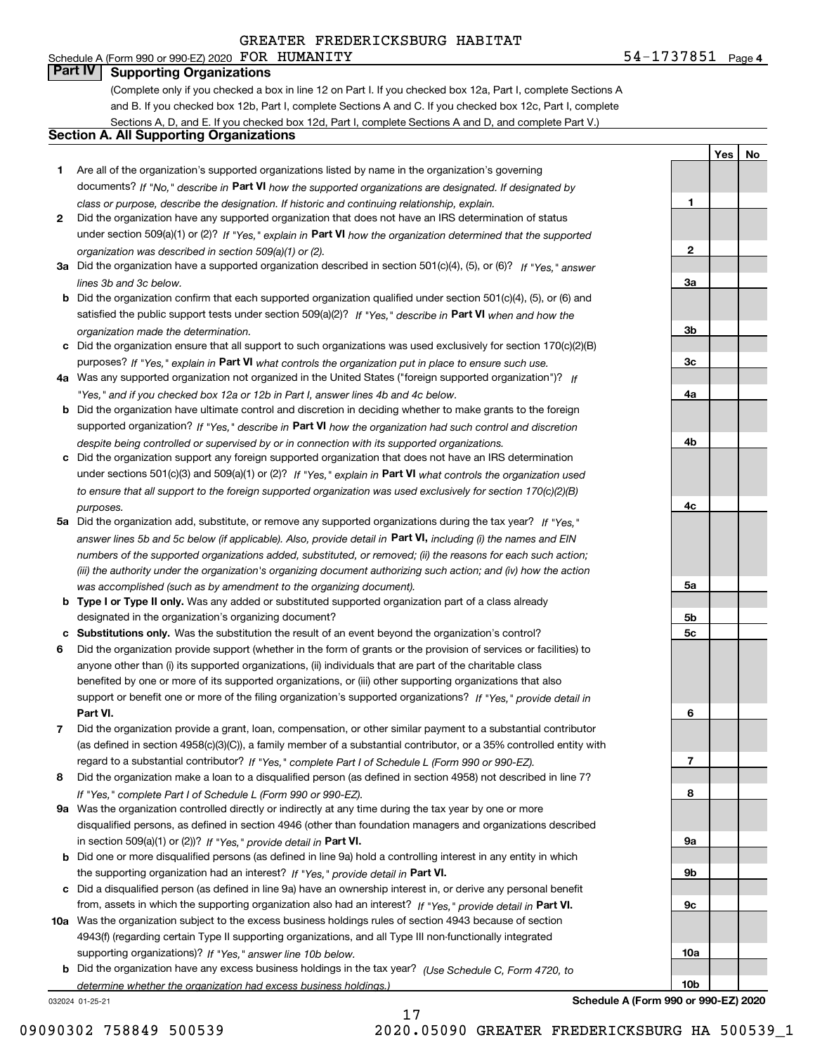## Schedule A (Form 990 or 990-EZ) 2020 Page FOR HUMANITY 54-1737851

**Part IV Supporting Organizations**

(Complete only if you checked a box in line 12 on Part I. If you checked box 12a, Part I, complete Sections A and B. If you checked box 12b, Part I, complete Sections A and C. If you checked box 12c, Part I, complete Sections A, D, and E. If you checked box 12d, Part I, complete Sections A and D, and complete Part V.)

## **Section A. All Supporting Organizations**

- **1** Are all of the organization's supported organizations listed by name in the organization's governing documents? If "No," describe in **Part VI** how the supported organizations are designated. If designated by *class or purpose, describe the designation. If historic and continuing relationship, explain.*
- **2** Did the organization have any supported organization that does not have an IRS determination of status under section 509(a)(1) or (2)? If "Yes," explain in Part VI how the organization determined that the supported *organization was described in section 509(a)(1) or (2).*
- **3a** Did the organization have a supported organization described in section 501(c)(4), (5), or (6)? If "Yes," answer *lines 3b and 3c below.*
- **b** Did the organization confirm that each supported organization qualified under section 501(c)(4), (5), or (6) and satisfied the public support tests under section 509(a)(2)? If "Yes," describe in **Part VI** when and how the *organization made the determination.*
- **c**Did the organization ensure that all support to such organizations was used exclusively for section 170(c)(2)(B) purposes? If "Yes," explain in **Part VI** what controls the organization put in place to ensure such use.
- **4a***If* Was any supported organization not organized in the United States ("foreign supported organization")? *"Yes," and if you checked box 12a or 12b in Part I, answer lines 4b and 4c below.*
- **b** Did the organization have ultimate control and discretion in deciding whether to make grants to the foreign supported organization? If "Yes," describe in **Part VI** how the organization had such control and discretion *despite being controlled or supervised by or in connection with its supported organizations.*
- **c** Did the organization support any foreign supported organization that does not have an IRS determination under sections 501(c)(3) and 509(a)(1) or (2)? If "Yes," explain in **Part VI** what controls the organization used *to ensure that all support to the foreign supported organization was used exclusively for section 170(c)(2)(B) purposes.*
- **5a** Did the organization add, substitute, or remove any supported organizations during the tax year? If "Yes," answer lines 5b and 5c below (if applicable). Also, provide detail in **Part VI,** including (i) the names and EIN *numbers of the supported organizations added, substituted, or removed; (ii) the reasons for each such action; (iii) the authority under the organization's organizing document authorizing such action; and (iv) how the action was accomplished (such as by amendment to the organizing document).*
- **b** Type I or Type II only. Was any added or substituted supported organization part of a class already designated in the organization's organizing document?
- **cSubstitutions only.**  Was the substitution the result of an event beyond the organization's control?
- **6** Did the organization provide support (whether in the form of grants or the provision of services or facilities) to **Part VI.** *If "Yes," provide detail in* support or benefit one or more of the filing organization's supported organizations? anyone other than (i) its supported organizations, (ii) individuals that are part of the charitable class benefited by one or more of its supported organizations, or (iii) other supporting organizations that also
- **7**Did the organization provide a grant, loan, compensation, or other similar payment to a substantial contributor *If "Yes," complete Part I of Schedule L (Form 990 or 990-EZ).* regard to a substantial contributor? (as defined in section 4958(c)(3)(C)), a family member of a substantial contributor, or a 35% controlled entity with
- **8** Did the organization make a loan to a disqualified person (as defined in section 4958) not described in line 7? *If "Yes," complete Part I of Schedule L (Form 990 or 990-EZ).*
- **9a** Was the organization controlled directly or indirectly at any time during the tax year by one or more in section 509(a)(1) or (2))? If "Yes," *provide detail in* <code>Part VI.</code> disqualified persons, as defined in section 4946 (other than foundation managers and organizations described
- **b**the supporting organization had an interest? If "Yes," provide detail in P**art VI**. Did one or more disqualified persons (as defined in line 9a) hold a controlling interest in any entity in which
- **c**Did a disqualified person (as defined in line 9a) have an ownership interest in, or derive any personal benefit from, assets in which the supporting organization also had an interest? If "Yes," provide detail in P**art VI.**
- **10a** Was the organization subject to the excess business holdings rules of section 4943 because of section supporting organizations)? If "Yes," answer line 10b below. 4943(f) (regarding certain Type II supporting organizations, and all Type III non-functionally integrated
- **b** Did the organization have any excess business holdings in the tax year? (Use Schedule C, Form 4720, to *determine whether the organization had excess business holdings.)*

032024 01-25-21

**4b4c5a 5b5c6789a 9b9c10a10bSchedule A (Form 990 or 990-EZ) 2020**

17 09090302 758849 500539 2020.05090 GREATER FREDERICKSBURG HA 500539\_1

**1**

**2**

**3a**

**3b**

**3c**

**4a**

**YesNo**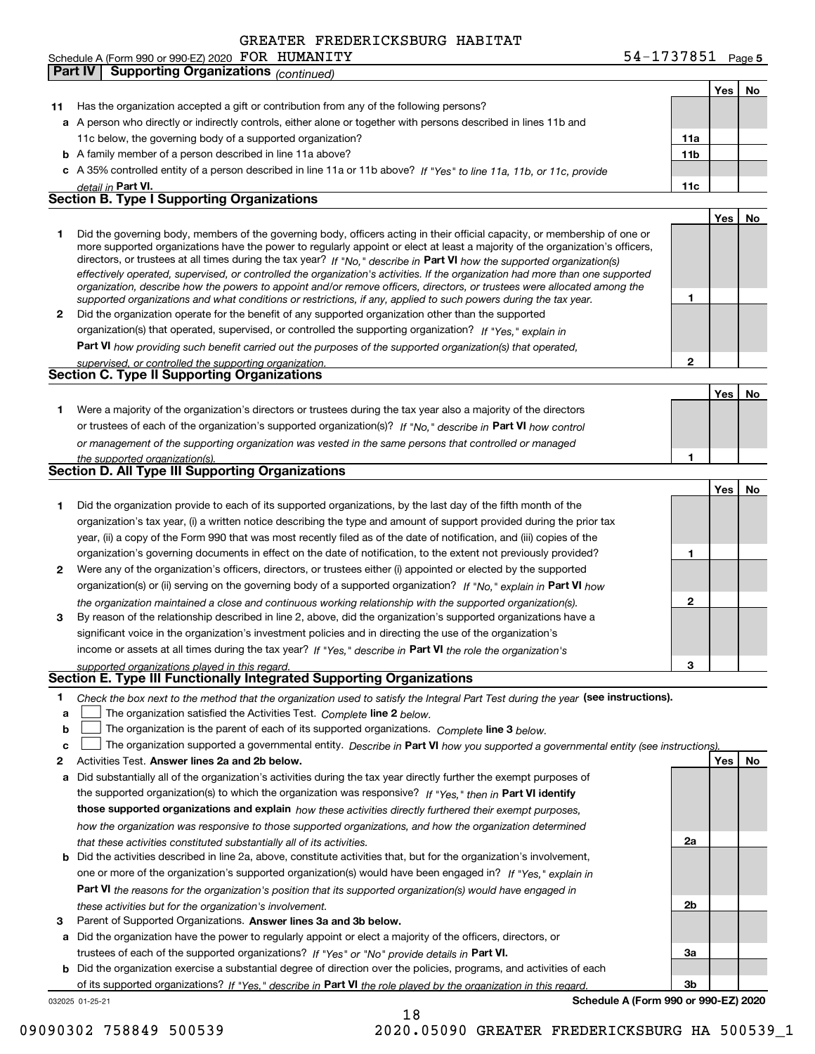|    | <b>Supporting Organizations (continued)</b><br>Part IV                                                                                                                                                                                                                                                                                                                                                                                                                                                                   |                 |     |    |
|----|--------------------------------------------------------------------------------------------------------------------------------------------------------------------------------------------------------------------------------------------------------------------------------------------------------------------------------------------------------------------------------------------------------------------------------------------------------------------------------------------------------------------------|-----------------|-----|----|
|    |                                                                                                                                                                                                                                                                                                                                                                                                                                                                                                                          |                 | Yes | No |
| 11 | Has the organization accepted a gift or contribution from any of the following persons?                                                                                                                                                                                                                                                                                                                                                                                                                                  |                 |     |    |
|    | a A person who directly or indirectly controls, either alone or together with persons described in lines 11b and                                                                                                                                                                                                                                                                                                                                                                                                         |                 |     |    |
|    | 11c below, the governing body of a supported organization?                                                                                                                                                                                                                                                                                                                                                                                                                                                               | 11a             |     |    |
|    | <b>b</b> A family member of a person described in line 11a above?                                                                                                                                                                                                                                                                                                                                                                                                                                                        | 11 <sub>b</sub> |     |    |
|    | c A 35% controlled entity of a person described in line 11a or 11b above? If "Yes" to line 11a, 11b, or 11c, provide                                                                                                                                                                                                                                                                                                                                                                                                     |                 |     |    |
|    | detail in Part VI.                                                                                                                                                                                                                                                                                                                                                                                                                                                                                                       | 11c             |     |    |
|    | <b>Section B. Type I Supporting Organizations</b>                                                                                                                                                                                                                                                                                                                                                                                                                                                                        |                 |     |    |
|    |                                                                                                                                                                                                                                                                                                                                                                                                                                                                                                                          |                 | Yes | No |
| 1  | Did the governing body, members of the governing body, officers acting in their official capacity, or membership of one or<br>more supported organizations have the power to regularly appoint or elect at least a majority of the organization's officers,<br>directors, or trustees at all times during the tax year? If "No," describe in Part VI how the supported organization(s)<br>effectively operated, supervised, or controlled the organization's activities. If the organization had more than one supported |                 |     |    |
| 2  | organization, describe how the powers to appoint and/or remove officers, directors, or trustees were allocated among the<br>supported organizations and what conditions or restrictions, if any, applied to such powers during the tax year.<br>Did the organization operate for the benefit of any supported organization other than the supported                                                                                                                                                                      | 1               |     |    |
|    | organization(s) that operated, supervised, or controlled the supporting organization? If "Yes," explain in                                                                                                                                                                                                                                                                                                                                                                                                               |                 |     |    |
|    | Part VI how providing such benefit carried out the purposes of the supported organization(s) that operated,                                                                                                                                                                                                                                                                                                                                                                                                              |                 |     |    |
|    | supervised, or controlled the supporting organization.                                                                                                                                                                                                                                                                                                                                                                                                                                                                   | $\overline{2}$  |     |    |
|    | <b>Section C. Type II Supporting Organizations</b>                                                                                                                                                                                                                                                                                                                                                                                                                                                                       |                 |     |    |
|    |                                                                                                                                                                                                                                                                                                                                                                                                                                                                                                                          |                 | Yes | No |
| 1  | Were a majority of the organization's directors or trustees during the tax year also a majority of the directors                                                                                                                                                                                                                                                                                                                                                                                                         |                 |     |    |
|    | or trustees of each of the organization's supported organization(s)? If "No," describe in Part VI how control                                                                                                                                                                                                                                                                                                                                                                                                            |                 |     |    |
|    | or management of the supporting organization was vested in the same persons that controlled or managed                                                                                                                                                                                                                                                                                                                                                                                                                   |                 |     |    |
|    | the supported organization(s).                                                                                                                                                                                                                                                                                                                                                                                                                                                                                           | 1               |     |    |
|    | <b>Section D. All Type III Supporting Organizations</b>                                                                                                                                                                                                                                                                                                                                                                                                                                                                  |                 |     |    |
|    |                                                                                                                                                                                                                                                                                                                                                                                                                                                                                                                          |                 | Yes | No |
| 1  | Did the organization provide to each of its supported organizations, by the last day of the fifth month of the                                                                                                                                                                                                                                                                                                                                                                                                           |                 |     |    |
|    | organization's tax year, (i) a written notice describing the type and amount of support provided during the prior tax                                                                                                                                                                                                                                                                                                                                                                                                    |                 |     |    |
|    | year, (ii) a copy of the Form 990 that was most recently filed as of the date of notification, and (iii) copies of the                                                                                                                                                                                                                                                                                                                                                                                                   |                 |     |    |
|    | organization's governing documents in effect on the date of notification, to the extent not previously provided?                                                                                                                                                                                                                                                                                                                                                                                                         | 1               |     |    |
| 2  | Were any of the organization's officers, directors, or trustees either (i) appointed or elected by the supported                                                                                                                                                                                                                                                                                                                                                                                                         |                 |     |    |
|    | organization(s) or (ii) serving on the governing body of a supported organization? If "No." explain in Part VI how                                                                                                                                                                                                                                                                                                                                                                                                       |                 |     |    |
|    | the organization maintained a close and continuous working relationship with the supported organization(s).                                                                                                                                                                                                                                                                                                                                                                                                              | $\mathbf 2$     |     |    |
| 3  | By reason of the relationship described in line 2, above, did the organization's supported organizations have a                                                                                                                                                                                                                                                                                                                                                                                                          |                 |     |    |
|    | significant voice in the organization's investment policies and in directing the use of the organization's                                                                                                                                                                                                                                                                                                                                                                                                               |                 |     |    |
|    | income or assets at all times during the tax year? If "Yes," describe in Part VI the role the organization's                                                                                                                                                                                                                                                                                                                                                                                                             |                 |     |    |
|    | supported organizations played in this regard.                                                                                                                                                                                                                                                                                                                                                                                                                                                                           | 3               |     |    |
|    | Section E. Type III Functionally Integrated Supporting Organizations                                                                                                                                                                                                                                                                                                                                                                                                                                                     |                 |     |    |
| 1  | Check the box next to the method that the organization used to satisfy the Integral Part Test during the year (see instructions).                                                                                                                                                                                                                                                                                                                                                                                        |                 |     |    |
| а  | The organization satisfied the Activities Test. Complete line 2 below.                                                                                                                                                                                                                                                                                                                                                                                                                                                   |                 |     |    |
| b  | The organization is the parent of each of its supported organizations. Complete line 3 below.                                                                                                                                                                                                                                                                                                                                                                                                                            |                 |     |    |
| с  | The organization supported a governmental entity. Describe in Part VI how you supported a governmental entity (see instructions)                                                                                                                                                                                                                                                                                                                                                                                         |                 |     |    |
| 2  | Activities Test. Answer lines 2a and 2b below.                                                                                                                                                                                                                                                                                                                                                                                                                                                                           |                 | Yes | No |
| а  | Did substantially all of the organization's activities during the tax year directly further the exempt purposes of                                                                                                                                                                                                                                                                                                                                                                                                       |                 |     |    |
|    | the supported organization(s) to which the organization was responsive? If "Yes." then in Part VI identify                                                                                                                                                                                                                                                                                                                                                                                                               |                 |     |    |
|    | those supported organizations and explain how these activities directly furthered their exempt purposes,                                                                                                                                                                                                                                                                                                                                                                                                                 |                 |     |    |
|    | how the organization was responsive to those supported organizations, and how the organization determined                                                                                                                                                                                                                                                                                                                                                                                                                |                 |     |    |
|    | that these activities constituted substantially all of its activities.                                                                                                                                                                                                                                                                                                                                                                                                                                                   | 2a              |     |    |

- **b** Did the activities described in line 2a, above, constitute activities that, but for the organization's involvement, **Part VI**  *the reasons for the organization's position that its supported organization(s) would have engaged in* one or more of the organization's supported organization(s) would have been engaged in? If "Yes," e*xplain in these activities but for the organization's involvement.*
- **3**Parent of Supported Organizations. Answer lines 3a and 3b below.

**a** Did the organization have the power to regularly appoint or elect a majority of the officers, directors, or trustees of each of the supported organizations? If "Yes" or "No" provide details in **Part VI.** 

032025 01-25-21 **b** Did the organization exercise a substantial degree of direction over the policies, programs, and activities of each of its supported organizations? If "Yes," describe in Part VI the role played by the organization in this regard.

**Schedule A (Form 990 or 990-EZ) 2020**

**2b**

**3a**

**3b**

#### 54-1737851 Page 5 Schedule A (Form 990 or 990-EZ) 2020 Page FOR HUMANITY 54-1737851

09090302 758849 500539 2020.05090 GREATER FREDERICKSBURG HA 500539\_1

18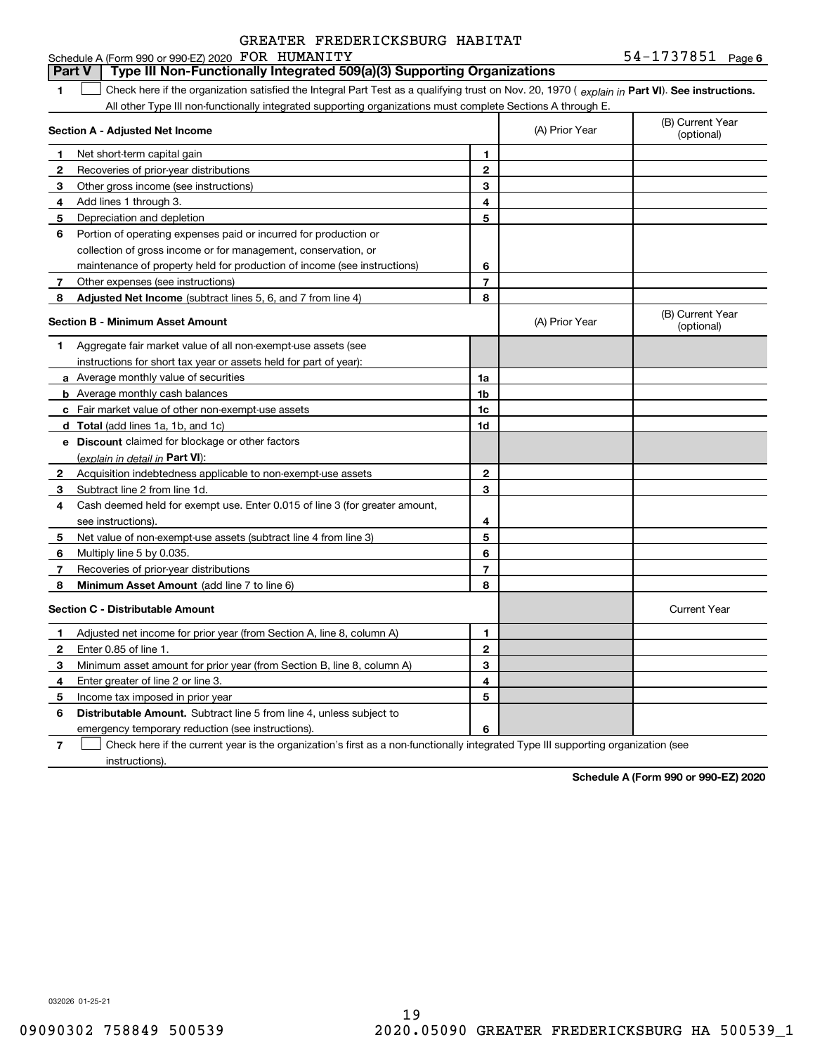#### **1Part VI** Check here if the organization satisfied the Integral Part Test as a qualifying trust on Nov. 20, 1970 ( explain in Part **VI**). See instructions. **Section A - Adjusted Net Income 123** Other gross income (see instructions) **456** Portion of operating expenses paid or incurred for production or **7** Other expenses (see instructions) **8** Adjusted Net Income (subtract lines 5, 6, and 7 from line 4) **8 8 1234567Section B - Minimum Asset Amount 1**Aggregate fair market value of all non-exempt-use assets (see **2**Acquisition indebtedness applicable to non-exempt-use assets **3** Subtract line 2 from line 1d. **4**Cash deemed held for exempt use. Enter 0.015 of line 3 (for greater amount, **5** Net value of non-exempt-use assets (subtract line 4 from line 3) **678a** Average monthly value of securities **b** Average monthly cash balances **c**Fair market value of other non-exempt-use assets **dTotal**  (add lines 1a, 1b, and 1c) **eDiscount** claimed for blockage or other factors **1a1b1c1d2345678**(explain in detail in Part VI): **Minimum Asset Amount**  (add line 7 to line 6) **Section C - Distributable Amount 123456123456Distributable Amount.** Subtract line 5 from line 4, unless subject to All other Type III non-functionally integrated supporting organizations must complete Sections A through E. (B) Current Year (optional)(A) Prior Year Net short-term capital gain Recoveries of prior-year distributions Add lines 1 through 3. Depreciation and depletion collection of gross income or for management, conservation, or maintenance of property held for production of income (see instructions) (B) Current Year (optional)(A) Prior Year instructions for short tax year or assets held for part of year): see instructions). Multiply line 5 by 0.035. Recoveries of prior-year distributions Current Year Adjusted net income for prior year (from Section A, line 8, column A) Enter 0.85 of line 1. Minimum asset amount for prior year (from Section B, line 8, column A) Enter greater of line 2 or line 3. Income tax imposed in prior year emergency temporary reduction (see instructions). **Part V Type III Non-Functionally Integrated 509(a)(3) Supporting Organizations**   $\mathcal{L}^{\text{max}}$

**7**Check here if the current year is the organization's first as a non-functionally integrated Type III supporting organization (see instructions). $\mathcal{L}^{\text{max}}$ 

**Schedule A (Form 990 or 990-EZ) 2020**

032026 01-25-21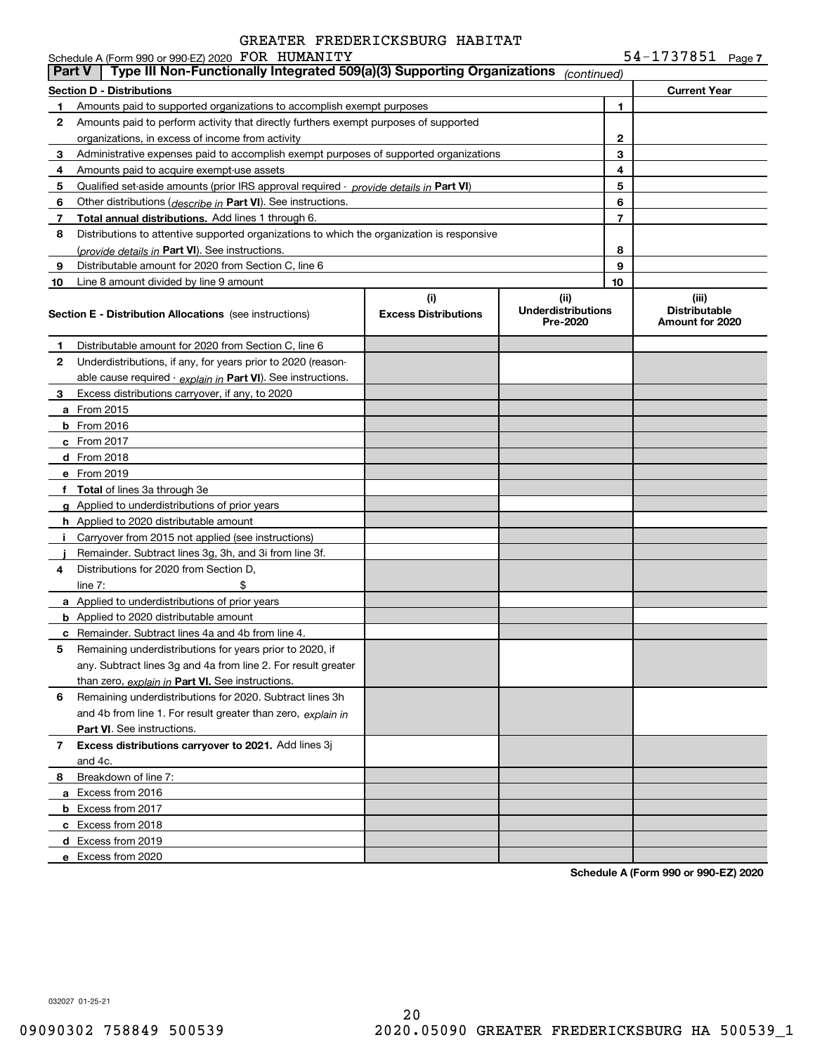54-1737851 Page 7

|               | Schedule A (Form 990 or 990-EZ) 2020 FOR HUMANITY                                          |                                    |                                               |    | $54 - 1737851$ Page 7                            |  |
|---------------|--------------------------------------------------------------------------------------------|------------------------------------|-----------------------------------------------|----|--------------------------------------------------|--|
| <b>Part V</b> | Type III Non-Functionally Integrated 509(a)(3) Supporting Organizations                    |                                    | (continued)                                   |    |                                                  |  |
|               | <b>Section D - Distributions</b>                                                           |                                    |                                               |    | <b>Current Year</b>                              |  |
| 1.            | Amounts paid to supported organizations to accomplish exempt purposes                      |                                    |                                               | 1  |                                                  |  |
| 2             | Amounts paid to perform activity that directly furthers exempt purposes of supported       |                                    |                                               |    |                                                  |  |
|               | organizations, in excess of income from activity                                           |                                    |                                               | 2  |                                                  |  |
| 3             | Administrative expenses paid to accomplish exempt purposes of supported organizations      |                                    |                                               | 3  |                                                  |  |
| 4             | Amounts paid to acquire exempt-use assets                                                  |                                    |                                               | 4  |                                                  |  |
| 5             | Qualified set-aside amounts (prior IRS approval required - provide details in Part VI)     |                                    |                                               | 5  |                                                  |  |
| 6             | Other distributions ( <i>describe in</i> Part VI). See instructions.                       |                                    |                                               | 6  |                                                  |  |
| 7             | Total annual distributions. Add lines 1 through 6.                                         |                                    |                                               | 7  |                                                  |  |
| 8             | Distributions to attentive supported organizations to which the organization is responsive |                                    |                                               |    |                                                  |  |
|               | (provide details in Part VI). See instructions.                                            |                                    |                                               | 8  |                                                  |  |
| 9             | Distributable amount for 2020 from Section C, line 6                                       |                                    |                                               | 9  |                                                  |  |
| 10            | Line 8 amount divided by line 9 amount                                                     |                                    |                                               | 10 |                                                  |  |
|               | <b>Section E - Distribution Allocations</b> (see instructions)                             | (i)<br><b>Excess Distributions</b> | (ii)<br><b>Underdistributions</b><br>Pre-2020 |    | (iii)<br><b>Distributable</b><br>Amount for 2020 |  |
| 1             | Distributable amount for 2020 from Section C, line 6                                       |                                    |                                               |    |                                                  |  |
| 2             | Underdistributions, if any, for years prior to 2020 (reason-                               |                                    |                                               |    |                                                  |  |
|               | able cause required - explain in Part VI). See instructions.                               |                                    |                                               |    |                                                  |  |
| 3             | Excess distributions carryover, if any, to 2020                                            |                                    |                                               |    |                                                  |  |
|               | <b>a</b> From 2015                                                                         |                                    |                                               |    |                                                  |  |
|               | <b>b</b> From 2016                                                                         |                                    |                                               |    |                                                  |  |
|               | <b>c</b> From 2017                                                                         |                                    |                                               |    |                                                  |  |
|               | d From 2018                                                                                |                                    |                                               |    |                                                  |  |
|               | e From 2019                                                                                |                                    |                                               |    |                                                  |  |
|               | f Total of lines 3a through 3e                                                             |                                    |                                               |    |                                                  |  |
|               | g Applied to underdistributions of prior years                                             |                                    |                                               |    |                                                  |  |
|               | <b>h</b> Applied to 2020 distributable amount                                              |                                    |                                               |    |                                                  |  |
|               | Carryover from 2015 not applied (see instructions)                                         |                                    |                                               |    |                                                  |  |
|               | Remainder. Subtract lines 3g, 3h, and 3i from line 3f.                                     |                                    |                                               |    |                                                  |  |
| 4             | Distributions for 2020 from Section D.                                                     |                                    |                                               |    |                                                  |  |
|               | \$<br>line $7:$                                                                            |                                    |                                               |    |                                                  |  |
|               | a Applied to underdistributions of prior years                                             |                                    |                                               |    |                                                  |  |
|               | <b>b</b> Applied to 2020 distributable amount                                              |                                    |                                               |    |                                                  |  |
|               | <b>c</b> Remainder. Subtract lines 4a and 4b from line 4.                                  |                                    |                                               |    |                                                  |  |
|               | Remaining underdistributions for years prior to 2020, if                                   |                                    |                                               |    |                                                  |  |
|               | any. Subtract lines 3g and 4a from line 2. For result greater                              |                                    |                                               |    |                                                  |  |
|               | than zero, explain in Part VI. See instructions.                                           |                                    |                                               |    |                                                  |  |
| 6             | Remaining underdistributions for 2020. Subtract lines 3h                                   |                                    |                                               |    |                                                  |  |
|               | and 4b from line 1. For result greater than zero, explain in                               |                                    |                                               |    |                                                  |  |
|               | <b>Part VI.</b> See instructions.                                                          |                                    |                                               |    |                                                  |  |
| 7             | Excess distributions carryover to 2021. Add lines 3j                                       |                                    |                                               |    |                                                  |  |
|               | and 4c.                                                                                    |                                    |                                               |    |                                                  |  |
| 8             | Breakdown of line 7:                                                                       |                                    |                                               |    |                                                  |  |
|               | a Excess from 2016                                                                         |                                    |                                               |    |                                                  |  |
|               | <b>b</b> Excess from 2017                                                                  |                                    |                                               |    |                                                  |  |
|               | c Excess from 2018                                                                         |                                    |                                               |    |                                                  |  |
|               | d Excess from 2019                                                                         |                                    |                                               |    |                                                  |  |
|               | e Excess from 2020                                                                         |                                    |                                               |    |                                                  |  |
|               |                                                                                            |                                    |                                               |    |                                                  |  |

**Schedule A (Form 990 or 990-EZ) 2020**

032027 01-25-21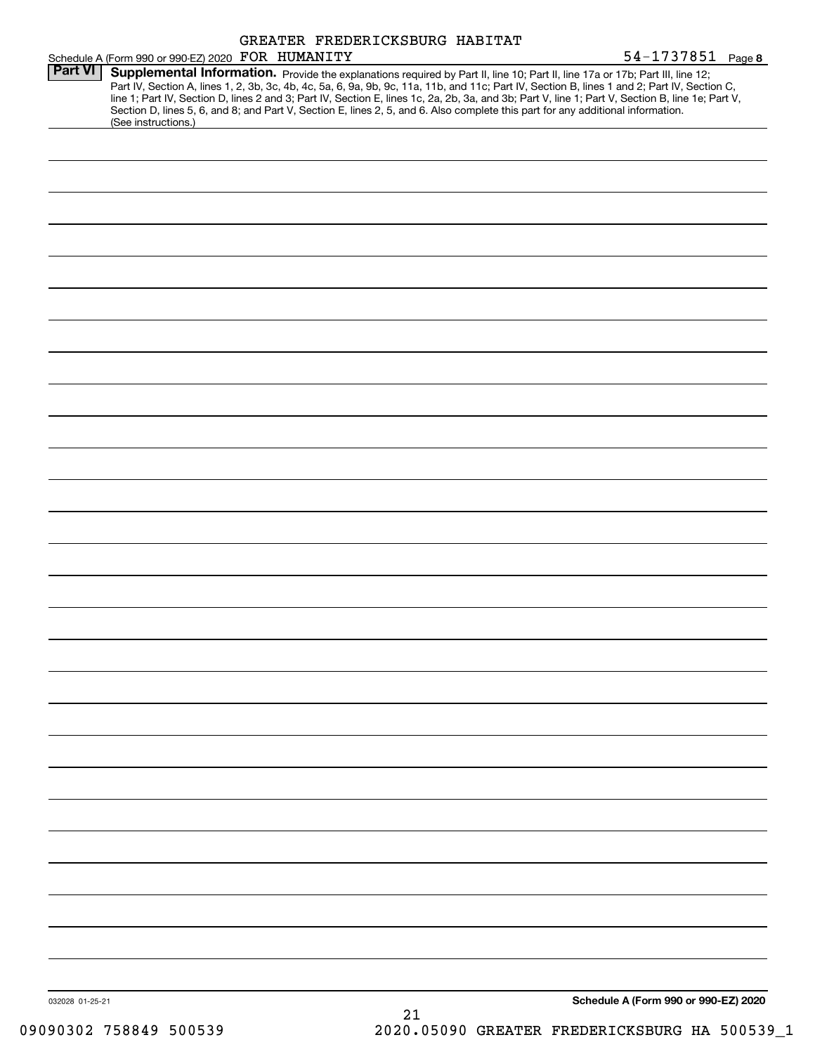|                 |                                                                                                                                                                                                                                                                                                                                                                                                                                                                                                                                                                                             |  | GREATER FREDERICKSBURG HABITAT |                                      |
|-----------------|---------------------------------------------------------------------------------------------------------------------------------------------------------------------------------------------------------------------------------------------------------------------------------------------------------------------------------------------------------------------------------------------------------------------------------------------------------------------------------------------------------------------------------------------------------------------------------------------|--|--------------------------------|--------------------------------------|
|                 | Schedule A (Form 990 or 990-EZ) 2020 FOR HUMANITY                                                                                                                                                                                                                                                                                                                                                                                                                                                                                                                                           |  |                                | $54 - 1737851$ Page 8                |
| <b>Part VI</b>  | Supplemental Information. Provide the explanations required by Part II, line 10; Part II, line 17a or 17b; Part III, line 12;<br>Part IV, Section A, lines 1, 2, 3b, 3c, 4b, 4c, 5a, 6, 9a, 9b, 9c, 11a, 11b, and 11c; Part IV, Section B, lines 1 and 2; Part IV, Section C,<br>line 1; Part IV, Section D, lines 2 and 3; Part IV, Section E, lines 1c, 2a, 2b, 3a, and 3b; Part V, line 1; Part V, Section B, line 1e; Part V,<br>Section D, lines 5, 6, and 8; and Part V, Section E, lines 2, 5, and 6. Also complete this part for any additional information.<br>(See instructions.) |  |                                |                                      |
|                 |                                                                                                                                                                                                                                                                                                                                                                                                                                                                                                                                                                                             |  |                                |                                      |
|                 |                                                                                                                                                                                                                                                                                                                                                                                                                                                                                                                                                                                             |  |                                |                                      |
|                 |                                                                                                                                                                                                                                                                                                                                                                                                                                                                                                                                                                                             |  |                                |                                      |
|                 |                                                                                                                                                                                                                                                                                                                                                                                                                                                                                                                                                                                             |  |                                |                                      |
|                 |                                                                                                                                                                                                                                                                                                                                                                                                                                                                                                                                                                                             |  |                                |                                      |
|                 |                                                                                                                                                                                                                                                                                                                                                                                                                                                                                                                                                                                             |  |                                |                                      |
|                 |                                                                                                                                                                                                                                                                                                                                                                                                                                                                                                                                                                                             |  |                                |                                      |
|                 |                                                                                                                                                                                                                                                                                                                                                                                                                                                                                                                                                                                             |  |                                |                                      |
|                 |                                                                                                                                                                                                                                                                                                                                                                                                                                                                                                                                                                                             |  |                                |                                      |
|                 |                                                                                                                                                                                                                                                                                                                                                                                                                                                                                                                                                                                             |  |                                |                                      |
|                 |                                                                                                                                                                                                                                                                                                                                                                                                                                                                                                                                                                                             |  |                                |                                      |
|                 |                                                                                                                                                                                                                                                                                                                                                                                                                                                                                                                                                                                             |  |                                |                                      |
|                 |                                                                                                                                                                                                                                                                                                                                                                                                                                                                                                                                                                                             |  |                                |                                      |
|                 |                                                                                                                                                                                                                                                                                                                                                                                                                                                                                                                                                                                             |  |                                |                                      |
|                 |                                                                                                                                                                                                                                                                                                                                                                                                                                                                                                                                                                                             |  |                                |                                      |
|                 |                                                                                                                                                                                                                                                                                                                                                                                                                                                                                                                                                                                             |  |                                |                                      |
|                 |                                                                                                                                                                                                                                                                                                                                                                                                                                                                                                                                                                                             |  |                                |                                      |
|                 |                                                                                                                                                                                                                                                                                                                                                                                                                                                                                                                                                                                             |  |                                |                                      |
|                 |                                                                                                                                                                                                                                                                                                                                                                                                                                                                                                                                                                                             |  |                                |                                      |
|                 |                                                                                                                                                                                                                                                                                                                                                                                                                                                                                                                                                                                             |  |                                |                                      |
|                 |                                                                                                                                                                                                                                                                                                                                                                                                                                                                                                                                                                                             |  |                                |                                      |
|                 |                                                                                                                                                                                                                                                                                                                                                                                                                                                                                                                                                                                             |  |                                |                                      |
|                 |                                                                                                                                                                                                                                                                                                                                                                                                                                                                                                                                                                                             |  |                                |                                      |
|                 |                                                                                                                                                                                                                                                                                                                                                                                                                                                                                                                                                                                             |  |                                |                                      |
|                 |                                                                                                                                                                                                                                                                                                                                                                                                                                                                                                                                                                                             |  |                                |                                      |
|                 |                                                                                                                                                                                                                                                                                                                                                                                                                                                                                                                                                                                             |  |                                |                                      |
|                 |                                                                                                                                                                                                                                                                                                                                                                                                                                                                                                                                                                                             |  |                                |                                      |
|                 |                                                                                                                                                                                                                                                                                                                                                                                                                                                                                                                                                                                             |  |                                |                                      |
|                 |                                                                                                                                                                                                                                                                                                                                                                                                                                                                                                                                                                                             |  |                                |                                      |
|                 |                                                                                                                                                                                                                                                                                                                                                                                                                                                                                                                                                                                             |  |                                |                                      |
|                 |                                                                                                                                                                                                                                                                                                                                                                                                                                                                                                                                                                                             |  |                                |                                      |
| 032028 01-25-21 |                                                                                                                                                                                                                                                                                                                                                                                                                                                                                                                                                                                             |  | 01                             | Schedule A (Form 990 or 990-EZ) 2020 |

21 09090302 758849 500539 2020.05090 GREATER FREDERICKSBURG HA 500539\_1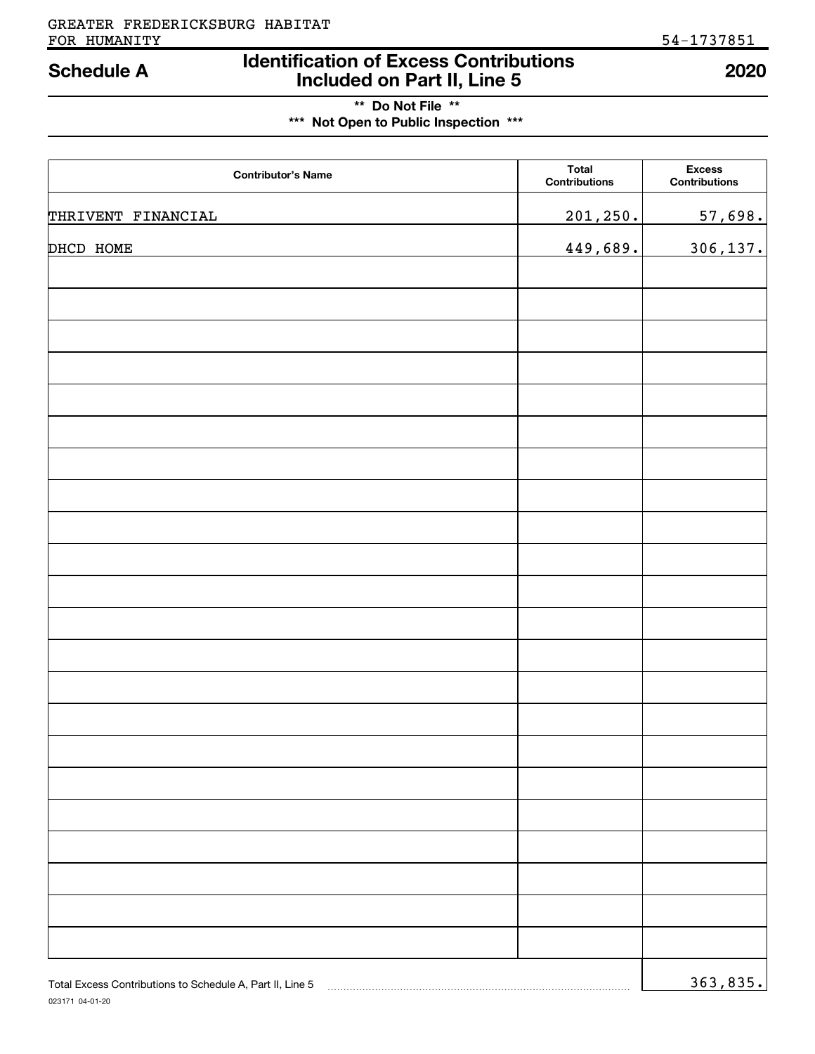## **Identification of Excess Contributions Included on Part II, Line 5 Schedule A 2020**

## **\*\* Do Not File \*\* \*\*\* Not Open to Public Inspection \*\*\***

| <b>Contributor's Name</b> | <b>Total</b><br><b>Contributions</b> | <b>Excess</b><br><b>Contributions</b> |
|---------------------------|--------------------------------------|---------------------------------------|
| THRIVENT FINANCIAL        | 201, 250.                            | 57,698.                               |
| DHCD HOME                 | 449,689.                             | 306,137.                              |
|                           |                                      |                                       |
|                           |                                      |                                       |
|                           |                                      |                                       |
|                           |                                      |                                       |
|                           |                                      |                                       |
|                           |                                      |                                       |
|                           |                                      |                                       |
|                           |                                      |                                       |
|                           |                                      |                                       |
|                           |                                      |                                       |
|                           |                                      |                                       |
|                           |                                      |                                       |
|                           |                                      |                                       |
|                           |                                      |                                       |
|                           |                                      |                                       |
|                           |                                      |                                       |
|                           |                                      |                                       |
|                           |                                      |                                       |
|                           |                                      |                                       |
|                           |                                      |                                       |
|                           |                                      |                                       |
|                           |                                      |                                       |
|                           |                                      |                                       |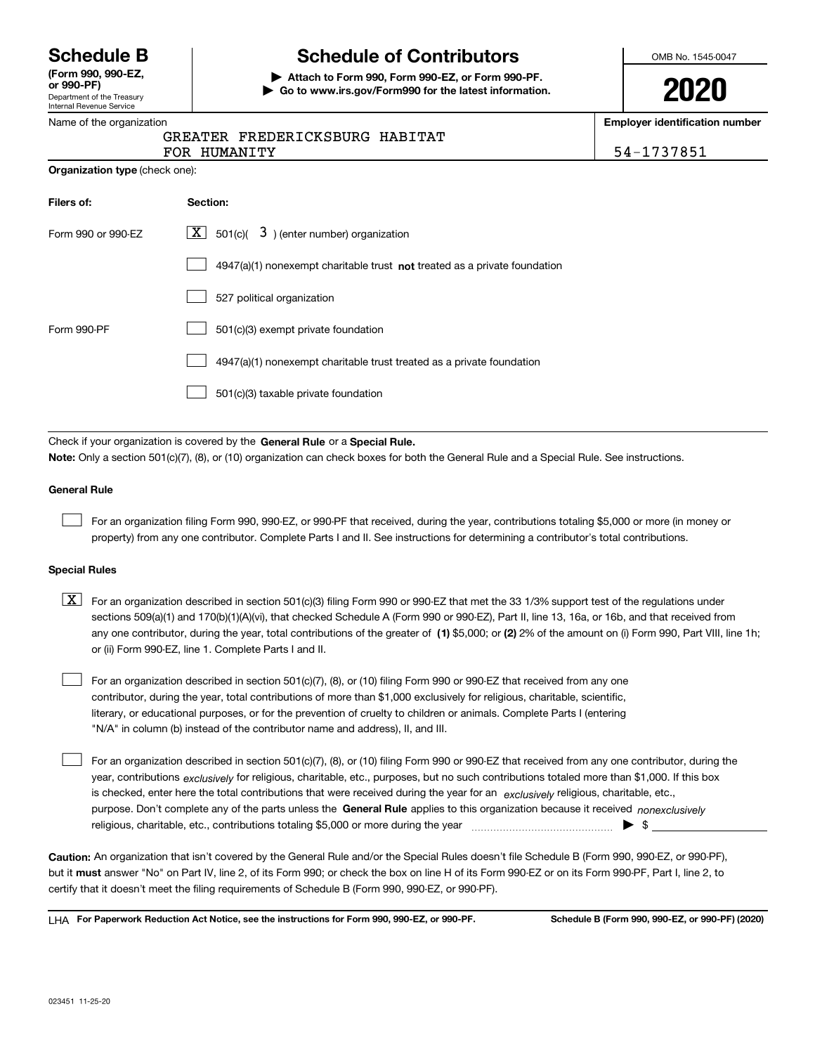Department of the Treasury Internal Revenue Service **(Form 990, 990-EZ, or 990-PF)**

# **Schedule B Schedule of Contributors**

**| Attach to Form 990, Form 990-EZ, or Form 990-PF. | Go to www.irs.gov/Form990 for the latest information.** OMB No. 1545-0047

| J | ſ | ,<br>J | ٦ |
|---|---|--------|---|
|   |   |        |   |

**Employer identification number**

54-1737851

|  | Name of the organization |
|--|--------------------------|
|  |                          |

## GREATER FREDERICKSBURG HABITAT

|                                       | FOR HUMANITY |
|---------------------------------------|--------------|
| <b>Organization type (check one):</b> |              |

| Filers of:         | Section:                                                                    |
|--------------------|-----------------------------------------------------------------------------|
| Form 990 or 990-EZ | $\boxed{\textbf{X}}$ 501(c)( 3) (enter number) organization                 |
|                    | $4947(a)(1)$ nonexempt charitable trust not treated as a private foundation |
|                    | 527 political organization                                                  |
| Form 990-PF        | 501(c)(3) exempt private foundation                                         |
|                    | 4947(a)(1) nonexempt charitable trust treated as a private foundation       |
|                    | 501(c)(3) taxable private foundation                                        |

Check if your organization is covered by the **General Rule** or a **Special Rule. Note:**  Only a section 501(c)(7), (8), or (10) organization can check boxes for both the General Rule and a Special Rule. See instructions.

### **General Rule**

 $\mathcal{L}^{\text{max}}$ 

For an organization filing Form 990, 990-EZ, or 990-PF that received, during the year, contributions totaling \$5,000 or more (in money or property) from any one contributor. Complete Parts I and II. See instructions for determining a contributor's total contributions.

#### **Special Rules**

any one contributor, during the year, total contributions of the greater of  $\,$  (1) \$5,000; or **(2)** 2% of the amount on (i) Form 990, Part VIII, line 1h;  $\boxed{\textbf{X}}$  For an organization described in section 501(c)(3) filing Form 990 or 990-EZ that met the 33 1/3% support test of the regulations under sections 509(a)(1) and 170(b)(1)(A)(vi), that checked Schedule A (Form 990 or 990-EZ), Part II, line 13, 16a, or 16b, and that received from or (ii) Form 990-EZ, line 1. Complete Parts I and II.

For an organization described in section 501(c)(7), (8), or (10) filing Form 990 or 990-EZ that received from any one contributor, during the year, total contributions of more than \$1,000 exclusively for religious, charitable, scientific, literary, or educational purposes, or for the prevention of cruelty to children or animals. Complete Parts I (entering "N/A" in column (b) instead of the contributor name and address), II, and III.  $\mathcal{L}^{\text{max}}$ 

purpose. Don't complete any of the parts unless the **General Rule** applies to this organization because it received *nonexclusively* year, contributions <sub>exclusively</sub> for religious, charitable, etc., purposes, but no such contributions totaled more than \$1,000. If this box is checked, enter here the total contributions that were received during the year for an  $\;$ exclusively religious, charitable, etc., For an organization described in section 501(c)(7), (8), or (10) filing Form 990 or 990-EZ that received from any one contributor, during the religious, charitable, etc., contributions totaling \$5,000 or more during the year  $\Box$ — $\Box$   $\Box$  $\mathcal{L}^{\text{max}}$ 

**Caution:**  An organization that isn't covered by the General Rule and/or the Special Rules doesn't file Schedule B (Form 990, 990-EZ, or 990-PF),  **must** but it answer "No" on Part IV, line 2, of its Form 990; or check the box on line H of its Form 990-EZ or on its Form 990-PF, Part I, line 2, to certify that it doesn't meet the filing requirements of Schedule B (Form 990, 990-EZ, or 990-PF).

**For Paperwork Reduction Act Notice, see the instructions for Form 990, 990-EZ, or 990-PF. Schedule B (Form 990, 990-EZ, or 990-PF) (2020)** LHA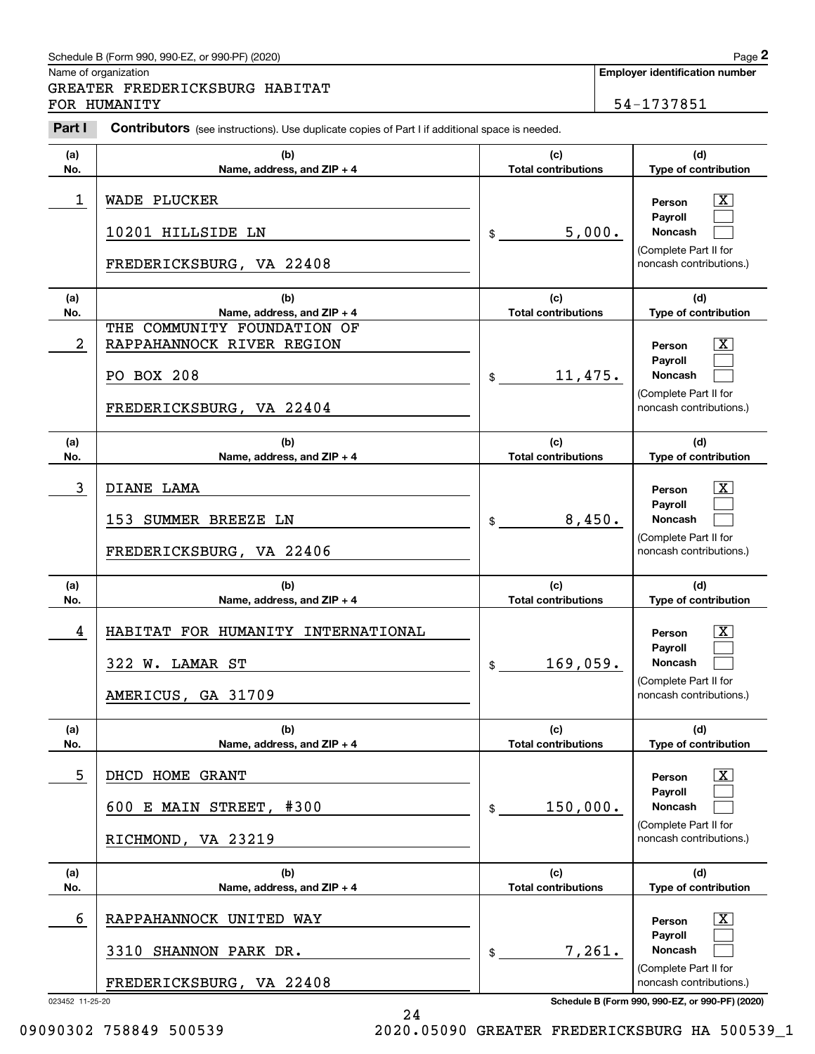## Schedule B (Form 990, 990-EZ, or 990-PF) (2020) **Page 2** Page 2

|             | Schedule B (Form 990, 990-EZ, or 990-PF) (2020)                                                       |                                   |        | Page 2                                                                                           |
|-------------|-------------------------------------------------------------------------------------------------------|-----------------------------------|--------|--------------------------------------------------------------------------------------------------|
|             | Name of organization<br>GREATER FREDERICKSBURG HABITAT<br>FOR HUMANITY                                |                                   |        | <b>Employer identification number</b><br>54-1737851                                              |
| Part I      | <b>Contributors</b> (see instructions). Use duplicate copies of Part I if additional space is needed. |                                   |        |                                                                                                  |
| (a)<br>No.  | (b)<br>Name, address, and ZIP + 4                                                                     | (c)<br><b>Total contributions</b> |        | (d)<br>Type of contribution                                                                      |
| $\mathbf 1$ | <b>WADE PLUCKER</b><br>10201 HILLSIDE LN<br>FREDERICKSBURG, VA 22408                                  | \$                                | 5,000. | X<br>Person<br>Payroll<br>Noncash<br>(Complete Part II for<br>noncash contributions.)            |
| (a)<br>No.  | (b)<br>Name, address, and ZIP + 4                                                                     | (c)<br><b>Total contributions</b> |        | (d)<br>Type of contribution                                                                      |
| 2           | THE COMMUNITY FOUNDATION OF<br>RAPPAHANNOCK RIVER REGION<br>PO BOX 208<br>FREDERICKSBURG, VA 22404    | 11,475.<br>\$                     |        | X<br>Person<br>Payroll<br>Noncash<br>(Complete Part II for<br>noncash contributions.)            |
| (a)<br>No.  | (b)<br>Name, address, and ZIP + 4                                                                     | (c)<br><b>Total contributions</b> |        | (d)<br>Type of contribution                                                                      |
| 3           | DIANE LAMA<br>153 SUMMER BREEZE LN<br>FREDERICKSBURG, VA 22406                                        | \$                                | 8,450. | X<br>Person<br>Payroll<br>Noncash<br>(Complete Part II for<br>noncash contributions.)            |
| (a)<br>No.  | (b)<br>Name, address, and ZIP + 4                                                                     | (c)<br><b>Total contributions</b> |        | (d)<br>Type of contribution                                                                      |
| 4           | HABITAT FOR HUMANITY INTERNATIONAL<br>322 W. LAMAR ST<br>AMERICUS, GA 31709                           | 169,059.<br>\$                    |        | $\mathbf{X}$<br>Person<br>Payroll<br>Noncash<br>(Complete Part II for<br>noncash contributions.) |
| (a)<br>No.  | (b)<br>Name, address, and ZIP + 4                                                                     | (c)<br><b>Total contributions</b> |        | (d)<br>Type of contribution                                                                      |
| 5           | DHCD HOME GRANT<br>#300<br>600 E MAIN STREET,<br>RICHMOND, VA 23219                                   | 150,000.<br>\$                    |        | $\mathbf{X}$<br>Person<br>Payroll<br>Noncash<br>(Complete Part II for<br>noncash contributions.) |
| (a)<br>No.  | (b)<br>Name, address, and ZIP + 4                                                                     | (c)<br><b>Total contributions</b> |        | (d)<br>Type of contribution                                                                      |
| 6           | RAPPAHANNOCK UNITED WAY<br>3310 SHANNON PARK DR.<br>FREDERICKSBURG, VA 22408                          | \$                                | 7,261. | $\mathbf{X}$<br>Person<br>Payroll<br>Noncash<br>(Complete Part II for<br>noncash contributions.) |

023452 11-25-20 **Schedule B (Form 990, 990-EZ, or 990-PF) (2020)**

24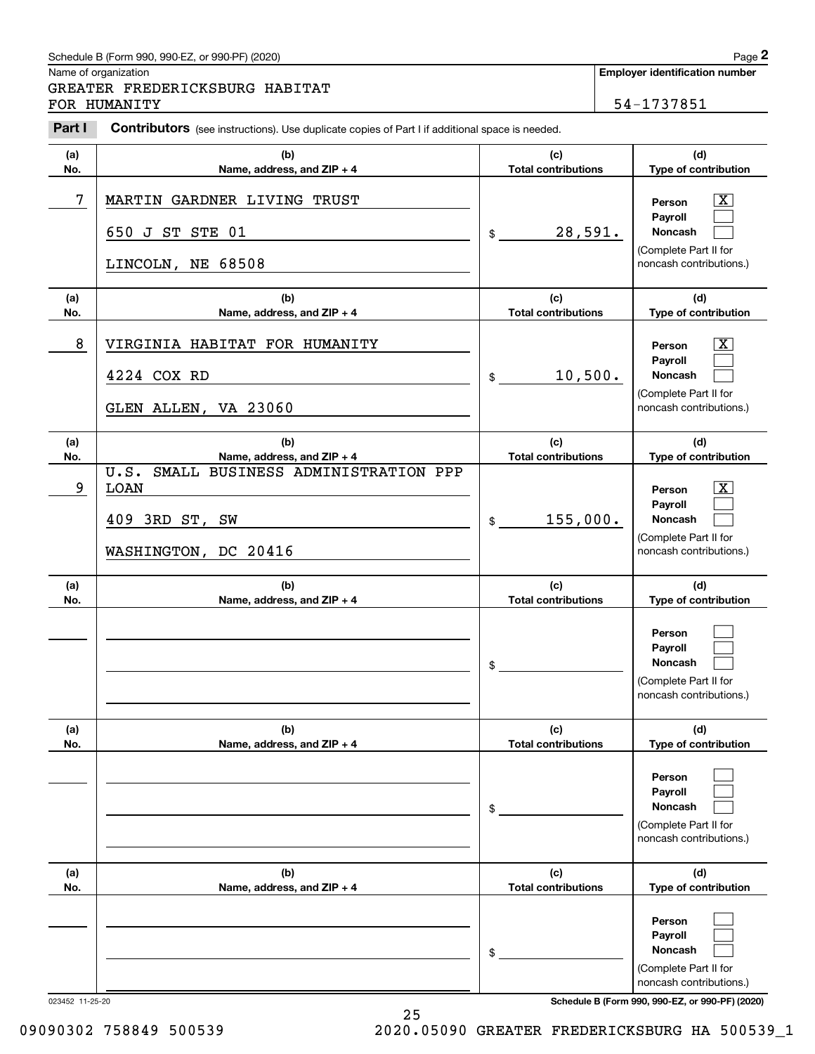## Schedule B (Form 990, 990-EZ, or 990-PF) (2020) **Page 2**

Name of organization

**(a) No.**

Chedule B (Form 990, 990-EZ, or 990-PF) (2020)<br>
lame of organization<br> **2PARTER FREDERICKSBURG HABITAT**<br>
<sup>2</sup>OR HUMANITY<br> **Part I Contributors** (see instructions). Use duplicate copies of Part I if additional space is need GREATER FREDERICKSBURG HABITAT FOR HUMANITY 54-1737851

650 J ST STE 01

**(b) Name, address, and ZIP + 4**

|                 | LINCOLN, NE 68508                                                                                  |                                   | (Complete Part in for<br>noncash contributions.)                                                              |
|-----------------|----------------------------------------------------------------------------------------------------|-----------------------------------|---------------------------------------------------------------------------------------------------------------|
| (a)<br>No.      | (b)<br>Name, address, and ZIP + 4                                                                  | (c)<br><b>Total contributions</b> | (d)<br>Type of contribution                                                                                   |
| 8               | VIRGINIA HABITAT FOR HUMANITY<br>4224 COX RD<br>GLEN ALLEN, VA 23060                               | 10,500.<br>\$                     | $\boxed{\text{X}}$<br>Person<br>Payroll<br>Noncash<br>(Complete Part II for<br>noncash contributions.)        |
| (a)<br>No.      | (b)<br>Name, address, and ZIP + 4                                                                  | (c)<br><b>Total contributions</b> | (d)<br>Type of contribution                                                                                   |
| 9               | SMALL BUSINESS ADMINISTRATION PPP<br>U.S.<br><b>LOAN</b><br>409 3RD ST, SW<br>WASHINGTON, DC 20416 | 155,000.<br>\$                    | $\boxed{\text{X}}$<br>Person<br>Payroll<br><b>Noncash</b><br>(Complete Part II for<br>noncash contributions.) |
| (a)<br>No.      | (b)<br>Name, address, and ZIP + 4                                                                  | (c)<br><b>Total contributions</b> | (d)<br>Type of contribution                                                                                   |
|                 |                                                                                                    | \$                                | Person<br>Payroll<br><b>Noncash</b><br>(Complete Part II for<br>noncash contributions.)                       |
| (a)<br>No.      | (b)<br>Name, address, and ZIP + 4                                                                  | (c)<br><b>Total contributions</b> | (d)<br>Type of contribution                                                                                   |
|                 |                                                                                                    | \$                                | Person<br>Payroll<br><b>Noncash</b><br>(Complete Part II for<br>noncash contributions.)                       |
| (a)<br>No.      | (b)<br>Name, address, and ZIP + 4                                                                  | (c)<br><b>Total contributions</b> | (d)<br>Type of contribution                                                                                   |
|                 |                                                                                                    | \$                                | Person<br>Payroll<br><b>Noncash</b><br>(Complete Part II for<br>noncash contributions.)                       |
| 023452 11-25-20 | 25                                                                                                 |                                   | Schedule B (Form 990, 990-EZ, or 990-PF) (2020)                                                               |

7 X MARTIN GARDNER LIVING TRUST

**Employer identification number**

**(d) Type of contribution**

 $D$ omet II for

 $\boxed{\text{X}}$  $\mathcal{L}^{\text{max}}$  $\mathcal{L}^{\text{max}}$ 

**Person PayrollNoncash**

**(c) Total contributions**

28,591.

\$

09090302 758849 500539 2020.05090 GREATER FREDERICKSBURG HA 500539\_1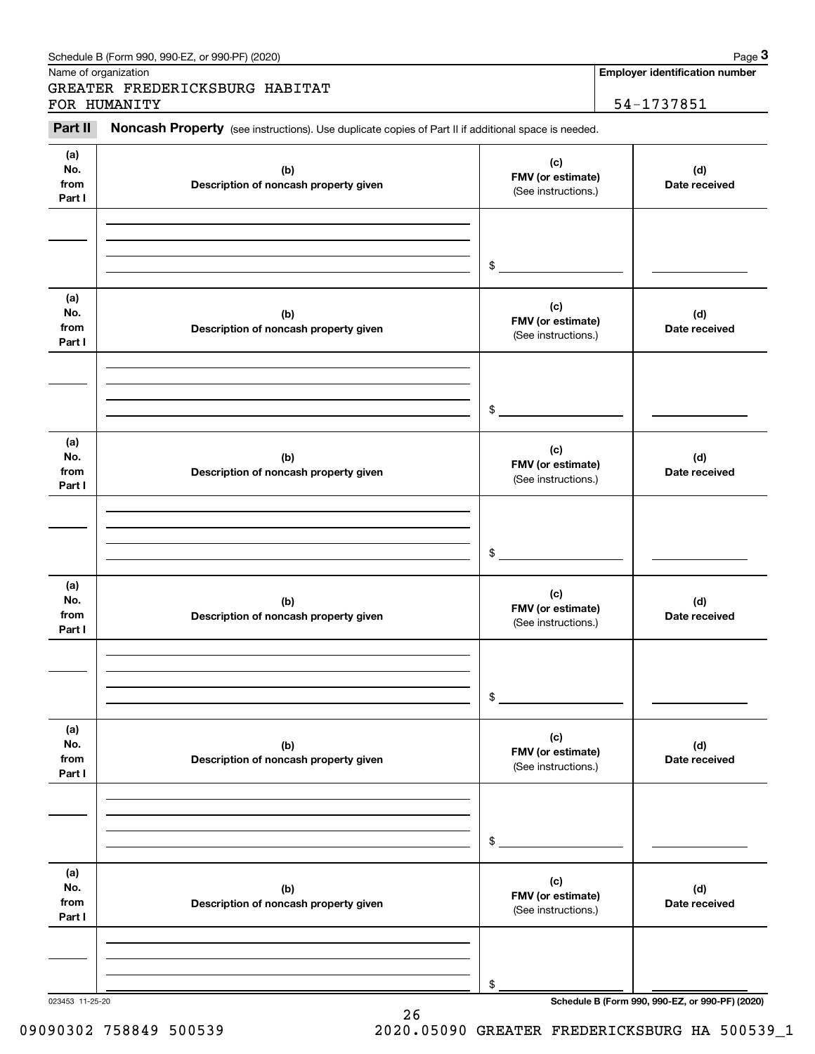|                              | GREATER FREDERICKSBURG HABITAT                                                                                      |                                                 |                      |
|------------------------------|---------------------------------------------------------------------------------------------------------------------|-------------------------------------------------|----------------------|
| Part II                      | FOR HUMANITY<br>Noncash Property (see instructions). Use duplicate copies of Part II if additional space is needed. |                                                 | 54-1737851           |
| (a)                          |                                                                                                                     | (c)                                             |                      |
| No.<br>from<br>Part I        | (b)<br>Description of noncash property given                                                                        | FMV (or estimate)<br>(See instructions.)        | (d)<br>Date received |
|                              |                                                                                                                     | \$                                              |                      |
| (a)<br>No.<br>from<br>Part I | (b)<br>Description of noncash property given                                                                        | (c)<br>FMV (or estimate)<br>(See instructions.) | (d)<br>Date received |
|                              |                                                                                                                     | \$                                              |                      |
| (a)<br>No.<br>from<br>Part I | (b)<br>Description of noncash property given                                                                        | (c)<br>FMV (or estimate)<br>(See instructions.) | (d)<br>Date received |
|                              |                                                                                                                     | \$                                              |                      |
| (a)<br>No.<br>from<br>Part I | (b)<br>Description of noncash property given                                                                        | (c)<br>FMV (or estimate)<br>(See instructions.) | (d)<br>Date received |
|                              |                                                                                                                     | \$                                              |                      |
| (a)<br>No.<br>from<br>Part I | (b)<br>Description of noncash property given                                                                        | (c)<br>FMV (or estimate)<br>(See instructions.) | (d)<br>Date received |
|                              |                                                                                                                     | \$                                              |                      |
| (a)<br>No.<br>from<br>Part I | (b)<br>Description of noncash property given                                                                        | (c)<br>FMV (or estimate)<br>(See instructions.) | (d)<br>Date received |
|                              |                                                                                                                     |                                                 |                      |
|                              |                                                                                                                     | \$                                              |                      |

26

023453 11-25-20 **Schedule B (Form 990, 990-EZ, or 990-PF) (2020)**

## 09090302 758849 500539 2020.05090 GREATER FREDERICKSBURG HA 500539\_1

| Schedule B (Form 990, 990-EZ, or 990-PF) (2020) | Page |
|-------------------------------------------------|------|
|                                                 |      |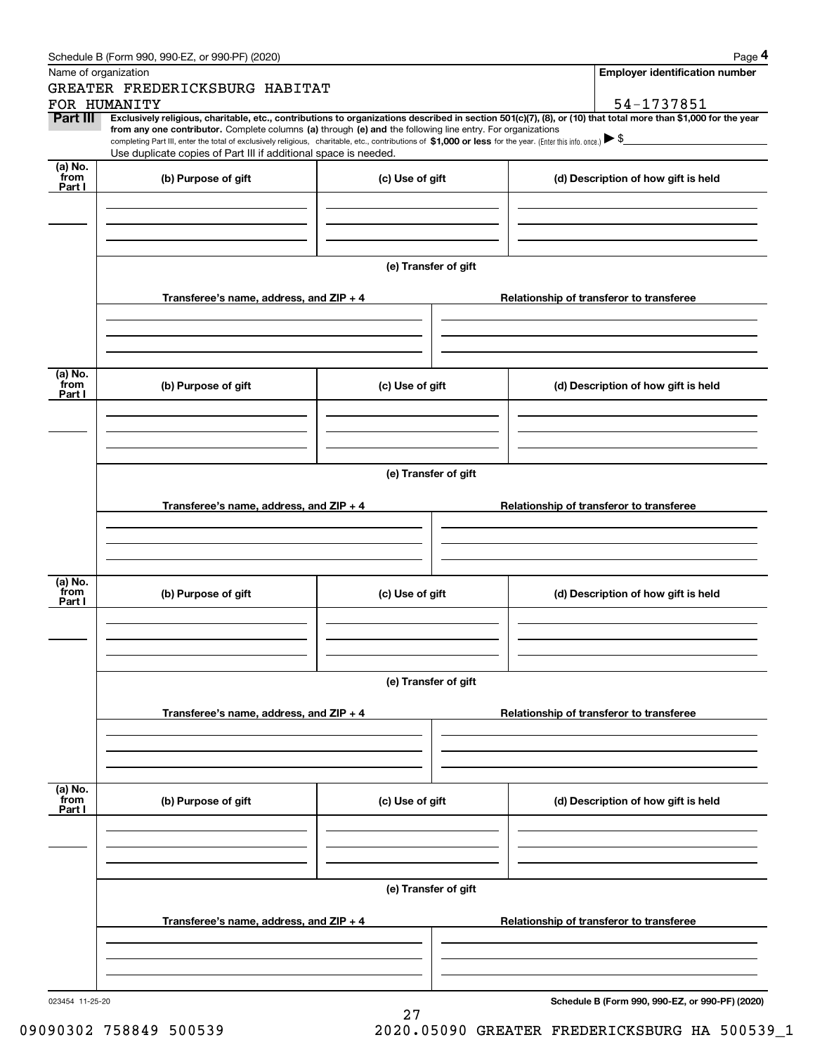| Schedule B (Form 990, 990-EZ, or 990-PF) (2020) | Page |
|-------------------------------------------------|------|
|-------------------------------------------------|------|

|                           | Schedule B (Form 990, 990-EZ, or 990-PF) (2020)                                                                                                                                                                                                                            |                      |  | Page 4                                          |  |  |  |
|---------------------------|----------------------------------------------------------------------------------------------------------------------------------------------------------------------------------------------------------------------------------------------------------------------------|----------------------|--|-------------------------------------------------|--|--|--|
| Name of organization      |                                                                                                                                                                                                                                                                            |                      |  | <b>Employer identification number</b>           |  |  |  |
|                           | GREATER FREDERICKSBURG HABITAT<br>FOR HUMANITY                                                                                                                                                                                                                             |                      |  | 54-1737851                                      |  |  |  |
| <b>Part III</b>           | Exclusively religious, charitable, etc., contributions to organizations described in section 501(c)(7), (8), or (10) that total more than \$1,000 for the year                                                                                                             |                      |  |                                                 |  |  |  |
|                           | from any one contributor. Complete columns (a) through (e) and the following line entry. For organizations<br>completing Part III, enter the total of exclusively religious, charitable, etc., contributions of \$1,000 or less for the year. (Enter this info. once.) \\$ |                      |  |                                                 |  |  |  |
|                           | Use duplicate copies of Part III if additional space is needed.                                                                                                                                                                                                            |                      |  |                                                 |  |  |  |
| (a) No.<br>from           | (b) Purpose of gift                                                                                                                                                                                                                                                        | (c) Use of gift      |  | (d) Description of how gift is held             |  |  |  |
| Part I                    |                                                                                                                                                                                                                                                                            |                      |  |                                                 |  |  |  |
|                           |                                                                                                                                                                                                                                                                            |                      |  |                                                 |  |  |  |
|                           |                                                                                                                                                                                                                                                                            |                      |  |                                                 |  |  |  |
|                           |                                                                                                                                                                                                                                                                            |                      |  |                                                 |  |  |  |
|                           |                                                                                                                                                                                                                                                                            | (e) Transfer of gift |  |                                                 |  |  |  |
|                           | Transferee's name, address, and ZIP + 4                                                                                                                                                                                                                                    |                      |  | Relationship of transferor to transferee        |  |  |  |
|                           |                                                                                                                                                                                                                                                                            |                      |  |                                                 |  |  |  |
|                           |                                                                                                                                                                                                                                                                            |                      |  |                                                 |  |  |  |
| (a) No.                   |                                                                                                                                                                                                                                                                            |                      |  |                                                 |  |  |  |
| from<br>Part I            | (b) Purpose of gift                                                                                                                                                                                                                                                        | (c) Use of gift      |  | (d) Description of how gift is held             |  |  |  |
|                           |                                                                                                                                                                                                                                                                            |                      |  |                                                 |  |  |  |
|                           |                                                                                                                                                                                                                                                                            |                      |  |                                                 |  |  |  |
|                           |                                                                                                                                                                                                                                                                            |                      |  |                                                 |  |  |  |
|                           | (e) Transfer of gift                                                                                                                                                                                                                                                       |                      |  |                                                 |  |  |  |
|                           | Transferee's name, address, and ZIP + 4                                                                                                                                                                                                                                    |                      |  | Relationship of transferor to transferee        |  |  |  |
|                           |                                                                                                                                                                                                                                                                            |                      |  |                                                 |  |  |  |
|                           |                                                                                                                                                                                                                                                                            |                      |  |                                                 |  |  |  |
|                           |                                                                                                                                                                                                                                                                            |                      |  |                                                 |  |  |  |
| (a) No.<br>from           | (b) Purpose of gift                                                                                                                                                                                                                                                        | (c) Use of gift      |  | (d) Description of how gift is held             |  |  |  |
| Part I                    |                                                                                                                                                                                                                                                                            |                      |  |                                                 |  |  |  |
|                           |                                                                                                                                                                                                                                                                            |                      |  |                                                 |  |  |  |
|                           |                                                                                                                                                                                                                                                                            |                      |  |                                                 |  |  |  |
|                           | (e) Transfer of gift                                                                                                                                                                                                                                                       |                      |  |                                                 |  |  |  |
|                           |                                                                                                                                                                                                                                                                            |                      |  |                                                 |  |  |  |
|                           | Transferee's name, address, and $ZIP + 4$                                                                                                                                                                                                                                  |                      |  | Relationship of transferor to transferee        |  |  |  |
|                           |                                                                                                                                                                                                                                                                            |                      |  |                                                 |  |  |  |
|                           |                                                                                                                                                                                                                                                                            |                      |  |                                                 |  |  |  |
|                           |                                                                                                                                                                                                                                                                            |                      |  |                                                 |  |  |  |
| (a) No.<br>from<br>Part I | (b) Purpose of gift                                                                                                                                                                                                                                                        | (c) Use of gift      |  | (d) Description of how gift is held             |  |  |  |
|                           |                                                                                                                                                                                                                                                                            |                      |  |                                                 |  |  |  |
|                           |                                                                                                                                                                                                                                                                            |                      |  |                                                 |  |  |  |
|                           |                                                                                                                                                                                                                                                                            |                      |  |                                                 |  |  |  |
|                           | (e) Transfer of gift                                                                                                                                                                                                                                                       |                      |  |                                                 |  |  |  |
|                           | Transferee's name, address, and $ZIP + 4$                                                                                                                                                                                                                                  |                      |  | Relationship of transferor to transferee        |  |  |  |
|                           |                                                                                                                                                                                                                                                                            |                      |  |                                                 |  |  |  |
|                           |                                                                                                                                                                                                                                                                            |                      |  |                                                 |  |  |  |
|                           |                                                                                                                                                                                                                                                                            |                      |  |                                                 |  |  |  |
| 023454 11-25-20           |                                                                                                                                                                                                                                                                            |                      |  | Schedule B (Form 990, 990-EZ, or 990-PF) (2020) |  |  |  |

27 09090302 758849 500539 2020.05090 GREATER FREDERICKSBURG HA 500539\_1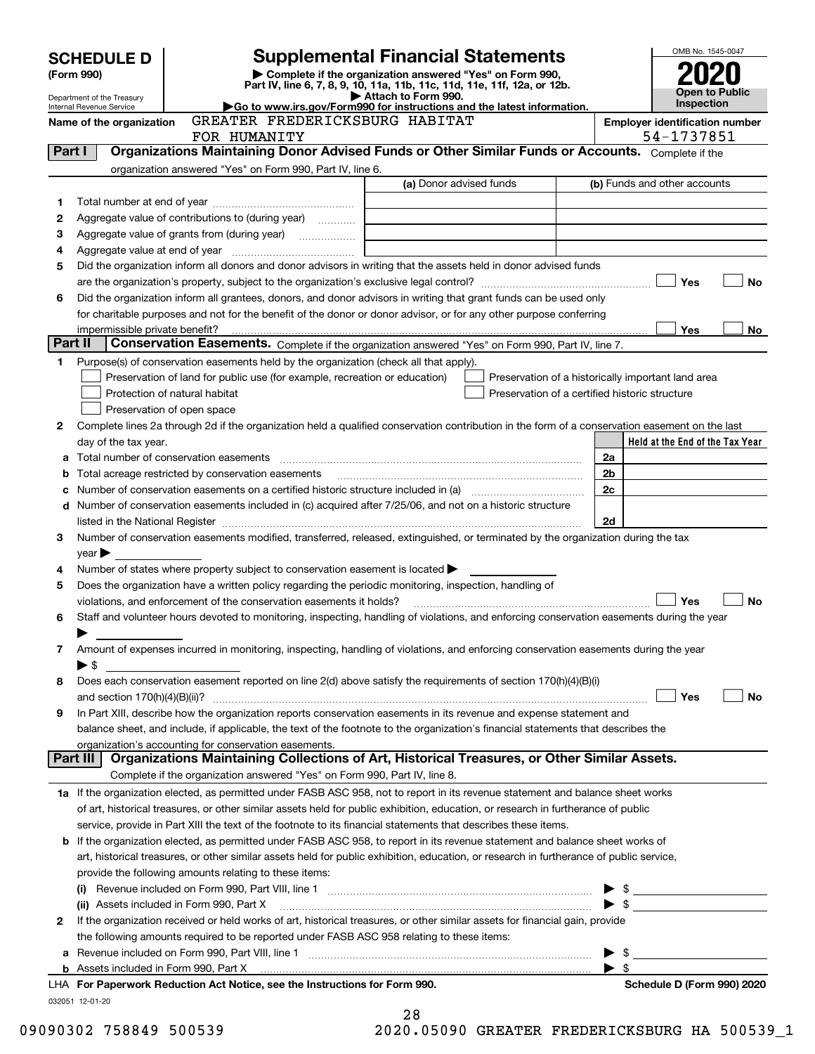| <b>Supplemental Financial Statements</b><br><b>SCHEDULE D</b><br>Complete if the organization answered "Yes" on Form 990,<br>(Form 990)<br>Part IV, line 6, 7, 8, 9, 10, 11a, 11b, 11c, 11d, 11e, 11f, 12a, or 12b.<br><b>Open to Public</b><br>Attach to Form 990.<br>Department of the Treasury<br><b>Inspection</b><br>Go to www.irs.gov/Form990 for instructions and the latest information.<br>Internal Revenue Service<br>GREATER FREDERICKSBURG HABITAT<br><b>Employer identification number</b><br>Name of the organization<br>54-1737851<br>FOR HUMANITY<br>Organizations Maintaining Donor Advised Funds or Other Similar Funds or Accounts. Complete if the<br>Part I<br>organization answered "Yes" on Form 990, Part IV, line 6.<br>(a) Donor advised funds<br>(b) Funds and other accounts<br>1<br>Aggregate value of contributions to (during year)<br>2<br>з<br>4<br>Did the organization inform all donors and donor advisors in writing that the assets held in donor advised funds<br>5<br>Yes<br>No<br>Did the organization inform all grantees, donors, and donor advisors in writing that grant funds can be used only<br>6<br>for charitable purposes and not for the benefit of the donor or donor advisor, or for any other purpose conferring<br>Yes<br>impermissible private benefit?<br>No<br>Part II<br>Conservation Easements. Complete if the organization answered "Yes" on Form 990, Part IV, line 7.<br>Purpose(s) of conservation easements held by the organization (check all that apply).<br>1<br>Preservation of land for public use (for example, recreation or education)<br>Preservation of a historically important land area<br>Protection of natural habitat<br>Preservation of a certified historic structure<br>Preservation of open space<br>Complete lines 2a through 2d if the organization held a qualified conservation contribution in the form of a conservation easement on the last<br>2<br>Held at the End of the Tax Year<br>day of the tax year.<br>2a<br>a<br>Total acreage restricted by conservation easements<br>2b<br>b<br>2c<br>Number of conservation easements on a certified historic structure included in (a) manufacture included in (a)<br>с<br>d Number of conservation easements included in (c) acquired after 7/25/06, and not on a historic structure<br>2d<br>listed in the National Register [111] Marshall Register [11] Marshall Register [11] Marshall Register [11] Marshall Register [11] Marshall Register [11] Marshall Register [11] Marshall Register [11] Marshall Register [11]<br>Number of conservation easements modified, transferred, released, extinguished, or terminated by the organization during the tax<br>3<br>year<br>Number of states where property subject to conservation easement is located $\blacktriangleright$<br>4<br>Does the organization have a written policy regarding the periodic monitoring, inspection, handling of<br>5<br>Yes<br>violations, and enforcement of the conservation easements it holds?<br>No<br>Staff and volunteer hours devoted to monitoring, inspecting, handling of violations, and enforcing conservation easements during the year<br>6<br>Amount of expenses incurred in monitoring, inspecting, handling of violations, and enforcing conservation easements during the year<br>7<br>$\blacktriangleright$ \$<br>Does each conservation easement reported on line 2(d) above satisfy the requirements of section 170(h)(4)(B)(i)<br>8<br>Yes<br>No<br>In Part XIII, describe how the organization reports conservation easements in its revenue and expense statement and<br>9<br>balance sheet, and include, if applicable, the text of the footnote to the organization's financial statements that describes the<br>organization's accounting for conservation easements.<br>Organizations Maintaining Collections of Art, Historical Treasures, or Other Similar Assets.<br>Part III<br>Complete if the organization answered "Yes" on Form 990, Part IV, line 8.<br>1a If the organization elected, as permitted under FASB ASC 958, not to report in its revenue statement and balance sheet works<br>of art, historical treasures, or other similar assets held for public exhibition, education, or research in furtherance of public<br>service, provide in Part XIII the text of the footnote to its financial statements that describes these items.<br><b>b</b> If the organization elected, as permitted under FASB ASC 958, to report in its revenue statement and balance sheet works of<br>art, historical treasures, or other similar assets held for public exhibition, education, or research in furtherance of public service,<br>provide the following amounts relating to these items:<br>$\frac{1}{2}$<br>If the organization received or held works of art, historical treasures, or other similar assets for financial gain, provide<br>2<br>the following amounts required to be reported under FASB ASC 958 relating to these items:<br>a Revenue included on Form 990, Part VIII, line 1 [2000] [2000] [2000] [2000] [3000] [3000] [3000] [3000] [3000<br>$\frac{1}{2}$<br>LHA For Paperwork Reduction Act Notice, see the Instructions for Form 990.<br>Schedule D (Form 990) 2020<br>032051 12-01-20 |  |  |  | OMB No. 1545-0047 |  |  |  |
|----------------------------------------------------------------------------------------------------------------------------------------------------------------------------------------------------------------------------------------------------------------------------------------------------------------------------------------------------------------------------------------------------------------------------------------------------------------------------------------------------------------------------------------------------------------------------------------------------------------------------------------------------------------------------------------------------------------------------------------------------------------------------------------------------------------------------------------------------------------------------------------------------------------------------------------------------------------------------------------------------------------------------------------------------------------------------------------------------------------------------------------------------------------------------------------------------------------------------------------------------------------------------------------------------------------------------------------------------------------------------------------------------------------------------------------------------------------------------------------------------------------------------------------------------------------------------------------------------------------------------------------------------------------------------------------------------------------------------------------------------------------------------------------------------------------------------------------------------------------------------------------------------------------------------------------------------------------------------------------------------------------------------------------------------------------------------------------------------------------------------------------------------------------------------------------------------------------------------------------------------------------------------------------------------------------------------------------------------------------------------------------------------------------------------------------------------------------------------------------------------------------------------------------------------------------------------------------------------------------------------------------------------------------------------------------------------------------------------------------------------------------------------------------------------------------------------------------------------------------------------------------------------------------------------------------------------------------------------------------------------------------------------------------------------------------------------------------------------------------------------------------------------------------------------------------------------------------------------------------------------------------------------------------------------------------------------------------------------------------------------------------------------------------------------------------------------------------------------------------------------------------------------------------------------------------------------------------------------------------------------------------------------------------------------------------------------------------------------------------------------------------------------------------------------------------------------------------------------------------------------------------------------------------------------------------------------------------------------------------------------------------------------------------------------------------------------------------------------------------------------------------------------------------------------------------------------------------------------------------------------------------------------------------------------------------------------------------------------------------------------------------------------------------------------------------------------------------------------------------------------------------------------------------------------------------------------------------------------------------------------------------------------------------------------------------------------------------------------------------------------------------------------------------------------------------------------------------------------------------------------------------------------------------------------------------------------------------------------------------------------------------------------------------------------------------------------------------------------------------------------------------------------------------------------------------------------------------------------------------------------------------------------------------|--|--|--|-------------------|--|--|--|
|                                                                                                                                                                                                                                                                                                                                                                                                                                                                                                                                                                                                                                                                                                                                                                                                                                                                                                                                                                                                                                                                                                                                                                                                                                                                                                                                                                                                                                                                                                                                                                                                                                                                                                                                                                                                                                                                                                                                                                                                                                                                                                                                                                                                                                                                                                                                                                                                                                                                                                                                                                                                                                                                                                                                                                                                                                                                                                                                                                                                                                                                                                                                                                                                                                                                                                                                                                                                                                                                                                                                                                                                                                                                                                                                                                                                                                                                                                                                                                                                                                                                                                                                                                                                                                                                                                                                                                                                                                                                                                                                                                                                                                                                                                                                                                                                                                                                                                                                                                                                                                                                                                                                                                                                                                                                                        |  |  |  |                   |  |  |  |
|                                                                                                                                                                                                                                                                                                                                                                                                                                                                                                                                                                                                                                                                                                                                                                                                                                                                                                                                                                                                                                                                                                                                                                                                                                                                                                                                                                                                                                                                                                                                                                                                                                                                                                                                                                                                                                                                                                                                                                                                                                                                                                                                                                                                                                                                                                                                                                                                                                                                                                                                                                                                                                                                                                                                                                                                                                                                                                                                                                                                                                                                                                                                                                                                                                                                                                                                                                                                                                                                                                                                                                                                                                                                                                                                                                                                                                                                                                                                                                                                                                                                                                                                                                                                                                                                                                                                                                                                                                                                                                                                                                                                                                                                                                                                                                                                                                                                                                                                                                                                                                                                                                                                                                                                                                                                                        |  |  |  |                   |  |  |  |
|                                                                                                                                                                                                                                                                                                                                                                                                                                                                                                                                                                                                                                                                                                                                                                                                                                                                                                                                                                                                                                                                                                                                                                                                                                                                                                                                                                                                                                                                                                                                                                                                                                                                                                                                                                                                                                                                                                                                                                                                                                                                                                                                                                                                                                                                                                                                                                                                                                                                                                                                                                                                                                                                                                                                                                                                                                                                                                                                                                                                                                                                                                                                                                                                                                                                                                                                                                                                                                                                                                                                                                                                                                                                                                                                                                                                                                                                                                                                                                                                                                                                                                                                                                                                                                                                                                                                                                                                                                                                                                                                                                                                                                                                                                                                                                                                                                                                                                                                                                                                                                                                                                                                                                                                                                                                                        |  |  |  |                   |  |  |  |
|                                                                                                                                                                                                                                                                                                                                                                                                                                                                                                                                                                                                                                                                                                                                                                                                                                                                                                                                                                                                                                                                                                                                                                                                                                                                                                                                                                                                                                                                                                                                                                                                                                                                                                                                                                                                                                                                                                                                                                                                                                                                                                                                                                                                                                                                                                                                                                                                                                                                                                                                                                                                                                                                                                                                                                                                                                                                                                                                                                                                                                                                                                                                                                                                                                                                                                                                                                                                                                                                                                                                                                                                                                                                                                                                                                                                                                                                                                                                                                                                                                                                                                                                                                                                                                                                                                                                                                                                                                                                                                                                                                                                                                                                                                                                                                                                                                                                                                                                                                                                                                                                                                                                                                                                                                                                                        |  |  |  |                   |  |  |  |
|                                                                                                                                                                                                                                                                                                                                                                                                                                                                                                                                                                                                                                                                                                                                                                                                                                                                                                                                                                                                                                                                                                                                                                                                                                                                                                                                                                                                                                                                                                                                                                                                                                                                                                                                                                                                                                                                                                                                                                                                                                                                                                                                                                                                                                                                                                                                                                                                                                                                                                                                                                                                                                                                                                                                                                                                                                                                                                                                                                                                                                                                                                                                                                                                                                                                                                                                                                                                                                                                                                                                                                                                                                                                                                                                                                                                                                                                                                                                                                                                                                                                                                                                                                                                                                                                                                                                                                                                                                                                                                                                                                                                                                                                                                                                                                                                                                                                                                                                                                                                                                                                                                                                                                                                                                                                                        |  |  |  |                   |  |  |  |
|                                                                                                                                                                                                                                                                                                                                                                                                                                                                                                                                                                                                                                                                                                                                                                                                                                                                                                                                                                                                                                                                                                                                                                                                                                                                                                                                                                                                                                                                                                                                                                                                                                                                                                                                                                                                                                                                                                                                                                                                                                                                                                                                                                                                                                                                                                                                                                                                                                                                                                                                                                                                                                                                                                                                                                                                                                                                                                                                                                                                                                                                                                                                                                                                                                                                                                                                                                                                                                                                                                                                                                                                                                                                                                                                                                                                                                                                                                                                                                                                                                                                                                                                                                                                                                                                                                                                                                                                                                                                                                                                                                                                                                                                                                                                                                                                                                                                                                                                                                                                                                                                                                                                                                                                                                                                                        |  |  |  |                   |  |  |  |
|                                                                                                                                                                                                                                                                                                                                                                                                                                                                                                                                                                                                                                                                                                                                                                                                                                                                                                                                                                                                                                                                                                                                                                                                                                                                                                                                                                                                                                                                                                                                                                                                                                                                                                                                                                                                                                                                                                                                                                                                                                                                                                                                                                                                                                                                                                                                                                                                                                                                                                                                                                                                                                                                                                                                                                                                                                                                                                                                                                                                                                                                                                                                                                                                                                                                                                                                                                                                                                                                                                                                                                                                                                                                                                                                                                                                                                                                                                                                                                                                                                                                                                                                                                                                                                                                                                                                                                                                                                                                                                                                                                                                                                                                                                                                                                                                                                                                                                                                                                                                                                                                                                                                                                                                                                                                                        |  |  |  |                   |  |  |  |
|                                                                                                                                                                                                                                                                                                                                                                                                                                                                                                                                                                                                                                                                                                                                                                                                                                                                                                                                                                                                                                                                                                                                                                                                                                                                                                                                                                                                                                                                                                                                                                                                                                                                                                                                                                                                                                                                                                                                                                                                                                                                                                                                                                                                                                                                                                                                                                                                                                                                                                                                                                                                                                                                                                                                                                                                                                                                                                                                                                                                                                                                                                                                                                                                                                                                                                                                                                                                                                                                                                                                                                                                                                                                                                                                                                                                                                                                                                                                                                                                                                                                                                                                                                                                                                                                                                                                                                                                                                                                                                                                                                                                                                                                                                                                                                                                                                                                                                                                                                                                                                                                                                                                                                                                                                                                                        |  |  |  |                   |  |  |  |
|                                                                                                                                                                                                                                                                                                                                                                                                                                                                                                                                                                                                                                                                                                                                                                                                                                                                                                                                                                                                                                                                                                                                                                                                                                                                                                                                                                                                                                                                                                                                                                                                                                                                                                                                                                                                                                                                                                                                                                                                                                                                                                                                                                                                                                                                                                                                                                                                                                                                                                                                                                                                                                                                                                                                                                                                                                                                                                                                                                                                                                                                                                                                                                                                                                                                                                                                                                                                                                                                                                                                                                                                                                                                                                                                                                                                                                                                                                                                                                                                                                                                                                                                                                                                                                                                                                                                                                                                                                                                                                                                                                                                                                                                                                                                                                                                                                                                                                                                                                                                                                                                                                                                                                                                                                                                                        |  |  |  |                   |  |  |  |
|                                                                                                                                                                                                                                                                                                                                                                                                                                                                                                                                                                                                                                                                                                                                                                                                                                                                                                                                                                                                                                                                                                                                                                                                                                                                                                                                                                                                                                                                                                                                                                                                                                                                                                                                                                                                                                                                                                                                                                                                                                                                                                                                                                                                                                                                                                                                                                                                                                                                                                                                                                                                                                                                                                                                                                                                                                                                                                                                                                                                                                                                                                                                                                                                                                                                                                                                                                                                                                                                                                                                                                                                                                                                                                                                                                                                                                                                                                                                                                                                                                                                                                                                                                                                                                                                                                                                                                                                                                                                                                                                                                                                                                                                                                                                                                                                                                                                                                                                                                                                                                                                                                                                                                                                                                                                                        |  |  |  |                   |  |  |  |
|                                                                                                                                                                                                                                                                                                                                                                                                                                                                                                                                                                                                                                                                                                                                                                                                                                                                                                                                                                                                                                                                                                                                                                                                                                                                                                                                                                                                                                                                                                                                                                                                                                                                                                                                                                                                                                                                                                                                                                                                                                                                                                                                                                                                                                                                                                                                                                                                                                                                                                                                                                                                                                                                                                                                                                                                                                                                                                                                                                                                                                                                                                                                                                                                                                                                                                                                                                                                                                                                                                                                                                                                                                                                                                                                                                                                                                                                                                                                                                                                                                                                                                                                                                                                                                                                                                                                                                                                                                                                                                                                                                                                                                                                                                                                                                                                                                                                                                                                                                                                                                                                                                                                                                                                                                                                                        |  |  |  |                   |  |  |  |
|                                                                                                                                                                                                                                                                                                                                                                                                                                                                                                                                                                                                                                                                                                                                                                                                                                                                                                                                                                                                                                                                                                                                                                                                                                                                                                                                                                                                                                                                                                                                                                                                                                                                                                                                                                                                                                                                                                                                                                                                                                                                                                                                                                                                                                                                                                                                                                                                                                                                                                                                                                                                                                                                                                                                                                                                                                                                                                                                                                                                                                                                                                                                                                                                                                                                                                                                                                                                                                                                                                                                                                                                                                                                                                                                                                                                                                                                                                                                                                                                                                                                                                                                                                                                                                                                                                                                                                                                                                                                                                                                                                                                                                                                                                                                                                                                                                                                                                                                                                                                                                                                                                                                                                                                                                                                                        |  |  |  |                   |  |  |  |
|                                                                                                                                                                                                                                                                                                                                                                                                                                                                                                                                                                                                                                                                                                                                                                                                                                                                                                                                                                                                                                                                                                                                                                                                                                                                                                                                                                                                                                                                                                                                                                                                                                                                                                                                                                                                                                                                                                                                                                                                                                                                                                                                                                                                                                                                                                                                                                                                                                                                                                                                                                                                                                                                                                                                                                                                                                                                                                                                                                                                                                                                                                                                                                                                                                                                                                                                                                                                                                                                                                                                                                                                                                                                                                                                                                                                                                                                                                                                                                                                                                                                                                                                                                                                                                                                                                                                                                                                                                                                                                                                                                                                                                                                                                                                                                                                                                                                                                                                                                                                                                                                                                                                                                                                                                                                                        |  |  |  |                   |  |  |  |
|                                                                                                                                                                                                                                                                                                                                                                                                                                                                                                                                                                                                                                                                                                                                                                                                                                                                                                                                                                                                                                                                                                                                                                                                                                                                                                                                                                                                                                                                                                                                                                                                                                                                                                                                                                                                                                                                                                                                                                                                                                                                                                                                                                                                                                                                                                                                                                                                                                                                                                                                                                                                                                                                                                                                                                                                                                                                                                                                                                                                                                                                                                                                                                                                                                                                                                                                                                                                                                                                                                                                                                                                                                                                                                                                                                                                                                                                                                                                                                                                                                                                                                                                                                                                                                                                                                                                                                                                                                                                                                                                                                                                                                                                                                                                                                                                                                                                                                                                                                                                                                                                                                                                                                                                                                                                                        |  |  |  |                   |  |  |  |
|                                                                                                                                                                                                                                                                                                                                                                                                                                                                                                                                                                                                                                                                                                                                                                                                                                                                                                                                                                                                                                                                                                                                                                                                                                                                                                                                                                                                                                                                                                                                                                                                                                                                                                                                                                                                                                                                                                                                                                                                                                                                                                                                                                                                                                                                                                                                                                                                                                                                                                                                                                                                                                                                                                                                                                                                                                                                                                                                                                                                                                                                                                                                                                                                                                                                                                                                                                                                                                                                                                                                                                                                                                                                                                                                                                                                                                                                                                                                                                                                                                                                                                                                                                                                                                                                                                                                                                                                                                                                                                                                                                                                                                                                                                                                                                                                                                                                                                                                                                                                                                                                                                                                                                                                                                                                                        |  |  |  |                   |  |  |  |
|                                                                                                                                                                                                                                                                                                                                                                                                                                                                                                                                                                                                                                                                                                                                                                                                                                                                                                                                                                                                                                                                                                                                                                                                                                                                                                                                                                                                                                                                                                                                                                                                                                                                                                                                                                                                                                                                                                                                                                                                                                                                                                                                                                                                                                                                                                                                                                                                                                                                                                                                                                                                                                                                                                                                                                                                                                                                                                                                                                                                                                                                                                                                                                                                                                                                                                                                                                                                                                                                                                                                                                                                                                                                                                                                                                                                                                                                                                                                                                                                                                                                                                                                                                                                                                                                                                                                                                                                                                                                                                                                                                                                                                                                                                                                                                                                                                                                                                                                                                                                                                                                                                                                                                                                                                                                                        |  |  |  |                   |  |  |  |
|                                                                                                                                                                                                                                                                                                                                                                                                                                                                                                                                                                                                                                                                                                                                                                                                                                                                                                                                                                                                                                                                                                                                                                                                                                                                                                                                                                                                                                                                                                                                                                                                                                                                                                                                                                                                                                                                                                                                                                                                                                                                                                                                                                                                                                                                                                                                                                                                                                                                                                                                                                                                                                                                                                                                                                                                                                                                                                                                                                                                                                                                                                                                                                                                                                                                                                                                                                                                                                                                                                                                                                                                                                                                                                                                                                                                                                                                                                                                                                                                                                                                                                                                                                                                                                                                                                                                                                                                                                                                                                                                                                                                                                                                                                                                                                                                                                                                                                                                                                                                                                                                                                                                                                                                                                                                                        |  |  |  |                   |  |  |  |
|                                                                                                                                                                                                                                                                                                                                                                                                                                                                                                                                                                                                                                                                                                                                                                                                                                                                                                                                                                                                                                                                                                                                                                                                                                                                                                                                                                                                                                                                                                                                                                                                                                                                                                                                                                                                                                                                                                                                                                                                                                                                                                                                                                                                                                                                                                                                                                                                                                                                                                                                                                                                                                                                                                                                                                                                                                                                                                                                                                                                                                                                                                                                                                                                                                                                                                                                                                                                                                                                                                                                                                                                                                                                                                                                                                                                                                                                                                                                                                                                                                                                                                                                                                                                                                                                                                                                                                                                                                                                                                                                                                                                                                                                                                                                                                                                                                                                                                                                                                                                                                                                                                                                                                                                                                                                                        |  |  |  |                   |  |  |  |
|                                                                                                                                                                                                                                                                                                                                                                                                                                                                                                                                                                                                                                                                                                                                                                                                                                                                                                                                                                                                                                                                                                                                                                                                                                                                                                                                                                                                                                                                                                                                                                                                                                                                                                                                                                                                                                                                                                                                                                                                                                                                                                                                                                                                                                                                                                                                                                                                                                                                                                                                                                                                                                                                                                                                                                                                                                                                                                                                                                                                                                                                                                                                                                                                                                                                                                                                                                                                                                                                                                                                                                                                                                                                                                                                                                                                                                                                                                                                                                                                                                                                                                                                                                                                                                                                                                                                                                                                                                                                                                                                                                                                                                                                                                                                                                                                                                                                                                                                                                                                                                                                                                                                                                                                                                                                                        |  |  |  |                   |  |  |  |
|                                                                                                                                                                                                                                                                                                                                                                                                                                                                                                                                                                                                                                                                                                                                                                                                                                                                                                                                                                                                                                                                                                                                                                                                                                                                                                                                                                                                                                                                                                                                                                                                                                                                                                                                                                                                                                                                                                                                                                                                                                                                                                                                                                                                                                                                                                                                                                                                                                                                                                                                                                                                                                                                                                                                                                                                                                                                                                                                                                                                                                                                                                                                                                                                                                                                                                                                                                                                                                                                                                                                                                                                                                                                                                                                                                                                                                                                                                                                                                                                                                                                                                                                                                                                                                                                                                                                                                                                                                                                                                                                                                                                                                                                                                                                                                                                                                                                                                                                                                                                                                                                                                                                                                                                                                                                                        |  |  |  |                   |  |  |  |
|                                                                                                                                                                                                                                                                                                                                                                                                                                                                                                                                                                                                                                                                                                                                                                                                                                                                                                                                                                                                                                                                                                                                                                                                                                                                                                                                                                                                                                                                                                                                                                                                                                                                                                                                                                                                                                                                                                                                                                                                                                                                                                                                                                                                                                                                                                                                                                                                                                                                                                                                                                                                                                                                                                                                                                                                                                                                                                                                                                                                                                                                                                                                                                                                                                                                                                                                                                                                                                                                                                                                                                                                                                                                                                                                                                                                                                                                                                                                                                                                                                                                                                                                                                                                                                                                                                                                                                                                                                                                                                                                                                                                                                                                                                                                                                                                                                                                                                                                                                                                                                                                                                                                                                                                                                                                                        |  |  |  |                   |  |  |  |
|                                                                                                                                                                                                                                                                                                                                                                                                                                                                                                                                                                                                                                                                                                                                                                                                                                                                                                                                                                                                                                                                                                                                                                                                                                                                                                                                                                                                                                                                                                                                                                                                                                                                                                                                                                                                                                                                                                                                                                                                                                                                                                                                                                                                                                                                                                                                                                                                                                                                                                                                                                                                                                                                                                                                                                                                                                                                                                                                                                                                                                                                                                                                                                                                                                                                                                                                                                                                                                                                                                                                                                                                                                                                                                                                                                                                                                                                                                                                                                                                                                                                                                                                                                                                                                                                                                                                                                                                                                                                                                                                                                                                                                                                                                                                                                                                                                                                                                                                                                                                                                                                                                                                                                                                                                                                                        |  |  |  |                   |  |  |  |
|                                                                                                                                                                                                                                                                                                                                                                                                                                                                                                                                                                                                                                                                                                                                                                                                                                                                                                                                                                                                                                                                                                                                                                                                                                                                                                                                                                                                                                                                                                                                                                                                                                                                                                                                                                                                                                                                                                                                                                                                                                                                                                                                                                                                                                                                                                                                                                                                                                                                                                                                                                                                                                                                                                                                                                                                                                                                                                                                                                                                                                                                                                                                                                                                                                                                                                                                                                                                                                                                                                                                                                                                                                                                                                                                                                                                                                                                                                                                                                                                                                                                                                                                                                                                                                                                                                                                                                                                                                                                                                                                                                                                                                                                                                                                                                                                                                                                                                                                                                                                                                                                                                                                                                                                                                                                                        |  |  |  |                   |  |  |  |
|                                                                                                                                                                                                                                                                                                                                                                                                                                                                                                                                                                                                                                                                                                                                                                                                                                                                                                                                                                                                                                                                                                                                                                                                                                                                                                                                                                                                                                                                                                                                                                                                                                                                                                                                                                                                                                                                                                                                                                                                                                                                                                                                                                                                                                                                                                                                                                                                                                                                                                                                                                                                                                                                                                                                                                                                                                                                                                                                                                                                                                                                                                                                                                                                                                                                                                                                                                                                                                                                                                                                                                                                                                                                                                                                                                                                                                                                                                                                                                                                                                                                                                                                                                                                                                                                                                                                                                                                                                                                                                                                                                                                                                                                                                                                                                                                                                                                                                                                                                                                                                                                                                                                                                                                                                                                                        |  |  |  |                   |  |  |  |
|                                                                                                                                                                                                                                                                                                                                                                                                                                                                                                                                                                                                                                                                                                                                                                                                                                                                                                                                                                                                                                                                                                                                                                                                                                                                                                                                                                                                                                                                                                                                                                                                                                                                                                                                                                                                                                                                                                                                                                                                                                                                                                                                                                                                                                                                                                                                                                                                                                                                                                                                                                                                                                                                                                                                                                                                                                                                                                                                                                                                                                                                                                                                                                                                                                                                                                                                                                                                                                                                                                                                                                                                                                                                                                                                                                                                                                                                                                                                                                                                                                                                                                                                                                                                                                                                                                                                                                                                                                                                                                                                                                                                                                                                                                                                                                                                                                                                                                                                                                                                                                                                                                                                                                                                                                                                                        |  |  |  |                   |  |  |  |
|                                                                                                                                                                                                                                                                                                                                                                                                                                                                                                                                                                                                                                                                                                                                                                                                                                                                                                                                                                                                                                                                                                                                                                                                                                                                                                                                                                                                                                                                                                                                                                                                                                                                                                                                                                                                                                                                                                                                                                                                                                                                                                                                                                                                                                                                                                                                                                                                                                                                                                                                                                                                                                                                                                                                                                                                                                                                                                                                                                                                                                                                                                                                                                                                                                                                                                                                                                                                                                                                                                                                                                                                                                                                                                                                                                                                                                                                                                                                                                                                                                                                                                                                                                                                                                                                                                                                                                                                                                                                                                                                                                                                                                                                                                                                                                                                                                                                                                                                                                                                                                                                                                                                                                                                                                                                                        |  |  |  |                   |  |  |  |
|                                                                                                                                                                                                                                                                                                                                                                                                                                                                                                                                                                                                                                                                                                                                                                                                                                                                                                                                                                                                                                                                                                                                                                                                                                                                                                                                                                                                                                                                                                                                                                                                                                                                                                                                                                                                                                                                                                                                                                                                                                                                                                                                                                                                                                                                                                                                                                                                                                                                                                                                                                                                                                                                                                                                                                                                                                                                                                                                                                                                                                                                                                                                                                                                                                                                                                                                                                                                                                                                                                                                                                                                                                                                                                                                                                                                                                                                                                                                                                                                                                                                                                                                                                                                                                                                                                                                                                                                                                                                                                                                                                                                                                                                                                                                                                                                                                                                                                                                                                                                                                                                                                                                                                                                                                                                                        |  |  |  |                   |  |  |  |
|                                                                                                                                                                                                                                                                                                                                                                                                                                                                                                                                                                                                                                                                                                                                                                                                                                                                                                                                                                                                                                                                                                                                                                                                                                                                                                                                                                                                                                                                                                                                                                                                                                                                                                                                                                                                                                                                                                                                                                                                                                                                                                                                                                                                                                                                                                                                                                                                                                                                                                                                                                                                                                                                                                                                                                                                                                                                                                                                                                                                                                                                                                                                                                                                                                                                                                                                                                                                                                                                                                                                                                                                                                                                                                                                                                                                                                                                                                                                                                                                                                                                                                                                                                                                                                                                                                                                                                                                                                                                                                                                                                                                                                                                                                                                                                                                                                                                                                                                                                                                                                                                                                                                                                                                                                                                                        |  |  |  |                   |  |  |  |
|                                                                                                                                                                                                                                                                                                                                                                                                                                                                                                                                                                                                                                                                                                                                                                                                                                                                                                                                                                                                                                                                                                                                                                                                                                                                                                                                                                                                                                                                                                                                                                                                                                                                                                                                                                                                                                                                                                                                                                                                                                                                                                                                                                                                                                                                                                                                                                                                                                                                                                                                                                                                                                                                                                                                                                                                                                                                                                                                                                                                                                                                                                                                                                                                                                                                                                                                                                                                                                                                                                                                                                                                                                                                                                                                                                                                                                                                                                                                                                                                                                                                                                                                                                                                                                                                                                                                                                                                                                                                                                                                                                                                                                                                                                                                                                                                                                                                                                                                                                                                                                                                                                                                                                                                                                                                                        |  |  |  |                   |  |  |  |
|                                                                                                                                                                                                                                                                                                                                                                                                                                                                                                                                                                                                                                                                                                                                                                                                                                                                                                                                                                                                                                                                                                                                                                                                                                                                                                                                                                                                                                                                                                                                                                                                                                                                                                                                                                                                                                                                                                                                                                                                                                                                                                                                                                                                                                                                                                                                                                                                                                                                                                                                                                                                                                                                                                                                                                                                                                                                                                                                                                                                                                                                                                                                                                                                                                                                                                                                                                                                                                                                                                                                                                                                                                                                                                                                                                                                                                                                                                                                                                                                                                                                                                                                                                                                                                                                                                                                                                                                                                                                                                                                                                                                                                                                                                                                                                                                                                                                                                                                                                                                                                                                                                                                                                                                                                                                                        |  |  |  |                   |  |  |  |
|                                                                                                                                                                                                                                                                                                                                                                                                                                                                                                                                                                                                                                                                                                                                                                                                                                                                                                                                                                                                                                                                                                                                                                                                                                                                                                                                                                                                                                                                                                                                                                                                                                                                                                                                                                                                                                                                                                                                                                                                                                                                                                                                                                                                                                                                                                                                                                                                                                                                                                                                                                                                                                                                                                                                                                                                                                                                                                                                                                                                                                                                                                                                                                                                                                                                                                                                                                                                                                                                                                                                                                                                                                                                                                                                                                                                                                                                                                                                                                                                                                                                                                                                                                                                                                                                                                                                                                                                                                                                                                                                                                                                                                                                                                                                                                                                                                                                                                                                                                                                                                                                                                                                                                                                                                                                                        |  |  |  |                   |  |  |  |
|                                                                                                                                                                                                                                                                                                                                                                                                                                                                                                                                                                                                                                                                                                                                                                                                                                                                                                                                                                                                                                                                                                                                                                                                                                                                                                                                                                                                                                                                                                                                                                                                                                                                                                                                                                                                                                                                                                                                                                                                                                                                                                                                                                                                                                                                                                                                                                                                                                                                                                                                                                                                                                                                                                                                                                                                                                                                                                                                                                                                                                                                                                                                                                                                                                                                                                                                                                                                                                                                                                                                                                                                                                                                                                                                                                                                                                                                                                                                                                                                                                                                                                                                                                                                                                                                                                                                                                                                                                                                                                                                                                                                                                                                                                                                                                                                                                                                                                                                                                                                                                                                                                                                                                                                                                                                                        |  |  |  |                   |  |  |  |
|                                                                                                                                                                                                                                                                                                                                                                                                                                                                                                                                                                                                                                                                                                                                                                                                                                                                                                                                                                                                                                                                                                                                                                                                                                                                                                                                                                                                                                                                                                                                                                                                                                                                                                                                                                                                                                                                                                                                                                                                                                                                                                                                                                                                                                                                                                                                                                                                                                                                                                                                                                                                                                                                                                                                                                                                                                                                                                                                                                                                                                                                                                                                                                                                                                                                                                                                                                                                                                                                                                                                                                                                                                                                                                                                                                                                                                                                                                                                                                                                                                                                                                                                                                                                                                                                                                                                                                                                                                                                                                                                                                                                                                                                                                                                                                                                                                                                                                                                                                                                                                                                                                                                                                                                                                                                                        |  |  |  |                   |  |  |  |
|                                                                                                                                                                                                                                                                                                                                                                                                                                                                                                                                                                                                                                                                                                                                                                                                                                                                                                                                                                                                                                                                                                                                                                                                                                                                                                                                                                                                                                                                                                                                                                                                                                                                                                                                                                                                                                                                                                                                                                                                                                                                                                                                                                                                                                                                                                                                                                                                                                                                                                                                                                                                                                                                                                                                                                                                                                                                                                                                                                                                                                                                                                                                                                                                                                                                                                                                                                                                                                                                                                                                                                                                                                                                                                                                                                                                                                                                                                                                                                                                                                                                                                                                                                                                                                                                                                                                                                                                                                                                                                                                                                                                                                                                                                                                                                                                                                                                                                                                                                                                                                                                                                                                                                                                                                                                                        |  |  |  |                   |  |  |  |
|                                                                                                                                                                                                                                                                                                                                                                                                                                                                                                                                                                                                                                                                                                                                                                                                                                                                                                                                                                                                                                                                                                                                                                                                                                                                                                                                                                                                                                                                                                                                                                                                                                                                                                                                                                                                                                                                                                                                                                                                                                                                                                                                                                                                                                                                                                                                                                                                                                                                                                                                                                                                                                                                                                                                                                                                                                                                                                                                                                                                                                                                                                                                                                                                                                                                                                                                                                                                                                                                                                                                                                                                                                                                                                                                                                                                                                                                                                                                                                                                                                                                                                                                                                                                                                                                                                                                                                                                                                                                                                                                                                                                                                                                                                                                                                                                                                                                                                                                                                                                                                                                                                                                                                                                                                                                                        |  |  |  |                   |  |  |  |
|                                                                                                                                                                                                                                                                                                                                                                                                                                                                                                                                                                                                                                                                                                                                                                                                                                                                                                                                                                                                                                                                                                                                                                                                                                                                                                                                                                                                                                                                                                                                                                                                                                                                                                                                                                                                                                                                                                                                                                                                                                                                                                                                                                                                                                                                                                                                                                                                                                                                                                                                                                                                                                                                                                                                                                                                                                                                                                                                                                                                                                                                                                                                                                                                                                                                                                                                                                                                                                                                                                                                                                                                                                                                                                                                                                                                                                                                                                                                                                                                                                                                                                                                                                                                                                                                                                                                                                                                                                                                                                                                                                                                                                                                                                                                                                                                                                                                                                                                                                                                                                                                                                                                                                                                                                                                                        |  |  |  |                   |  |  |  |
|                                                                                                                                                                                                                                                                                                                                                                                                                                                                                                                                                                                                                                                                                                                                                                                                                                                                                                                                                                                                                                                                                                                                                                                                                                                                                                                                                                                                                                                                                                                                                                                                                                                                                                                                                                                                                                                                                                                                                                                                                                                                                                                                                                                                                                                                                                                                                                                                                                                                                                                                                                                                                                                                                                                                                                                                                                                                                                                                                                                                                                                                                                                                                                                                                                                                                                                                                                                                                                                                                                                                                                                                                                                                                                                                                                                                                                                                                                                                                                                                                                                                                                                                                                                                                                                                                                                                                                                                                                                                                                                                                                                                                                                                                                                                                                                                                                                                                                                                                                                                                                                                                                                                                                                                                                                                                        |  |  |  |                   |  |  |  |
|                                                                                                                                                                                                                                                                                                                                                                                                                                                                                                                                                                                                                                                                                                                                                                                                                                                                                                                                                                                                                                                                                                                                                                                                                                                                                                                                                                                                                                                                                                                                                                                                                                                                                                                                                                                                                                                                                                                                                                                                                                                                                                                                                                                                                                                                                                                                                                                                                                                                                                                                                                                                                                                                                                                                                                                                                                                                                                                                                                                                                                                                                                                                                                                                                                                                                                                                                                                                                                                                                                                                                                                                                                                                                                                                                                                                                                                                                                                                                                                                                                                                                                                                                                                                                                                                                                                                                                                                                                                                                                                                                                                                                                                                                                                                                                                                                                                                                                                                                                                                                                                                                                                                                                                                                                                                                        |  |  |  |                   |  |  |  |
|                                                                                                                                                                                                                                                                                                                                                                                                                                                                                                                                                                                                                                                                                                                                                                                                                                                                                                                                                                                                                                                                                                                                                                                                                                                                                                                                                                                                                                                                                                                                                                                                                                                                                                                                                                                                                                                                                                                                                                                                                                                                                                                                                                                                                                                                                                                                                                                                                                                                                                                                                                                                                                                                                                                                                                                                                                                                                                                                                                                                                                                                                                                                                                                                                                                                                                                                                                                                                                                                                                                                                                                                                                                                                                                                                                                                                                                                                                                                                                                                                                                                                                                                                                                                                                                                                                                                                                                                                                                                                                                                                                                                                                                                                                                                                                                                                                                                                                                                                                                                                                                                                                                                                                                                                                                                                        |  |  |  |                   |  |  |  |
|                                                                                                                                                                                                                                                                                                                                                                                                                                                                                                                                                                                                                                                                                                                                                                                                                                                                                                                                                                                                                                                                                                                                                                                                                                                                                                                                                                                                                                                                                                                                                                                                                                                                                                                                                                                                                                                                                                                                                                                                                                                                                                                                                                                                                                                                                                                                                                                                                                                                                                                                                                                                                                                                                                                                                                                                                                                                                                                                                                                                                                                                                                                                                                                                                                                                                                                                                                                                                                                                                                                                                                                                                                                                                                                                                                                                                                                                                                                                                                                                                                                                                                                                                                                                                                                                                                                                                                                                                                                                                                                                                                                                                                                                                                                                                                                                                                                                                                                                                                                                                                                                                                                                                                                                                                                                                        |  |  |  |                   |  |  |  |
|                                                                                                                                                                                                                                                                                                                                                                                                                                                                                                                                                                                                                                                                                                                                                                                                                                                                                                                                                                                                                                                                                                                                                                                                                                                                                                                                                                                                                                                                                                                                                                                                                                                                                                                                                                                                                                                                                                                                                                                                                                                                                                                                                                                                                                                                                                                                                                                                                                                                                                                                                                                                                                                                                                                                                                                                                                                                                                                                                                                                                                                                                                                                                                                                                                                                                                                                                                                                                                                                                                                                                                                                                                                                                                                                                                                                                                                                                                                                                                                                                                                                                                                                                                                                                                                                                                                                                                                                                                                                                                                                                                                                                                                                                                                                                                                                                                                                                                                                                                                                                                                                                                                                                                                                                                                                                        |  |  |  |                   |  |  |  |
|                                                                                                                                                                                                                                                                                                                                                                                                                                                                                                                                                                                                                                                                                                                                                                                                                                                                                                                                                                                                                                                                                                                                                                                                                                                                                                                                                                                                                                                                                                                                                                                                                                                                                                                                                                                                                                                                                                                                                                                                                                                                                                                                                                                                                                                                                                                                                                                                                                                                                                                                                                                                                                                                                                                                                                                                                                                                                                                                                                                                                                                                                                                                                                                                                                                                                                                                                                                                                                                                                                                                                                                                                                                                                                                                                                                                                                                                                                                                                                                                                                                                                                                                                                                                                                                                                                                                                                                                                                                                                                                                                                                                                                                                                                                                                                                                                                                                                                                                                                                                                                                                                                                                                                                                                                                                                        |  |  |  |                   |  |  |  |
|                                                                                                                                                                                                                                                                                                                                                                                                                                                                                                                                                                                                                                                                                                                                                                                                                                                                                                                                                                                                                                                                                                                                                                                                                                                                                                                                                                                                                                                                                                                                                                                                                                                                                                                                                                                                                                                                                                                                                                                                                                                                                                                                                                                                                                                                                                                                                                                                                                                                                                                                                                                                                                                                                                                                                                                                                                                                                                                                                                                                                                                                                                                                                                                                                                                                                                                                                                                                                                                                                                                                                                                                                                                                                                                                                                                                                                                                                                                                                                                                                                                                                                                                                                                                                                                                                                                                                                                                                                                                                                                                                                                                                                                                                                                                                                                                                                                                                                                                                                                                                                                                                                                                                                                                                                                                                        |  |  |  |                   |  |  |  |
|                                                                                                                                                                                                                                                                                                                                                                                                                                                                                                                                                                                                                                                                                                                                                                                                                                                                                                                                                                                                                                                                                                                                                                                                                                                                                                                                                                                                                                                                                                                                                                                                                                                                                                                                                                                                                                                                                                                                                                                                                                                                                                                                                                                                                                                                                                                                                                                                                                                                                                                                                                                                                                                                                                                                                                                                                                                                                                                                                                                                                                                                                                                                                                                                                                                                                                                                                                                                                                                                                                                                                                                                                                                                                                                                                                                                                                                                                                                                                                                                                                                                                                                                                                                                                                                                                                                                                                                                                                                                                                                                                                                                                                                                                                                                                                                                                                                                                                                                                                                                                                                                                                                                                                                                                                                                                        |  |  |  |                   |  |  |  |
|                                                                                                                                                                                                                                                                                                                                                                                                                                                                                                                                                                                                                                                                                                                                                                                                                                                                                                                                                                                                                                                                                                                                                                                                                                                                                                                                                                                                                                                                                                                                                                                                                                                                                                                                                                                                                                                                                                                                                                                                                                                                                                                                                                                                                                                                                                                                                                                                                                                                                                                                                                                                                                                                                                                                                                                                                                                                                                                                                                                                                                                                                                                                                                                                                                                                                                                                                                                                                                                                                                                                                                                                                                                                                                                                                                                                                                                                                                                                                                                                                                                                                                                                                                                                                                                                                                                                                                                                                                                                                                                                                                                                                                                                                                                                                                                                                                                                                                                                                                                                                                                                                                                                                                                                                                                                                        |  |  |  |                   |  |  |  |
|                                                                                                                                                                                                                                                                                                                                                                                                                                                                                                                                                                                                                                                                                                                                                                                                                                                                                                                                                                                                                                                                                                                                                                                                                                                                                                                                                                                                                                                                                                                                                                                                                                                                                                                                                                                                                                                                                                                                                                                                                                                                                                                                                                                                                                                                                                                                                                                                                                                                                                                                                                                                                                                                                                                                                                                                                                                                                                                                                                                                                                                                                                                                                                                                                                                                                                                                                                                                                                                                                                                                                                                                                                                                                                                                                                                                                                                                                                                                                                                                                                                                                                                                                                                                                                                                                                                                                                                                                                                                                                                                                                                                                                                                                                                                                                                                                                                                                                                                                                                                                                                                                                                                                                                                                                                                                        |  |  |  |                   |  |  |  |
|                                                                                                                                                                                                                                                                                                                                                                                                                                                                                                                                                                                                                                                                                                                                                                                                                                                                                                                                                                                                                                                                                                                                                                                                                                                                                                                                                                                                                                                                                                                                                                                                                                                                                                                                                                                                                                                                                                                                                                                                                                                                                                                                                                                                                                                                                                                                                                                                                                                                                                                                                                                                                                                                                                                                                                                                                                                                                                                                                                                                                                                                                                                                                                                                                                                                                                                                                                                                                                                                                                                                                                                                                                                                                                                                                                                                                                                                                                                                                                                                                                                                                                                                                                                                                                                                                                                                                                                                                                                                                                                                                                                                                                                                                                                                                                                                                                                                                                                                                                                                                                                                                                                                                                                                                                                                                        |  |  |  |                   |  |  |  |
|                                                                                                                                                                                                                                                                                                                                                                                                                                                                                                                                                                                                                                                                                                                                                                                                                                                                                                                                                                                                                                                                                                                                                                                                                                                                                                                                                                                                                                                                                                                                                                                                                                                                                                                                                                                                                                                                                                                                                                                                                                                                                                                                                                                                                                                                                                                                                                                                                                                                                                                                                                                                                                                                                                                                                                                                                                                                                                                                                                                                                                                                                                                                                                                                                                                                                                                                                                                                                                                                                                                                                                                                                                                                                                                                                                                                                                                                                                                                                                                                                                                                                                                                                                                                                                                                                                                                                                                                                                                                                                                                                                                                                                                                                                                                                                                                                                                                                                                                                                                                                                                                                                                                                                                                                                                                                        |  |  |  |                   |  |  |  |
|                                                                                                                                                                                                                                                                                                                                                                                                                                                                                                                                                                                                                                                                                                                                                                                                                                                                                                                                                                                                                                                                                                                                                                                                                                                                                                                                                                                                                                                                                                                                                                                                                                                                                                                                                                                                                                                                                                                                                                                                                                                                                                                                                                                                                                                                                                                                                                                                                                                                                                                                                                                                                                                                                                                                                                                                                                                                                                                                                                                                                                                                                                                                                                                                                                                                                                                                                                                                                                                                                                                                                                                                                                                                                                                                                                                                                                                                                                                                                                                                                                                                                                                                                                                                                                                                                                                                                                                                                                                                                                                                                                                                                                                                                                                                                                                                                                                                                                                                                                                                                                                                                                                                                                                                                                                                                        |  |  |  |                   |  |  |  |
|                                                                                                                                                                                                                                                                                                                                                                                                                                                                                                                                                                                                                                                                                                                                                                                                                                                                                                                                                                                                                                                                                                                                                                                                                                                                                                                                                                                                                                                                                                                                                                                                                                                                                                                                                                                                                                                                                                                                                                                                                                                                                                                                                                                                                                                                                                                                                                                                                                                                                                                                                                                                                                                                                                                                                                                                                                                                                                                                                                                                                                                                                                                                                                                                                                                                                                                                                                                                                                                                                                                                                                                                                                                                                                                                                                                                                                                                                                                                                                                                                                                                                                                                                                                                                                                                                                                                                                                                                                                                                                                                                                                                                                                                                                                                                                                                                                                                                                                                                                                                                                                                                                                                                                                                                                                                                        |  |  |  |                   |  |  |  |
|                                                                                                                                                                                                                                                                                                                                                                                                                                                                                                                                                                                                                                                                                                                                                                                                                                                                                                                                                                                                                                                                                                                                                                                                                                                                                                                                                                                                                                                                                                                                                                                                                                                                                                                                                                                                                                                                                                                                                                                                                                                                                                                                                                                                                                                                                                                                                                                                                                                                                                                                                                                                                                                                                                                                                                                                                                                                                                                                                                                                                                                                                                                                                                                                                                                                                                                                                                                                                                                                                                                                                                                                                                                                                                                                                                                                                                                                                                                                                                                                                                                                                                                                                                                                                                                                                                                                                                                                                                                                                                                                                                                                                                                                                                                                                                                                                                                                                                                                                                                                                                                                                                                                                                                                                                                                                        |  |  |  |                   |  |  |  |
|                                                                                                                                                                                                                                                                                                                                                                                                                                                                                                                                                                                                                                                                                                                                                                                                                                                                                                                                                                                                                                                                                                                                                                                                                                                                                                                                                                                                                                                                                                                                                                                                                                                                                                                                                                                                                                                                                                                                                                                                                                                                                                                                                                                                                                                                                                                                                                                                                                                                                                                                                                                                                                                                                                                                                                                                                                                                                                                                                                                                                                                                                                                                                                                                                                                                                                                                                                                                                                                                                                                                                                                                                                                                                                                                                                                                                                                                                                                                                                                                                                                                                                                                                                                                                                                                                                                                                                                                                                                                                                                                                                                                                                                                                                                                                                                                                                                                                                                                                                                                                                                                                                                                                                                                                                                                                        |  |  |  |                   |  |  |  |
|                                                                                                                                                                                                                                                                                                                                                                                                                                                                                                                                                                                                                                                                                                                                                                                                                                                                                                                                                                                                                                                                                                                                                                                                                                                                                                                                                                                                                                                                                                                                                                                                                                                                                                                                                                                                                                                                                                                                                                                                                                                                                                                                                                                                                                                                                                                                                                                                                                                                                                                                                                                                                                                                                                                                                                                                                                                                                                                                                                                                                                                                                                                                                                                                                                                                                                                                                                                                                                                                                                                                                                                                                                                                                                                                                                                                                                                                                                                                                                                                                                                                                                                                                                                                                                                                                                                                                                                                                                                                                                                                                                                                                                                                                                                                                                                                                                                                                                                                                                                                                                                                                                                                                                                                                                                                                        |  |  |  |                   |  |  |  |
|                                                                                                                                                                                                                                                                                                                                                                                                                                                                                                                                                                                                                                                                                                                                                                                                                                                                                                                                                                                                                                                                                                                                                                                                                                                                                                                                                                                                                                                                                                                                                                                                                                                                                                                                                                                                                                                                                                                                                                                                                                                                                                                                                                                                                                                                                                                                                                                                                                                                                                                                                                                                                                                                                                                                                                                                                                                                                                                                                                                                                                                                                                                                                                                                                                                                                                                                                                                                                                                                                                                                                                                                                                                                                                                                                                                                                                                                                                                                                                                                                                                                                                                                                                                                                                                                                                                                                                                                                                                                                                                                                                                                                                                                                                                                                                                                                                                                                                                                                                                                                                                                                                                                                                                                                                                                                        |  |  |  |                   |  |  |  |
|                                                                                                                                                                                                                                                                                                                                                                                                                                                                                                                                                                                                                                                                                                                                                                                                                                                                                                                                                                                                                                                                                                                                                                                                                                                                                                                                                                                                                                                                                                                                                                                                                                                                                                                                                                                                                                                                                                                                                                                                                                                                                                                                                                                                                                                                                                                                                                                                                                                                                                                                                                                                                                                                                                                                                                                                                                                                                                                                                                                                                                                                                                                                                                                                                                                                                                                                                                                                                                                                                                                                                                                                                                                                                                                                                                                                                                                                                                                                                                                                                                                                                                                                                                                                                                                                                                                                                                                                                                                                                                                                                                                                                                                                                                                                                                                                                                                                                                                                                                                                                                                                                                                                                                                                                                                                                        |  |  |  |                   |  |  |  |
|                                                                                                                                                                                                                                                                                                                                                                                                                                                                                                                                                                                                                                                                                                                                                                                                                                                                                                                                                                                                                                                                                                                                                                                                                                                                                                                                                                                                                                                                                                                                                                                                                                                                                                                                                                                                                                                                                                                                                                                                                                                                                                                                                                                                                                                                                                                                                                                                                                                                                                                                                                                                                                                                                                                                                                                                                                                                                                                                                                                                                                                                                                                                                                                                                                                                                                                                                                                                                                                                                                                                                                                                                                                                                                                                                                                                                                                                                                                                                                                                                                                                                                                                                                                                                                                                                                                                                                                                                                                                                                                                                                                                                                                                                                                                                                                                                                                                                                                                                                                                                                                                                                                                                                                                                                                                                        |  |  |  |                   |  |  |  |

| 28 |          |            |
|----|----------|------------|
|    | na araan | $\sqrt{2}$ |

09090302 758849 500539 2020.05090 GREATER FREDERICKSBURG HA 500539\_1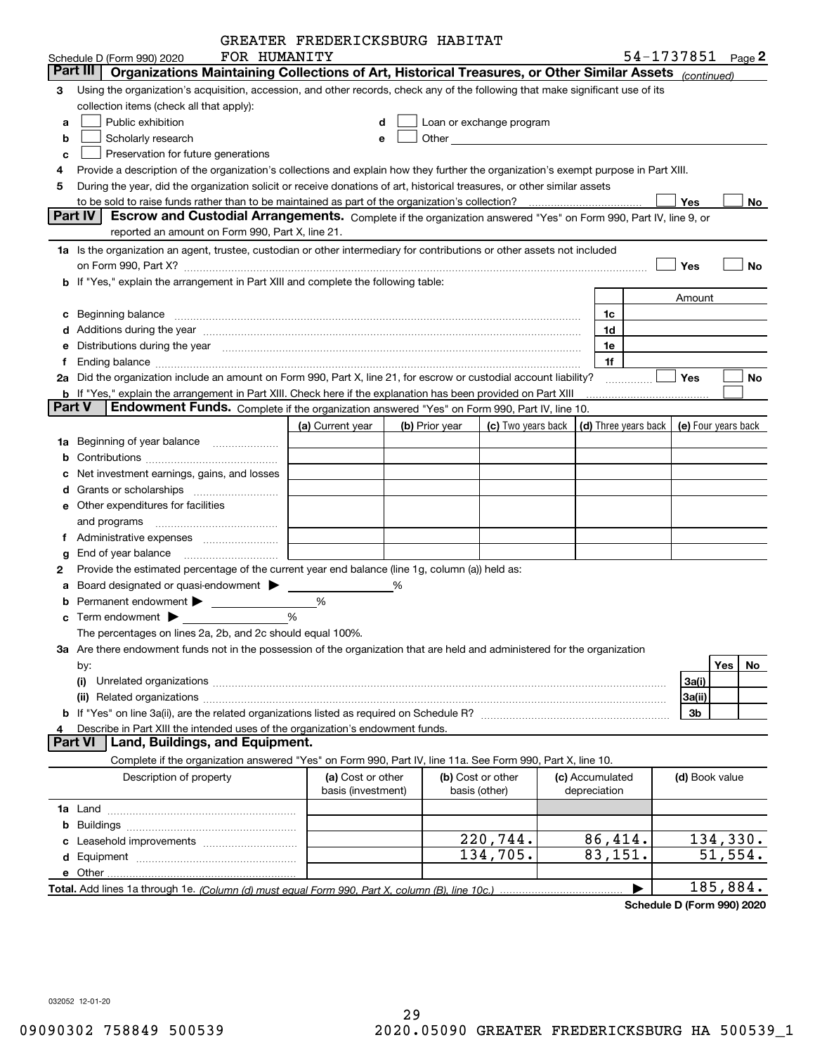|               |                                                                                                                                                                                                                                | GREATER FREDERICKSBURG HABITAT |   |                |                                                                                                                                                                                                                               |                                            |                |                   |
|---------------|--------------------------------------------------------------------------------------------------------------------------------------------------------------------------------------------------------------------------------|--------------------------------|---|----------------|-------------------------------------------------------------------------------------------------------------------------------------------------------------------------------------------------------------------------------|--------------------------------------------|----------------|-------------------|
|               | FOR HUMANITY<br>Schedule D (Form 990) 2020                                                                                                                                                                                     |                                |   |                |                                                                                                                                                                                                                               |                                            |                | 54-1737851 Page 2 |
| Part III      | Organizations Maintaining Collections of Art, Historical Treasures, or Other Similar Assets (continued)                                                                                                                        |                                |   |                |                                                                                                                                                                                                                               |                                            |                |                   |
| З             | Using the organization's acquisition, accession, and other records, check any of the following that make significant use of its                                                                                                |                                |   |                |                                                                                                                                                                                                                               |                                            |                |                   |
|               | collection items (check all that apply):                                                                                                                                                                                       |                                |   |                |                                                                                                                                                                                                                               |                                            |                |                   |
| a             | Public exhibition                                                                                                                                                                                                              |                                | d |                | Loan or exchange program                                                                                                                                                                                                      |                                            |                |                   |
| b             | Scholarly research                                                                                                                                                                                                             |                                | е |                | Other and the contract of the contract of the contract of the contract of the contract of the contract of the contract of the contract of the contract of the contract of the contract of the contract of the contract of the |                                            |                |                   |
| c             | Preservation for future generations                                                                                                                                                                                            |                                |   |                |                                                                                                                                                                                                                               |                                            |                |                   |
|               | Provide a description of the organization's collections and explain how they further the organization's exempt purpose in Part XIII.                                                                                           |                                |   |                |                                                                                                                                                                                                                               |                                            |                |                   |
| 5             | During the year, did the organization solicit or receive donations of art, historical treasures, or other similar assets                                                                                                       |                                |   |                |                                                                                                                                                                                                                               |                                            |                |                   |
|               |                                                                                                                                                                                                                                |                                |   |                |                                                                                                                                                                                                                               |                                            | Yes            | No                |
|               | Part IV<br>Escrow and Custodial Arrangements. Complete if the organization answered "Yes" on Form 990, Part IV, line 9, or                                                                                                     |                                |   |                |                                                                                                                                                                                                                               |                                            |                |                   |
|               | reported an amount on Form 990, Part X, line 21.                                                                                                                                                                               |                                |   |                |                                                                                                                                                                                                                               |                                            |                |                   |
|               | 1a Is the organization an agent, trustee, custodian or other intermediary for contributions or other assets not included                                                                                                       |                                |   |                |                                                                                                                                                                                                                               |                                            |                |                   |
|               | on Form 990, Part X? [11] matter and the contract of the contract of the contract of the contract of the contract of the contract of the contract of the contract of the contract of the contract of the contract of the contr |                                |   |                |                                                                                                                                                                                                                               |                                            | Yes            | No                |
|               | b If "Yes," explain the arrangement in Part XIII and complete the following table:                                                                                                                                             |                                |   |                |                                                                                                                                                                                                                               |                                            |                |                   |
|               |                                                                                                                                                                                                                                |                                |   |                |                                                                                                                                                                                                                               |                                            | Amount         |                   |
|               |                                                                                                                                                                                                                                |                                |   |                |                                                                                                                                                                                                                               |                                            |                |                   |
| c             |                                                                                                                                                                                                                                |                                |   |                |                                                                                                                                                                                                                               | 1c                                         |                |                   |
|               |                                                                                                                                                                                                                                |                                |   |                |                                                                                                                                                                                                                               | 1d                                         |                |                   |
|               | Distributions during the year manufactured and continuum control of the year manufactured and control of the year manufactured and control of the year manufactured and control of the year manufactured and control of the ye |                                |   |                |                                                                                                                                                                                                                               | 1e                                         |                |                   |
|               |                                                                                                                                                                                                                                |                                |   |                |                                                                                                                                                                                                                               | 1f                                         |                |                   |
|               | 2a Did the organization include an amount on Form 990, Part X, line 21, for escrow or custodial account liability?                                                                                                             |                                |   |                |                                                                                                                                                                                                                               |                                            | Yes            | No                |
|               | <b>b</b> If "Yes," explain the arrangement in Part XIII. Check here if the explanation has been provided on Part XIII                                                                                                          |                                |   |                |                                                                                                                                                                                                                               |                                            |                |                   |
| <b>Part V</b> | Endowment Funds. Complete if the organization answered "Yes" on Form 990, Part IV, line 10.                                                                                                                                    |                                |   |                |                                                                                                                                                                                                                               |                                            |                |                   |
|               |                                                                                                                                                                                                                                | (a) Current year               |   | (b) Prior year | (c) Two years back                                                                                                                                                                                                            | (d) Three years back   (e) Four years back |                |                   |
| 1a            | Beginning of year balance                                                                                                                                                                                                      |                                |   |                |                                                                                                                                                                                                                               |                                            |                |                   |
|               |                                                                                                                                                                                                                                |                                |   |                |                                                                                                                                                                                                                               |                                            |                |                   |
|               | Net investment earnings, gains, and losses                                                                                                                                                                                     |                                |   |                |                                                                                                                                                                                                                               |                                            |                |                   |
|               | Grants or scholarships                                                                                                                                                                                                         |                                |   |                |                                                                                                                                                                                                                               |                                            |                |                   |
|               | e Other expenditures for facilities                                                                                                                                                                                            |                                |   |                |                                                                                                                                                                                                                               |                                            |                |                   |
|               |                                                                                                                                                                                                                                |                                |   |                |                                                                                                                                                                                                                               |                                            |                |                   |
|               |                                                                                                                                                                                                                                |                                |   |                |                                                                                                                                                                                                                               |                                            |                |                   |
|               |                                                                                                                                                                                                                                |                                |   |                |                                                                                                                                                                                                                               |                                            |                |                   |
| 2             | Provide the estimated percentage of the current year end balance (line 1g, column (a)) held as:                                                                                                                                |                                |   |                |                                                                                                                                                                                                                               |                                            |                |                   |
|               | Board designated or quasi-endowment >                                                                                                                                                                                          |                                | % |                |                                                                                                                                                                                                                               |                                            |                |                   |
|               |                                                                                                                                                                                                                                | %                              |   |                |                                                                                                                                                                                                                               |                                            |                |                   |
|               | %                                                                                                                                                                                                                              |                                |   |                |                                                                                                                                                                                                                               |                                            |                |                   |
|               | The percentages on lines 2a, 2b, and 2c should equal 100%.                                                                                                                                                                     |                                |   |                |                                                                                                                                                                                                                               |                                            |                |                   |
|               | 3a Are there endowment funds not in the possession of the organization that are held and administered for the organization                                                                                                     |                                |   |                |                                                                                                                                                                                                                               |                                            |                |                   |
|               | by:                                                                                                                                                                                                                            |                                |   |                |                                                                                                                                                                                                                               |                                            |                | Yes<br>No         |
|               | (i)                                                                                                                                                                                                                            |                                |   |                |                                                                                                                                                                                                                               |                                            | 3a(i)          |                   |
|               | (ii)                                                                                                                                                                                                                           |                                |   |                |                                                                                                                                                                                                                               |                                            | 3a(ii)         |                   |
|               |                                                                                                                                                                                                                                |                                |   |                |                                                                                                                                                                                                                               |                                            | 3b             |                   |
|               |                                                                                                                                                                                                                                |                                |   |                |                                                                                                                                                                                                                               |                                            |                |                   |
|               | Describe in Part XIII the intended uses of the organization's endowment funds.<br>Land, Buildings, and Equipment.<br><b>Part VI</b>                                                                                            |                                |   |                |                                                                                                                                                                                                                               |                                            |                |                   |
|               |                                                                                                                                                                                                                                |                                |   |                |                                                                                                                                                                                                                               |                                            |                |                   |
|               | Complete if the organization answered "Yes" on Form 990, Part IV, line 11a. See Form 990, Part X, line 10.                                                                                                                     |                                |   |                |                                                                                                                                                                                                                               |                                            |                |                   |
|               | Description of property                                                                                                                                                                                                        | (a) Cost or other              |   |                | (b) Cost or other<br>basis (other)                                                                                                                                                                                            | (c) Accumulated                            | (d) Book value |                   |
|               |                                                                                                                                                                                                                                | basis (investment)             |   |                |                                                                                                                                                                                                                               | depreciation                               |                |                   |
|               |                                                                                                                                                                                                                                |                                |   |                |                                                                                                                                                                                                                               |                                            |                |                   |
|               |                                                                                                                                                                                                                                |                                |   |                |                                                                                                                                                                                                                               |                                            |                |                   |
|               |                                                                                                                                                                                                                                |                                |   |                | 220,744.                                                                                                                                                                                                                      | 86,414.                                    |                | 134, 330.         |
|               |                                                                                                                                                                                                                                |                                |   |                | 134,705.                                                                                                                                                                                                                      | 83,151.                                    |                | 51,554.           |
|               |                                                                                                                                                                                                                                |                                |   |                |                                                                                                                                                                                                                               |                                            |                |                   |
|               |                                                                                                                                                                                                                                |                                |   |                |                                                                                                                                                                                                                               |                                            |                | 185,884.          |

**Schedule D (Form 990) 2020**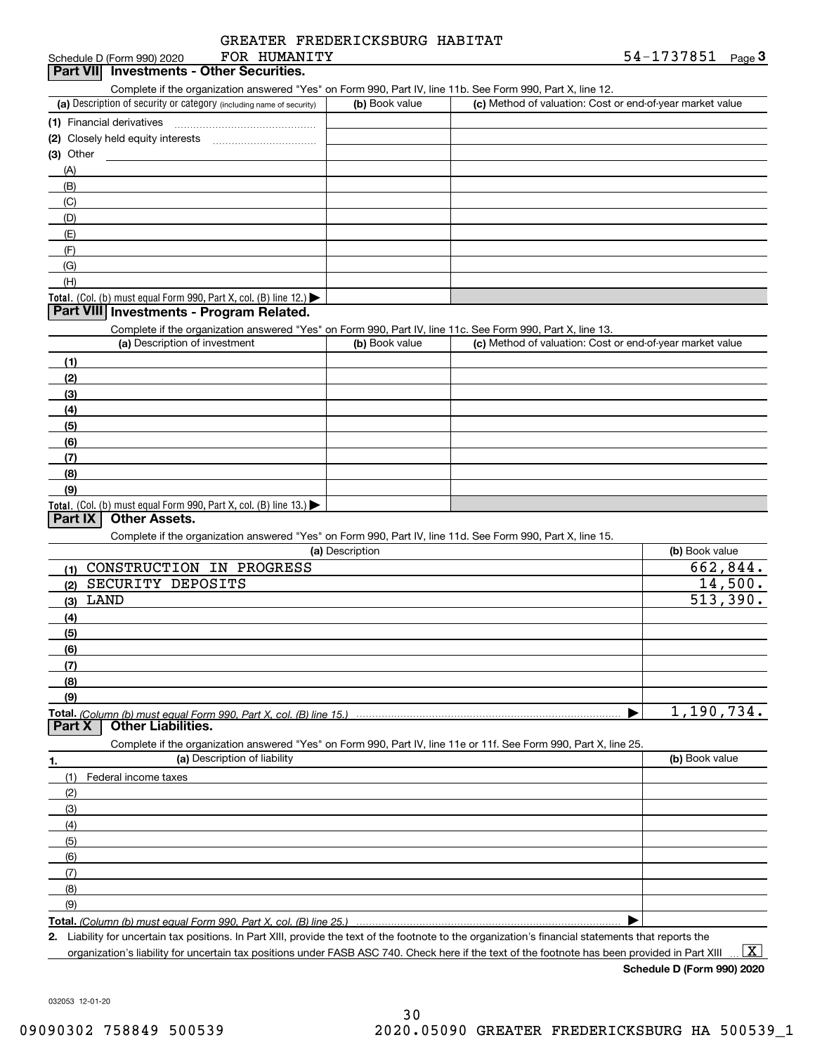### FOR HUMANITY

| Schedule D (Form 990) 2020               | FOR HUMANITY | 54-1737851 | Page J |
|------------------------------------------|--------------|------------|--------|
| Part VII Investments - Other Securities. |              |            |        |

Complete if the organization answered "Yes" on Form 990, Part IV, line 11b. See Form 990, Part X, line 12.

| (a) Description of security or category (including name of security)                          | (b) Book value | (c) Method of valuation: Cost or end-of-year market value |
|-----------------------------------------------------------------------------------------------|----------------|-----------------------------------------------------------|
| (1) Financial derivatives                                                                     |                |                                                           |
| (2) Closely held equity interests                                                             |                |                                                           |
| (3) Other                                                                                     |                |                                                           |
| (A)                                                                                           |                |                                                           |
| (B)                                                                                           |                |                                                           |
| (C)                                                                                           |                |                                                           |
| (D)                                                                                           |                |                                                           |
| (E)                                                                                           |                |                                                           |
| (F)                                                                                           |                |                                                           |
| (G)                                                                                           |                |                                                           |
| (H)                                                                                           |                |                                                           |
| <b>Total.</b> (Col. (b) must equal Form 990, Part X, col. (B) line 12.) $\blacktriangleright$ |                |                                                           |

## **Part VIII** Investments - Program Related.

Complete if the organization answered "Yes" on Form 990, Part IV, line 11c. See Form 990, Part X, line 13.

| (a) Description of investment                                                          | (b) Book value | (c) Method of valuation: Cost or end-of-year market value |
|----------------------------------------------------------------------------------------|----------------|-----------------------------------------------------------|
| (1)                                                                                    |                |                                                           |
| (2)                                                                                    |                |                                                           |
| $\frac{1}{2}$                                                                          |                |                                                           |
| (4)                                                                                    |                |                                                           |
| $\frac{1}{2}$                                                                          |                |                                                           |
| (6)                                                                                    |                |                                                           |
| (7)                                                                                    |                |                                                           |
| (8)                                                                                    |                |                                                           |
| (9)                                                                                    |                |                                                           |
| Total. (Col. (b) must equal Form 990, Part X, col. (B) line 13.) $\blacktriangleright$ |                |                                                           |

## **Part IX Other Assets.**

Complete if the organization answered "Yes" on Form 990, Part IV, line 11d. See Form 990, Part X, line 15.

| (a) Description                                                                                                   | (b) Book value |
|-------------------------------------------------------------------------------------------------------------------|----------------|
| CONSTRUCTION IN PROGRESS<br>(1)                                                                                   | 662,844.       |
| SECURITY DEPOSITS<br>(2)                                                                                          | 14,500.        |
| LAND<br>(3)                                                                                                       | 513,390.       |
| (4)                                                                                                               |                |
| (5)                                                                                                               |                |
| (6)                                                                                                               |                |
| (7)                                                                                                               |                |
| (8)                                                                                                               |                |
| (9)                                                                                                               |                |
|                                                                                                                   | 1,190,734.     |
|                                                                                                                   |                |
| Complete if the organization answered "Yes" on Form 990, Part IV, line 11e or 11f. See Form 990, Part X, line 25. |                |
| (a) Description of liability<br>1.                                                                                | (b) Book value |
| Federal income taxes<br>(1)                                                                                       |                |
| (2)                                                                                                               |                |
| (3)                                                                                                               |                |
| (4)                                                                                                               |                |
| (5)                                                                                                               |                |
| (6)                                                                                                               |                |
| (7)                                                                                                               |                |
| (8)                                                                                                               |                |

**Total.**  *(Column (b) must equal Form 990, Part X, col. (B) line 25.)* 

**2.**Liability for uncertain tax positions. In Part XIII, provide the text of the footnote to the organization's financial statements that reports the

organization's liability for uncertain tax positions under FASB ASC 740. Check here if the text of the footnote has been provided in Part XIII

**Schedule D (Form 990) 2020**

 $\boxed{\text{X}}$ 

 $\blacktriangleright$ 

032053 12-01-20

(9)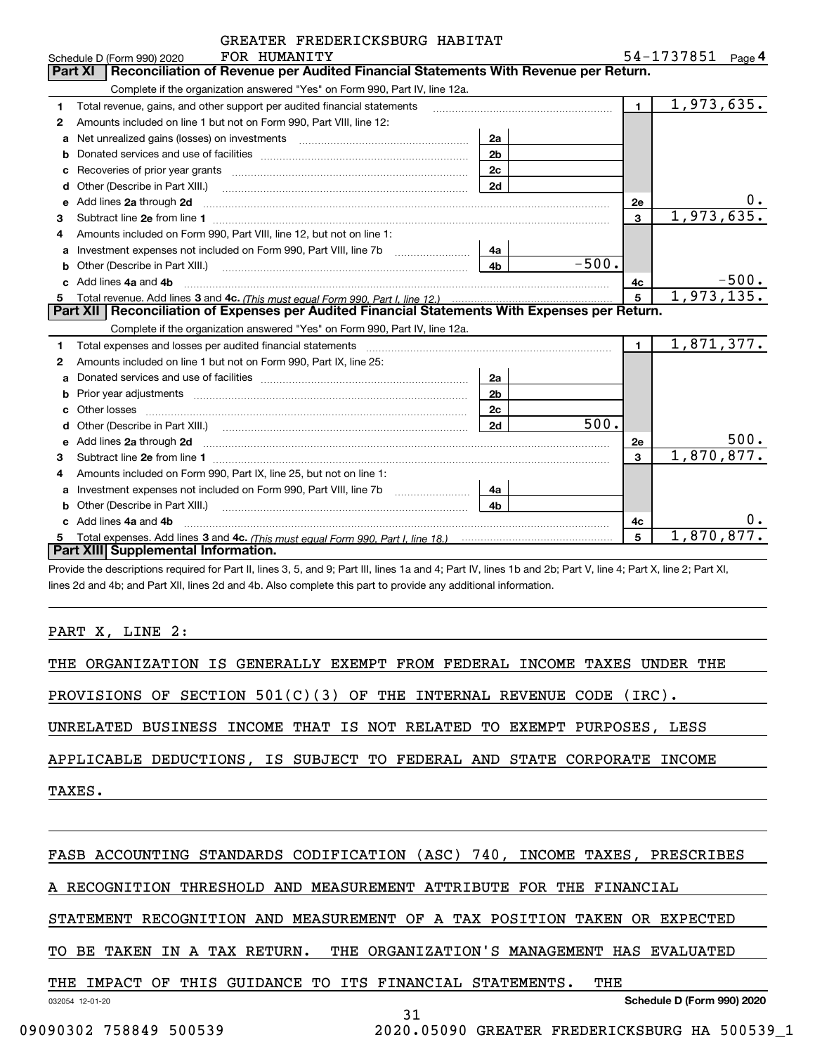|   | GREATER FREDERICKSBURG HABITAT                                                                                                                                                                                                      |                |            |              |                   |         |
|---|-------------------------------------------------------------------------------------------------------------------------------------------------------------------------------------------------------------------------------------|----------------|------------|--------------|-------------------|---------|
|   | FOR HUMANITY<br>Schedule D (Form 990) 2020                                                                                                                                                                                          |                |            |              | 54-1737851 Page 4 |         |
|   | Reconciliation of Revenue per Audited Financial Statements With Revenue per Return.<br>Part XI                                                                                                                                      |                |            |              |                   |         |
|   | Complete if the organization answered "Yes" on Form 990, Part IV, line 12a.                                                                                                                                                         |                |            |              |                   |         |
| 1 | Total revenue, gains, and other support per audited financial statements                                                                                                                                                            |                |            | $\mathbf{1}$ | 1,973,635.        |         |
| 2 | Amounts included on line 1 but not on Form 990, Part VIII, line 12:                                                                                                                                                                 |                |            |              |                   |         |
| a |                                                                                                                                                                                                                                     | 2a             |            |              |                   |         |
| b |                                                                                                                                                                                                                                     | 2 <sub>b</sub> |            |              |                   |         |
|   |                                                                                                                                                                                                                                     | 2c             |            |              |                   |         |
| d | Other (Describe in Part XIII.) <b>Construction Contract Construction</b> Chern Construction Chern Chern Chern Chern Chern Chern Chern Chern Chern Chern Chern Chern Chern Chern Chern Chern Chern Chern Chern Chern Chern Chern Che | 2d             |            |              |                   |         |
| e | Add lines 2a through 2d                                                                                                                                                                                                             |                |            | <b>2e</b>    |                   |         |
| 3 |                                                                                                                                                                                                                                     |                |            | 3            | 1,973,635.        |         |
| 4 | Amounts included on Form 990, Part VIII, line 12, but not on line 1:                                                                                                                                                                |                |            |              |                   |         |
| a |                                                                                                                                                                                                                                     | 4a             |            |              |                   |         |
| b | Other (Describe in Part XIII.) <b>Construction</b> and the construction of the construction of the construction of the construction of the construction of the construction of the construction of the construction of the construc | 4b             | $-500.$    |              |                   |         |
|   | Add lines 4a and 4b                                                                                                                                                                                                                 |                |            | 4c           |                   | $-500.$ |
| 5 |                                                                                                                                                                                                                                     | 5              | 1,973,135. |              |                   |         |
|   | Part XII   Reconciliation of Expenses per Audited Financial Statements With Expenses per Return.                                                                                                                                    |                |            |              |                   |         |
|   | Complete if the organization answered "Yes" on Form 990, Part IV, line 12a.                                                                                                                                                         |                |            |              |                   |         |
| 1 | Total expenses and losses per audited financial statements [11] [12] manuscription control in the statements [13] manuscription of the statements [13] manuscription of the statements and the statements and the statements a      |                |            | $\mathbf{1}$ | 1,871,377.        |         |
| 2 | Amounts included on line 1 but not on Form 990, Part IX, line 25:                                                                                                                                                                   |                |            |              |                   |         |
| a |                                                                                                                                                                                                                                     | 2a             |            |              |                   |         |
| b |                                                                                                                                                                                                                                     | 2 <sub>b</sub> |            |              |                   |         |
|   | Other losses                                                                                                                                                                                                                        | 2 <sub>c</sub> |            |              |                   |         |
| d |                                                                                                                                                                                                                                     | 2d             | 500.       |              |                   |         |
| e | Add lines 2a through 2d <b>contained a contained a contained a contained a</b> contained a contact the state of the state of the state of the state of the state of the state of the state of the state of the state of the state o |                |            | 2e           |                   | 500.    |
| 3 |                                                                                                                                                                                                                                     |                |            | 3            | 1,870,877.        |         |
| 4 | Amounts included on Form 990, Part IX, line 25, but not on line 1:                                                                                                                                                                  |                |            |              |                   |         |
| a |                                                                                                                                                                                                                                     | 4a             |            |              |                   |         |
| b |                                                                                                                                                                                                                                     | 4b.            |            |              |                   |         |
|   | Add lines 4a and 4b                                                                                                                                                                                                                 |                |            | 4с           |                   |         |
|   |                                                                                                                                                                                                                                     |                |            | 5            | 1,870,877.        |         |
|   | Part XIII Supplemental Information.                                                                                                                                                                                                 |                |            |              |                   |         |

Provide the descriptions required for Part II, lines 3, 5, and 9; Part III, lines 1a and 4; Part IV, lines 1b and 2b; Part V, line 4; Part X, line 2; Part XI, lines 2d and 4b; and Part XII, lines 2d and 4b. Also complete this part to provide any additional information.

## PART X, LINE 2:

THE ORGANIZATION IS GENERALLY EXEMPT FROM FEDERAL INCOME TAXES UNDER THE

PROVISIONS OF SECTION 501(C)(3) OF THE INTERNAL REVENUE CODE (IRC).

UNRELATED BUSINESS INCOME THAT IS NOT RELATED TO EXEMPT PURPOSES, LESS

APPLICABLE DEDUCTIONS, IS SUBJECT TO FEDERAL AND STATE CORPORATE INCOME

TAXES.

## FASB ACCOUNTING STANDARDS CODIFICATION (ASC) 740, INCOME TAXES, PRESCRIBES

A RECOGNITION THRESHOLD AND MEASUREMENT ATTRIBUTE FOR THE FINANCIAL

STATEMENT RECOGNITION AND MEASUREMENT OF A TAX POSITION TAKEN OR EXPECTED

TO BE TAKEN IN A TAX RETURN. THE ORGANIZATION'S MANAGEMENT HAS EVALUATED

## THE IMPACT OF THIS GUIDANCE TO ITS FINANCIAL STATEMENTS. THE

032054 12-01-20

31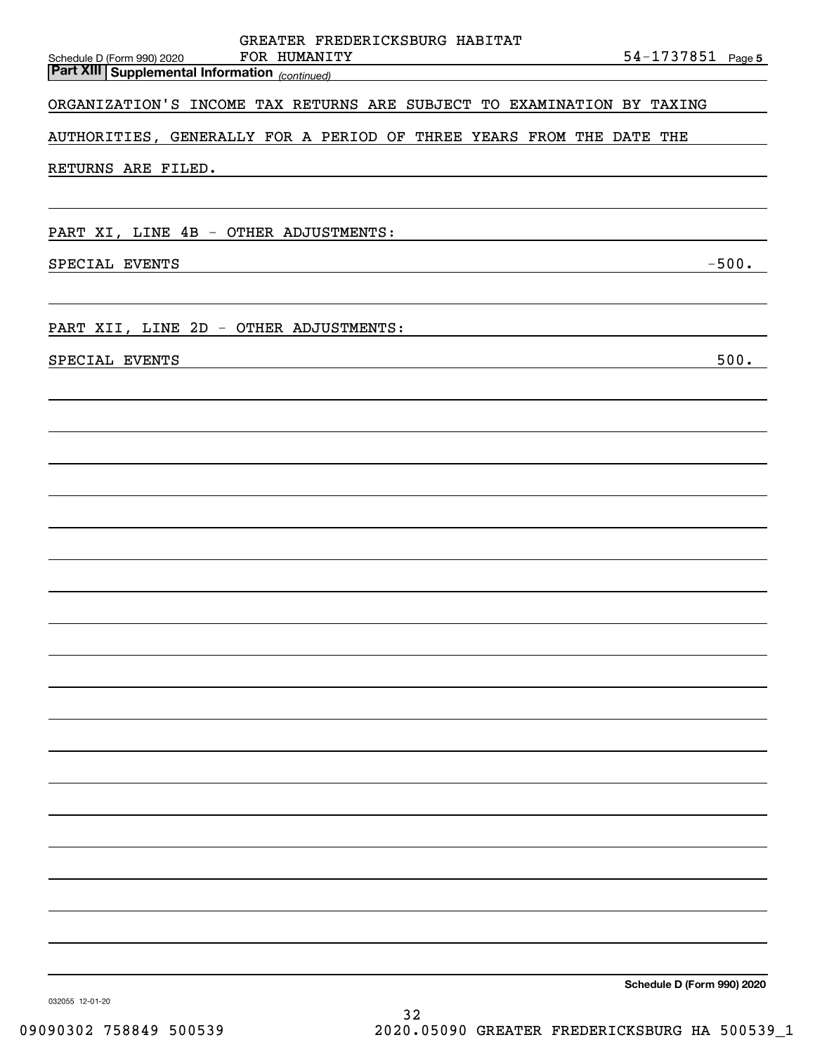| FOR HUMANITY<br>Schedule D (Form 990) 2020<br>$\overline{\phantom{a}}$<br><b>Part XIII Supplemental Information</b> (continued) | GREATER FREDERICKSBURG HABITAT | 54-1737851 Page 5          |
|---------------------------------------------------------------------------------------------------------------------------------|--------------------------------|----------------------------|
| ORGANIZATION'S INCOME TAX RETURNS ARE SUBJECT TO EXAMINATION BY TAXING                                                          |                                |                            |
| AUTHORITIES, GENERALLY FOR A PERIOD OF THREE YEARS FROM THE DATE THE                                                            |                                |                            |
| RETURNS ARE FILED.                                                                                                              |                                |                            |
|                                                                                                                                 |                                |                            |
| PART XI, LINE 4B - OTHER ADJUSTMENTS:                                                                                           |                                |                            |
| SPECIAL EVENTS                                                                                                                  |                                | $-500.$                    |
|                                                                                                                                 |                                |                            |
| PART XII, LINE 2D - OTHER ADJUSTMENTS:                                                                                          |                                |                            |
| SPECIAL EVENTS                                                                                                                  |                                | 500.                       |
|                                                                                                                                 |                                |                            |
|                                                                                                                                 |                                |                            |
|                                                                                                                                 |                                |                            |
|                                                                                                                                 |                                |                            |
|                                                                                                                                 |                                |                            |
|                                                                                                                                 |                                |                            |
|                                                                                                                                 |                                |                            |
|                                                                                                                                 |                                |                            |
|                                                                                                                                 |                                |                            |
|                                                                                                                                 |                                |                            |
|                                                                                                                                 |                                |                            |
|                                                                                                                                 |                                |                            |
|                                                                                                                                 |                                |                            |
|                                                                                                                                 |                                |                            |
|                                                                                                                                 |                                |                            |
|                                                                                                                                 |                                |                            |
|                                                                                                                                 |                                |                            |
|                                                                                                                                 |                                | Schedule D (Form 990) 2020 |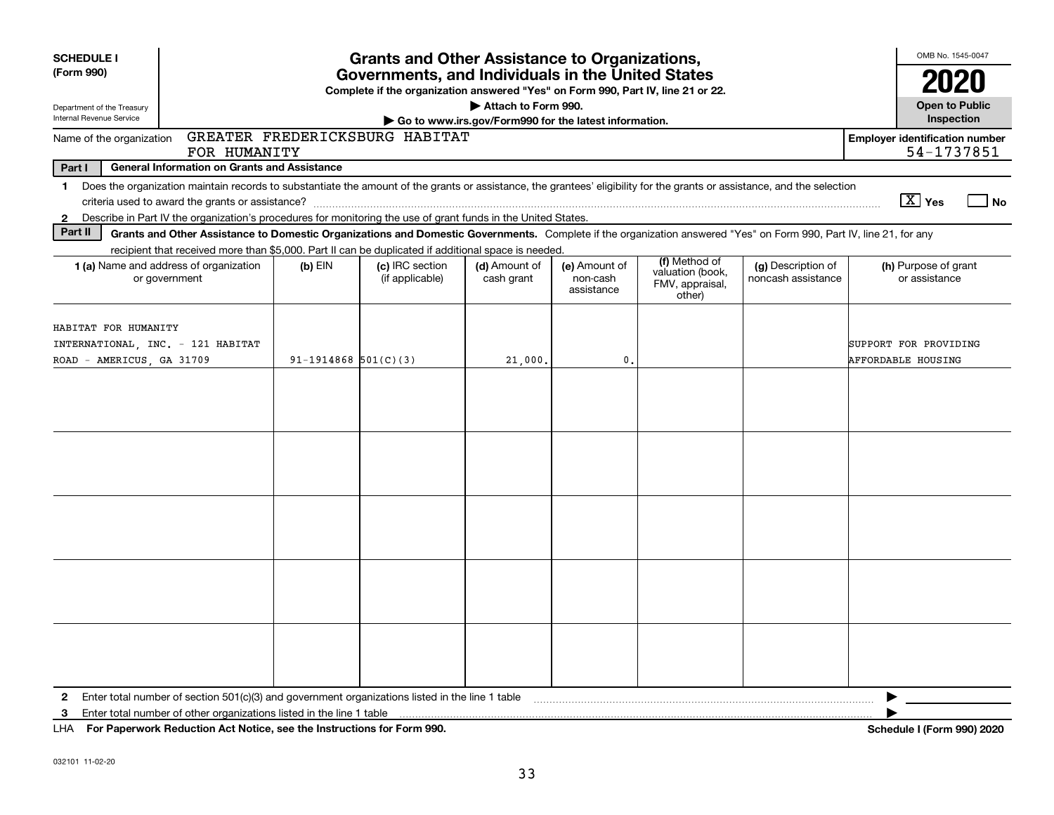| <b>SCHEDULE I</b><br><b>Grants and Other Assistance to Organizations,</b>              |                                                                                                                                                                                                                                                                           |                          |                                    |                                                                              | OMB No. 1545-0047                       |                                                                |                                          |  |                                                     |      |
|----------------------------------------------------------------------------------------|---------------------------------------------------------------------------------------------------------------------------------------------------------------------------------------------------------------------------------------------------------------------------|--------------------------|------------------------------------|------------------------------------------------------------------------------|-----------------------------------------|----------------------------------------------------------------|------------------------------------------|--|-----------------------------------------------------|------|
| (Form 990)                                                                             | Governments, and Individuals in the United States<br>Complete if the organization answered "Yes" on Form 990, Part IV, line 21 or 22.                                                                                                                                     |                          |                                    |                                                                              |                                         |                                                                |                                          |  |                                                     | 2020 |
| Department of the Treasury<br>Internal Revenue Service                                 |                                                                                                                                                                                                                                                                           |                          |                                    | Attach to Form 990.<br>Go to www.irs.gov/Form990 for the latest information. |                                         |                                                                |                                          |  | <b>Open to Public</b><br>Inspection                 |      |
| Name of the organization                                                               | FOR HUMANITY                                                                                                                                                                                                                                                              |                          | GREATER FREDERICKSBURG HABITAT     |                                                                              |                                         |                                                                |                                          |  | <b>Employer identification number</b><br>54-1737851 |      |
| Part I                                                                                 | <b>General Information on Grants and Assistance</b>                                                                                                                                                                                                                       |                          |                                    |                                                                              |                                         |                                                                |                                          |  |                                                     |      |
| $\mathbf{1}$                                                                           | Does the organization maintain records to substantiate the amount of the grants or assistance, the grantees' eligibility for the grants or assistance, and the selection                                                                                                  |                          |                                    |                                                                              |                                         |                                                                |                                          |  |                                                     |      |
|                                                                                        |                                                                                                                                                                                                                                                                           |                          |                                    |                                                                              |                                         |                                                                |                                          |  | $\boxed{\text{X}}$ Yes                              | No   |
| $\mathbf{2}$                                                                           | Describe in Part IV the organization's procedures for monitoring the use of grant funds in the United States.                                                                                                                                                             |                          |                                    |                                                                              |                                         |                                                                |                                          |  |                                                     |      |
| Part II                                                                                | Grants and Other Assistance to Domestic Organizations and Domestic Governments. Complete if the organization answered "Yes" on Form 990, Part IV, line 21, for any<br>recipient that received more than \$5,000. Part II can be duplicated if additional space is needed. |                          |                                    |                                                                              |                                         |                                                                |                                          |  |                                                     |      |
|                                                                                        | <b>1 (a)</b> Name and address of organization<br>or government                                                                                                                                                                                                            | $(b)$ EIN                | (c) IRC section<br>(if applicable) | (d) Amount of<br>cash grant                                                  | (e) Amount of<br>non-cash<br>assistance | (f) Method of<br>valuation (book,<br>FMV, appraisal,<br>other) | (g) Description of<br>noncash assistance |  | (h) Purpose of grant<br>or assistance               |      |
| HABITAT FOR HUMANITY<br>INTERNATIONAL, INC. - 121 HABITAT<br>ROAD - AMERICUS, GA 31709 |                                                                                                                                                                                                                                                                           | $91-1914868$ $501(C)(3)$ |                                    | 21,000.                                                                      | 0                                       |                                                                |                                          |  | SUPPORT FOR PROVIDING<br><b>AFFORDABLE HOUSING</b>  |      |
|                                                                                        |                                                                                                                                                                                                                                                                           |                          |                                    |                                                                              |                                         |                                                                |                                          |  |                                                     |      |
|                                                                                        |                                                                                                                                                                                                                                                                           |                          |                                    |                                                                              |                                         |                                                                |                                          |  |                                                     |      |
|                                                                                        |                                                                                                                                                                                                                                                                           |                          |                                    |                                                                              |                                         |                                                                |                                          |  |                                                     |      |
|                                                                                        |                                                                                                                                                                                                                                                                           |                          |                                    |                                                                              |                                         |                                                                |                                          |  |                                                     |      |
|                                                                                        |                                                                                                                                                                                                                                                                           |                          |                                    |                                                                              |                                         |                                                                |                                          |  |                                                     |      |
| $\mathbf{2}$                                                                           | Enter total number of section $501(c)(3)$ and government organizations listed in the line 1 table                                                                                                                                                                         |                          |                                    |                                                                              |                                         |                                                                |                                          |  |                                                     |      |
| 3                                                                                      | Enter total number of other organizations listed in the line 1 table                                                                                                                                                                                                      |                          |                                    |                                                                              |                                         |                                                                |                                          |  |                                                     |      |
|                                                                                        | LHA For Paperwork Reduction Act Notice, see the Instructions for Form 990.                                                                                                                                                                                                |                          |                                    |                                                                              |                                         |                                                                |                                          |  | Schedule I (Form 990) 2020                          |      |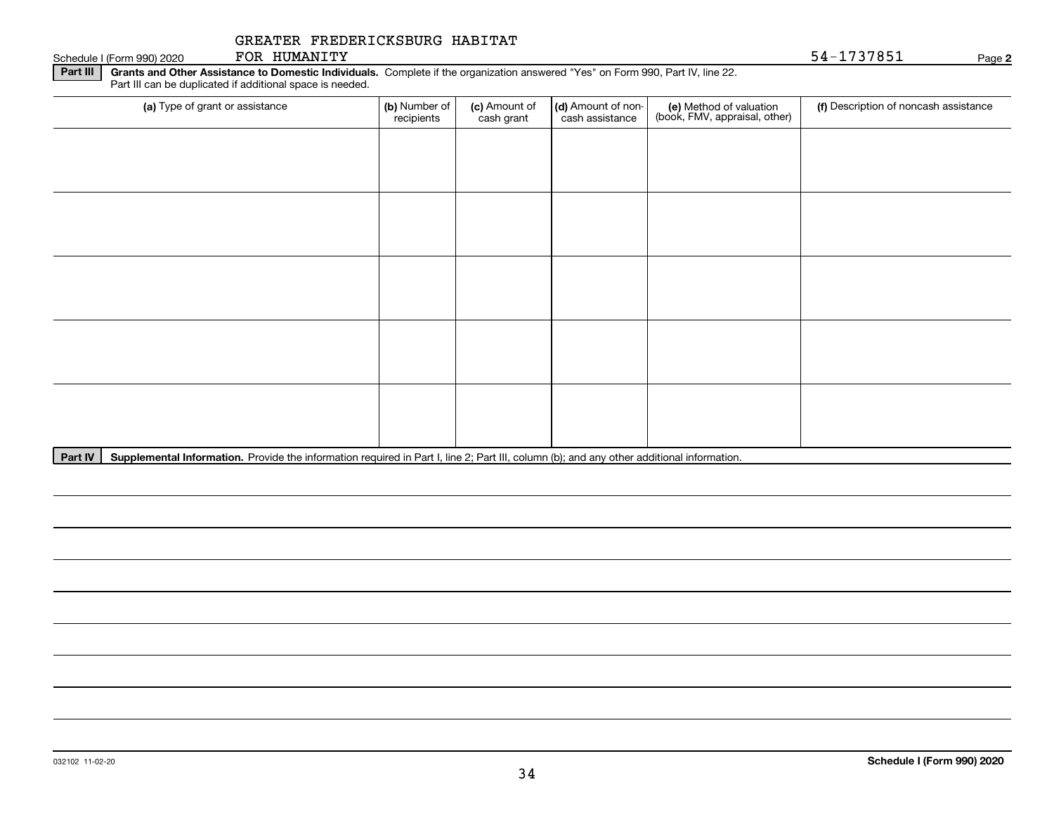Schedule I (Form 990) 2020 FOR HUMANITY FOR HUMANITY

**2**

**Part III | Grants and Other Assistance to Domestic Individuals. Complete if the organization answered "Yes" on Form 990, Part IV, line 22.** Part III can be duplicated if additional space is needed.

| (a) Type of grant or assistance | (b) Number of<br>recipients | (c) Amount of<br>cash grant | (d) Amount of non-<br>cash assistance | (e) Method of valuation<br>(book, FMV, appraisal, other) | (f) Description of noncash assistance |
|---------------------------------|-----------------------------|-----------------------------|---------------------------------------|----------------------------------------------------------|---------------------------------------|
|                                 |                             |                             |                                       |                                                          |                                       |
|                                 |                             |                             |                                       |                                                          |                                       |
|                                 |                             |                             |                                       |                                                          |                                       |
|                                 |                             |                             |                                       |                                                          |                                       |
|                                 |                             |                             |                                       |                                                          |                                       |
|                                 |                             |                             |                                       |                                                          |                                       |
|                                 |                             |                             |                                       |                                                          |                                       |
|                                 |                             |                             |                                       |                                                          |                                       |
|                                 |                             |                             |                                       |                                                          |                                       |
|                                 |                             |                             |                                       |                                                          |                                       |

Part IV | Supplemental Information. Provide the information required in Part I, line 2; Part III, column (b); and any other additional information.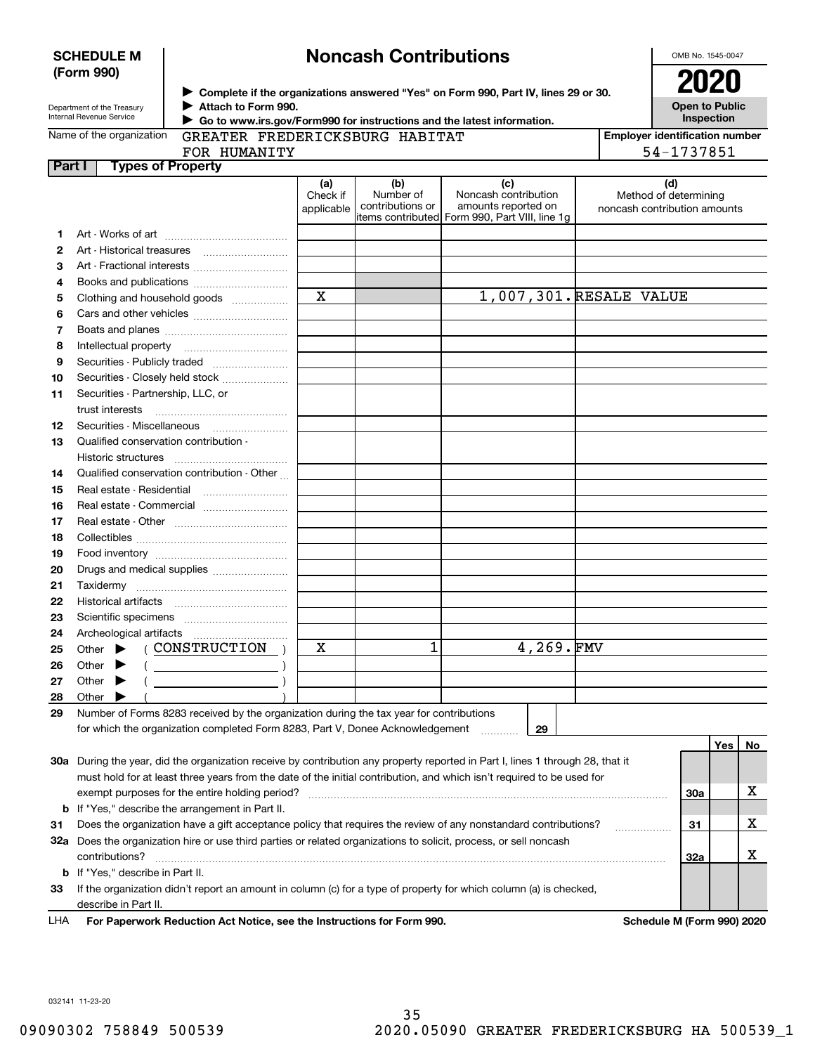|        | (Form 990)                                             |                                                                                         |                               |                                      | Complete if the organizations answered "Yes" on Form 990, Part IV, lines 29 or 30.                                             |                                                              |            |           |
|--------|--------------------------------------------------------|-----------------------------------------------------------------------------------------|-------------------------------|--------------------------------------|--------------------------------------------------------------------------------------------------------------------------------|--------------------------------------------------------------|------------|-----------|
|        | Department of the Treasury<br>Internal Revenue Service | Attach to Form 990.                                                                     |                               |                                      | Go to www.irs.gov/Form990 for instructions and the latest information.                                                         | <b>Open to Public</b>                                        | Inspection |           |
|        | Name of the organization                               | GREATER FREDERICKSBURG HABITAT                                                          |                               |                                      |                                                                                                                                | <b>Employer identification number</b>                        |            |           |
|        |                                                        | FOR HUMANITY                                                                            |                               |                                      |                                                                                                                                | 54-1737851                                                   |            |           |
| Part I | <b>Types of Property</b>                               |                                                                                         |                               |                                      |                                                                                                                                |                                                              |            |           |
|        |                                                        |                                                                                         | (a)<br>Check if<br>applicable | (b)<br>Number of<br>contributions or | (c)<br>Noncash contribution<br>amounts reported on<br>items contributed Form 990, Part VIII, line 1g                           | (d)<br>Method of determining<br>noncash contribution amounts |            |           |
| 1      |                                                        |                                                                                         |                               |                                      |                                                                                                                                |                                                              |            |           |
| 2      |                                                        |                                                                                         |                               |                                      |                                                                                                                                |                                                              |            |           |
| З      |                                                        |                                                                                         |                               |                                      |                                                                                                                                |                                                              |            |           |
| 4      |                                                        |                                                                                         |                               |                                      |                                                                                                                                |                                                              |            |           |
| 5      |                                                        | Clothing and household goods                                                            | $\mathbf X$                   |                                      | 1,007,301. RESALE VALUE                                                                                                        |                                                              |            |           |
| 6      |                                                        |                                                                                         |                               |                                      |                                                                                                                                |                                                              |            |           |
| 7      |                                                        |                                                                                         |                               |                                      |                                                                                                                                |                                                              |            |           |
| 8      | Intellectual property                                  |                                                                                         |                               |                                      |                                                                                                                                |                                                              |            |           |
| 9      |                                                        | Securities - Publicly traded                                                            |                               |                                      |                                                                                                                                |                                                              |            |           |
| 10     |                                                        | Securities - Closely held stock                                                         |                               |                                      |                                                                                                                                |                                                              |            |           |
| 11     | Securities - Partnership, LLC, or                      |                                                                                         |                               |                                      |                                                                                                                                |                                                              |            |           |
|        | trust interests                                        |                                                                                         |                               |                                      |                                                                                                                                |                                                              |            |           |
| 12     |                                                        | Securities - Miscellaneous                                                              |                               |                                      |                                                                                                                                |                                                              |            |           |
| 13     | Qualified conservation contribution -                  |                                                                                         |                               |                                      |                                                                                                                                |                                                              |            |           |
|        |                                                        |                                                                                         |                               |                                      |                                                                                                                                |                                                              |            |           |
| 14     |                                                        | Qualified conservation contribution - Other                                             |                               |                                      |                                                                                                                                |                                                              |            |           |
| 15     | Real estate - Residential                              |                                                                                         |                               |                                      |                                                                                                                                |                                                              |            |           |
| 16     |                                                        | Real estate - Commercial                                                                |                               |                                      |                                                                                                                                |                                                              |            |           |
| 17     |                                                        |                                                                                         |                               |                                      |                                                                                                                                |                                                              |            |           |
| 18     |                                                        |                                                                                         |                               |                                      |                                                                                                                                |                                                              |            |           |
| 19     |                                                        |                                                                                         |                               |                                      |                                                                                                                                |                                                              |            |           |
| 20     |                                                        | Drugs and medical supplies                                                              |                               |                                      |                                                                                                                                |                                                              |            |           |
| 21     |                                                        |                                                                                         |                               |                                      |                                                                                                                                |                                                              |            |           |
| 22     |                                                        |                                                                                         |                               |                                      |                                                                                                                                |                                                              |            |           |
| 23     |                                                        |                                                                                         |                               |                                      |                                                                                                                                |                                                              |            |           |
| 24     |                                                        |                                                                                         |                               |                                      |                                                                                                                                |                                                              |            |           |
| 25     |                                                        | Other $\blacktriangleright$ (CONSTRUCTION)                                              | х                             | 1                                    | 4,269.FMV                                                                                                                      |                                                              |            |           |
| 26     | Other $\bullet$ (                                      | $\overline{\phantom{a}}$                                                                |                               |                                      |                                                                                                                                |                                                              |            |           |
| 27     | Other                                                  |                                                                                         |                               |                                      |                                                                                                                                |                                                              |            |           |
| 28     | Other                                                  |                                                                                         |                               |                                      |                                                                                                                                |                                                              |            |           |
| 29     |                                                        | Number of Forms 8283 received by the organization during the tax year for contributions |                               |                                      |                                                                                                                                |                                                              |            |           |
|        |                                                        | for which the organization completed Form 8283, Part V, Donee Acknowledgement           |                               |                                      | 29                                                                                                                             |                                                              |            |           |
|        |                                                        |                                                                                         |                               |                                      |                                                                                                                                |                                                              | <b>Yes</b> | <u>No</u> |
|        |                                                        |                                                                                         |                               |                                      | 30a During the year, did the organization receive by contribution any property reported in Part I, lines 1 through 28, that it |                                                              |            |           |
|        |                                                        |                                                                                         |                               |                                      | must hold for at least three years from the date of the initial contribution, and which isn't required to be used for          |                                                              |            |           |
|        |                                                        | exempt purposes for the entire holding period?                                          |                               |                                      |                                                                                                                                | 30a                                                          |            | x         |
|        |                                                        | <b>b</b> If "Yes," describe the arrangement in Part II.                                 |                               |                                      |                                                                                                                                |                                                              |            |           |
| 31     |                                                        |                                                                                         |                               |                                      | Does the organization have a gift acceptance policy that requires the review of any nonstandard contributions?                 | 31                                                           |            | x         |
|        |                                                        |                                                                                         |                               |                                      | 32a Does the organization hire or use third parties or related organizations to solicit, process, or sell noncash              |                                                              |            |           |
|        | contributions?                                         |                                                                                         |                               |                                      |                                                                                                                                | 32a                                                          |            | X         |

**33**If the organization didn't report an amount in column (c) for a type of property for which column (a) is checked, **b**If "Yes," describe in Part II. describe in Part II.

**For Paperwork Reduction Act Notice, see the Instructions for Form 990. Schedule M (Form 990) 2020** LHA

032141 11-23-20

**SCHEDULE M (Form 990)**

# **Noncash Contributions**

OMB No. 1545-0047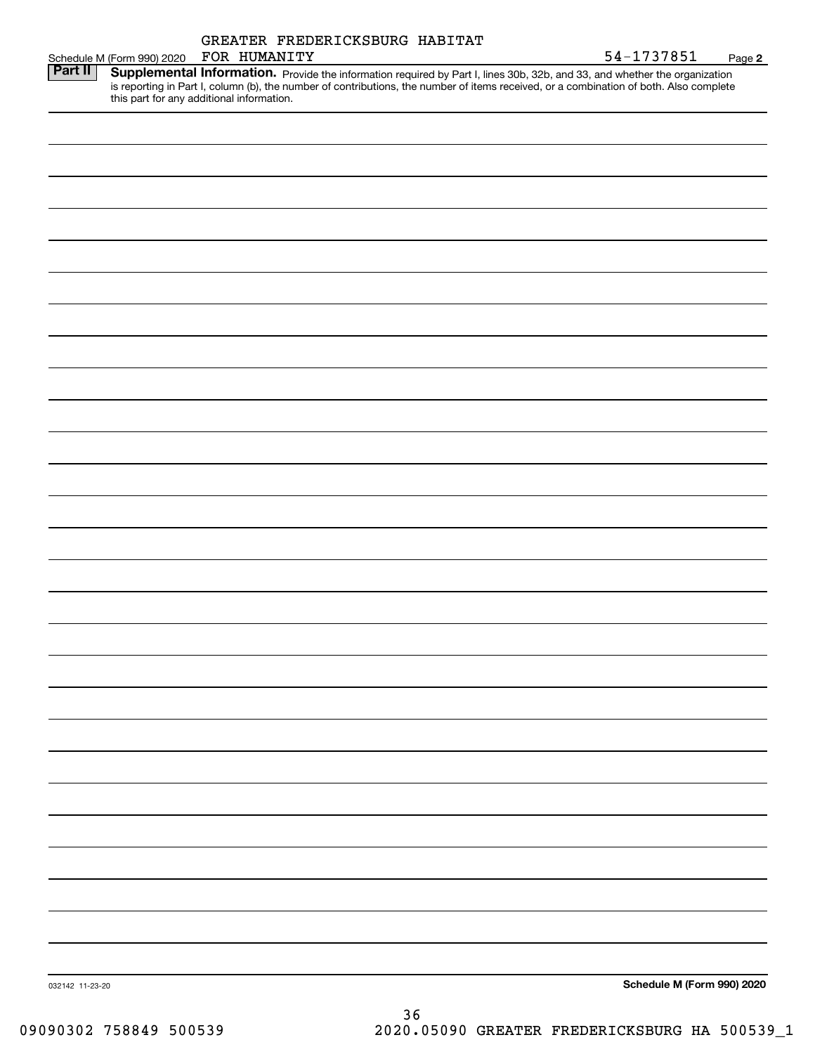|                 |                                           |              | GREATER FREDERICKSBURG HABITAT                                                                                                                                                                                                                                       |                            |
|-----------------|-------------------------------------------|--------------|----------------------------------------------------------------------------------------------------------------------------------------------------------------------------------------------------------------------------------------------------------------------|----------------------------|
|                 | Schedule M (Form 990) 2020                | FOR HUMANITY |                                                                                                                                                                                                                                                                      | 54-1737851<br>Page 2       |
| Part II         | this part for any additional information. |              | Supplemental Information. Provide the information required by Part I, lines 30b, 32b, and 33, and whether the organization<br>is reporting in Part I, column (b), the number of contributions, the number of items received, or a combination of both. Also complete |                            |
|                 |                                           |              |                                                                                                                                                                                                                                                                      |                            |
|                 |                                           |              |                                                                                                                                                                                                                                                                      |                            |
|                 |                                           |              |                                                                                                                                                                                                                                                                      |                            |
|                 |                                           |              |                                                                                                                                                                                                                                                                      |                            |
|                 |                                           |              |                                                                                                                                                                                                                                                                      |                            |
|                 |                                           |              |                                                                                                                                                                                                                                                                      |                            |
|                 |                                           |              |                                                                                                                                                                                                                                                                      |                            |
|                 |                                           |              |                                                                                                                                                                                                                                                                      |                            |
|                 |                                           |              |                                                                                                                                                                                                                                                                      |                            |
|                 |                                           |              |                                                                                                                                                                                                                                                                      |                            |
|                 |                                           |              |                                                                                                                                                                                                                                                                      |                            |
|                 |                                           |              |                                                                                                                                                                                                                                                                      |                            |
|                 |                                           |              |                                                                                                                                                                                                                                                                      |                            |
|                 |                                           |              |                                                                                                                                                                                                                                                                      |                            |
|                 |                                           |              |                                                                                                                                                                                                                                                                      |                            |
|                 |                                           |              |                                                                                                                                                                                                                                                                      |                            |
|                 |                                           |              |                                                                                                                                                                                                                                                                      |                            |
|                 |                                           |              |                                                                                                                                                                                                                                                                      |                            |
|                 |                                           |              |                                                                                                                                                                                                                                                                      |                            |
|                 |                                           |              |                                                                                                                                                                                                                                                                      |                            |
|                 |                                           |              |                                                                                                                                                                                                                                                                      |                            |
|                 |                                           |              |                                                                                                                                                                                                                                                                      |                            |
|                 |                                           |              |                                                                                                                                                                                                                                                                      |                            |
|                 |                                           |              |                                                                                                                                                                                                                                                                      |                            |
|                 |                                           |              |                                                                                                                                                                                                                                                                      |                            |
|                 |                                           |              |                                                                                                                                                                                                                                                                      |                            |
|                 |                                           |              |                                                                                                                                                                                                                                                                      |                            |
|                 |                                           |              |                                                                                                                                                                                                                                                                      |                            |
| 032142 11-23-20 |                                           |              |                                                                                                                                                                                                                                                                      | Schedule M (Form 990) 2020 |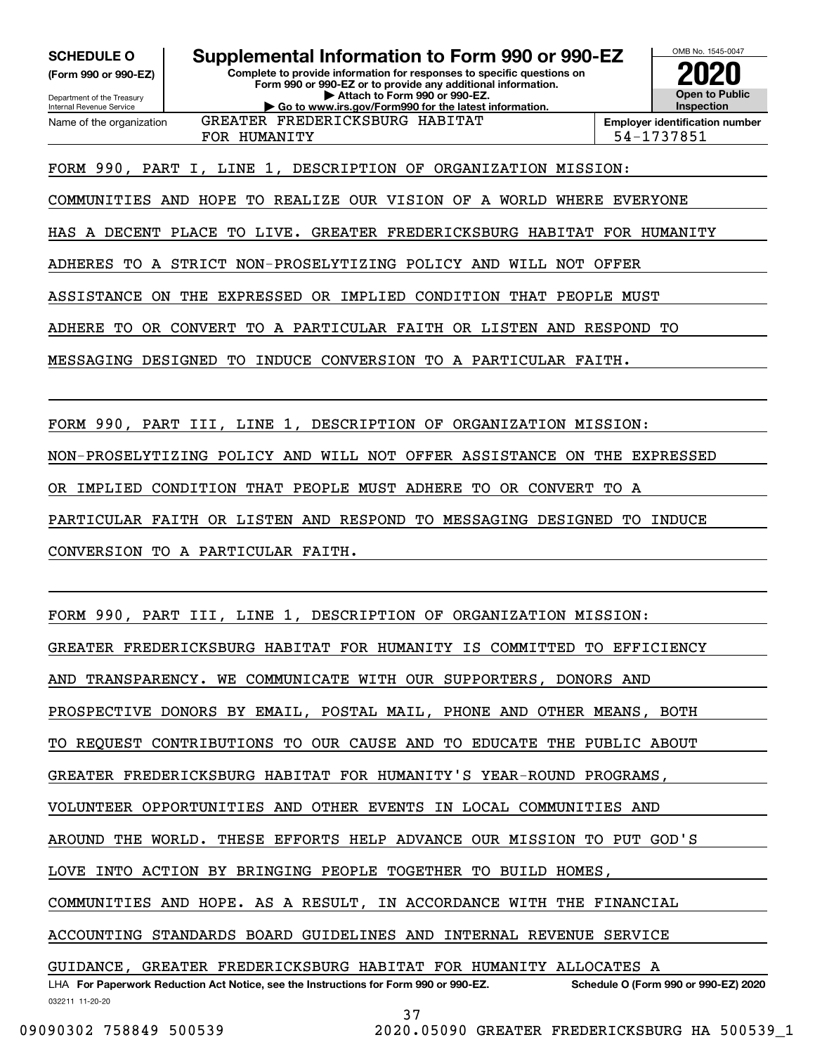**(Form 990 or 990-EZ)**

Department of the Treasury Internal Revenue Service Name of the organization

## **Complete to provide information for responses to specific questions on SCHEDULE O Supplemental Information to Form 990 or 990-EZ**

**Form 990 or 990-EZ or to provide any additional information. | Attach to Form 990 or 990-EZ. | Go to www.irs.gov/Form990 for the latest information.** GREATER FREDERICKSBURG HABITAT

FOR HUMANITY 54-1737851

**InspectionEmployer identification number**

OMB No. 1545-0047

**2020**

**Open to Public**

FORM 990, PART I, LINE 1, DESCRIPTION OF ORGANIZATION MISSION:

COMMUNITIES AND HOPE TO REALIZE OUR VISION OF A WORLD WHERE EVERYONE

HAS A DECENT PLACE TO LIVE. GREATER FREDERICKSBURG HABITAT FOR HUMANITY

ADHERES TO A STRICT NON-PROSELYTIZING POLICY AND WILL NOT OFFER

ASSISTANCE ON THE EXPRESSED OR IMPLIED CONDITION THAT PEOPLE MUST

ADHERE TO OR CONVERT TO A PARTICULAR FAITH OR LISTEN AND RESPOND TO

MESSAGING DESIGNED TO INDUCE CONVERSION TO A PARTICULAR FAITH.

FORM 990, PART III, LINE 1, DESCRIPTION OF ORGANIZATION MISSION:

NON-PROSELYTIZING POLICY AND WILL NOT OFFER ASSISTANCE ON THE EXPRESSED

OR IMPLIED CONDITION THAT PEOPLE MUST ADHERE TO OR CONVERT TO A

PARTICULAR FAITH OR LISTEN AND RESPOND TO MESSAGING DESIGNED TO INDUCE

CONVERSION TO A PARTICULAR FAITH.

FORM 990, PART III, LINE 1, DESCRIPTION OF ORGANIZATION MISSION:

GREATER FREDERICKSBURG HABITAT FOR HUMANITY IS COMMITTED TO EFFICIENCY

AND TRANSPARENCY. WE COMMUNICATE WITH OUR SUPPORTERS, DONORS AND

PROSPECTIVE DONORS BY EMAIL, POSTAL MAIL, PHONE AND OTHER MEANS, BOTH

TO REQUEST CONTRIBUTIONS TO OUR CAUSE AND TO EDUCATE THE PUBLIC ABOUT

GREATER FREDERICKSBURG HABITAT FOR HUMANITY'S YEAR-ROUND PROGRAMS,

VOLUNTEER OPPORTUNITIES AND OTHER EVENTS IN LOCAL COMMUNITIES AND

AROUND THE WORLD. THESE EFFORTS HELP ADVANCE OUR MISSION TO PUT GOD'S

LOVE INTO ACTION BY BRINGING PEOPLE TOGETHER TO BUILD HOMES,

COMMUNITIES AND HOPE. AS A RESULT, IN ACCORDANCE WITH THE FINANCIAL

ACCOUNTING STANDARDS BOARD GUIDELINES AND INTERNAL REVENUE SERVICE

032211 11-20-20 LHA For Paperwork Reduction Act Notice, see the Instructions for Form 990 or 990-EZ. Schedule O (Form 990 or 990-EZ) 2020 GUIDANCE, GREATER FREDERICKSBURG HABITAT FOR HUMANITY ALLOCATES A

37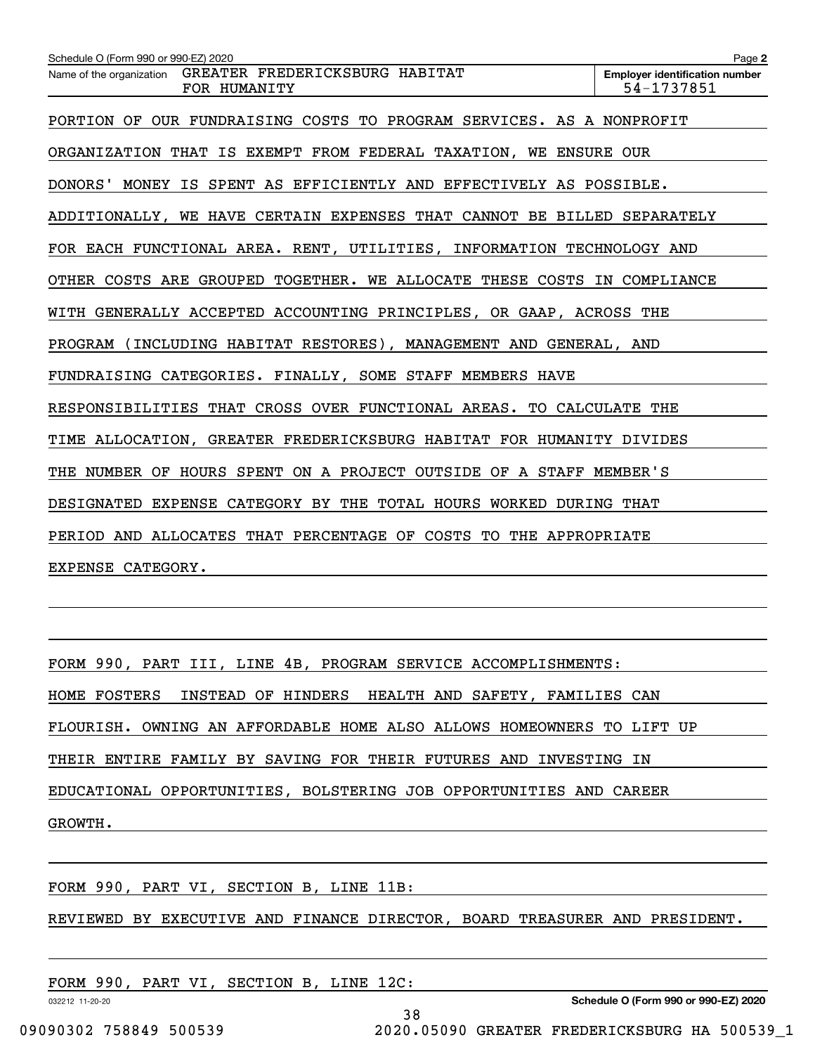| Schedule O (Form 990 or 990-EZ) 2020                                       | Page 2                                              |
|----------------------------------------------------------------------------|-----------------------------------------------------|
| GREATER FREDERICKSBURG HABITAT<br>Name of the organization<br>FOR HUMANITY | <b>Employer identification number</b><br>54-1737851 |
| PORTION OF OUR FUNDRAISING COSTS TO PROGRAM SERVICES. AS A NONPROFIT       |                                                     |
| ORGANIZATION THAT IS EXEMPT FROM FEDERAL TAXATION, WE ENSURE OUR           |                                                     |
| DONORS' MONEY IS SPENT AS EFFICIENTLY AND EFFECTIVELY AS POSSIBLE.         |                                                     |
| ADDITIONALLY, WE HAVE CERTAIN EXPENSES THAT CANNOT BE BILLED SEPARATELY    |                                                     |
| FOR EACH FUNCTIONAL AREA. RENT, UTILITIES, INFORMATION TECHNOLOGY AND      |                                                     |
| OTHER COSTS ARE GROUPED TOGETHER. WE ALLOCATE THESE COSTS IN COMPLIANCE    |                                                     |
| WITH GENERALLY ACCEPTED ACCOUNTING PRINCIPLES, OR GAAP, ACROSS THE         |                                                     |
| PROGRAM (INCLUDING HABITAT RESTORES), MANAGEMENT AND GENERAL, AND          |                                                     |
| FUNDRAISING CATEGORIES. FINALLY, SOME STAFF MEMBERS HAVE                   |                                                     |
| RESPONSIBILITIES THAT CROSS OVER FUNCTIONAL AREAS. TO CALCULATE THE        |                                                     |
| TIME ALLOCATION, GREATER FREDERICKSBURG HABITAT FOR HUMANITY DIVIDES       |                                                     |
| NUMBER OF HOURS SPENT ON A PROJECT OUTSIDE OF A STAFF MEMBER'S<br>THE      |                                                     |
| DESIGNATED EXPENSE CATEGORY BY THE TOTAL HOURS WORKED DURING THAT          |                                                     |
| PERIOD AND ALLOCATES THAT PERCENTAGE OF COSTS TO THE APPROPRIATE           |                                                     |
| EXPENSE CATEGORY.                                                          |                                                     |

FORM 990, PART III, LINE 4B, PROGRAM SERVICE ACCOMPLISHMENTS: HOME FOSTERS INSTEAD OF HINDERS HEALTH AND SAFETY, FAMILIES CAN FLOURISH. OWNING AN AFFORDABLE HOME ALSO ALLOWS HOMEOWNERS TO LIFT UP THEIR ENTIRE FAMILY BY SAVING FOR THEIR FUTURES AND INVESTING IN EDUCATIONAL OPPORTUNITIES, BOLSTERING JOB OPPORTUNITIES AND CAREER GROWTH.

FORM 990, PART VI, SECTION B, LINE 11B:

REVIEWED BY EXECUTIVE AND FINANCE DIRECTOR, BOARD TREASURER AND PRESIDENT.

38

| FORM 990, PART VI, SECTION B, LINE 12C: |  |
|-----------------------------------------|--|
|-----------------------------------------|--|

032212 11-20-20

**Schedule O (Form 990 or 990-EZ) 2020**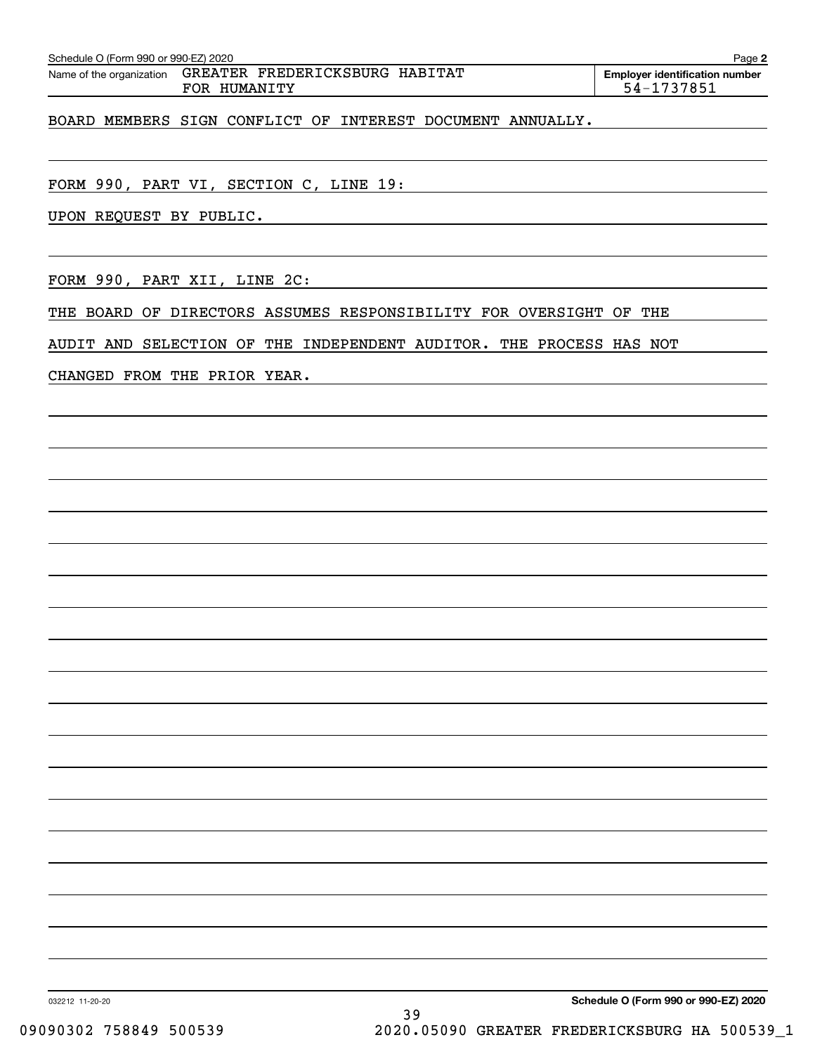| GREATER FREDERICKSBURG HABITAT<br>Name of the organization<br>FOR HUMANITY | <b>Employer identification number</b><br>54-1737851 |
|----------------------------------------------------------------------------|-----------------------------------------------------|
| BOARD MEMBERS SIGN CONFLICT OF INTEREST DOCUMENT ANNUALLY.                 |                                                     |
| FORM 990, PART VI, SECTION C, LINE 19:                                     |                                                     |
| UPON REQUEST BY PUBLIC.                                                    |                                                     |
|                                                                            |                                                     |
| FORM 990, PART XII, LINE 2C:                                               |                                                     |
| BOARD OF DIRECTORS ASSUMES RESPONSIBILITY FOR OVERSIGHT OF<br>THE          | THE                                                 |

AUDIT AND SELECTION OF THE INDEPENDENT AUDITOR. THE PROCESS HAS NOT

CHANGED FROM THE PRIOR YEAR.

**Schedule O (Form 990 or 990-EZ) 2020**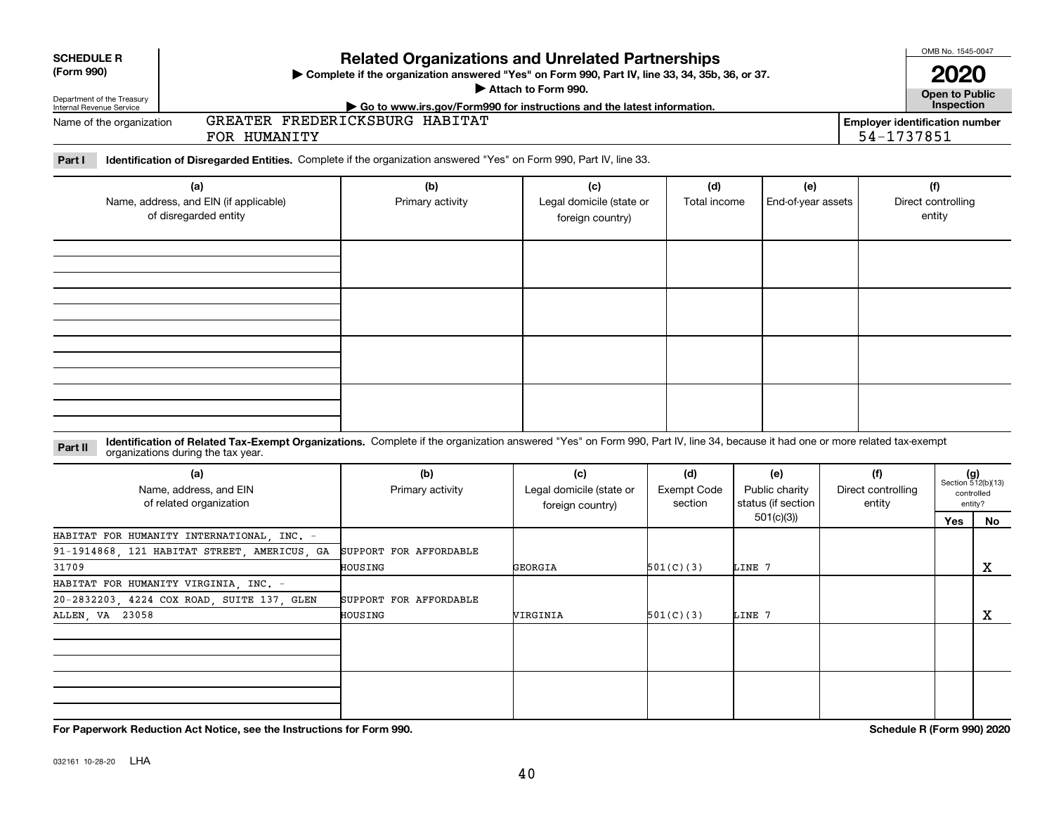| <b>SCHEDULE R</b>                                                      | <b>Related Organizations and Unrelated Partnerships</b><br>> Complete if the organization answered "Yes" on Form 990, Part IV, line 33, 34, 35b, 36, or 37.                                                        |                                   |                                                     |                                      |                                                          |                                     |                                                     |                                                            |  |  |  |  |
|------------------------------------------------------------------------|--------------------------------------------------------------------------------------------------------------------------------------------------------------------------------------------------------------------|-----------------------------------|-----------------------------------------------------|--------------------------------------|----------------------------------------------------------|-------------------------------------|-----------------------------------------------------|------------------------------------------------------------|--|--|--|--|
| (Form 990)                                                             |                                                                                                                                                                                                                    | Attach to Form 990.               |                                                     | <b>2020</b><br><b>Open to Public</b> |                                                          |                                     |                                                     |                                                            |  |  |  |  |
| Department of the Treasury<br>Internal Revenue Service                 |                                                                                                                                                                                                                    |                                   |                                                     | Inspection                           |                                                          |                                     |                                                     |                                                            |  |  |  |  |
| Name of the organization                                               | FOR HUMANITY                                                                                                                                                                                                       | GREATER FREDERICKSBURG HABITAT    |                                                     |                                      |                                                          |                                     | <b>Employer identification number</b><br>54-1737851 |                                                            |  |  |  |  |
| Part I                                                                 | Identification of Disregarded Entities. Complete if the organization answered "Yes" on Form 990, Part IV, line 33.                                                                                                 |                                   |                                                     |                                      |                                                          |                                     |                                                     |                                                            |  |  |  |  |
| (a)<br>Name, address, and EIN (if applicable)<br>of disregarded entity |                                                                                                                                                                                                                    | (b)<br>Primary activity           | (c)<br>Legal domicile (state or<br>foreign country) | (d)<br>Total income                  | (e)<br>End-of-year assets                                |                                     | (f)<br>Direct controlling<br>entity                 |                                                            |  |  |  |  |
|                                                                        |                                                                                                                                                                                                                    |                                   |                                                     |                                      |                                                          |                                     |                                                     |                                                            |  |  |  |  |
|                                                                        |                                                                                                                                                                                                                    |                                   |                                                     |                                      |                                                          |                                     |                                                     |                                                            |  |  |  |  |
| Part II                                                                | Identification of Related Tax-Exempt Organizations. Complete if the organization answered "Yes" on Form 990, Part IV, line 34, because it had one or more related tax-exempt<br>organizations during the tax year. |                                   |                                                     |                                      |                                                          |                                     |                                                     |                                                            |  |  |  |  |
| (a)<br>Name, address, and EIN<br>of related organization               |                                                                                                                                                                                                                    | (b)<br>Primary activity           | (c)<br>Legal domicile (state or<br>foreign country) |                                      | (e)<br>Public charity<br>status (if section<br>501(c)(3) | (f)<br>Direct controlling<br>entity | Yes                                                 | $(g)$<br>Section 512(b)(13)<br>controlled<br>entity?<br>No |  |  |  |  |
|                                                                        | HABITAT FOR HUMANITY INTERNATIONAL, INC. -                                                                                                                                                                         |                                   |                                                     |                                      |                                                          |                                     |                                                     |                                                            |  |  |  |  |
| 31709                                                                  | 91-1914868, 121 HABITAT STREET, AMERICUS, GA                                                                                                                                                                       | SUPPORT FOR AFFORDABLE<br>HOUSING | GEORGIA                                             | 501(C)(3)                            | LINE 7                                                   |                                     |                                                     | x                                                          |  |  |  |  |
|                                                                        | HABITAT FOR HUMANITY VIRGINIA, INC. -                                                                                                                                                                              |                                   |                                                     |                                      |                                                          |                                     |                                                     |                                                            |  |  |  |  |
|                                                                        | 20-2832203, 4224 COX ROAD, SUITE 137, GLEN                                                                                                                                                                         | SUPPORT FOR AFFORDABLE            |                                                     |                                      |                                                          |                                     |                                                     |                                                            |  |  |  |  |
| ALLEN, VA<br>23058                                                     |                                                                                                                                                                                                                    | HOUSING                           | VIRGINIA                                            | 501(C)(3)                            | LINE 7                                                   |                                     |                                                     | х                                                          |  |  |  |  |
|                                                                        |                                                                                                                                                                                                                    |                                   |                                                     |                                      |                                                          |                                     |                                                     |                                                            |  |  |  |  |
|                                                                        |                                                                                                                                                                                                                    |                                   |                                                     |                                      |                                                          |                                     |                                                     |                                                            |  |  |  |  |
|                                                                        | For Paperwork Reduction Act Notice, see the Instructions for Form 990.                                                                                                                                             |                                   |                                                     |                                      |                                                          |                                     | Schedule R (Form 990) 2020                          |                                                            |  |  |  |  |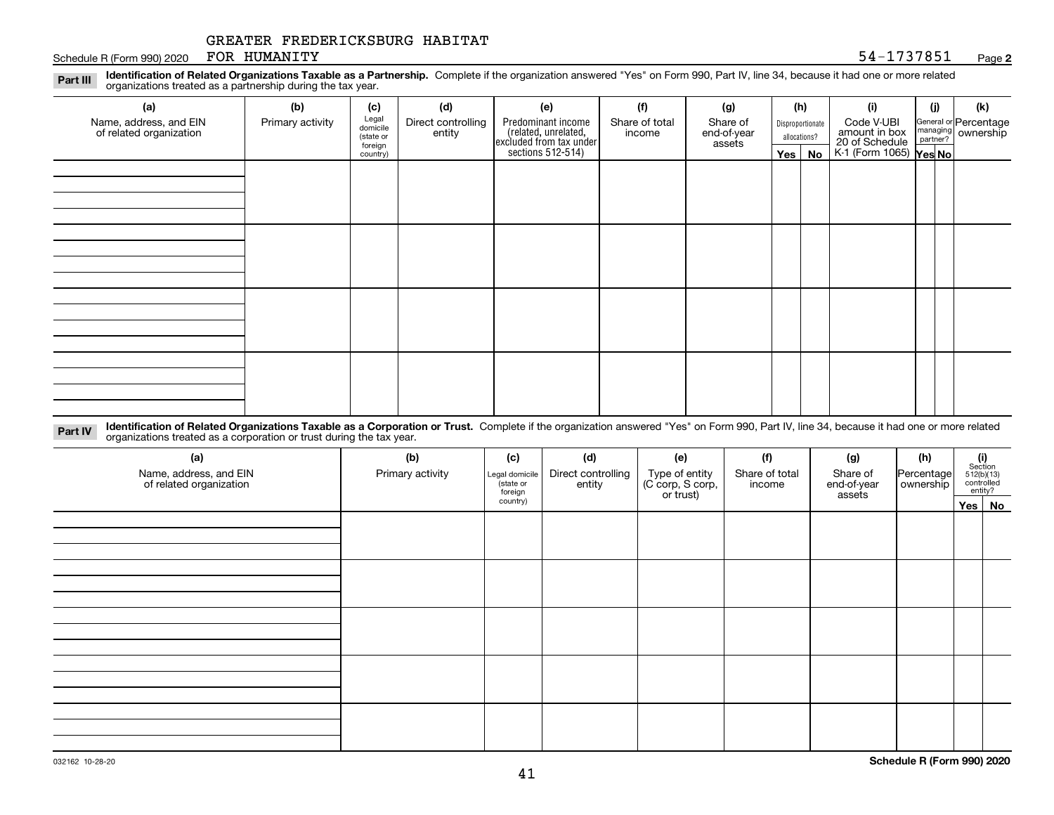#### Schedule R (Form 990) 2020 POR HUMANITY Sample of the Schedule R (Form 990) 2020 POR HUMANITY FOR HUMANITY

#### **2**

**Identification of Related Organizations Taxable as a Partnership.** Complete if the organization answered "Yes" on Form 990, Part IV, line 34, because it had one or more related **Part III** organizations treated as a partnership during the tax year.

| (a)                     | (b)              | (c)                  | (d)                | (e)                                                                 | (f)            | (g)                   |              | (h)              | (i)                                               | (j) | (k)                   |
|-------------------------|------------------|----------------------|--------------------|---------------------------------------------------------------------|----------------|-----------------------|--------------|------------------|---------------------------------------------------|-----|-----------------------|
| Name, address, and EIN  | Primary activity | Legal<br>domicile    | Direct controlling | Predominant income                                                  | Share of total | Share of              |              | Disproportionate | Code V-UBI                                        |     | General or Percentage |
| of related organization |                  | (state or<br>foreign | entity             | related, unrelated,<br>excluded from tax under<br>sections 512-514) | income         | end-of-year<br>assets | allocations? |                  | amount in box                                     |     | managing ownership    |
|                         |                  | country)             |                    |                                                                     |                |                       |              | $Yes \mid No$    | 20 of Schedule Partner?<br>K-1 (Form 1065) Yes No |     |                       |
|                         |                  |                      |                    |                                                                     |                |                       |              |                  |                                                   |     |                       |
|                         |                  |                      |                    |                                                                     |                |                       |              |                  |                                                   |     |                       |
|                         |                  |                      |                    |                                                                     |                |                       |              |                  |                                                   |     |                       |
|                         |                  |                      |                    |                                                                     |                |                       |              |                  |                                                   |     |                       |
|                         |                  |                      |                    |                                                                     |                |                       |              |                  |                                                   |     |                       |
|                         |                  |                      |                    |                                                                     |                |                       |              |                  |                                                   |     |                       |
|                         |                  |                      |                    |                                                                     |                |                       |              |                  |                                                   |     |                       |
|                         |                  |                      |                    |                                                                     |                |                       |              |                  |                                                   |     |                       |
|                         |                  |                      |                    |                                                                     |                |                       |              |                  |                                                   |     |                       |
|                         |                  |                      |                    |                                                                     |                |                       |              |                  |                                                   |     |                       |
|                         |                  |                      |                    |                                                                     |                |                       |              |                  |                                                   |     |                       |
|                         |                  |                      |                    |                                                                     |                |                       |              |                  |                                                   |     |                       |
|                         |                  |                      |                    |                                                                     |                |                       |              |                  |                                                   |     |                       |
|                         |                  |                      |                    |                                                                     |                |                       |              |                  |                                                   |     |                       |
|                         |                  |                      |                    |                                                                     |                |                       |              |                  |                                                   |     |                       |
|                         |                  |                      |                    |                                                                     |                |                       |              |                  |                                                   |     |                       |
|                         |                  |                      |                    |                                                                     |                |                       |              |                  |                                                   |     |                       |

**Identification of Related Organizations Taxable as a Corporation or Trust.** Complete if the organization answered "Yes" on Form 990, Part IV, line 34, because it had one or more related **Part IV** organizations treated as a corporation or trust during the tax year.

| (a)<br>Name, address, and EIN<br>of related organization | (b)<br>Primary activity | (c)<br>Legal domicile<br>(state or<br>foreign | (d)<br>Direct controlling<br>entity | (e)<br>Type of entity<br>(C corp, S corp,<br>or trust) | (f)<br>Share of total<br>income | (g)<br>Share of<br>end-of-year<br>assets | (h)<br>Percentage<br>ownership | $(i)$ Section<br>512(b)(13)<br>controlled<br>entity? |
|----------------------------------------------------------|-------------------------|-----------------------------------------------|-------------------------------------|--------------------------------------------------------|---------------------------------|------------------------------------------|--------------------------------|------------------------------------------------------|
|                                                          |                         | country)                                      |                                     |                                                        |                                 |                                          |                                | Yes No                                               |
|                                                          |                         |                                               |                                     |                                                        |                                 |                                          |                                |                                                      |
|                                                          |                         |                                               |                                     |                                                        |                                 |                                          |                                |                                                      |
|                                                          |                         |                                               |                                     |                                                        |                                 |                                          |                                |                                                      |
|                                                          |                         |                                               |                                     |                                                        |                                 |                                          |                                |                                                      |
|                                                          |                         |                                               |                                     |                                                        |                                 |                                          |                                |                                                      |
|                                                          |                         |                                               |                                     |                                                        |                                 |                                          |                                |                                                      |
|                                                          |                         |                                               |                                     |                                                        |                                 |                                          |                                |                                                      |
|                                                          |                         |                                               |                                     |                                                        |                                 |                                          |                                |                                                      |
|                                                          |                         |                                               |                                     |                                                        |                                 |                                          |                                |                                                      |
|                                                          |                         |                                               |                                     |                                                        |                                 |                                          |                                |                                                      |
|                                                          |                         |                                               |                                     |                                                        |                                 |                                          |                                |                                                      |
|                                                          |                         |                                               |                                     |                                                        |                                 |                                          |                                |                                                      |
|                                                          |                         |                                               |                                     |                                                        |                                 |                                          |                                |                                                      |
|                                                          |                         |                                               |                                     |                                                        |                                 |                                          |                                |                                                      |
|                                                          |                         |                                               |                                     |                                                        |                                 |                                          |                                |                                                      |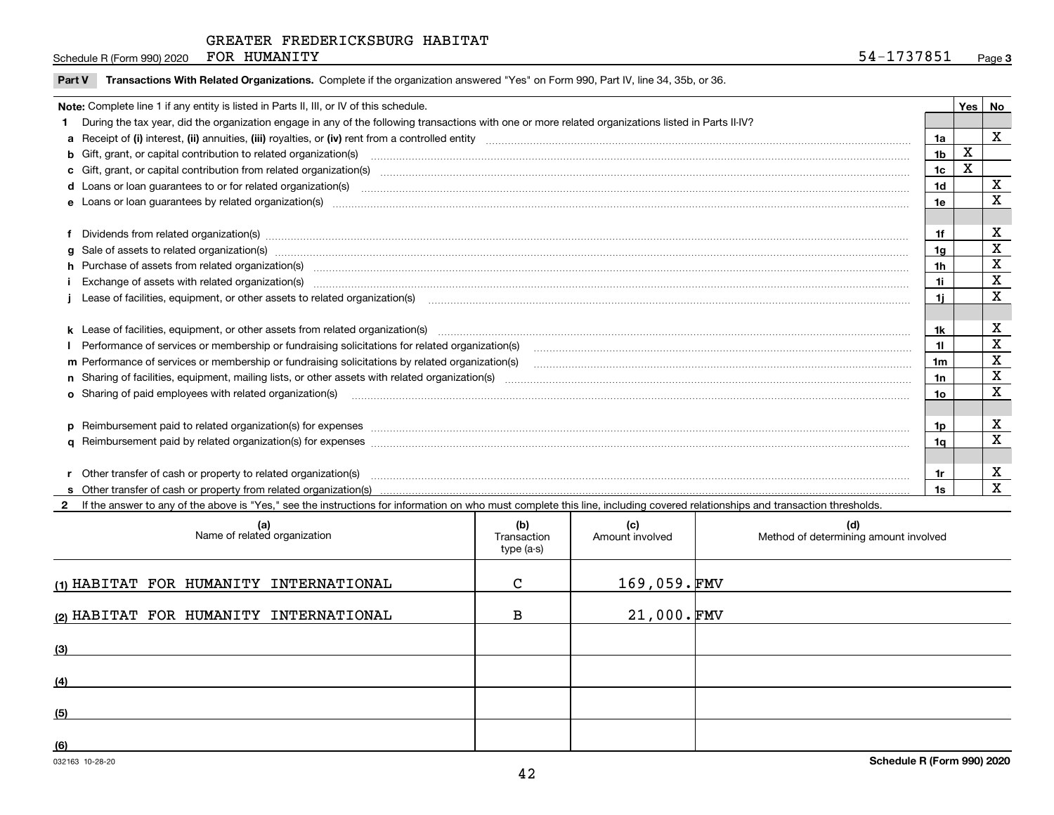Schedule R (Form 990) 2020 Page FOR HUMANITY

|  | Part V Transactions With Related Organizations. Complete if the organization answered "Yes" on Form 990, Part IV, line 34, 35b, or 36. |  |  |
|--|----------------------------------------------------------------------------------------------------------------------------------------|--|--|
|--|----------------------------------------------------------------------------------------------------------------------------------------|--|--|

|  | Note: Complete line 1 if any entity is listed in Parts II, III, or IV of this schedule.                                                                                                                                        |                | Yes | No                      |  |  |
|--|--------------------------------------------------------------------------------------------------------------------------------------------------------------------------------------------------------------------------------|----------------|-----|-------------------------|--|--|
|  | During the tax year, did the organization engage in any of the following transactions with one or more related organizations listed in Parts II-IV?                                                                            |                |     |                         |  |  |
|  |                                                                                                                                                                                                                                | 1a             |     | $\mathbf x$             |  |  |
|  | b Gift, grant, or capital contribution to related organization(s) manufaction contracts and contribution to related organization(s)                                                                                            | 1 <sub>b</sub> | X   |                         |  |  |
|  |                                                                                                                                                                                                                                | 1 <sub>c</sub> | X   |                         |  |  |
|  | d Loans or loan guarantees to or for related organization(s) www.communically.com/www.communically.com/www.communically.com/www.communically.com/www.communically.com/www.communically.com/www.communically.com/www.communical | 1d             |     | X                       |  |  |
|  |                                                                                                                                                                                                                                | 1e             |     | X                       |  |  |
|  |                                                                                                                                                                                                                                |                |     |                         |  |  |
|  | Dividends from related organization(s) manufactured and contract and contract and contract and contract and contract and contract and contract and contract and contract and contract and contract and contract and contract a | 1f             |     | X                       |  |  |
|  | g Sale of assets to related organization(s) www.assettion.com/www.assettion.com/www.assettion.com/www.assettion.com/www.assettion.com/www.assettion.com/www.assettion.com/www.assettion.com/www.assettion.com/www.assettion.co | 1 <sub>q</sub> |     | $\overline{\mathbf{X}}$ |  |  |
|  | h Purchase of assets from related organization(s) manufactured contains and contains a set of assets from related organization(s)                                                                                              | 1 <sub>h</sub> |     | $\mathbf x$             |  |  |
|  |                                                                                                                                                                                                                                | 1i             |     | X                       |  |  |
|  | Lease of facilities, equipment, or other assets to related organization(s) material content and content and content and content and content and content and content and content and content and content and content and conten | 11             |     | X                       |  |  |
|  |                                                                                                                                                                                                                                |                |     |                         |  |  |
|  |                                                                                                                                                                                                                                | 1k             |     | $\mathbf X$             |  |  |
|  |                                                                                                                                                                                                                                | 11             |     | X                       |  |  |
|  | m Performance of services or membership or fundraising solicitations by related organization(s)                                                                                                                                | 1 <sub>m</sub> |     | X                       |  |  |
|  |                                                                                                                                                                                                                                | 1n             |     | $\overline{\mathbf{x}}$ |  |  |
|  | o Sharing of paid employees with related organization(s) manufactured and content to the content of the content of the content of the content of the content of the content of the content of the content of the content of th | 10             |     | X                       |  |  |
|  |                                                                                                                                                                                                                                |                |     |                         |  |  |
|  | p Reimbursement paid to related organization(s) for expenses [1111] and the content of the content of the content of the content of the content of the content of the content of the content of the content of the content of  | 1p             |     | х                       |  |  |
|  |                                                                                                                                                                                                                                | 1a             |     | $\mathbf X$             |  |  |
|  |                                                                                                                                                                                                                                |                |     |                         |  |  |
|  | Other transfer of cash or property to related organization(s)                                                                                                                                                                  | 1r             |     | X                       |  |  |
|  |                                                                                                                                                                                                                                |                |     | $\mathbf{x}$            |  |  |

**2**If the answer to any of the above is "Yes," see the instructions for information on who must complete this line, including covered relationships and transaction thresholds.

| (a)<br>Name of related organization    | (b)<br>Transaction<br>type (a-s) | (c)<br>Amount involved | (d)<br>Method of determining amount involved |
|----------------------------------------|----------------------------------|------------------------|----------------------------------------------|
| (1) HABITAT FOR HUMANITY INTERNATIONAL | C                                | $169,059.$ FMV         |                                              |
| (2) HABITAT FOR HUMANITY INTERNATIONAL | в                                | $21,000.\,$ FMV        |                                              |
| (3)                                    |                                  |                        |                                              |
| (4)                                    |                                  |                        |                                              |
| (5)                                    |                                  |                        |                                              |
| (6)                                    |                                  |                        |                                              |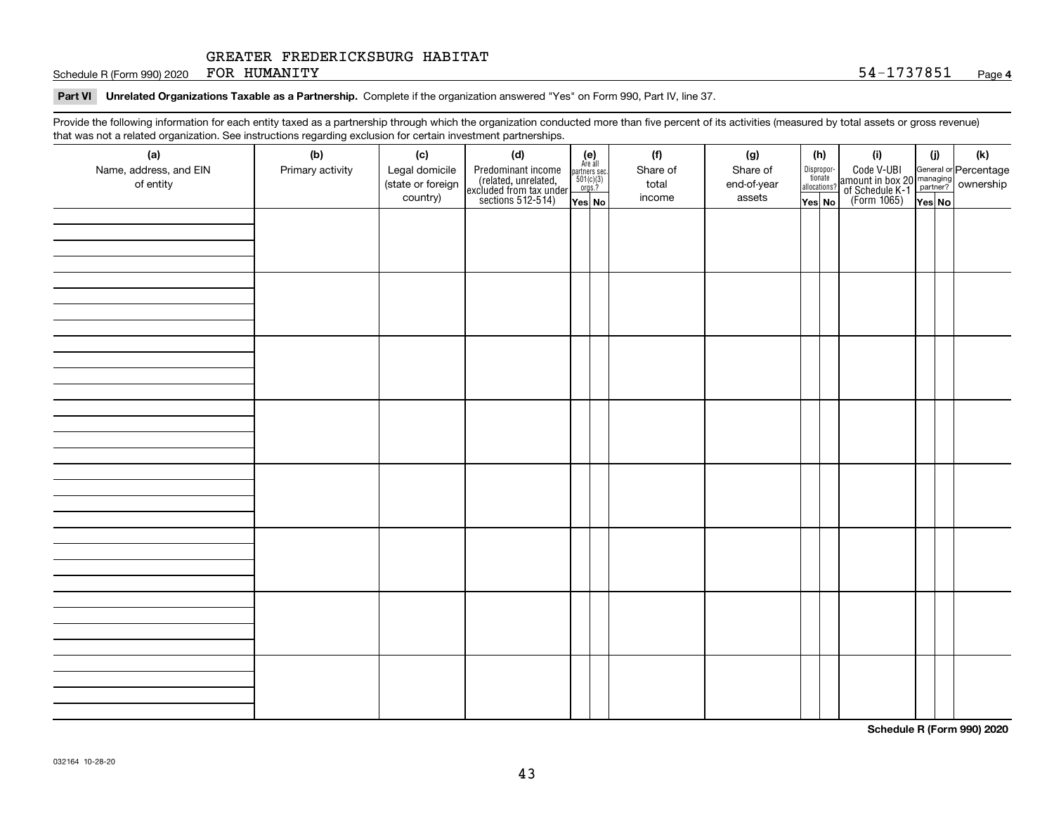Schedule R (Form 990) 2020 Page FOR HUMANITY 54-1737851

**Part VI Unrelated Organizations Taxable as a Partnership. Complete if the organization answered "Yes" on Form 990, Part IV, line 37.** 

Provide the following information for each entity taxed as a partnership through which the organization conducted more than five percent of its activities (measured by total assets or gross revenue) that was not a related organization. See instructions regarding exclusion for certain investment partnerships.

| (a)<br>Name, address, and EIN<br>of entity | (b)<br>Primary activity | (c)<br>Legal domicile<br>(state or foreign<br>country) | (d)<br>Predominant income<br>(related, unrelated,<br>excluded from tax under<br>sections 512-514) | $\begin{array}{c} \textbf{(e)}\\ \text{Are all} \\ \text{partners sec.}\\ 501(c)(3)\\ \text{orgs.?} \end{array}$<br>$Yes$ No | (f)<br>Share of<br>total<br>income | (g)<br>Share of<br>end-of-year<br>assets | (h)<br>Dispropor-<br>tionate<br>allocations?<br>Yes No | (i)<br>Code V-UBI<br>amount in box 20 managing<br>of Schedule K-1 partner? ownership<br>(Form 1065)<br>ves No | (i)<br>Yes No | (k) |
|--------------------------------------------|-------------------------|--------------------------------------------------------|---------------------------------------------------------------------------------------------------|------------------------------------------------------------------------------------------------------------------------------|------------------------------------|------------------------------------------|--------------------------------------------------------|---------------------------------------------------------------------------------------------------------------|---------------|-----|
|                                            |                         |                                                        |                                                                                                   |                                                                                                                              |                                    |                                          |                                                        |                                                                                                               |               |     |
|                                            |                         |                                                        |                                                                                                   |                                                                                                                              |                                    |                                          |                                                        |                                                                                                               |               |     |
|                                            |                         |                                                        |                                                                                                   |                                                                                                                              |                                    |                                          |                                                        |                                                                                                               |               |     |
|                                            |                         |                                                        |                                                                                                   |                                                                                                                              |                                    |                                          |                                                        |                                                                                                               |               |     |
|                                            |                         |                                                        |                                                                                                   |                                                                                                                              |                                    |                                          |                                                        |                                                                                                               |               |     |
|                                            |                         |                                                        |                                                                                                   |                                                                                                                              |                                    |                                          |                                                        |                                                                                                               |               |     |
|                                            |                         |                                                        |                                                                                                   |                                                                                                                              |                                    |                                          |                                                        |                                                                                                               |               |     |
|                                            |                         |                                                        |                                                                                                   |                                                                                                                              |                                    |                                          |                                                        |                                                                                                               |               |     |

**Schedule R (Form 990) 2020**